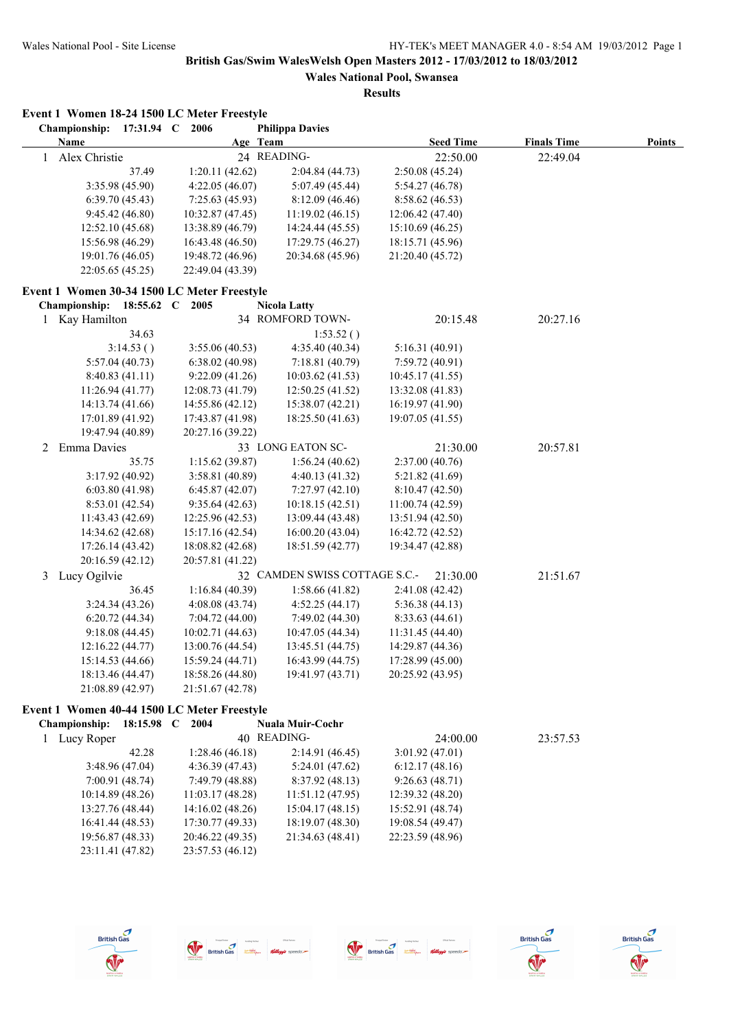| EVENT I WOMEN 10-24 LOVE LC METEL FLEESLYIE<br>Championship: 17:31.94 C 2006 |                  | <b>Philippa Davies</b>        |                  |                    |        |
|------------------------------------------------------------------------------|------------------|-------------------------------|------------------|--------------------|--------|
| <b>Name</b>                                                                  | Age Team         |                               | <b>Seed Time</b> | <b>Finals Time</b> | Points |
| Alex Christie<br>$\mathbf{1}$                                                |                  | 24 READING-                   | 22:50.00         | 22:49.04           |        |
| 37.49                                                                        | 1:20.11(42.62)   | 2:04.84 (44.73)               | 2:50.08 (45.24)  |                    |        |
| 3:35.98 (45.90)                                                              | 4:22.05 (46.07)  | 5:07.49 (45.44)               | 5:54.27(46.78)   |                    |        |
| 6:39.70(45.43)                                                               | 7:25.63(45.93)   | 8:12.09(46.46)                | 8:58.62 (46.53)  |                    |        |
| 9:45.42(46.80)                                                               | 10:32.87(47.45)  | 11:19.02(46.15)               | 12:06.42 (47.40) |                    |        |
| 12:52.10 (45.68)                                                             | 13:38.89 (46.79) | 14:24.44 (45.55)              | 15:10.69 (46.25) |                    |        |
| 15:56.98 (46.29)                                                             | 16:43.48 (46.50) | 17:29.75 (46.27)              | 18:15.71 (45.96) |                    |        |
| 19:01.76 (46.05)                                                             | 19:48.72 (46.96) | 20:34.68 (45.96)              | 21:20.40 (45.72) |                    |        |
| 22:05.65 (45.25)                                                             | 22:49.04 (43.39) |                               |                  |                    |        |
| Event 1 Women 30-34 1500 LC Meter Freestyle                                  |                  |                               |                  |                    |        |
| Championship: 18:55.62 C 2005                                                |                  | <b>Nicola Latty</b>           |                  |                    |        |
| 1 Kay Hamilton                                                               |                  | 34 ROMFORD TOWN-              | 20:15.48         | 20:27.16           |        |
| 34.63                                                                        |                  | 1:53.52()                     |                  |                    |        |
| 3:14.53()                                                                    | 3:55.06(40.53)   | 4:35.40(40.34)                | 5:16.31(40.91)   |                    |        |
| 5:57.04(40.73)                                                               | 6:38.02(40.98)   | 7:18.81 (40.79)               | 7:59.72(40.91)   |                    |        |
| 8:40.83(41.11)                                                               | 9:22.09(41.26)   | 10:03.62(41.53)               | 10:45.17(41.55)  |                    |        |
| 11:26.94(41.77)                                                              | 12:08.73 (41.79) | 12:50.25 (41.52)              | 13:32.08 (41.83) |                    |        |
| 14:13.74 (41.66)                                                             | 14:55.86 (42.12) | 15:38.07 (42.21)              | 16:19.97(41.90)  |                    |        |
| 17:01.89 (41.92)                                                             | 17:43.87 (41.98) | 18:25.50 (41.63)              | 19:07.05 (41.55) |                    |        |
| 19:47.94 (40.89)                                                             | 20:27.16 (39.22) |                               |                  |                    |        |
| Emma Davies<br>2                                                             |                  | 33 LONG EATON SC-             | 21:30.00         | 20:57.81           |        |
| 35.75                                                                        | 1:15.62(39.87)   | 1:56.24(40.62)                | 2:37.00 (40.76)  |                    |        |
| 3:17.92 (40.92)                                                              | 3:58.81(40.89)   | 4:40.13 (41.32)               | 5:21.82(41.69)   |                    |        |
| 6:03.80(41.98)                                                               | 6:45.87(42.07)   | 7:27.97(42.10)                | 8:10.47(42.50)   |                    |        |
| 8:53.01(42.54)                                                               | 9:35.64(42.63)   | 10:18.15 (42.51)              | 11:00.74(42.59)  |                    |        |
| 11:43.43 (42.69)                                                             | 12:25.96 (42.53) | 13:09.44 (43.48)              | 13:51.94 (42.50) |                    |        |
| 14:34.62 (42.68)                                                             | 15:17.16 (42.54) | 16:00.20 (43.04)              | 16:42.72 (42.52) |                    |        |
| 17:26.14 (43.42)                                                             | 18:08.82 (42.68) | 18:51.59 (42.77)              | 19:34.47 (42.88) |                    |        |
| 20:16.59 (42.12)                                                             | 20:57.81 (41.22) |                               |                  |                    |        |
| Lucy Ogilvie<br>3                                                            |                  | 32 CAMDEN SWISS COTTAGE S.C.- | 21:30.00         | 21:51.67           |        |
| 36.45                                                                        | 1:16.84(40.39)   | 1:58.66(41.82)                | 2:41.08 (42.42)  |                    |        |
| 3:24.34(43.26)                                                               | 4:08.08(43.74)   | 4:52.25(44.17)                | 5:36.38(44.13)   |                    |        |
| 6:20.72(44.34)                                                               | 7:04.72(44.00)   | 7:49.02 (44.30)               | 8:33.63(44.61)   |                    |        |
| 9:18.08(44.45)                                                               | 10:02.71(44.63)  | 10:47.05 (44.34)              | 11:31.45 (44.40) |                    |        |
| 12:16.22(44.77)                                                              | 13:00.76 (44.54) | 13:45.51 (44.75)              | 14:29.87 (44.36) |                    |        |
| 15:14.53 (44.66)                                                             | 15:59.24 (44.71) | 16:43.99 (44.75)              | 17:28.99 (45.00) |                    |        |
| 18:13.46 (44.47)                                                             | 18:58.26 (44.80) | 19:41.97 (43.71)              | 20:25.92 (43.95) |                    |        |
| 21:08.89 (42.97)                                                             | 21:51.67 (42.78) |                               |                  |                    |        |
| Event 1 Women 40-44 1500 LC Meter Freestyle                                  |                  |                               |                  |                    |        |
| Championship: 18:15.98 C 2004                                                |                  | Nuala Muir-Cochr              |                  |                    |        |
| 1 Lucy Roper                                                                 |                  | 40 READING-                   | 24:00.00         | 23:57.53           |        |
| 42.28                                                                        | 1:28.46(46.18)   | 2:14.91(46.45)                | 3:01.92(47.01)   |                    |        |
| 3:48.96 (47.04)                                                              | 4:36.39(47.43)   | 5:24.01(47.62)                | 6:12.17(48.16)   |                    |        |
| 7:00.91 (48.74)                                                              | 7:49.79 (48.88)  | 8:37.92 (48.13)               | 9:26.63(48.71)   |                    |        |
| 10:14.89 (48.26)                                                             | 11:03.17(48.28)  | 11:51.12 (47.95)              | 12:39.32 (48.20) |                    |        |
| 13:27.76 (48.44)                                                             | 14:16.02 (48.26) | 15:04.17 (48.15)              | 15:52.91 (48.74) |                    |        |
| 16:41.44 (48.53)                                                             | 17:30.77 (49.33) | 18:19.07 (48.30)              | 19:08.54 (49.47) |                    |        |
| 19:56.87 (48.33)                                                             | 20:46.22 (49.35) | 21:34.63 (48.41)              | 22:23.59 (48.96) |                    |        |
| 23:11.41 (47.82)                                                             | 23:57.53 (46.12) |                               |                  |                    |        |
|                                                                              |                  |                               |                  |                    |        |
|                                                                              |                  |                               |                  |                    |        |











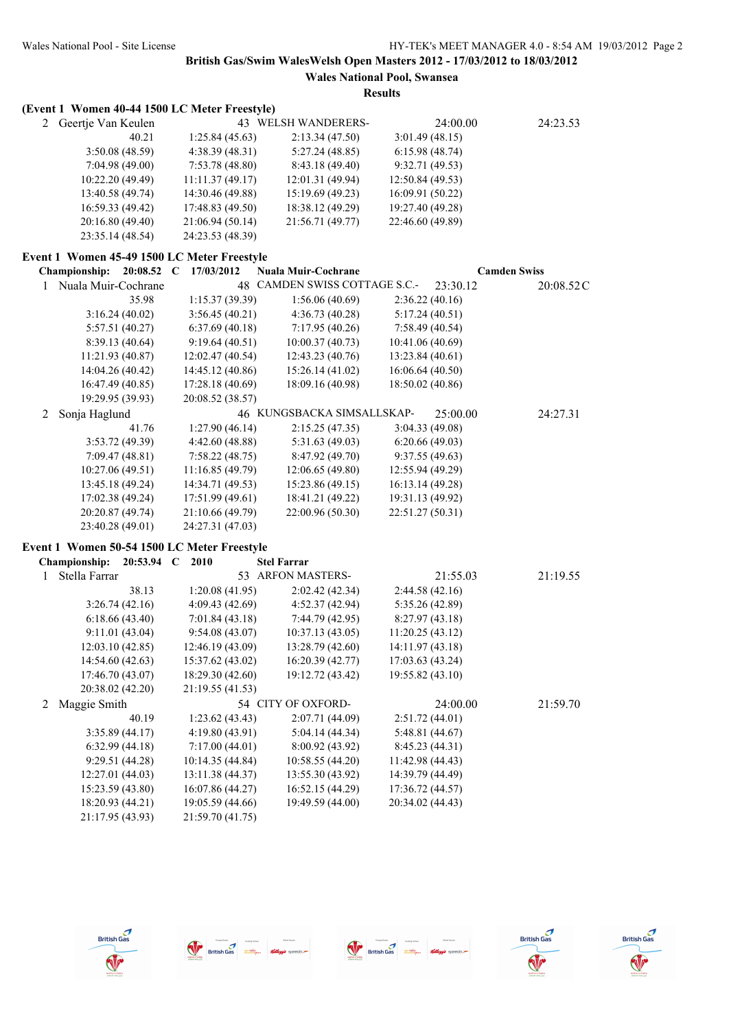**Wales National Pool, Swansea**

|   | (Event 1 Women 40-44 1500 LC Meter Freestyle) |                  |                                         |                  |                     |
|---|-----------------------------------------------|------------------|-----------------------------------------|------------------|---------------------|
|   | 2 Geertje Van Keulen                          |                  | 43 WELSH WANDERERS-                     | 24:00.00         | 24:23.53            |
|   | 40.21                                         | 1:25.84 (45.63)  | 2:13.34 (47.50)                         | 3:01.49(48.15)   |                     |
|   | 3:50.08 (48.59)                               | 4:38.39 (48.31)  | 5:27.24(48.85)                          | 6:15.98(48.74)   |                     |
|   | 7:04.98 (49.00)                               | 7:53.78 (48.80)  | 8:43.18 (49.40)                         | 9:32.71 (49.53)  |                     |
|   | 10:22.20 (49.49)                              | 11:11.37 (49.17) | 12:01.31 (49.94)                        | 12:50.84 (49.53) |                     |
|   | 13:40.58 (49.74)                              | 14:30.46 (49.88) | 15:19.69 (49.23)                        | 16:09.91 (50.22) |                     |
|   | 16:59.33 (49.42)                              | 17:48.83 (49.50) | 18:38.12 (49.29)                        | 19:27.40 (49.28) |                     |
|   | 20:16.80 (49.40)                              | 21:06.94 (50.14) | 21:56.71 (49.77)                        | 22:46.60 (49.89) |                     |
|   | 23:35.14 (48.54)                              | 24:23.53 (48.39) |                                         |                  |                     |
|   | Event 1 Women 45-49 1500 LC Meter Freestyle   |                  |                                         |                  |                     |
|   | Championship: 20:08.52 C                      | 17/03/2012       | <b>Nuala Muir-Cochrane</b>              |                  | <b>Camden Swiss</b> |
| 1 | Nuala Muir-Cochrane                           |                  | 48 CAMDEN SWISS COTTAGE S.C.-           | 23:30.12         | 20:08.52 C          |
|   | 35.98                                         | 1:15.37 (39.39)  | 1:56.06(40.69)                          | 2:36.22(40.16)   |                     |
|   | 3:16.24(40.02)                                | 3:56.45(40.21)   | 4:36.73 (40.28)                         | 5:17.24(40.51)   |                     |
|   | 5:57.51 (40.27)                               | 6:37.69(40.18)   | 7:17.95 (40.26)                         | 7:58.49(40.54)   |                     |
|   | 8:39.13 (40.64)                               | 9:19.64(40.51)   | 10:00.37 (40.73)                        | 10:41.06 (40.69) |                     |
|   | 11:21.93 (40.87)                              | 12:02.47 (40.54) | 12:43.23 (40.76)                        | 13:23.84 (40.61) |                     |
|   | 14:04.26 (40.42)                              | 14:45.12 (40.86) | 15:26.14 (41.02)                        | 16:06.64 (40.50) |                     |
|   | 16:47.49 (40.85)                              | 17:28.18 (40.69) | 18:09.16 (40.98)                        | 18:50.02 (40.86) |                     |
|   | 19:29.95 (39.93)                              | 20:08.52 (38.57) |                                         |                  |                     |
| 2 | Sonja Haglund                                 |                  | 46 KUNGSBACKA SIMSALLSKAP-              | 25:00.00         | 24:27.31            |
|   | 41.76                                         | 1:27.90(46.14)   | 2:15.25(47.35)                          | 3:04.33 (49.08)  |                     |
|   | 3:53.72 (49.39)                               | 4:42.60 (48.88)  | 5:31.63(49.03)                          | 6:20.66(49.03)   |                     |
|   | 7:09.47(48.81)                                | 7:58.22(48.75)   | 8:47.92 (49.70)                         | 9:37.55(49.63)   |                     |
|   | 10:27.06 (49.51)                              | 11:16.85 (49.79) | 12:06.65(49.80)                         | 12:55.94 (49.29) |                     |
|   | 13:45.18 (49.24)                              | 14:34.71 (49.53) | 15:23.86 (49.15)                        | 16:13.14 (49.28) |                     |
|   | 17:02.38 (49.24)                              | 17:51.99 (49.61) | 18:41.21 (49.22)                        | 19:31.13 (49.92) |                     |
|   | 20:20.87 (49.74)                              | 21:10.66 (49.79) | 22:00.96 (50.30)                        | 22:51.27 (50.31) |                     |
|   | 23:40.28 (49.01)                              | 24:27.31 (47.03) |                                         |                  |                     |
|   |                                               |                  |                                         |                  |                     |
|   | Event 1 Women 50-54 1500 LC Meter Freestyle   |                  |                                         |                  |                     |
|   | Championship:<br>20:53.94 C 2010              |                  | <b>Stel Farrar</b><br>53 ARFON MASTERS- |                  |                     |
| 1 | Stella Farrar                                 |                  |                                         | 21:55.03         | 21:19.55            |
|   | 38.13                                         | 1:20.08(41.95)   | 2:02.42 (42.34)                         | 2:44.58 (42.16)  |                     |
|   | 3:26.74(42.16)                                | 4:09.43 (42.69)  | 4:52.37 (42.94)                         | 5:35.26 (42.89)  |                     |
|   | 6:18.66(43.40)                                | 7:01.84(43.18)   | 7:44.79 (42.95)                         | 8:27.97(43.18)   |                     |
|   | 9:11.01(43.04)                                | 9:54.08(43.07)   | 10:37.13 (43.05)                        | 11:20.25(43.12)  |                     |
|   | 12:03.10(42.85)                               | 12:46.19 (43.09) | 13:28.79 (42.60)                        | 14:11.97 (43.18) |                     |
|   | 14:54.60 (42.63)                              | 15:37.62 (43.02) | 16:20.39 (42.77)                        | 17:03.63 (43.24) |                     |
|   | 17:46.70 (43.07)                              | 18:29.30 (42.60) | 19:12.72 (43.42)                        | 19:55.82 (43.10) |                     |
|   | 20:38.02 (42.20)                              | 21:19.55 (41.53) |                                         |                  |                     |
| 2 | Maggie Smith                                  |                  | 54 CITY OF OXFORD-                      | 24:00.00         | 21:59.70            |
|   | 40.19                                         | 1:23.62(43.43)   | 2:07.71 (44.09)                         | 2:51.72(44.01)   |                     |
|   | 3:35.89 (44.17)                               | 4:19.80 (43.91)  | 5:04.14 (44.34)                         | 5:48.81 (44.67)  |                     |
|   | 6:32.99(44.18)                                | 7:17.00 (44.01)  | 8:00.92 (43.92)                         | 8:45.23 (44.31)  |                     |
|   | 9:29.51 (44.28)                               | 10:14.35 (44.84) | 10:58.55 (44.20)                        | 11:42.98 (44.43) |                     |
|   | 12:27.01 (44.03)                              | 13:11.38 (44.37) | 13:55.30 (43.92)                        | 14:39.79 (44.49) |                     |
|   | 15:23.59 (43.80)                              | 16:07.86 (44.27) | 16:52.15 (44.29)                        | 17:36.72 (44.57) |                     |
|   | 18:20.93 (44.21)                              | 19:05.59 (44.66) | 19:49.59 (44.00)                        | 20:34.02 (44.43) |                     |
|   | 21:17.95 (43.93)                              | 21:59.70 (41.75) |                                         |                  |                     |







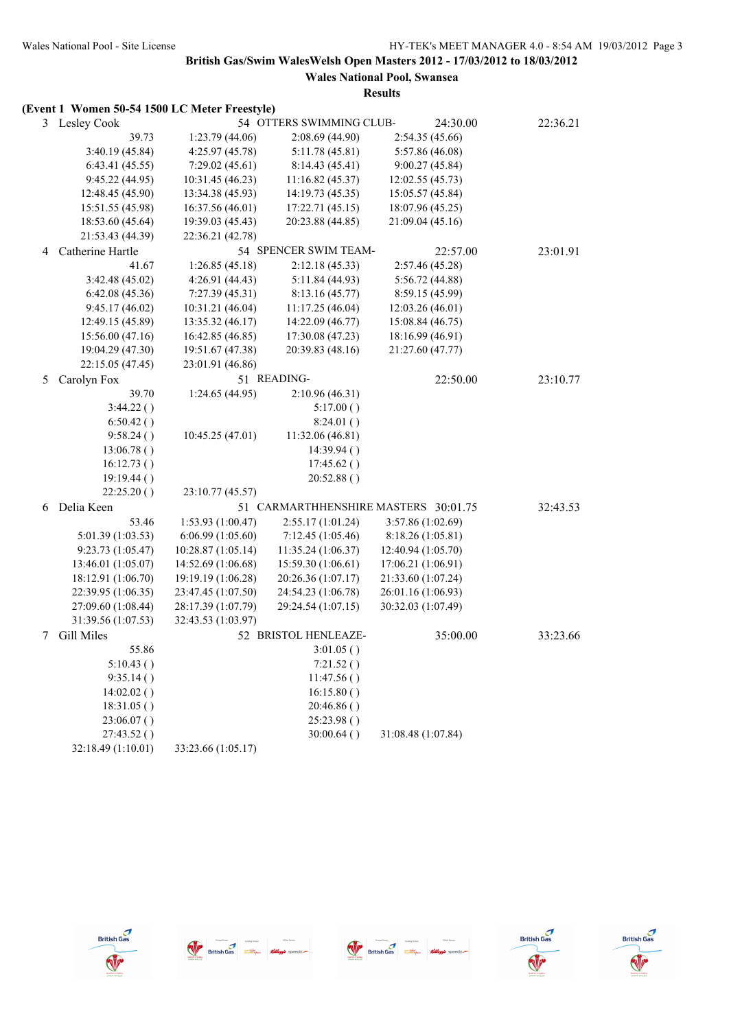|   | (Event 1 Women 50-54 1500 LC Meter Freestyle) |                    |                          |                                      |          |
|---|-----------------------------------------------|--------------------|--------------------------|--------------------------------------|----------|
|   | 3 Lesley Cook                                 |                    | 54 OTTERS SWIMMING CLUB- | 24:30.00                             | 22:36.21 |
|   | 39.73                                         | 1:23.79(44.06)     | 2:08.69(44.90)           | 2:54.35(45.66)                       |          |
|   | 3:40.19 (45.84)                               | 4:25.97 (45.78)    | 5:11.78(45.81)           | 5:57.86 (46.08)                      |          |
|   | 6:43.41(45.55)                                | 7:29.02(45.61)     | 8:14.43(45.41)           | 9:00.27(45.84)                       |          |
|   | 9:45.22(44.95)                                | 10:31.45 (46.23)   | 11:16.82 (45.37)         | 12:02.55 (45.73)                     |          |
|   | 12:48.45 (45.90)                              | 13:34.38 (45.93)   | 14:19.73 (45.35)         | 15:05.57 (45.84)                     |          |
|   | 15:51.55 (45.98)                              | 16:37.56 (46.01)   | 17:22.71 (45.15)         | 18:07.96 (45.25)                     |          |
|   | 18:53.60 (45.64)                              | 19:39.03 (45.43)   | 20:23.88 (44.85)         | 21:09.04 (45.16)                     |          |
|   | 21:53.43 (44.39)                              | 22:36.21 (42.78)   |                          |                                      |          |
| 4 | Catherine Hartle                              |                    | 54 SPENCER SWIM TEAM-    | 22:57.00                             | 23:01.91 |
|   | 41.67                                         | 1:26.85(45.18)     | 2:12.18(45.33)           | 2:57.46 (45.28)                      |          |
|   | 3:42.48(45.02)                                | 4:26.91 (44.43)    | 5:11.84(44.93)           | 5:56.72 (44.88)                      |          |
|   | 6:42.08(45.36)                                | 7:27.39(45.31)     | 8:13.16(45.77)           | 8:59.15 (45.99)                      |          |
|   | 9:45.17(46.02)                                | 10:31.21 (46.04)   | 11:17.25(46.04)          | 12:03.26 (46.01)                     |          |
|   | 12:49.15 (45.89)                              | 13:35.32 (46.17)   | 14:22.09 (46.77)         | 15:08.84 (46.75)                     |          |
|   | 15:56.00 (47.16)                              | 16:42.85 (46.85)   | 17:30.08 (47.23)         | 18:16.99 (46.91)                     |          |
|   | 19:04.29 (47.30)                              | 19:51.67 (47.38)   | 20:39.83 (48.16)         | 21:27.60 (47.77)                     |          |
|   | 22:15.05 (47.45)                              | 23:01.91 (46.86)   |                          |                                      |          |
| 5 | Carolyn Fox                                   |                    | 51 READING-              | 22:50.00                             | 23:10.77 |
|   | 39.70                                         | 1:24.65 (44.95)    | 2:10.96(46.31)           |                                      |          |
|   | 3:44.22()                                     |                    | 5:17.00()                |                                      |          |
|   | 6:50.42()                                     |                    | 8:24.01()                |                                      |          |
|   | 9:58.24()                                     | 10:45.25 (47.01)   | 11:32.06 (46.81)         |                                      |          |
|   | 13:06.78()                                    |                    | 14:39.94()               |                                      |          |
|   | 16:12.73()                                    |                    | 17:45.62()               |                                      |          |
|   | 19:19.44()                                    |                    | 20:52.88()               |                                      |          |
|   | 22:25.20()                                    | 23:10.77 (45.57)   |                          |                                      |          |
| 6 | Delia Keen                                    |                    |                          | 51 CARMARTHHENSHIRE MASTERS 30:01.75 | 32:43.53 |
|   | 53.46                                         | 1:53.93 (1:00.47)  | 2:55.17 (1:01.24)        | 3:57.86 (1:02.69)                    |          |
|   | 5:01.39 (1:03.53)                             | 6:06.99(1:05.60)   | 7:12.45(1:05.46)         | 8:18.26 (1:05.81)                    |          |
|   | 9:23.73 (1:05.47)                             | 10:28.87(1:05.14)  | 11:35.24(1:06.37)        | 12:40.94 (1:05.70)                   |          |
|   | 13:46.01 (1:05.07)                            | 14:52.69 (1:06.68) | 15:59.30 (1:06.61)       | 17:06.21 (1:06.91)                   |          |
|   | 18:12.91 (1:06.70)                            | 19:19.19 (1:06.28) | 20:26.36 (1:07.17)       | 21:33.60 (1:07.24)                   |          |
|   | 22:39.95 (1:06.35)                            | 23:47.45 (1:07.50) | 24:54.23 (1:06.78)       | 26:01.16 (1:06.93)                   |          |
|   | 27:09.60 (1:08.44)                            | 28:17.39 (1:07.79) | 29:24.54 (1:07.15)       | 30:32.03 (1:07.49)                   |          |
|   | 31:39.56 (1:07.53)                            | 32:43.53 (1:03.97) |                          |                                      |          |
| 7 | Gill Miles                                    |                    | 52 BRISTOL HENLEAZE-     | 35:00.00                             | 33:23.66 |
|   | 55.86                                         |                    | 3:01.05()                |                                      |          |
|   | 5:10.43()                                     |                    | 7:21.52()                |                                      |          |
|   | 9:35.14()                                     |                    | 11:47.56()               |                                      |          |
|   | 14:02.02()                                    |                    | 16:15.80()               |                                      |          |
|   | 18:31.05()                                    |                    | 20:46.86()               |                                      |          |
|   | 23:06.07()                                    |                    | 25:23.98()               |                                      |          |
|   | 27:43.52()                                    |                    | 30:00.64()               | 31:08.48 (1:07.84)                   |          |
|   | 32:18.49 (1:10.01)                            | 33:23.66 (1:05.17) |                          |                                      |          |









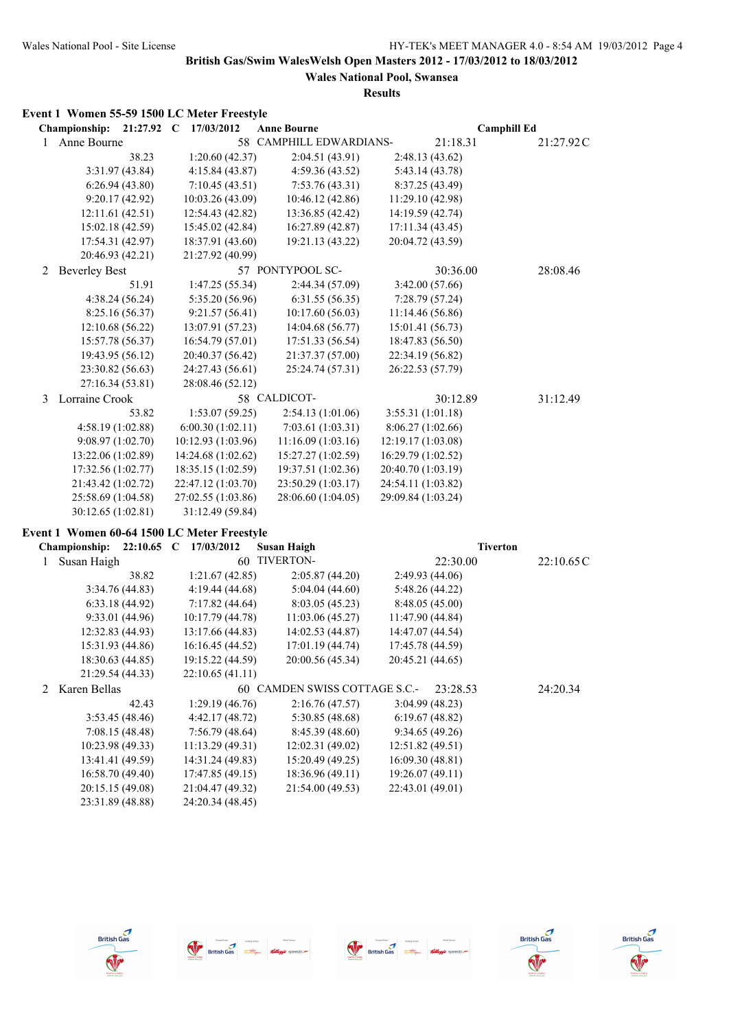**Wales National Pool, Swansea Results**

## **Event 1 Women 55-59 1500 LC Meter Freestyle**

|               | <b>Championship:</b> | $21:27.92$ C     | 17/03/2012                                  | <b>Anne Bourne</b> |                         | <b>Camphill Ed</b> |  |           |
|---------------|----------------------|------------------|---------------------------------------------|--------------------|-------------------------|--------------------|--|-----------|
| $\mathbf{1}$  | Anne Bourne          |                  |                                             |                    | 58 CAMPHILL EDWARDIANS- | 21:18.31           |  | 21:27.92C |
|               |                      | 38.23            | 1:20.60(42.37)                              |                    | 2:04.51 (43.91)         | 2:48.13(43.62)     |  |           |
|               |                      | 3:31.97(43.84)   | 4:15.84(43.87)                              |                    | 4:59.36(43.52)          | 5:43.14(43.78)     |  |           |
|               |                      | 6:26.94(43.80)   | 7:10.45(43.51)                              |                    | 7:53.76(43.31)          | 8:37.25 (43.49)    |  |           |
|               |                      | 9:20.17(42.92)   | 10:03.26 (43.09)                            |                    | 10:46.12 (42.86)        | 11:29.10 (42.98)   |  |           |
|               |                      | 12:11.61(42.51)  | 12:54.43 (42.82)                            |                    | 13:36.85 (42.42)        | 14:19.59 (42.74)   |  |           |
|               |                      | 15:02.18 (42.59) | 15:45.02 (42.84)                            |                    | 16:27.89 (42.87)        | 17:11.34(43.45)    |  |           |
|               |                      | 17:54.31 (42.97) | 18:37.91 (43.60)                            |                    | 19:21.13 (43.22)        | 20:04.72 (43.59)   |  |           |
|               |                      | 20:46.93 (42.21) | 21:27.92 (40.99)                            |                    |                         |                    |  |           |
| 2             | <b>Beverley Best</b> |                  |                                             |                    | 57 PONTYPOOL SC-        | 30:36.00           |  | 28:08.46  |
|               |                      | 51.91            | 1:47.25 (55.34)                             |                    | 2:44.34 (57.09)         | 3:42.00 (57.66)    |  |           |
|               |                      | 4:38.24(56.24)   | 5:35.20 (56.96)                             |                    | 6:31.55(56.35)          | 7:28.79(57.24)     |  |           |
|               |                      | 8:25.16 (56.37)  | 9:21.57(56.41)                              |                    | 10:17.60 (56.03)        | 11:14.46 (56.86)   |  |           |
|               |                      | 12:10.68 (56.22) | 13:07.91 (57.23)                            |                    | 14:04.68 (56.77)        | 15:01.41 (56.73)   |  |           |
|               |                      | 15:57.78 (56.37) | 16:54.79 (57.01)                            |                    | 17:51.33 (56.54)        | 18:47.83 (56.50)   |  |           |
|               |                      | 19:43.95 (56.12) | 20:40.37 (56.42)                            |                    | 21:37.37 (57.00)        | 22:34.19 (56.82)   |  |           |
|               |                      | 23:30.82 (56.63) | 24:27.43 (56.61)                            |                    | 25:24.74 (57.31)        | 26:22.53 (57.79)   |  |           |
|               |                      | 27:16.34 (53.81) | 28:08.46 (52.12)                            |                    |                         |                    |  |           |
| $\mathcal{E}$ | Lorraine Crook       |                  |                                             | 58 CALDICOT-       |                         | 30:12.89           |  | 31:12.49  |
|               |                      | 53.82            | 1:53.07 (59.25)                             |                    | 2:54.13(1:01.06)        | 3:55.31 (1:01.18)  |  |           |
|               | 4:58.19(1:02.88)     |                  | 6:00.30(1:02.11)                            |                    | 7:03.61 (1:03.31)       | 8:06.27(1:02.66)   |  |           |
|               | 9:08.97(1:02.70)     |                  | 10:12.93 (1:03.96)                          |                    | 11:16.09(1:03.16)       | 12:19.17 (1:03.08) |  |           |
|               | 13:22.06 (1:02.89)   |                  | 14:24.68 (1:02.62)                          |                    | 15:27.27 (1:02.59)      | 16:29.79 (1:02.52) |  |           |
|               | 17:32.56 (1:02.77)   |                  | 18:35.15 (1:02.59)                          |                    | 19:37.51 (1:02.36)      | 20:40.70 (1:03.19) |  |           |
|               | 21:43.42 (1:02.72)   |                  | 22:47.12 (1:03.70)                          |                    | 23:50.29 (1:03.17)      | 24:54.11 (1:03.82) |  |           |
|               | 25:58.69 (1:04.58)   |                  | 27:02.55 (1:03.86)                          |                    | 28:06.60 (1:04.05)      | 29:09.84 (1:03.24) |  |           |
|               | 30:12.65 (1:02.81)   |                  | 31:12.49 (59.84)                            |                    |                         |                    |  |           |
|               |                      |                  | vent 1 Women 60 64 1500 I C Meter Freestyle |                    |                         |                    |  |           |

## **Event 1 Women 60-64 1500 LC Meter Freestyle**

|   | 22:10.65<br><b>Championship:</b> | 17/03/2012<br>C  | <b>Susan Haigh</b>            | <b>Tiverton</b>  |           |
|---|----------------------------------|------------------|-------------------------------|------------------|-----------|
|   | Susan Haigh                      | 60               | <b>TIVERTON-</b>              | 22:30.00         | 22:10.65C |
|   | 38.82                            | 1:21.67(42.85)   | 2:05.87(44.20)                | 2:49.93(44.06)   |           |
|   | 3:34.76(44.83)                   | 4:19.44 (44.68)  | 5:04.04(44.60)                | 5:48.26(44.22)   |           |
|   | 6:33.18(44.92)                   | 7:17.82(44.64)   | 8:03.05(45.23)                | 8:48.05(45.00)   |           |
|   | 9:33.01(44.96)                   | 10:17.79(44.78)  | 11:03.06(45.27)               | 11:47.90 (44.84) |           |
|   | 12:32.83 (44.93)                 | 13:17.66 (44.83) | 14:02.53(44.87)               | 14:47.07 (44.54) |           |
|   | 15:31.93 (44.86)                 | 16:16.45 (44.52) | 17:01.19(44.74)               | 17:45.78 (44.59) |           |
|   | 18:30.63 (44.85)                 | 19:15.22 (44.59) | 20:00.56 (45.34)              | 20:45.21 (44.65) |           |
|   | 21:29.54 (44.33)                 | 22:10.65(41.11)  |                               |                  |           |
| 2 | Karen Bellas                     |                  | 60 CAMDEN SWISS COTTAGE S.C.- | 23:28.53         | 24:20.34  |
|   | 42.43                            | 1:29.19(46.76)   | 2:16.76(47.57)                | 3:04.99(48.23)   |           |
|   | 3:53.45(48.46)                   | 4:42.17(48.72)   | 5:30.85(48.68)                | 6:19.67(48.82)   |           |
|   | 7:08.15(48.48)                   | 7:56.79(48.64)   | 8:45.39(48.60)                | 9:34.65(49.26)   |           |
|   | 10:23.98 (49.33)                 | 11:13.29(49.31)  | 12:02.31(49.02)               | 12:51.82 (49.51) |           |
|   | 13:41.41 (49.59)                 | 14:31.24 (49.83) | 15:20.49(49.25)               | 16:09.30 (48.81) |           |
|   | 16:58.70 (49.40)                 | 17:47.85 (49.15) | 18:36.96(49.11)               | 19:26.07 (49.11) |           |
|   | 20:15.15 (49.08)                 | 21:04.47 (49.32) | 21:54.00 (49.53)              | 22:43.01 (49.01) |           |
|   | 23:31.89 (48.88)                 | 24:20.34 (48.45) |                               |                  |           |









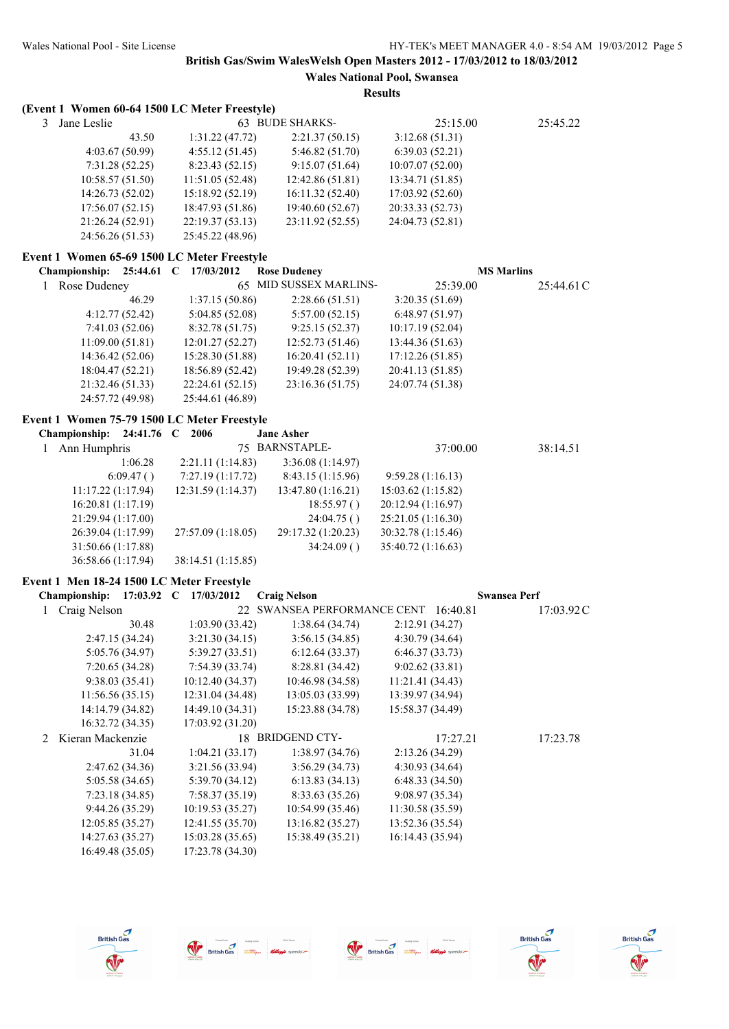**Wales National Pool, Swansea Results**

### **(Event 1 Women 60-64 1500 LC Meter Freestyle)**

| 3 Jane Leslie    |                  | 63 BUDE SHARKS-  | 25:15.00         | 25:45.22 |
|------------------|------------------|------------------|------------------|----------|
| 43.50            | 1:31.22(47.72)   | 2:21.37(50.15)   | 3:12.68(51.31)   |          |
| 4:03.67(50.99)   | 4:55.12(51.45)   | 5:46.82(51.70)   | 6:39.03(52.21)   |          |
| 7:31.28(52.25)   | 8:23.43(52.15)   | 9:15.07(51.64)   | 10:07.07(52.00)  |          |
| 10:58.57(51.50)  | 11:51.05(52.48)  | 12:42.86(51.81)  | 13:34.71 (51.85) |          |
| 14:26.73(52.02)  | 15:18.92(52.19)  | 16:11.32(52.40)  | 17:03.92(52.60)  |          |
| 17:56.07(52.15)  | 18:47.93 (51.86) | 19:40.60 (52.67) | 20:33.33 (52.73) |          |
| 21:26.24(52.91)  | 22:19.37(53.13)  | 23:11.92 (52.55) | 24:04.73 (52.81) |          |
| 24:56.26 (51.53) | 25:45.22 (48.96) |                  |                  |          |

### **Event 1 Women 65-69 1500 LC Meter Freestyle**

|   | <b>Championship:</b> | 25:44.61 C | 17/03/2012       | <b>Rose Dudeney</b>    |                  | <b>MS Marlins</b> |
|---|----------------------|------------|------------------|------------------------|------------------|-------------------|
| 1 | Rose Dudeney         |            |                  | 65 MID SUSSEX MARLINS- | 25:39.00         | 25:44.61 C        |
|   |                      | 46.29      | 1:37.15(50.86)   | 2:28.66(51.51)         | 3:20.35(51.69)   |                   |
|   | 4:12.77(52.42)       |            | 5:04.85(52.08)   | 5:57.00(52.15)         | 6:48.97(51.97)   |                   |
|   | 7:41.03(52.06)       |            | 8:32.78(51.75)   | 9:25.15(52.37)         | 10:17.19(52.04)  |                   |
|   | 11:09.00(51.81)      |            | 12:01.27(52.27)  | 12:52.73(51.46)        | 13:44.36(51.63)  |                   |
|   | 14:36.42(52.06)      |            | 15:28.30 (51.88) | 16:20.41(52.11)        | 17:12.26(51.85)  |                   |
|   | 18:04.47(52.21)      |            | 18:56.89 (52.42) | 19:49.28 (52.39)       | 20:41.13 (51.85) |                   |
|   | 21:32.46 (51.33)     |            | 22:24.61(52.15)  | 23:16.36 (51.75)       | 24:07.74 (51.38) |                   |
|   | 24:57.72 (49.98)     |            | 25:44.61 (46.89) |                        |                  |                   |

### **Event 1 Women 75-79 1500 LC Meter Freestyle**

| Championship: $24:41.76$ C |           | 2006               | <b>Jane Asher</b>  |                    |          |
|----------------------------|-----------|--------------------|--------------------|--------------------|----------|
| 1 Ann Humphris             |           |                    | 75 BARNSTAPLE-     | 37:00.00           | 38:14.51 |
|                            | 1:06.28   | 2:21.11(1:14.83)   | 3:36.08(1:14.97)   |                    |          |
|                            | 6:09.47() | 7:27.19(1:17.72)   | 8:43.15(1:15.96)   | 9:59.28(1:16.13)   |          |
| 11:17.22(1:17.94)          |           | 12:31.59(1:14.37)  | 13:47.80(1:16.21)  | 15:03.62(1:15.82)  |          |
| 16:20.81(1:17.19)          |           |                    | 18:55.97()         | 20:12.94 (1:16.97) |          |
| 21:29.94 (1:17.00)         |           |                    | 24:04.75()         | 25:21.05 (1:16.30) |          |
| 26:39.04 (1:17.99)         |           | 27:57.09 (1:18.05) | 29:17.32 (1:20.23) | 30:32.78 (1:15.46) |          |
| 31:50.66 (1:17.88)         |           |                    | 34:24.09()         | 35:40.72 (1:16.63) |          |
| 36:58.66 (1:17.94)         |           | 38:14.51 (1:15.85) |                    |                    |          |

#### **Event 1 Men 18-24 1500 LC Meter Freestyle**

|             | <b>Championship:</b> | $17:03.92$ C | 17/03/2012       | <b>Craig Nelson</b> |                                   | <b>Swansea Perf</b> |           |
|-------------|----------------------|--------------|------------------|---------------------|-----------------------------------|---------------------|-----------|
|             | Craig Nelson         |              | 22               |                     | SWANSEA PERFORMANCE CENT 16:40.81 |                     | 17:03.92C |
|             |                      | 30.48        | 1:03.90(33.42)   | 1:38.64(34.74)      |                                   | 2:12.91(34.27)      |           |
|             | 2:47.15(34.24)       |              | 3:21.30(34.15)   | 3:56.15(34.85)      |                                   | 4:30.79(34.64)      |           |
|             | 5:05.76 (34.97)      |              | 5:39.27(33.51)   | 6:12.64(33.37)      |                                   | 6:46.37(33.73)      |           |
|             | 7:20.65(34.28)       |              | 7:54.39(33.74)   | 8:28.81(34.42)      |                                   | 9:02.62(33.81)      |           |
|             | 9:38.03(35.41)       |              | 10:12.40(34.37)  | 10:46.98 (34.58)    |                                   | 11:21.41(34.43)     |           |
|             | 11:56.56(35.15)      |              | 12:31.04(34.48)  | 13:05.03 (33.99)    |                                   | 13:39.97 (34.94)    |           |
|             | 14:14.79 (34.82)     |              | 14:49.10 (34.31) | 15:23.88 (34.78)    |                                   | 15:58.37 (34.49)    |           |
|             | 16:32.72 (34.35)     |              | 17:03.92 (31.20) |                     |                                   |                     |           |
| $2^{\circ}$ | Kieran Mackenzie     |              |                  | 18 BRIDGEND CTY-    |                                   | 17:27.21            | 17:23.78  |
|             |                      | 31.04        | 1:04.21(33.17)   | 1:38.97(34.76)      |                                   | 2:13.26(34.29)      |           |
|             | 2:47.62(34.36)       |              | 3:21.56(33.94)   | 3:56.29(34.73)      |                                   | 4:30.93(34.64)      |           |
|             | 5:05.58(34.65)       |              | 5:39.70(34.12)   | 6:13.83(34.13)      |                                   | 6:48.33(34.50)      |           |
|             | 7:23.18(34.85)       |              | 7:58.37(35.19)   | 8:33.63(35.26)      |                                   | 9:08.97(35.34)      |           |
|             | 9:44.26(35.29)       |              | 10:19.53(35.27)  | 10:54.99(35.46)     |                                   | 11:30.58 (35.59)    |           |
|             | 12:05.85(35.27)      |              | 12:41.55(35.70)  | 13:16.82(35.27)     |                                   | 13:52.36 (35.54)    |           |
|             | 14:27.63 (35.27)     |              | 15:03.28(35.65)  | 15:38.49 (35.21)    |                                   | 16:14.43 (35.94)    |           |
|             | 16:49.48 (35.05)     |              | 17:23.78 (34.30) |                     |                                   |                     |           |







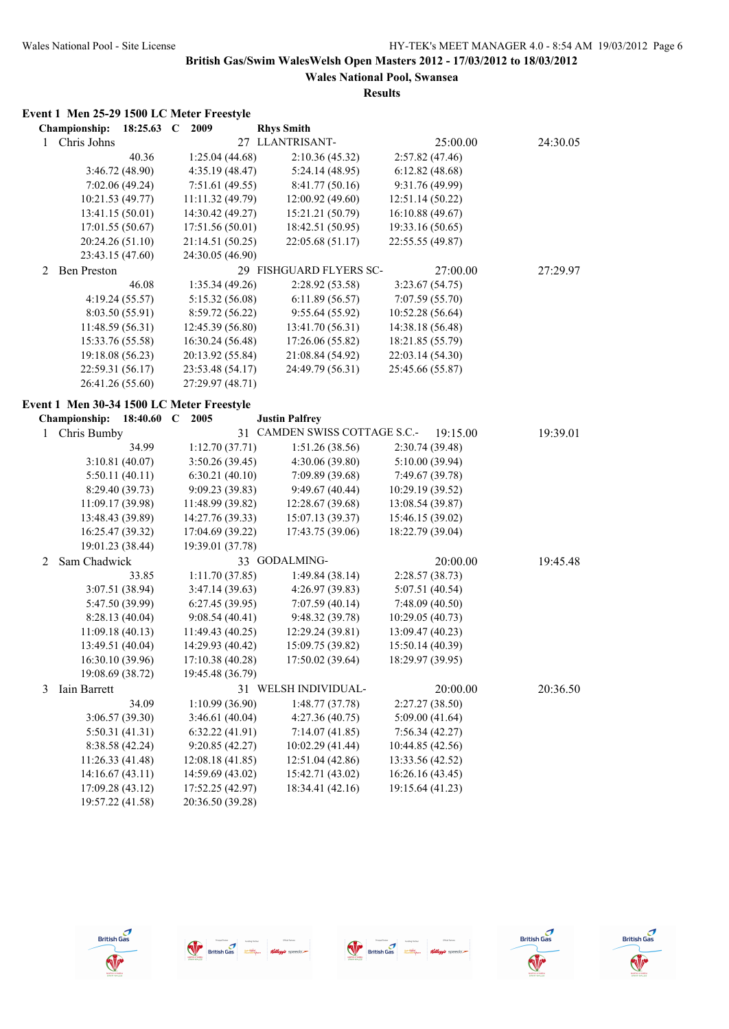## **Wales National Pool, Swansea Results**

## **Event 1 Men 25-29 1500 LC Meter Freestyle**

|   | <b>Championship:</b>                      | 18:25.63 C      | 2009             |    | <b>Rhys Smith</b>          |                  |          |          |
|---|-------------------------------------------|-----------------|------------------|----|----------------------------|------------------|----------|----------|
| 1 | Chris Johns                               |                 |                  |    | 27 LLANTRISANT-            |                  | 25:00.00 | 24:30.05 |
|   |                                           | 40.36           | 1:25.04 (44.68)  |    | 2:10.36 (45.32)            | 2:57.82(47.46)   |          |          |
|   |                                           | 3:46.72 (48.90) | 4:35.19 (48.47)  |    | 5:24.14(48.95)             | 6:12.82(48.68)   |          |          |
|   |                                           | 7:02.06(49.24)  | 7:51.61(49.55)   |    | 8:41.77(50.16)             | 9:31.76 (49.99)  |          |          |
|   | 10:21.53 (49.77)                          |                 | 11:11.32 (49.79) |    | 12:00.92 (49.60)           | 12:51.14 (50.22) |          |          |
|   | 13:41.15 (50.01)                          |                 | 14:30.42 (49.27) |    | 15:21.21 (50.79)           | 16:10.88 (49.67) |          |          |
|   | 17:01.55 (50.67)                          |                 | 17:51.56 (50.01) |    | 18:42.51 (50.95)           | 19:33.16 (50.65) |          |          |
|   | 20:24.26 (51.10)                          |                 | 21:14.51 (50.25) |    | 22:05.68 (51.17)           | 22:55.55 (49.87) |          |          |
|   | 23:43.15 (47.60)                          |                 | 24:30.05 (46.90) |    |                            |                  |          |          |
| 2 | <b>Ben Preston</b>                        |                 |                  |    | 29 FISHGUARD FLYERS SC-    |                  | 27:00.00 | 27:29.97 |
|   |                                           | 46.08           | 1:35.34(49.26)   |    | 2:28.92 (53.58)            | 3:23.67(54.75)   |          |          |
|   |                                           | 4:19.24 (55.57) | 5:15.32 (56.08)  |    | 6:11.89(56.57)             | 7:07.59 (55.70)  |          |          |
|   |                                           | 8:03.50 (55.91) | 8:59.72 (56.22)  |    | 9:55.64(55.92)             | 10:52.28 (56.64) |          |          |
|   | 11:48.59(56.31)                           |                 | 12:45.39 (56.80) |    | 13:41.70 (56.31)           | 14:38.18 (56.48) |          |          |
|   | 15:33.76 (55.58)                          |                 | 16:30.24 (56.48) |    | 17:26.06 (55.82)           | 18:21.85 (55.79) |          |          |
|   | 19:18.08 (56.23)                          |                 | 20:13.92 (55.84) |    | 21:08.84 (54.92)           | 22:03.14 (54.30) |          |          |
|   | 22:59.31 (56.17)                          |                 | 23:53.48 (54.17) |    | 24:49.79 (56.31)           | 25:45.66 (55.87) |          |          |
|   | 26:41.26 (55.60)                          |                 | 27:29.97 (48.71) |    |                            |                  |          |          |
|   |                                           |                 |                  |    |                            |                  |          |          |
|   | Event 1 Men 30-34 1500 LC Meter Freestyle |                 |                  |    |                            |                  |          |          |
|   | Championship:                             | 18:40.60 C      | 2005             |    | <b>Justin Palfrey</b>      |                  |          |          |
| 1 | Chris Bumby                               |                 |                  | 31 | CAMDEN SWISS COTTAGE S.C.- |                  | 19:15.00 | 19:39.01 |
|   |                                           | 34.99           | 1:12.70(37.71)   |    | 1:51.26(38.56)             | 2:30.74 (39.48)  |          |          |
|   |                                           | 3:10.81(40.07)  | 3:50.26 (39.45)  |    | 4:30.06 (39.80)            | 5:10.00 (39.94)  |          |          |
|   |                                           | 5:50.11(40.11)  | 6:30.21(40.10)   |    | 7:09.89 (39.68)            | 7:49.67 (39.78)  |          |          |
|   |                                           | 8:29.40 (39.73) | 9:09.23 (39.83)  |    | 9:49.67(40.44)             | 10:29.19 (39.52) |          |          |
|   | 11:09.17 (39.98)                          |                 | 11:48.99 (39.82) |    | 12:28.67 (39.68)           | 13:08.54 (39.87) |          |          |
|   | 13:48.43 (39.89)                          |                 | 14:27.76 (39.33) |    | 15:07.13 (39.37)           | 15:46.15 (39.02) |          |          |
|   | 16:25.47 (39.32)                          |                 | 17:04.69 (39.22) |    | 17:43.75 (39.06)           | 18:22.79 (39.04) |          |          |
|   | 19:01.23 (38.44)                          |                 | 19:39.01 (37.78) |    |                            |                  |          |          |
| 2 | Sam Chadwick                              |                 |                  |    | 33 GODALMING-              |                  | 20:00.00 | 19:45.48 |
|   |                                           | 33.85           | 1:11.70(37.85)   |    | 1:49.84 (38.14)            | 2:28.57(38.73)   |          |          |
|   |                                           | 3:07.51 (38.94) | 3:47.14(39.63)   |    | 4:26.97 (39.83)            | 5:07.51 (40.54)  |          |          |
|   |                                           | 5:47.50 (39.99) | 6:27.45(39.95)   |    | 7:07.59(40.14)             | 7:48.09 (40.50)  |          |          |
|   |                                           | 8:28.13(40.04)  | 9:08.54(40.41)   |    | 9:48.32 (39.78)            | 10:29.05(40.73)  |          |          |
|   | 11:09.18(40.13)                           |                 | 11:49.43 (40.25) |    | 12:29.24 (39.81)           | 13:09.47 (40.23) |          |          |
|   | 13:49.51 (40.04)                          |                 | 14:29.93 (40.42) |    | 15:09.75 (39.82)           | 15:50.14 (40.39) |          |          |
|   | 16:30.10 (39.96)                          |                 | 17:10.38 (40.28) |    | 17:50.02 (39.64)           | 18:29.97 (39.95) |          |          |
|   | 19:08.69 (38.72)                          |                 | 19:45.48 (36.79) |    |                            |                  |          |          |
| 3 | Iain Barrett                              |                 |                  |    | 31 WELSH INDIVIDUAL-       |                  | 20:00.00 | 20:36.50 |
|   |                                           | 34.09           | 1:10.99(36.90)   |    | 1:48.77(37.78)             | 2:27.27 (38.50)  |          |          |
|   |                                           | 3:06.57 (39.30) | 3:46.61(40.04)   |    | 4:27.36(40.75)             | 5:09.00 (41.64)  |          |          |
|   |                                           | 5:50.31(41.31)  | 6:32.22(41.91)   |    | 7:14.07(41.85)             | 7:56.34(42.27)   |          |          |
|   |                                           | 8:38.58 (42.24) | 9:20.85 (42.27)  |    | 10:02.29 (41.44)           | 10:44.85 (42.56) |          |          |
|   | 11:26.33 (41.48)                          |                 | 12:08.18 (41.85) |    | 12:51.04 (42.86)           | 13:33.56 (42.52) |          |          |
|   | 14:16.67(43.11)                           |                 | 14:59.69 (43.02) |    | 15:42.71 (43.02)           | 16:26.16 (43.45) |          |          |
|   | 17:09.28 (43.12)                          |                 | 17:52.25 (42.97) |    | 18:34.41 (42.16)           | 19:15.64 (41.23) |          |          |
|   | 19:57.22 (41.58)                          |                 | 20:36.50 (39.28) |    |                            |                  |          |          |
|   |                                           |                 |                  |    |                            |                  |          |          |









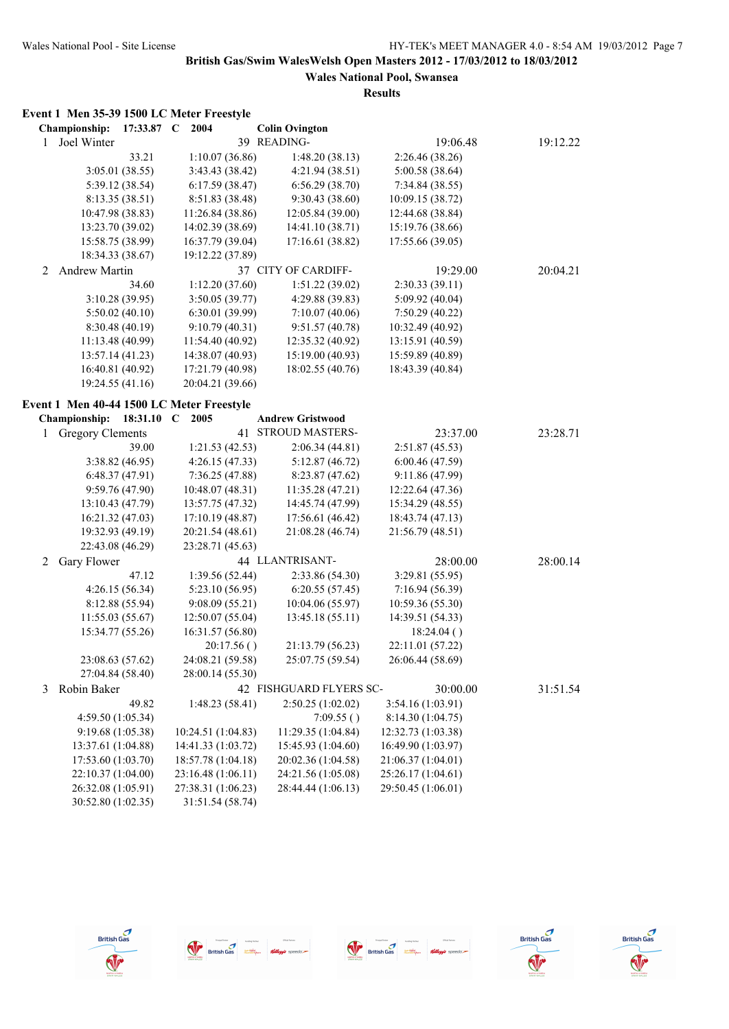|   | Event 1 Men 35-39 1500 LC Meter Freestyle |            |                    |            |                         |                    |          |          |
|---|-------------------------------------------|------------|--------------------|------------|-------------------------|--------------------|----------|----------|
|   | Championship:                             | 17:33.87 C | 2004               |            | <b>Colin Ovington</b>   |                    |          |          |
| 1 | Joel Winter                               |            |                    |            | 39 READING-             |                    | 19:06.48 | 19:12.22 |
|   |                                           | 33.21      | 1:10.07(36.86)     |            | 1:48.20(38.13)          | 2:26.46 (38.26)    |          |          |
|   | 3:05.01 (38.55)                           |            | 3:43.43 (38.42)    |            | 4:21.94(38.51)          | 5:00.58 (38.64)    |          |          |
|   | 5:39.12 (38.54)                           |            | 6:17.59(38.47)     |            | 6:56.29(38.70)          | 7:34.84 (38.55)    |          |          |
|   | 8:13.35(38.51)                            |            | 8:51.83 (38.48)    |            | 9:30.43(38.60)          | 10:09.15 (38.72)   |          |          |
|   | 10:47.98 (38.83)                          |            | 11:26.84 (38.86)   |            | 12:05.84 (39.00)        | 12:44.68 (38.84)   |          |          |
|   | 13:23.70 (39.02)                          |            | 14:02.39 (38.69)   |            | 14:41.10 (38.71)        | 15:19.76 (38.66)   |          |          |
|   | 15:58.75 (38.99)                          |            | 16:37.79 (39.04)   |            | 17:16.61 (38.82)        | 17:55.66 (39.05)   |          |          |
|   | 18:34.33 (38.67)                          |            | 19:12.22 (37.89)   |            |                         |                    |          |          |
| 2 | Andrew Martin                             |            |                    |            | 37 CITY OF CARDIFF-     |                    | 19:29.00 | 20:04.21 |
|   |                                           | 34.60      | 1:12.20(37.60)     |            | 1:51.22(39.02)          | 2:30.33(39.11)     |          |          |
|   | 3:10.28 (39.95)                           |            | 3:50.05 (39.77)    |            | 4:29.88 (39.83)         | 5:09.92(40.04)     |          |          |
|   | 5:50.02(40.10)                            |            | 6:30.01 (39.99)    |            | 7:10.07(40.06)          | 7:50.29(40.22)     |          |          |
|   | 8:30.48(40.19)                            |            | 9:10.79(40.31)     |            | 9:51.57(40.78)          | 10:32.49 (40.92)   |          |          |
|   | 11:13.48(40.99)                           |            | 11:54.40 (40.92)   |            | 12:35.32 (40.92)        | 13:15.91 (40.59)   |          |          |
|   | 13:57.14 (41.23)                          |            | 14:38.07 (40.93)   |            | 15:19.00 (40.93)        | 15:59.89 (40.89)   |          |          |
|   | 16:40.81 (40.92)                          |            | 17:21.79 (40.98)   |            | 18:02.55 (40.76)        | 18:43.39 (40.84)   |          |          |
|   | 19:24.55 (41.16)                          |            | 20:04.21 (39.66)   |            |                         |                    |          |          |
|   |                                           |            |                    |            |                         |                    |          |          |
|   | Event 1 Men 40-44 1500 LC Meter Freestyle |            |                    |            |                         |                    |          |          |
|   | Championship:                             | 18:31.10 C | 2005               |            | <b>Andrew Gristwood</b> |                    |          |          |
|   | <b>Gregory Clements</b>                   |            |                    |            | 41 STROUD MASTERS-      |                    | 23:37.00 | 23:28.71 |
|   |                                           | 39.00      | 1:21.53(42.53)     |            | 2:06.34(44.81)          | 2:51.87(45.53)     |          |          |
|   | 3:38.82 (46.95)                           |            | 4:26.15 (47.33)    |            | 5:12.87(46.72)          | 6:00.46(47.59)     |          |          |
|   | 6:48.37(47.91)                            |            | 7:36.25 (47.88)    |            | 8:23.87(47.62)          | 9:11.86 (47.99)    |          |          |
|   | 9:59.76(47.90)                            |            | 10:48.07(48.31)    |            | 11:35.28 (47.21)        | 12:22.64 (47.36)   |          |          |
|   | 13:10.43(47.79)                           |            | 13:57.75 (47.32)   |            | 14:45.74 (47.99)        | 15:34.29 (48.55)   |          |          |
|   | 16:21.32 (47.03)                          |            | 17:10.19 (48.87)   |            | 17:56.61 (46.42)        | 18:43.74 (47.13)   |          |          |
|   | 19:32.93 (49.19)                          |            | 20:21.54 (48.61)   |            | 21:08.28 (46.74)        | 21:56.79 (48.51)   |          |          |
|   | 22:43.08 (46.29)                          |            | 23:28.71 (45.63)   |            |                         |                    |          |          |
| 2 | Gary Flower                               |            |                    |            | 44 LLANTRISANT-         |                    | 28:00.00 | 28:00.14 |
|   |                                           | 47.12      | 1:39.56 (52.44)    |            | 2:33.86 (54.30)         | 3:29.81 (55.95)    |          |          |
|   | 4:26.15 (56.34)                           |            | 5:23.10 (56.95)    |            | 6:20.55(57.45)          | 7:16.94(56.39)     |          |          |
|   | 8:12.88 (55.94)                           |            | 9:08.09(55.21)     |            | 10:04.06 (55.97)        | 10:59.36 (55.30)   |          |          |
|   | 11:55.03(55.67)                           |            | 12:50.07(55.04)    |            | 13:45.18 (55.11)        | 14:39.51 (54.33)   |          |          |
|   | 15:34.77 (55.26)                          |            | 16:31.57 (56.80)   |            |                         | 18:24.04()         |          |          |
|   |                                           |            |                    | 20:17.56() | 21:13.79 (56.23)        | 22:11.01 (57.22)   |          |          |
|   | 23:08.63 (57.62)                          |            | 24:08.21 (59.58)   |            | 25:07.75 (59.54)        | 26:06.44 (58.69)   |          |          |
|   | 27:04.84 (58.40)                          |            | 28:00.14 (55.30)   |            |                         |                    |          |          |
| 3 | Robin Baker                               |            |                    |            | 42 FISHGUARD FLYERS SC- |                    | 30:00.00 | 31:51.54 |
|   |                                           | 49.82      | 1:48.23 (58.41)    |            | 2:50.25 (1:02.02)       | 3:54.16 (1:03.91)  |          |          |
|   | 4:59.50 (1:05.34)                         |            |                    |            | 7:09.55()               | 8:14.30 (1:04.75)  |          |          |
|   | 9:19.68 (1:05.38)                         |            | 10:24.51 (1:04.83) |            | 11:29.35 (1:04.84)      | 12:32.73 (1:03.38) |          |          |
|   | 13:37.61 (1:04.88)                        |            | 14:41.33 (1:03.72) |            | 15:45.93 (1:04.60)      | 16:49.90 (1:03.97) |          |          |
|   | 17:53.60 (1:03.70)                        |            | 18:57.78 (1:04.18) |            | 20:02.36 (1:04.58)      | 21:06.37 (1:04.01) |          |          |
|   | 22:10.37 (1:04.00)                        |            | 23:16.48 (1:06.11) |            | 24:21.56 (1:05.08)      | 25:26.17 (1:04.61) |          |          |
|   | 26:32.08 (1:05.91)                        |            | 27:38.31 (1:06.23) |            | 28:44.44 (1:06.13)      | 29:50.45 (1:06.01) |          |          |
|   | 30:52.80 (1:02.35)                        |            | 31:51.54 (58.74)   |            |                         |                    |          |          |









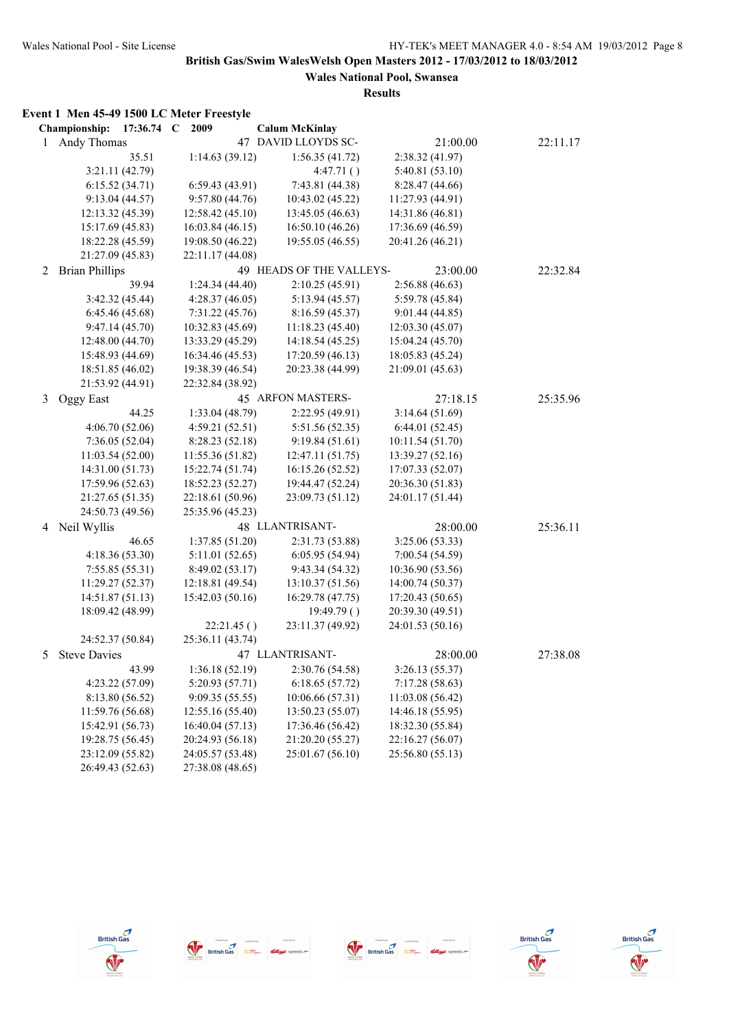**Wales National Pool, Swansea Results**

## **Event 1 Men 45-49 1500 LC Meter Freestyle**

|   | Championship:<br>$17:36.74$ C | 2009             | <b>Calum McKinlay</b>    |                  |          |
|---|-------------------------------|------------------|--------------------------|------------------|----------|
| 1 | Andy Thomas                   |                  | 47 DAVID LLOYDS SC-      | 21:00.00         | 22:11.17 |
|   | 35.51                         | 1:14.63(39.12)   | 1:56.35(41.72)           | 2:38.32 (41.97)  |          |
|   | 3:21.11 (42.79)               |                  | 4:47.71()                | 5:40.81 (53.10)  |          |
|   | 6:15.52(34.71)                | 6:59.43(43.91)   | 7:43.81 (44.38)          | 8:28.47 (44.66)  |          |
|   | 9:13.04(44.57)                | 9:57.80 (44.76)  | 10:43.02 (45.22)         | 11:27.93 (44.91) |          |
|   | 12:13.32 (45.39)              | 12:58.42 (45.10) | 13:45.05 (46.63)         | 14:31.86 (46.81) |          |
|   | 15:17.69 (45.83)              | 16:03.84 (46.15) | 16:50.10 (46.26)         | 17:36.69 (46.59) |          |
|   | 18:22.28 (45.59)              | 19:08.50 (46.22) | 19:55.05 (46.55)         | 20:41.26 (46.21) |          |
|   | 21:27.09 (45.83)              | 22:11.17 (44.08) |                          |                  |          |
| 2 | <b>Brian Phillips</b>         |                  | 49 HEADS OF THE VALLEYS- | 23:00.00         | 22:32.84 |
|   | 39.94                         | 1:24.34(44.40)   | 2:10.25(45.91)           | 2:56.88(46.63)   |          |
|   | 3:42.32 (45.44)               | 4:28.37(46.05)   | 5:13.94 (45.57)          | 5:59.78 (45.84)  |          |
|   | 6:45.46(45.68)                | 7:31.22 (45.76)  | 8:16.59 (45.37)          | 9:01.44(44.85)   |          |
|   | 9:47.14 (45.70)               | 10:32.83 (45.69) | 11:18.23(45.40)          | 12:03.30(45.07)  |          |
|   | 12:48.00 (44.70)              | 13:33.29 (45.29) | 14:18.54 (45.25)         | 15:04.24 (45.70) |          |
|   | 15:48.93 (44.69)              | 16:34.46 (45.53) | 17:20.59 (46.13)         | 18:05.83 (45.24) |          |
|   | 18:51.85 (46.02)              | 19:38.39 (46.54) | 20:23.38 (44.99)         | 21:09.01 (45.63) |          |
|   | 21:53.92 (44.91)              | 22:32.84 (38.92) |                          |                  |          |
| 3 | Oggy East                     |                  | 45 ARFON MASTERS-        | 27:18.15         | 25:35.96 |
|   | 44.25                         | 1:33.04 (48.79)  | 2:22.95 (49.91)          | 3:14.64(51.69)   |          |
|   | 4:06.70 (52.06)               | 4:59.21 (52.51)  | 5:51.56 (52.35)          | 6:44.01(52.45)   |          |
|   | 7:36.05(52.04)                | 8:28.23 (52.18)  | 9:19.84(51.61)           | 10:11.54 (51.70) |          |
|   | 11:03.54 (52.00)              | 11:55.36 (51.82) | 12:47.11 (51.75)         | 13:39.27 (52.16) |          |
|   | 14:31.00 (51.73)              | 15:22.74 (51.74) | 16:15.26 (52.52)         | 17:07.33 (52.07) |          |
|   | 17:59.96 (52.63)              | 18:52.23 (52.27) | 19:44.47 (52.24)         | 20:36.30 (51.83) |          |
|   | 21:27.65 (51.35)              | 22:18.61 (50.96) | 23:09.73 (51.12)         | 24:01.17 (51.44) |          |
|   | 24:50.73 (49.56)              | 25:35.96 (45.23) |                          |                  |          |
| 4 | Neil Wyllis                   |                  | 48 LLANTRISANT-          | 28:00.00         | 25:36.11 |
|   | 46.65                         | 1:37.85 (51.20)  | 2:31.73 (53.88)          | 3:25.06(53.33)   |          |
|   | 4:18.36 (53.30)               | 5:11.01 (52.65)  | 6:05.95 (54.94)          | 7:00.54 (54.59)  |          |
|   | 7:55.85(55.31)                | 8:49.02 (53.17)  | 9:43.34 (54.32)          | 10:36.90 (53.56) |          |
|   | 11:29.27 (52.37)              | 12:18.81 (49.54) | 13:10.37 (51.56)         | 14:00.74 (50.37) |          |
|   | 14:51.87 (51.13)              | 15:42.03 (50.16) | 16:29.78 (47.75)         | 17:20.43 (50.65) |          |
|   | 18:09.42 (48.99)              |                  | 19:49.79()               | 20:39.30 (49.51) |          |
|   |                               | 22:21.45()       | 23:11.37 (49.92)         | 24:01.53 (50.16) |          |
|   | 24:52.37 (50.84)              | 25:36.11 (43.74) |                          |                  |          |
| 5 | <b>Steve Davies</b>           |                  | 47 LLANTRISANT-          | 28:00.00         | 27:38.08 |
|   | 43.99                         | 1:36.18 (52.19)  | 2:30.76 (54.58)          | 3:26.13 (55.37)  |          |
|   | 4:23.22 (57.09)               | 5:20.93 (57.71)  | 6:18.65(57.72)           | 7:17.28(58.63)   |          |
|   | 8:13.80 (56.52)               | 9:09.35(55.55)   | 10:06.66 (57.31)         | 11:03.08 (56.42) |          |
|   | 11:59.76 (56.68)              | 12:55.16(55.40)  | 13:50.23 (55.07)         | 14:46.18 (55.95) |          |
|   | 15:42.91 (56.73)              | 16:40.04 (57.13) | 17:36.46 (56.42)         | 18:32.30 (55.84) |          |
|   | 19:28.75 (56.45)              | 20:24.93 (56.18) | 21:20.20 (55.27)         | 22:16.27 (56.07) |          |
|   | 23:12.09 (55.82)              | 24:05.57 (53.48) | 25:01.67 (56.10)         | 25:56.80 (55.13) |          |
|   | 26:49.43 (52.63)              | 27:38.08 (48.65) |                          |                  |          |









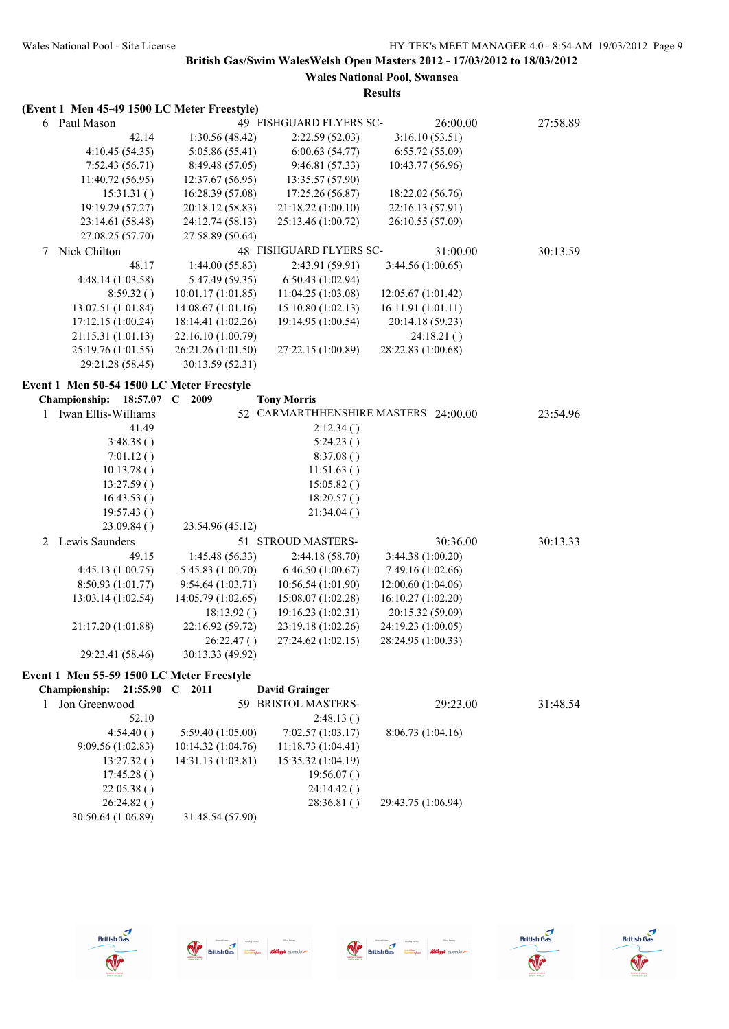|   | (Event 1 Men 45-49 1500 LC Meter Freestyle) |                    |                         |                                      |          |
|---|---------------------------------------------|--------------------|-------------------------|--------------------------------------|----------|
|   | 6 Paul Mason                                |                    | 49 FISHGUARD FLYERS SC- | 26:00.00                             | 27:58.89 |
|   | 42.14                                       | 1:30.56 (48.42)    | 2:22.59(52.03)          | 3:16.10(53.51)                       |          |
|   | 4:10.45 (54.35)                             | 5:05.86 (55.41)    | 6:00.63(54.77)          | 6:55.72(55.09)                       |          |
|   | 7:52.43(56.71)                              | 8:49.48 (57.05)    | 9:46.81 (57.33)         | 10:43.77 (56.96)                     |          |
|   | 11:40.72 (56.95)                            | 12:37.67 (56.95)   | 13:35.57 (57.90)        |                                      |          |
|   | 15:31.31()                                  | 16:28.39 (57.08)   | 17:25.26 (56.87)        | 18:22.02 (56.76)                     |          |
|   | 19:19.29 (57.27)                            | 20:18.12 (58.83)   | 21:18.22 (1:00.10)      | 22:16.13 (57.91)                     |          |
|   | 23:14.61 (58.48)                            | 24:12.74 (58.13)   | 25:13.46 (1:00.72)      | 26:10.55 (57.09)                     |          |
|   | 27:08.25 (57.70)                            | 27:58.89 (50.64)   |                         |                                      |          |
| 7 | Nick Chilton                                |                    | 48 FISHGUARD FLYERS SC- | 31:00.00                             | 30:13.59 |
|   | 48.17                                       | 1:44.00(55.83)     | 2:43.91 (59.91)         | 3:44.56(1:00.65)                     |          |
|   | 4:48.14 (1:03.58)                           | 5:47.49 (59.35)    | 6:50.43(1:02.94)        |                                      |          |
|   | 8:59.32()                                   | 10:01.17(1:01.85)  | 11:04.25(1:03.08)       | 12:05.67 (1:01.42)                   |          |
|   | 13:07.51 (1:01.84)                          | 14:08.67(1:01.16)  | 15:10.80(1:02.13)       | 16:11.91 (1:01.11)                   |          |
|   | 17:12.15(1:00.24)                           | 18:14.41 (1:02.26) | 19:14.95 (1:00.54)      | 20:14.18 (59.23)                     |          |
|   | 21:15.31(1:01.13)                           | 22:16.10 (1:00.79) |                         | 24:18.21()                           |          |
|   | 25:19.76 (1:01.55)                          | 26:21.26 (1:01.50) | 27:22.15 (1:00.89)      | 28:22.83 (1:00.68)                   |          |
|   | 29:21.28 (58.45)                            | 30:13.59 (52.31)   |                         |                                      |          |
|   |                                             |                    |                         |                                      |          |
|   | Event 1 Men 50-54 1500 LC Meter Freestyle   |                    |                         |                                      |          |
|   | Championship: 18:57.07 C 2009               |                    | <b>Tony Morris</b>      |                                      |          |
| 1 | Iwan Ellis-Williams                         |                    |                         | 52 CARMARTHHENSHIRE MASTERS 24:00.00 | 23:54.96 |
|   | 41.49                                       |                    | 2:12.34()               |                                      |          |
|   | 3:48.38()                                   |                    | 5:24.23()               |                                      |          |
|   | 7:01.12()                                   |                    | 8:37.08()               |                                      |          |
|   | 10:13.78()                                  |                    | 11:51.63()              |                                      |          |
|   | 13:27.59()                                  |                    | 15:05.82()              |                                      |          |
|   | 16:43.53()                                  |                    | 18:20.57()              |                                      |          |
|   | 19:57.43()                                  |                    | 21:34.04()              |                                      |          |
|   | 23:09.84()                                  | 23:54.96 (45.12)   |                         |                                      |          |
| 2 | Lewis Saunders                              |                    | 51 STROUD MASTERS-      | 30:36.00                             | 30:13.33 |
|   | 49.15                                       | 1:45.48 (56.33)    | 2:44.18 (58.70)         | 3:44.38 (1:00.20)                    |          |
|   | 4:45.13 (1:00.75)                           | 5:45.83 (1:00.70)  | 6:46.50(1:00.67)        | 7:49.16 (1:02.66)                    |          |
|   | 8:50.93 (1:01.77)                           | 9:54.64(1:03.71)   | 10:56.54 (1:01.90)      | 12:00.60 (1:04.06)                   |          |
|   | 13:03.14 (1:02.54)                          | 14:05.79 (1:02.65) | 15:08.07 (1:02.28)      | 16:10.27(1:02.20)                    |          |
|   |                                             | 18:13.92()         | 19:16.23 (1:02.31)      | 20:15.32 (59.09)                     |          |
|   | 21:17.20 (1:01.88)                          | 22:16.92 (59.72)   | 23:19.18 (1:02.26)      | 24:19.23 (1:00.05)                   |          |
|   |                                             | 26:22.47()         | 27:24.62 (1:02.15)      | 28:24.95 (1:00.33)                   |          |
|   | 29:23.41 (58.46)                            | 30:13.33 (49.92)   |                         |                                      |          |
|   | Event 1 Men 55-59 1500 LC Meter Freestyle   |                    |                         |                                      |          |
|   | Championship: 21:55.90 C 2011               |                    | <b>David Grainger</b>   |                                      |          |
| 1 | Jon Greenwood                               |                    | 59 BRISTOL MASTERS-     | 29:23.00                             | 31:48.54 |
|   | 52.10                                       |                    | 2:48.13()               |                                      |          |
|   | 4:54.40()                                   | 5:59.40 (1:05.00)  | 7:02.57 (1:03.17)       | 8:06.73 (1:04.16)                    |          |
|   | 9:09.56 (1:02.83)                           | 10:14.32 (1:04.76) | 11:18.73 (1:04.41)      |                                      |          |
|   | 13:27.32()                                  | 14:31.13 (1:03.81) | 15:35.32 (1:04.19)      |                                      |          |
|   | 17:45.28()                                  |                    | 19:56.07()              |                                      |          |
|   | 22:05.38()                                  |                    | 24:14.42()              |                                      |          |
|   | 26:24.82()                                  |                    | 28:36.81()              | 29:43.75 (1:06.94)                   |          |
|   | 30:50.64 (1:06.89)                          | 31:48.54 (57.90)   |                         |                                      |          |
|   |                                             |                    |                         |                                      |          |









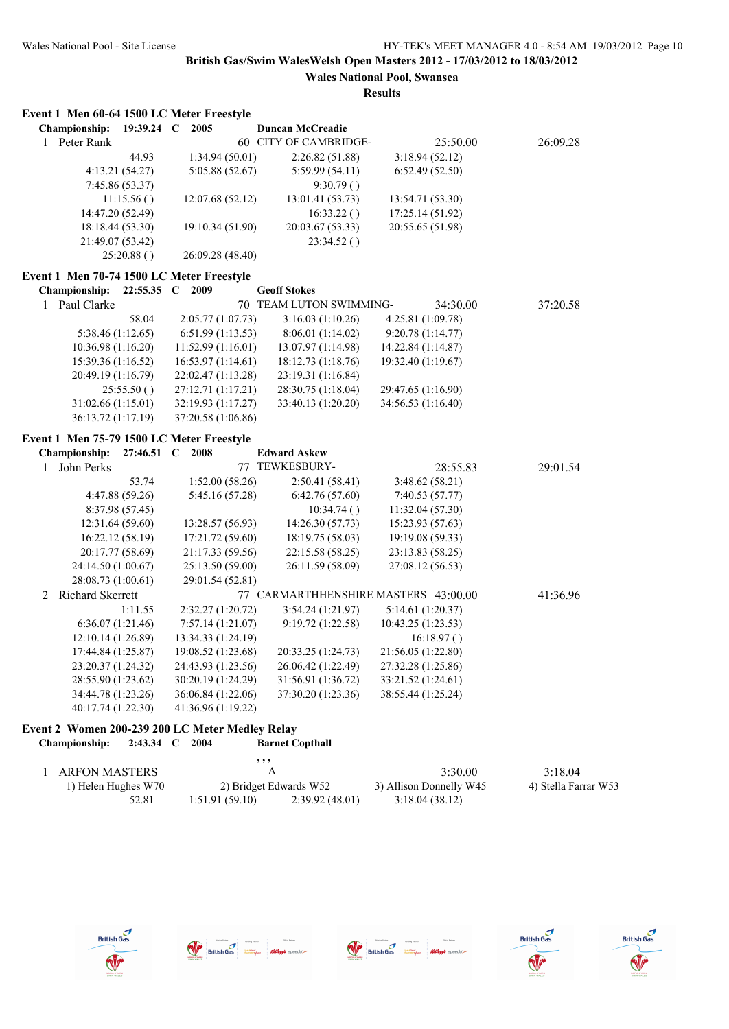## **Wales National Pool, Swansea Results**

|              | Event 1 Men 60-64 1500 LC Meter Freestyle |                 |                     |                                      |                    |            |          |  |
|--------------|-------------------------------------------|-----------------|---------------------|--------------------------------------|--------------------|------------|----------|--|
|              | Championship:                             | $19:39.24$ C    | 2005                | <b>Duncan McCreadie</b>              |                    |            |          |  |
| $\mathbf{1}$ | Peter Rank                                |                 |                     | 60 CITY OF CAMBRIDGE-                |                    | 25:50.00   | 26:09.28 |  |
|              |                                           | 44.93           | 1:34.94(50.01)      | 2:26.82 (51.88)                      | 3:18.94(52.12)     |            |          |  |
|              |                                           | 4:13.21 (54.27) | 5:05.88 (52.67)     | 5:59.99(54.11)                       | 6:52.49(52.50)     |            |          |  |
|              |                                           | 7:45.86 (53.37) |                     | 9:30.79()                            |                    |            |          |  |
|              |                                           | 11:15.56()      | 12:07.68 (52.12)    | 13:01.41 (53.73)                     | 13:54.71 (53.30)   |            |          |  |
|              | 14:47.20 (52.49)                          |                 |                     | 16:33.22()                           | 17:25.14 (51.92)   |            |          |  |
|              | 18:18.44 (53.30)                          |                 | 19:10.34 (51.90)    | 20:03.67 (53.33)                     | 20:55.65 (51.98)   |            |          |  |
|              | 21:49.07 (53.42)                          |                 |                     | 23:34.52()                           |                    |            |          |  |
|              |                                           | 25:20.88()      | 26:09.28 (48.40)    |                                      |                    |            |          |  |
|              | Event 1 Men 70-74 1500 LC Meter Freestyle |                 |                     |                                      |                    |            |          |  |
|              | <b>Championship:</b>                      |                 | 22:55.35 C 2009     | <b>Geoff Stokes</b>                  |                    |            |          |  |
| $\mathbf{1}$ | Paul Clarke                               |                 |                     | 70 TEAM LUTON SWIMMING-              |                    | 34:30.00   | 37:20.58 |  |
|              |                                           | 58.04           | 2:05.77(1:07.73)    | 3:16.03(1:10.26)                     | 4:25.81 (1:09.78)  |            |          |  |
|              | 5:38.46 (1:12.65)                         |                 | 6:51.99 (1:13.53)   | 8:06.01 (1:14.02)                    | 9:20.78 (1:14.77)  |            |          |  |
|              | 10:36.98 (1:16.20)                        |                 | 11:52.99 (1:16.01)  | 13:07.97 (1:14.98)                   | 14:22.84 (1:14.87) |            |          |  |
|              | 15:39.36 (1:16.52)                        |                 | 16:53.97 (1:14.61)  | 18:12.73 (1:18.76)                   | 19:32.40 (1:19.67) |            |          |  |
|              | 20:49.19 (1:16.79)                        |                 | 22:02.47 (1:13.28)  | 23:19.31 (1:16.84)                   |                    |            |          |  |
|              |                                           | 25:55.50()      | 27:12.71 (1:17.21)  | 28:30.75 (1:18.04)                   | 29:47.65 (1:16.90) |            |          |  |
|              | 31:02.66 (1:15.01)                        |                 | 32:19.93 (1:17.27)  | 33:40.13 (1:20.20)                   | 34:56.53 (1:16.40) |            |          |  |
|              | 36:13.72 (1:17.19)                        |                 | 37:20.58 (1:06.86)  |                                      |                    |            |          |  |
|              | Event 1 Men 75-79 1500 LC Meter Freestyle |                 |                     |                                      |                    |            |          |  |
|              | Championship:                             | 27:46.51        | $\mathbf C$<br>2008 | <b>Edward Askew</b>                  |                    |            |          |  |
| 1            | John Perks                                |                 |                     | 77 TEWKESBURY-                       |                    | 28:55.83   | 29:01.54 |  |
|              |                                           | 53.74           | 1:52.00(58.26)      | 2:50.41(58.41)                       | 3:48.62(58.21)     |            |          |  |
|              |                                           | 4:47.88 (59.26) | 5:45.16 (57.28)     | 6:42.76(57.60)                       | 7:40.53(57.77)     |            |          |  |
|              |                                           | 8:37.98 (57.45) |                     | 10:34.74()                           | 11:32.04 (57.30)   |            |          |  |
|              | 12:31.64 (59.60)                          |                 | 13:28.57 (56.93)    | 14:26.30 (57.73)                     | 15:23.93 (57.63)   |            |          |  |
|              | 16:22.12 (58.19)                          |                 | 17:21.72 (59.60)    | 18:19.75 (58.03)                     | 19:19.08 (59.33)   |            |          |  |
|              | 20:17.77 (58.69)                          |                 | 21:17.33 (59.56)    | 22:15.58 (58.25)                     | 23:13.83 (58.25)   |            |          |  |
|              | 24:14.50 (1:00.67)                        |                 | 25:13.50 (59.00)    | 26:11.59 (58.09)                     | 27:08.12 (56.53)   |            |          |  |
|              | 28:08.73 (1:00.61)                        |                 | 29:01.54 (52.81)    |                                      |                    |            |          |  |
| 2            | Richard Skerrett                          |                 |                     | 77 CARMARTHHENSHIRE MASTERS 43:00.00 |                    |            | 41:36.96 |  |
|              |                                           | 1:11.55         | 2:32.27 (1:20.72)   | 3:54.24(1:21.97)                     | 5:14.61(1:20.37)   |            |          |  |
|              | 6:36.07(1:21.46)                          |                 | 7:57.14(1:21.07)    | 9:19.72 (1:22.58)                    | 10:43.25 (1:23.53) |            |          |  |
|              | 12:10.14 (1:26.89)                        |                 | 13:34.33 (1:24.19)  |                                      |                    | 16:18.97() |          |  |
|              | 17:44.84 (1:25.87)                        |                 | 19:08.52 (1:23.68)  | 20:33.25 (1:24.73)                   | 21:56.05 (1:22.80) |            |          |  |
|              | 23:20.37 (1:24.32)                        |                 | 24:43.93 (1:23.56)  | 26:06.42 (1:22.49)                   | 27:32.28 (1:25.86) |            |          |  |
|              | 28:55.90 (1:23.62)                        |                 | 30:20.19 (1:24.29)  | 31:56.91 (1:36.72)                   | 33:21.52 (1:24.61) |            |          |  |
|              | 34:44.78 (1:23.26)                        |                 | 36:06.84 (1:22.06)  | 37:30.20 (1:23.36)                   | 38:55.44 (1:25.24) |            |          |  |
|              | 40:17.74 (1:22.30)                        |                 | 41:36.96 (1:19.22)  |                                      |                    |            |          |  |

## **Event 2 Women 200-239 200 LC Meter Medley Relay Championship: 2:43.34 C 2004 Barnet Copthall**

|                     | , , ,          |                        |                         |                      |
|---------------------|----------------|------------------------|-------------------------|----------------------|
| ARFON MASTERS       |                |                        | 3:30.00                 | 3:18.04              |
| 1) Helen Hughes W70 |                | 2) Bridget Edwards W52 | 3) Allison Donnelly W45 | 4) Stella Farrar W53 |
| 52.81               | 1:51.91(59.10) | 2:39.92(48.01)         | 3:18.04(38.12)          |                      |









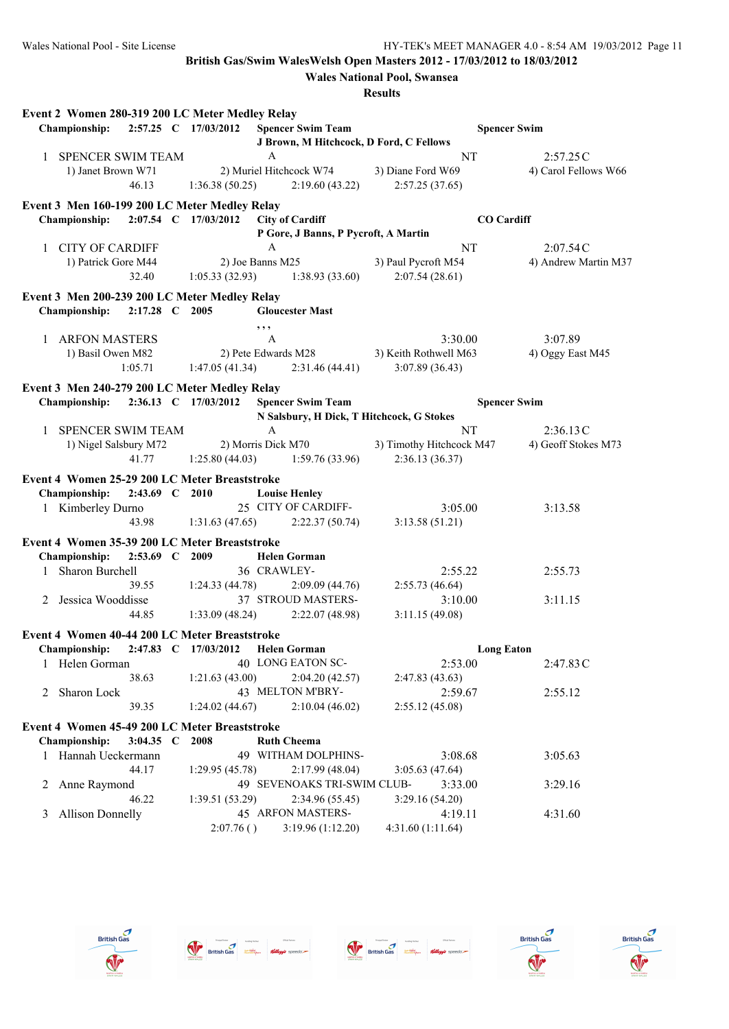|              | Event 2 Women 280-319 200 LC Meter Medley Relay |                      |                |                     |                                      |                                           |                     |                      |
|--------------|-------------------------------------------------|----------------------|----------------|---------------------|--------------------------------------|-------------------------------------------|---------------------|----------------------|
|              | <b>Championship:</b>                            | 2:57.25 C 17/03/2012 |                |                     | <b>Spencer Swim Team</b>             |                                           | <b>Spencer Swim</b> |                      |
|              |                                                 |                      |                |                     |                                      | J Brown, M Hitchcock, D Ford, C Fellows   |                     |                      |
|              | 1 SPENCER SWIM TEAM                             |                      |                | A                   |                                      |                                           | NT                  | 2:57.25C             |
|              | 1) Janet Brown W71                              |                      |                |                     | 2) Muriel Hitchcock W74              | 3) Diane Ford W69                         |                     | 4) Carol Fellows W66 |
|              |                                                 | 46.13                | 1:36.38(50.25) |                     | 2:19.60(43.22)                       | 2:57.25(37.65)                            |                     |                      |
|              | Event 3 Men 160-199 200 LC Meter Medley Relay   |                      |                |                     |                                      |                                           |                     |                      |
|              | <b>Championship:</b>                            | 2:07.54 C 17/03/2012 |                |                     | <b>City of Cardiff</b>               |                                           | <b>CO</b> Cardiff   |                      |
|              |                                                 |                      |                |                     | P Gore, J Banns, P Pycroft, A Martin |                                           |                     |                      |
|              | 1 CITY OF CARDIFF                               |                      |                | A                   |                                      |                                           | NT                  | 2:07.54C             |
|              | 1) Patrick Gore M44                             |                      |                | 2) Joe Banns M25    |                                      | 3) Paul Pycroft M54                       |                     | 4) Andrew Martin M37 |
|              |                                                 | 32.40                |                |                     | $1:05.33(32.93)$ $1:38.93(33.60)$    | 2:07.54(28.61)                            |                     |                      |
|              | Event 3 Men 200-239 200 LC Meter Medley Relay   |                      |                |                     |                                      |                                           |                     |                      |
|              | Championship:                                   | 2:17.28 C 2005       |                |                     | <b>Gloucester Mast</b>               |                                           |                     |                      |
|              |                                                 |                      |                | , ,                 |                                      |                                           |                     |                      |
|              | 1 ARFON MASTERS                                 |                      |                | $\overline{A}$      |                                      | 3:30.00                                   |                     | 3:07.89              |
|              | 1) Basil Owen M82                               |                      |                | 2) Pete Edwards M28 |                                      | 3) Keith Rothwell M63                     |                     | 4) Oggy East M45     |
|              |                                                 | 1:05.71              | 1:47.05(41.34) |                     | 2:31.46(44.41)                       | 3:07.89 (36.43)                           |                     |                      |
|              | Event 3 Men 240-279 200 LC Meter Medley Relay   |                      |                |                     |                                      |                                           |                     |                      |
|              | Championship: 2:36.13 C 17/03/2012              |                      |                |                     | <b>Spencer Swim Team</b>             |                                           | <b>Spencer Swim</b> |                      |
|              |                                                 |                      |                |                     |                                      | N Salsbury, H Dick, T Hitchcock, G Stokes |                     |                      |
| $\mathbf{1}$ | <b>SPENCER SWIM TEAM</b>                        |                      |                | $\mathbf{A}$        |                                      |                                           | NT                  | 2:36.13C             |
|              | 1) Nigel Salsbury M72                           |                      |                | 2) Morris Dick M70  |                                      | 3) Timothy Hitchcock M47                  |                     | 4) Geoff Stokes M73  |
|              |                                                 | 41.77                | 1:25.80(44.03) |                     | 1:59.76(33.96)                       | 2:36.13 (36.37)                           |                     |                      |
|              | Event 4 Women 25-29 200 LC Meter Breaststroke   |                      |                |                     |                                      |                                           |                     |                      |
|              | <b>Championship:</b>                            | 2:43.69 C 2010       |                |                     | <b>Louise Henley</b>                 |                                           |                     |                      |
|              | 1 Kimberley Durno                               |                      |                |                     | 25 CITY OF CARDIFF-                  | 3:05.00                                   |                     | 3:13.58              |
|              |                                                 | 43.98                | 1:31.63(47.65) |                     | 2:22.37(50.74)                       | 3:13.58(51.21)                            |                     |                      |
|              | Event 4 Women 35-39 200 LC Meter Breaststroke   |                      |                |                     |                                      |                                           |                     |                      |
|              | Championship:                                   | 2:53.69 C 2009       |                |                     | <b>Helen Gorman</b>                  |                                           |                     |                      |
| 1            | Sharon Burchell                                 |                      |                | 36 CRAWLEY-         |                                      | 2:55.22                                   |                     | 2:55.73              |
|              |                                                 | 39.55                | 1:24.33(44.78) |                     | 2:09.09(44.76)                       | 2:55.73(46.64)                            |                     |                      |
| 2            | Jessica Wooddisse                               |                      |                |                     | 37 STROUD MASTERS-                   | 3:10.00                                   |                     | 3:11.15              |
|              |                                                 | 44.85                | 1:33.09(48.24) |                     | 2:22.07(48.98)                       | 3:11.15(49.08)                            |                     |                      |
|              | Event 4 Women 40-44 200 LC Meter Breaststroke   |                      |                |                     |                                      |                                           |                     |                      |
|              | Championship: 2:47.83 C 17/03/2012 Helen Gorman |                      |                |                     |                                      |                                           | <b>Long Eaton</b>   |                      |
|              | 1 Helen Gorman                                  |                      |                |                     | 40 LONG EATON SC-                    | 2:53.00                                   |                     | 2:47.83C             |
|              |                                                 | 38.63                | 1:21.63(43.00) |                     | 2:04.20 (42.57)                      | 2:47.83(43.63)                            |                     |                      |
| 2            | Sharon Lock                                     |                      |                |                     | 43 MELTON M'BRY-                     | 2:59.67                                   |                     | 2:55.12              |
|              |                                                 | 39.35                | 1:24.02(44.67) |                     | 2:10.04(46.02)                       | 2:55.12(45.08)                            |                     |                      |
|              | Event 4 Women 45-49 200 LC Meter Breaststroke   |                      |                |                     |                                      |                                           |                     |                      |
|              | Championship:                                   | 3:04.35 $\,$ C       | 2008           |                     | <b>Ruth Cheema</b>                   |                                           |                     |                      |
|              | 1 Hannah Ueckermann                             |                      |                |                     | 49 WITHAM DOLPHINS-                  | 3:08.68                                   |                     | 3:05.63              |
|              |                                                 | 44.17                | 1:29.95(45.78) |                     | 2:17.99(48.04)                       | 3:05.63(47.64)                            |                     |                      |
|              | 2 Anne Raymond                                  |                      |                |                     | 49 SEVENOAKS TRI-SWIM CLUB-          | 3:33.00                                   |                     | 3:29.16              |
|              |                                                 | 46.22                | 1:39.51(53.29) |                     | 2:34.96 (55.45)                      | 3:29.16(54.20)                            |                     |                      |
| 3            | <b>Allison Donnelly</b>                         |                      |                |                     | 45 ARFON MASTERS-                    | 4:19.11                                   |                     | 4:31.60              |
|              |                                                 |                      | 2:07.76()      |                     | 3:19.96(1:12.20)                     | 4:31.60 (1:11.64)                         |                     |                      |









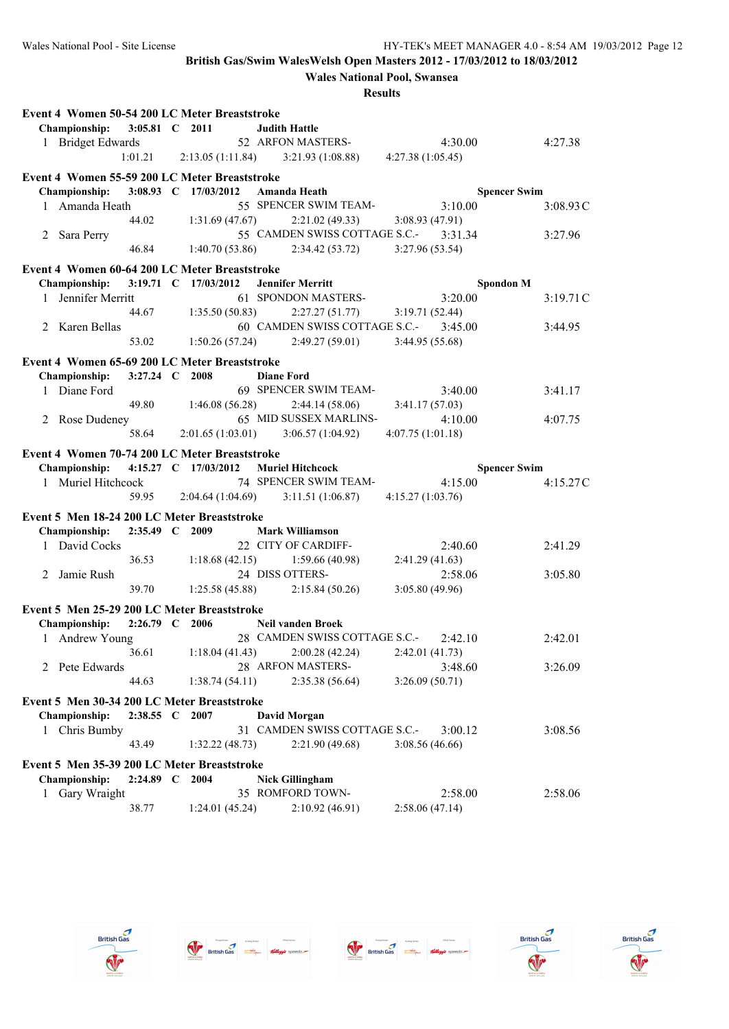**Wales National Pool, Swansea**

|   | Event 4 Women 50-54 200 LC Meter Breaststroke |                      |                  |                |                                                                   |                           |                     |
|---|-----------------------------------------------|----------------------|------------------|----------------|-------------------------------------------------------------------|---------------------------|---------------------|
|   | Championship:                                 | 3:05.81 C 2011       |                  |                | <b>Judith Hattle</b>                                              |                           |                     |
|   | 1 Bridget Edwards                             |                      |                  |                | 52 ARFON MASTERS-                                                 | 4:30.00                   | 4:27.38             |
|   |                                               | 1:01.21              | 2:13.05(1:11.84) |                | 3:21.93(1:08.88)                                                  | 4:27.38(1:05.45)          |                     |
|   | Event 4 Women 55-59 200 LC Meter Breaststroke |                      |                  |                |                                                                   |                           |                     |
|   | <b>Championship:</b>                          | 3:08.93 C 17/03/2012 |                  |                | Amanda Heath                                                      |                           | <b>Spencer Swim</b> |
|   | 1 Amanda Heath                                |                      |                  |                | 55 SPENCER SWIM TEAM-                                             | 3:10.00                   | 3:08.93C            |
|   |                                               | 44.02                |                  | 1:31.69(47.67) | 2:21.02(49.33)                                                    | 3:08.93 (47.91)           |                     |
|   | 2 Sara Perry                                  |                      |                  |                | 55 CAMDEN SWISS COTTAGE S.C.-                                     | 3:31.34                   | 3:27.96             |
|   |                                               | 46.84                |                  | 1:40.70(53.86) | 2:34.42(53.72)                                                    | 3:27.96(53.54)            |                     |
|   |                                               |                      |                  |                |                                                                   |                           |                     |
|   | Event 4 Women 60-64 200 LC Meter Breaststroke |                      |                  |                |                                                                   |                           |                     |
|   | Championship:                                 | 3:19.71 C 17/03/2012 |                  |                | <b>Jennifer Merritt</b>                                           | <b>Spondon M</b>          |                     |
|   | 1 Jennifer Merritt                            |                      |                  |                | 61 SPONDON MASTERS-                                               | 3:20.00                   | 3:19.71C            |
|   |                                               | 44.67                |                  | 1:35.50(50.83) | 2:27.27(51.77)                                                    | 3:19.71(52.44)            |                     |
|   | 2 Karen Bellas                                |                      |                  |                | 60 CAMDEN SWISS COTTAGE S.C.-                                     | 3:45.00                   | 3:44.95             |
|   |                                               | 53.02                |                  | 1:50.26(57.24) | 2:49.27(59.01)                                                    | 3:44.95(55.68)            |                     |
|   | Event 4 Women 65-69 200 LC Meter Breaststroke |                      |                  |                |                                                                   |                           |                     |
|   | Championship:                                 | 3:27.24 C 2008       |                  |                | <b>Diane Ford</b>                                                 |                           |                     |
|   | 1 Diane Ford                                  |                      |                  |                | 69 SPENCER SWIM TEAM-                                             | 3:40.00                   | 3:41.17             |
|   |                                               | 49.80                |                  | 1:46.08(56.28) | 2:44.14(58.06)                                                    | 3:41.17(57.03)            |                     |
|   | 2 Rose Dudeney                                |                      |                  |                | 65 MID SUSSEX MARLINS-                                            | 4:10.00                   | 4:07.75             |
|   |                                               | 58.64                |                  |                | $2:01.65(1:03.01)$ $3:06.57(1:04.92)$                             | 4:07.75(1:01.18)          |                     |
|   | Event 4 Women 70-74 200 LC Meter Breaststroke |                      |                  |                |                                                                   |                           |                     |
|   | <b>Championship:</b>                          | 4:15.27 C 17/03/2012 |                  |                | <b>Muriel Hitchcock</b>                                           |                           | <b>Spencer Swim</b> |
|   | 1 Muriel Hitchcock                            |                      |                  |                | 74 SPENCER SWIM TEAM-                                             | 4:15.00                   | 4:15.27C            |
|   |                                               | 59.95                | 2:04.64(1:04.69) |                | 3:11.51(1:06.87)                                                  | 4:15.27 (1:03.76)         |                     |
|   |                                               |                      |                  |                |                                                                   |                           |                     |
|   | Event 5 Men 18-24 200 LC Meter Breaststroke   |                      |                  |                |                                                                   |                           |                     |
|   | Championship:                                 | 2:35.49 C 2009       |                  |                | <b>Mark Williamson</b>                                            |                           |                     |
|   | 1 David Cocks                                 |                      |                  |                | 22 CITY OF CARDIFF-                                               | 2:40.60                   | 2:41.29             |
|   |                                               | 36.53                |                  |                |                                                                   |                           |                     |
|   |                                               |                      |                  | 1:18.68(42.15) | 1:59.66(40.98)                                                    | 2:41.29(41.63)            |                     |
|   | 2 Jamie Rush                                  |                      |                  |                | 24 DISS OTTERS-                                                   | 2:58.06                   | 3:05.80             |
|   |                                               | 39.70                |                  | 1:25.58(45.88) | 2:15.84(50.26)                                                    | 3:05.80(49.96)            |                     |
|   | Event 5 Men 25-29 200 LC Meter Breaststroke   |                      |                  |                |                                                                   |                           |                     |
|   | Championship:                                 | $2:26.79$ C 2006     |                  |                |                                                                   |                           |                     |
|   |                                               |                      |                  |                | <b>Neil vanden Broek</b><br>28 CAMDEN SWISS COTTAGE S.C.- 2:42.10 |                           | 2:42.01             |
|   | 1 Andrew Young                                | 36.61                |                  | 1:18.04(41.43) | 2:00.28(42.24)                                                    | 2:42.01(41.73)            |                     |
|   |                                               |                      |                  |                | 28 ARFON MASTERS-                                                 |                           |                     |
|   | 2 Pete Edwards                                | 44.63                |                  | 1:38.74(54.11) | 2:35.38(56.64)                                                    | 3:48.60<br>3:26.09(50.71) | 3:26.09             |
|   |                                               |                      |                  |                |                                                                   |                           |                     |
|   | Event 5 Men 30-34 200 LC Meter Breaststroke   |                      |                  |                |                                                                   |                           |                     |
|   | Championship:                                 | $2:38.55$ C          | 2007             |                | <b>David Morgan</b>                                               |                           |                     |
|   | 1 Chris Bumby                                 |                      |                  |                | 31 CAMDEN SWISS COTTAGE S.C.-                                     | 3:00.12                   | 3:08.56             |
|   |                                               | 43.49                |                  | 1:32.22(48.73) | 2:21.90(49.68)                                                    | 3:08.56(46.66)            |                     |
|   | Event 5 Men 35-39 200 LC Meter Breaststroke   |                      |                  |                |                                                                   |                           |                     |
|   | Championship:                                 | $2:24.89$ C          | 2004             |                | <b>Nick Gillingham</b>                                            |                           |                     |
| 1 | Gary Wraight                                  |                      |                  |                | 35 ROMFORD TOWN-<br>2:10.92(46.91)                                | 2:58.00                   | 2:58.06             |









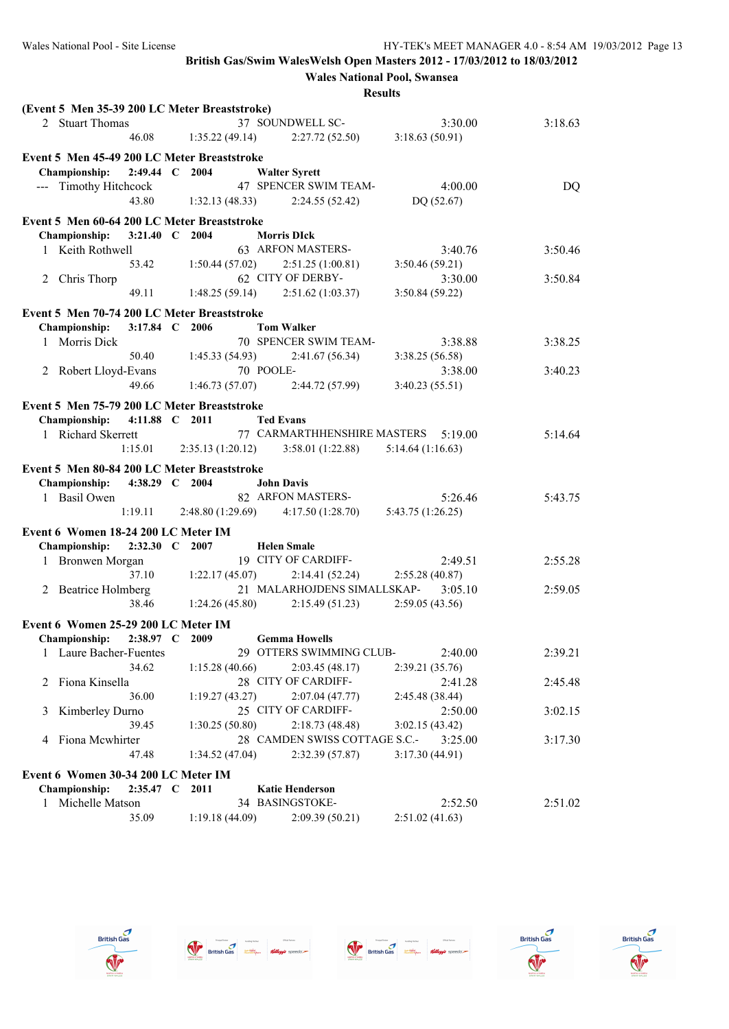**Wales National Pool, Swansea**

|   | (Event 5 Men 35-39 200 LC Meter Breaststroke) |                |                       |                                                       |                  |         |
|---|-----------------------------------------------|----------------|-----------------------|-------------------------------------------------------|------------------|---------|
|   | 2 Stuart Thomas                               |                |                       | 37 SOUNDWELL SC-                                      | 3:30.00          | 3:18.63 |
|   |                                               | 46.08          |                       | $1:35.22(49.14)$ $2:27.72(52.50)$                     | 3:18.63(50.91)   |         |
|   | Event 5 Men 45-49 200 LC Meter Breaststroke   |                |                       |                                                       |                  |         |
|   | <b>Championship:</b>                          | 2:49.44 C 2004 |                       | <b>Walter Syrett</b>                                  |                  |         |
|   | --- Timothy Hitchcock                         |                |                       | 47 SPENCER SWIM TEAM-                                 | 4:00.00          | DQ      |
|   |                                               | 43.80          | 1:32.13(48.33)        | 2:24.55(52.42)                                        | DQ(52.67)        |         |
|   |                                               |                |                       |                                                       |                  |         |
|   | Event 5 Men 60-64 200 LC Meter Breaststroke   |                |                       |                                                       |                  |         |
|   | Championship:                                 | 3:21.40 C 2004 |                       | <b>Morris DIck</b>                                    |                  |         |
|   | 1 Keith Rothwell                              |                |                       | 63 ARFON MASTERS-                                     | 3:40.76          | 3:50.46 |
|   |                                               |                | 53.42 1:50.44 (57.02) | 2:51.25(1:00.81)                                      | 3:50.46(59.21)   |         |
|   | 2 Chris Thorp                                 |                |                       | 62 CITY OF DERBY-                                     | 3:30.00          | 3:50.84 |
|   |                                               | 49.11          |                       | $1:48.25(59.14)$ $2:51.62(1:03.37)$                   | 3:50.84 (59.22)  |         |
|   | Event 5 Men 70-74 200 LC Meter Breaststroke   |                |                       |                                                       |                  |         |
|   | <b>Championship:</b>                          | 3:17.84 C 2006 |                       | <b>Tom Walker</b>                                     |                  |         |
|   | 1 Morris Dick                                 |                |                       | 70 SPENCER SWIM TEAM-                                 | 3:38.88          | 3:38.25 |
|   |                                               | 50.40          |                       | $1:45.33(54.93)$ $2:41.67(56.34)$                     | 3:38.25(56.58)   |         |
|   | 2 Robert Lloyd-Evans                          |                |                       | 70 POOLE-                                             | 3:38.00          | 3:40.23 |
|   |                                               | 49.66          |                       | $1:46.73(57.07)$ $2:44.72(57.99)$                     | 3:40.23(55.51)   |         |
|   |                                               |                |                       |                                                       |                  |         |
|   | Event 5 Men 75-79 200 LC Meter Breaststroke   |                |                       |                                                       |                  |         |
|   | Championship: 4:11.88 C 2011                  |                |                       | <b>Ted Evans</b>                                      |                  |         |
|   | 1 Richard Skerrett                            |                |                       | 77 CARMARTHHENSHIRE MASTERS 5:19.00                   |                  | 5:14.64 |
|   |                                               |                |                       | 1:15.01 2:35.13 (1:20.12) 3:58.01 (1:22.88)           | 5:14.64(1:16.63) |         |
|   | Event 5 Men 80-84 200 LC Meter Breaststroke   |                |                       |                                                       |                  |         |
|   | <b>Championship:</b>                          | 4:38.29 C 2004 |                       | <b>John Davis</b>                                     |                  |         |
|   | 1 Basil Owen                                  |                |                       | 82 ARFON MASTERS-                                     | 5:26.46          | 5:43.75 |
|   |                                               | 1:19.11        |                       | 2:48.80 (1:29.69) 4:17.50 (1:28.70) 5:43.75 (1:26.25) |                  |         |
|   | Event 6 Women 18-24 200 LC Meter IM           |                |                       |                                                       |                  |         |
|   | Championship:                                 | 2:32.30 C 2007 |                       | <b>Helen Smale</b>                                    |                  |         |
|   | 1 Bronwen Morgan                              |                |                       | 19 CITY OF CARDIFF-                                   | 2:49.51          | 2:55.28 |
|   |                                               | 37.10          | 1:22.17(45.07)        | 2:14.41(52.24)                                        | 2:55.28(40.87)   |         |
|   |                                               |                |                       | 21 MALARHOJDENS SIMALLSKAP-                           |                  |         |
|   | 2 Beatrice Holmberg                           |                |                       |                                                       | 3:05.10          | 2:59.05 |
|   |                                               | 38.46          | 1:24.26(45.80)        | 2:15.49 (51.23)                                       | 2:59.05(43.56)   |         |
|   | Event 6 Women 25-29 200 LC Meter IM           |                |                       |                                                       |                  |         |
|   | Championship: 2:38.97 C 2009                  |                |                       | <b>Gemma Howells</b>                                  |                  |         |
|   | 1 Laure Bacher-Fuentes                        |                |                       | 29 OTTERS SWIMMING CLUB-                              | 2:40.00          | 2:39.21 |
|   |                                               | 34.62          | 1:15.28(40.66)        | 2:03.45(48.17)                                        | 2:39.21(35.76)   |         |
| 2 | Fiona Kinsella                                |                |                       | 28 CITY OF CARDIFF-                                   | 2:41.28          | 2:45.48 |
|   |                                               | 36.00          | 1:19.27(43.27)        | 2:07.04(47.77)                                        | 2:45.48 (38.44)  |         |
| 3 | Kimberley Durno                               |                |                       | 25 CITY OF CARDIFF-                                   | 2:50.00          | 3:02.15 |
|   |                                               | 39.45          | 1:30.25(50.80)        | 2:18.73(48.48)                                        | 3:02.15(43.42)   |         |
| 4 | Fiona Mcwhirter                               |                |                       | 28 CAMDEN SWISS COTTAGE S.C.-                         | 3:25.00          | 3:17.30 |
|   |                                               | 47.48          | 1:34.52(47.04)        | 2:32.39(57.87)                                        | 3:17.30(44.91)   |         |
|   |                                               |                |                       |                                                       |                  |         |
|   | Event 6 Women 30-34 200 LC Meter IM           |                |                       |                                                       |                  |         |
|   | Championship:                                 | 2:35.47 C      | 2011                  | <b>Katie Henderson</b>                                |                  |         |
| 1 | Michelle Matson                               |                |                       | 34 BASINGSTOKE-                                       | 2:52.50          | 2:51.02 |
|   |                                               | 35.09          | 1:19.18(44.09)        | 2:09.39(50.21)                                        | 2:51.02(41.63)   |         |









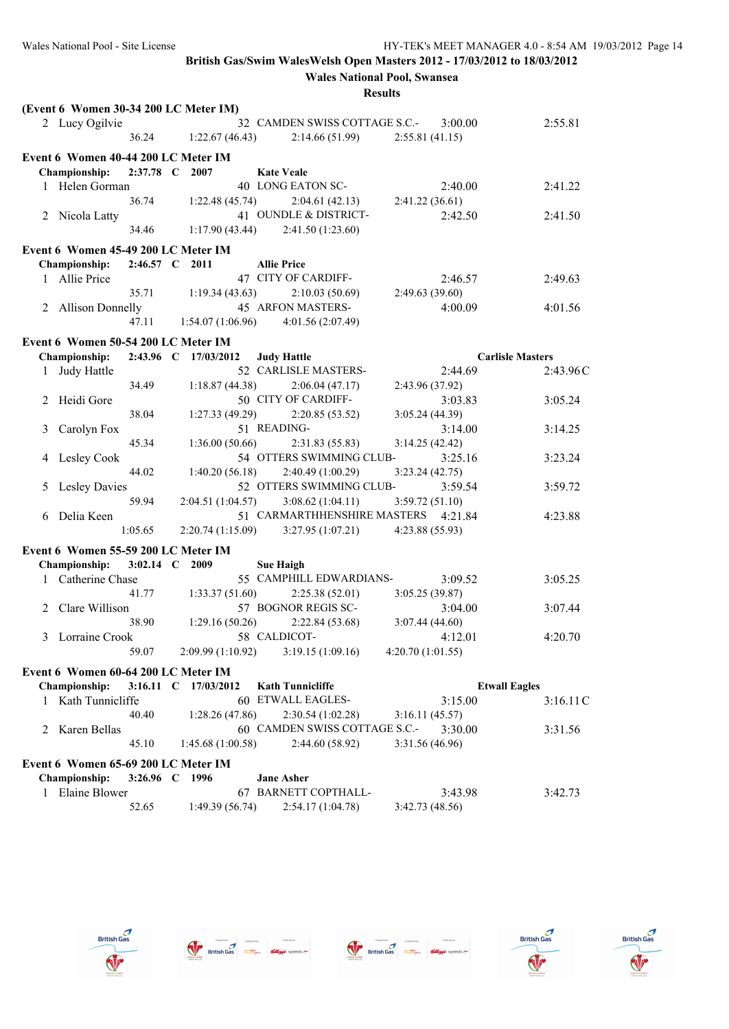|   | (Event 6 Women 30-34 200 LC Meter IM) |                   |                      |                    |                                                        |                  |                      |                         |
|---|---------------------------------------|-------------------|----------------------|--------------------|--------------------------------------------------------|------------------|----------------------|-------------------------|
|   | 2 Lucy Ogilvie                        |                   |                      |                    | 32 CAMDEN SWISS COTTAGE S.C.-                          |                  | 3:00.00              | 2:55.81                 |
|   |                                       | 36.24             | 1:22.67(46.43)       |                    | 2:14.66(51.99)                                         | 2:55.81(41.15)   |                      |                         |
|   | Event 6 Women 40-44 200 LC Meter IM   |                   |                      |                    |                                                        |                  |                      |                         |
|   | <b>Championship:</b>                  |                   | 2:37.78 C 2007       |                    | <b>Kate Veale</b>                                      |                  |                      |                         |
|   | 1 Helen Gorman                        |                   |                      |                    | 40 LONG EATON SC-                                      |                  | 2:40.00              | 2:41.22                 |
|   |                                       | 36.74             |                      | 1:22.48(45.74)     | $2:04.61(42.13)$ $2:41.22(36.61)$                      |                  |                      |                         |
|   | 2 Nicola Latty                        |                   |                      |                    | 41 OUNDLE & DISTRICT-                                  |                  | 2:42.50              | 2:41.50                 |
|   |                                       | 34.46             |                      |                    | $1:17.90(43.44)$ $2:41.50(1:23.60)$                    |                  |                      |                         |
|   |                                       |                   |                      |                    |                                                        |                  |                      |                         |
|   | Event 6 Women 45-49 200 LC Meter IM   |                   |                      |                    |                                                        |                  |                      |                         |
|   | Championship:                         |                   | 2:46.57 C 2011       | <b>Allie Price</b> |                                                        |                  |                      |                         |
|   | 1 Allie Price                         |                   |                      |                    | 47 CITY OF CARDIFF-                                    |                  | 2:46.57              | 2:49.63                 |
|   |                                       | 35.71             | 1:19.34(43.63)       |                    | 2:10.03(50.69)                                         | 2:49.63(39.60)   |                      |                         |
|   | 2 Allison Donnelly                    |                   |                      |                    | 45 ARFON MASTERS-                                      |                  | 4:00.09              | 4:01.56                 |
|   |                                       | 47.11             |                      |                    | $1:54.07(1:06.96)$ $4:01.56(2:07.49)$                  |                  |                      |                         |
|   | Event 6 Women 50-54 200 LC Meter IM   |                   |                      |                    |                                                        |                  |                      |                         |
|   | Championship:                         |                   | 2:43.96 C 17/03/2012 |                    | <b>Judy Hattle</b>                                     |                  |                      | <b>Carlisle Masters</b> |
|   | 1 Judy Hattle                         |                   |                      |                    | 52 CARLISLE MASTERS-                                   |                  | 2:44.69              | 2:43.96C                |
|   |                                       | 34.49             |                      | 1:18.87(44.38)     | 2:06.04(47.17)                                         | 2:43.96 (37.92)  |                      |                         |
|   | 2 Heidi Gore                          |                   |                      |                    | 50 CITY OF CARDIFF-                                    |                  | 3:03.83              | 3:05.24                 |
|   |                                       | 38.04             |                      | 1:27.33(49.29)     | 2:20.85(53.52)                                         | 3:05.24(44.39)   |                      |                         |
| 3 | Carolyn Fox                           |                   |                      |                    | 51 READING-                                            |                  | 3:14.00              | 3:14.25                 |
|   |                                       | 45.34             |                      | 1:36.00(50.66)     | 2:31.83(55.83)                                         | 3:14.25(42.42)   |                      |                         |
| 4 | <b>Lesley Cook</b>                    |                   |                      |                    | 54 OTTERS SWIMMING CLUB-                               |                  | 3:25.16              | 3:23.24                 |
|   |                                       | 44.02             |                      |                    |                                                        | 3:23.24(42.75)   |                      |                         |
|   |                                       |                   |                      | 1:40.20(56.18)     | 2:40.49(1:00.29)<br>52 OTTERS SWIMMING CLUB-           |                  |                      |                         |
| 5 | <b>Lesley Davies</b>                  |                   |                      |                    |                                                        |                  | 3:59.54              | 3:59.72                 |
|   |                                       | 59.94             |                      | 2:04.51 (1:04.57)  | 3:08.62(1:04.11)                                       | 3:59.72(51.10)   |                      |                         |
|   | 6 Delia Keen                          |                   |                      |                    | 51 CARMARTHHENSHIRE MASTERS 4:21.84                    |                  |                      | 4:23.88                 |
|   |                                       | 1:05.65           |                      |                    | $2:20.74(1:15.09)$ $3:27.95(1:07.21)$ $4:23.88(55.93)$ |                  |                      |                         |
|   | Event 6 Women 55-59 200 LC Meter IM   |                   |                      |                    |                                                        |                  |                      |                         |
|   | <b>Championship:</b>                  |                   | 3:02.14 C 2009       |                    | <b>Sue Haigh</b>                                       |                  |                      |                         |
|   | 1 Catherine Chase                     |                   |                      |                    | 55 CAMPHILL EDWARDIANS-                                |                  | 3:09.52              | 3:05.25                 |
|   |                                       | 41.77             |                      | 1:33.37(51.60)     | 2:25.38(52.01)                                         | 3:05.25(39.87)   |                      |                         |
|   | Clare Willison                        |                   |                      |                    | 57 BOGNOR REGIS SC-                                    |                  | 3:04.00              | 3:07.44                 |
|   |                                       | 38.90             |                      | 1:29.16(50.26)     | 2:22.84(53.68)                                         | 3:07.44 (44.60)  |                      |                         |
|   | 3 Lorraine Crook                      |                   |                      |                    | 58 CALDICOT-                                           |                  | 4:12.01              | 4:20.70                 |
|   |                                       | 59.07             |                      | 2:09.99 (1:10.92)  | 3:19.15(1:09.16)                                       | 4:20.70(1:01.55) |                      |                         |
|   | Event 6 Women 60-64 200 LC Meter IM   |                   |                      |                    |                                                        |                  |                      |                         |
|   |                                       | $3:16.11 \quad C$ |                      |                    |                                                        |                  |                      |                         |
|   | <b>Championship:</b>                  |                   | 17/03/2012           |                    | <b>Kath Tunnicliffe</b>                                |                  | <b>Etwall Eagles</b> |                         |
| 1 | Kath Tunnicliffe                      |                   |                      |                    | 60 ETWALL EAGLES-                                      |                  | 3:15.00              | 3:16.11C                |
|   |                                       | 40.40             |                      | 1:28.26(47.86)     | 2:30.54(1:02.28)                                       | 3:16.11(45.57)   |                      |                         |
| 2 | Karen Bellas                          |                   |                      |                    | 60 CAMDEN SWISS COTTAGE S.C.-                          |                  | 3:30.00              | 3:31.56                 |
|   |                                       | 45.10             |                      | 1:45.68(1:00.58)   | 2:44.60(58.92)                                         | 3:31.56 (46.96)  |                      |                         |
|   | Event 6 Women 65-69 200 LC Meter IM   |                   |                      |                    |                                                        |                  |                      |                         |
|   | <b>Championship:</b>                  |                   | 3:26.96 C 1996       |                    | <b>Jane Asher</b>                                      |                  |                      |                         |
| 1 | Elaine Blower                         |                   |                      |                    | 67 BARNETT COPTHALL-                                   |                  | 3:43.98              | 3:42.73                 |
|   |                                       | 52.65             |                      | 1:49.39(56.74)     | 2:54.17(1:04.78)                                       | 3:42.73 (48.56)  |                      |                         |
|   |                                       |                   |                      |                    |                                                        |                  |                      |                         |









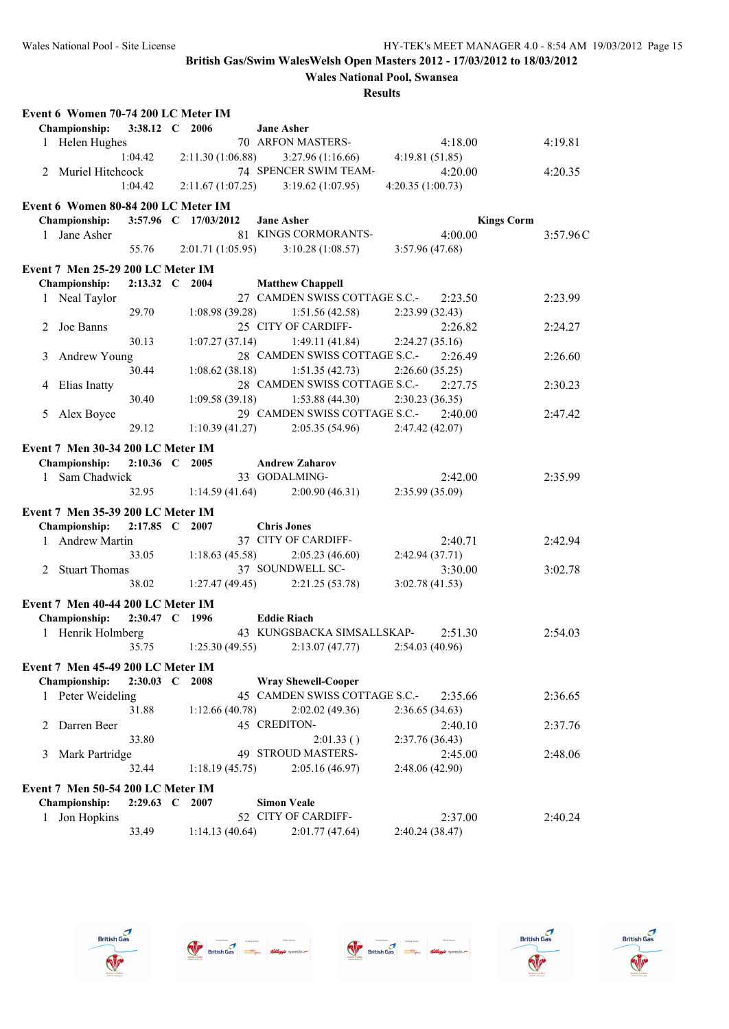|   | Event 6 Women 70-74 200 LC Meter IM |                |                      |                                       |                  |                   |
|---|-------------------------------------|----------------|----------------------|---------------------------------------|------------------|-------------------|
|   | <b>Championship:</b>                | 3:38.12 C 2006 |                      | <b>Jane Asher</b>                     |                  |                   |
|   | 1 Helen Hughes                      |                |                      | 70 ARFON MASTERS-                     | 4:18.00          | 4:19.81           |
|   |                                     | 1:04.42        | 2:11.30(1:06.88)     | 3:27.96(1:16.66)                      | 4:19.81(51.85)   |                   |
|   | 2 Muriel Hitchcock                  |                |                      | 74 SPENCER SWIM TEAM-                 | 4:20.00          | 4:20.35           |
|   |                                     | 1:04.42        |                      | $2:11.67(1:07.25)$ $3:19.62(1:07.95)$ | 4:20.35(1:00.73) |                   |
|   | Event 6 Women 80-84 200 LC Meter IM |                |                      |                                       |                  |                   |
|   | <b>Championship:</b>                |                | 3:57.96 C 17/03/2012 | <b>Jane Asher</b>                     |                  | <b>Kings Corm</b> |
|   | 1 Jane Asher                        |                |                      | 81 KINGS CORMORANTS-                  | 4:00.00          | 3:57.96C          |
|   |                                     | 55.76          |                      | $2:01.71(1:05.95)$ $3:10.28(1:08.57)$ | 3:57.96 (47.68)  |                   |
|   | Event 7 Men 25-29 200 LC Meter IM   |                |                      |                                       |                  |                   |
|   | Championship:                       | 2:13.32 C 2004 |                      | <b>Matthew Chappell</b>               |                  |                   |
|   | 1 Neal Taylor                       |                |                      | 27 CAMDEN SWISS COTTAGE S.C.-         | 2:23.50          | 2:23.99           |
|   |                                     | 29.70          | 1:08.98(39.28)       | 1:51.56(42.58)                        | 2:23.99 (32.43)  |                   |
|   | 2 Joe Banns                         |                |                      | 25 CITY OF CARDIFF-                   | 2:26.82          | 2:24.27           |
|   |                                     | 30.13          | 1:07.27(37.14)       | 1:49.11(41.84)                        | 2:24.27(35.16)   |                   |
| 3 | Andrew Young                        |                |                      | 28 CAMDEN SWISS COTTAGE S.C.-         | 2:26.49          | 2:26.60           |
|   |                                     | 30.44          | 1:08.62(38.18)       | 1:51.35(42.73)                        | 2:26.60(35.25)   |                   |
|   | 4 Elias Inatty                      |                |                      | 28 CAMDEN SWISS COTTAGE S.C.-         | 2:27.75          | 2:30.23           |
|   |                                     | 30.40          |                      | $1:09.58(39.18)$ $1:53.88(44.30)$     | 2:30.23 (36.35)  |                   |
| 5 | Alex Boyce                          |                |                      | 29 CAMDEN SWISS COTTAGE S.C.-         | 2:40.00          | 2:47.42           |
|   |                                     | 29.12          | 1:10.39(41.27)       | 2:05.35(54.96)                        | 2:47.42 (42.07)  |                   |
|   |                                     |                |                      |                                       |                  |                   |
|   | Event 7 Men 30-34 200 LC Meter IM   |                |                      |                                       |                  |                   |
|   | <b>Championship:</b>                | 2:10.36 C 2005 |                      | <b>Andrew Zaharov</b>                 |                  |                   |
|   | 1 Sam Chadwick                      |                |                      | 33 GODALMING-                         | 2:42.00          | 2:35.99           |
|   |                                     | 32.95          | 1:14.59(41.64)       | 2:00.90(46.31)                        | 2:35.99 (35.09)  |                   |
|   | Event 7 Men 35-39 200 LC Meter IM   |                |                      |                                       |                  |                   |
|   | Championship:                       | 2:17.85 C 2007 |                      | <b>Chris Jones</b>                    |                  |                   |
|   | 1 Andrew Martin                     |                |                      | 37 CITY OF CARDIFF-                   | 2:40.71          | 2:42.94           |
|   |                                     | 33.05          | 1:18.63(45.58)       | 2:05.23(46.60)                        | 2:42.94 (37.71)  |                   |
|   | 2 Stuart Thomas                     |                |                      | 37 SOUNDWELL SC-                      | 3:30.00          | 3:02.78           |
|   |                                     | 38.02          | 1:27.47(49.45)       | 2:21.25(53.78)                        | 3:02.78(41.53)   |                   |
|   | Event 7 Men 40-44 200 LC Meter IM   |                |                      |                                       |                  |                   |
|   | Championship:                       | 2:30.47 C 1996 |                      | <b>Eddie Riach</b>                    |                  |                   |
|   | 1 Henrik Holmberg                   |                |                      | 43 KUNGSBACKA SIMSALLSKAP-            | 2:51.30          | 2:54.03           |
|   |                                     | 35.75          | 1:25.30(49.55)       | 2:13.07(47.77)                        | 2:54.03 (40.96)  |                   |
|   |                                     |                |                      |                                       |                  |                   |
|   | Event 7 Men 45-49 200 LC Meter IM   |                |                      |                                       |                  |                   |
|   | <b>Championship:</b>                | $2:30.03$ C    | - 2008               | <b>Wray Shewell-Cooper</b>            |                  |                   |
|   | 1 Peter Weideling                   |                |                      | 45 CAMDEN SWISS COTTAGE S.C.-         | 2:35.66          | 2:36.65           |
|   |                                     | 31.88          | 1:12.66(40.78)       | 2:02.02(49.36)                        | 2:36.65(34.63)   |                   |
|   | Darren Beer                         |                |                      | 45 CREDITON-                          | 2:40.10          | 2:37.76           |
|   |                                     | 33.80          |                      | 2:01.33()                             | 2:37.76 (36.43)  |                   |
| 3 | Mark Partridge                      |                |                      | 49 STROUD MASTERS-                    | 2:45.00          | 2:48.06           |
|   |                                     | 32.44          | 1:18.19(45.75)       | 2:05.16(46.97)                        | 2:48.06 (42.90)  |                   |
|   | Event 7 Men 50-54 200 LC Meter IM   |                |                      |                                       |                  |                   |
|   | Championship:                       | 2:29.63 C 2007 |                      | <b>Simon Veale</b>                    |                  |                   |
| 1 | Jon Hopkins                         |                |                      | 52 CITY OF CARDIFF-                   | 2:37.00          | 2:40.24           |
|   |                                     | 33.49          | 1:14.13(40.64)       | 2:01.77(47.64)                        | 2:40.24 (38.47)  |                   |









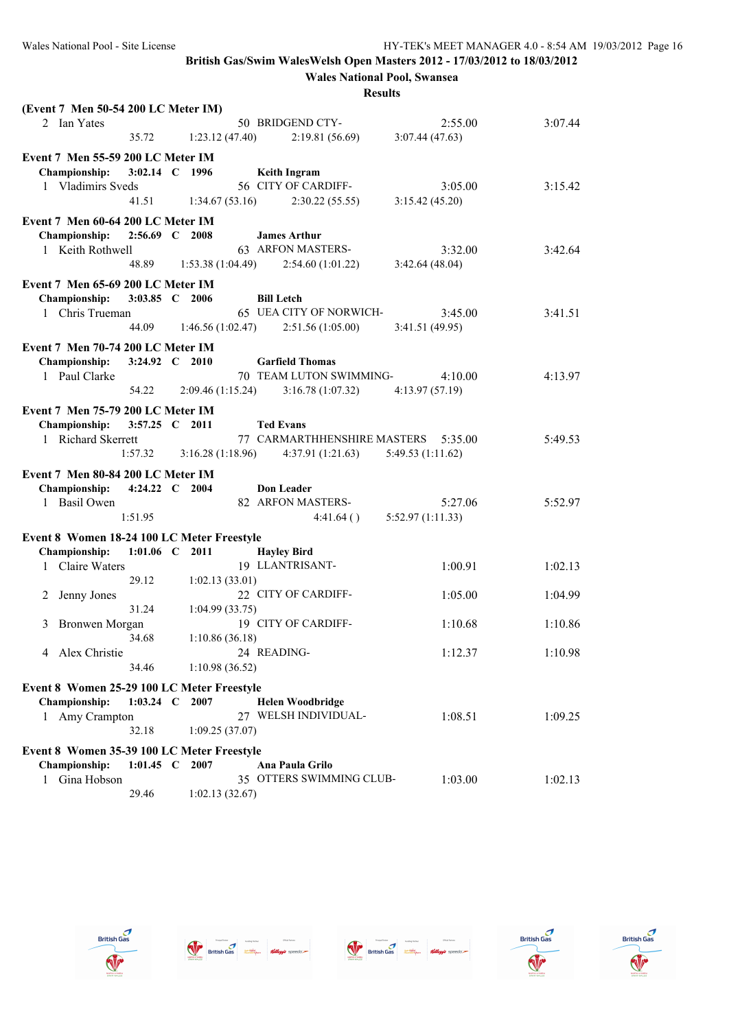**Wales National Pool, Swansea**

| (Event 7 Men 50-54 200 LC Meter IM)        |                  |                |                                                          |                                |         |
|--------------------------------------------|------------------|----------------|----------------------------------------------------------|--------------------------------|---------|
| 2 Ian Yates                                |                  |                | 50 BRIDGEND CTY-                                         | 2:55.00                        | 3:07.44 |
|                                            | 35.72            | 1:23.12(47.40) | 2:19.81(56.69)                                           | 3:07.44(47.63)                 |         |
| Event 7 Men 55-59 200 LC Meter IM          |                  |                |                                                          |                                |         |
| Championship:                              | 3:02.14 C 1996   |                | <b>Keith Ingram</b>                                      |                                |         |
| 1 Vladimirs Sveds                          |                  |                | 56 CITY OF CARDIFF-                                      | 3:05.00                        | 3:15.42 |
|                                            | 41.51            |                |                                                          |                                |         |
|                                            |                  | 1:34.67(53.16) | 2:30.22(55.55)                                           | 3:15.42(45.20)                 |         |
| Event 7 Men 60-64 200 LC Meter IM          |                  |                |                                                          |                                |         |
| <b>Championship:</b>                       | 2:56.69 C 2008   |                | <b>James Arthur</b>                                      |                                |         |
| 1 Keith Rothwell                           |                  |                | 63 ARFON MASTERS-                                        | 3:32.00                        | 3:42.64 |
|                                            |                  |                | 48.89 1:53.38 (1:04.49) 2:54.60 (1:01.22)                | 3:42.64(48.04)                 |         |
| Event 7 Men 65-69 200 LC Meter IM          |                  |                |                                                          |                                |         |
|                                            | 3:03.85 C 2006   |                | <b>Bill Letch</b>                                        |                                |         |
| <b>Championship:</b>                       |                  |                |                                                          |                                |         |
| 1 Chris Trueman                            |                  |                | 65 UEA CITY OF NORWICH-                                  | 3:45.00                        | 3:41.51 |
|                                            |                  |                | 44.09 1:46.56 (1:02.47) 2:51.56 (1:05.00)                | 3:41.51 (49.95)                |         |
| Event 7 Men 70-74 200 LC Meter IM          |                  |                |                                                          |                                |         |
| <b>Championship:</b>                       | 3:24.92 C 2010   |                | <b>Garfield Thomas</b>                                   |                                |         |
| 1 Paul Clarke                              |                  |                | 70 TEAM LUTON SWIMMING-                                  | 4:10.00                        | 4:13.97 |
|                                            | 54.22            |                | $2:09.46(1:15.24)$ $3:16.78(1:07.32)$ $4:13.97(57.19)$   |                                |         |
|                                            |                  |                |                                                          |                                |         |
| Event 7 Men 75-79 200 LC Meter IM          |                  |                |                                                          |                                |         |
| <b>Championship:</b>                       | 3:57.25 C 2011   |                | <b>Ted Evans</b>                                         |                                |         |
| 1 Richard Skerrett                         |                  |                | 77 CARMARTHHENSHIRE MASTERS 5:35.00                      |                                | 5:49.53 |
|                                            | 1:57.32          |                | $3:16.28(1:18.96)$ $4:37.91(1:21.63)$ $5:49.53(1:11.62)$ |                                |         |
|                                            |                  |                |                                                          |                                |         |
|                                            |                  |                |                                                          |                                |         |
| Event 7 Men 80-84 200 LC Meter IM          |                  |                |                                                          |                                |         |
| <b>Championship:</b>                       | 4:24.22 C 2004   |                | <b>Don Leader</b>                                        |                                |         |
| 1 Basil Owen                               |                  |                | 82 ARFON MASTERS-                                        | 5:27.06                        | 5:52.97 |
|                                            | 1:51.95          |                |                                                          | $4:41.64()$ $5:52.97(1:11.33)$ |         |
| Event 8 Women 18-24 100 LC Meter Freestyle |                  |                |                                                          |                                |         |
| <b>Championship:</b>                       | $1:01.06$ C 2011 |                | <b>Hayley Bird</b>                                       |                                |         |
| 1 Claire Waters                            |                  |                | 19 LLANTRISANT-                                          | 1:00.91                        | 1:02.13 |
|                                            | 29.12            | 1:02.13(33.01) |                                                          |                                |         |
|                                            |                  |                |                                                          |                                |         |
| Jenny Jones<br>2                           |                  |                | 22 CITY OF CARDIFF-                                      | 1:05.00                        | 1:04.99 |
|                                            | 31.24            | 1:04.99(33.75) |                                                          |                                |         |
| Bronwen Morgan<br>3                        |                  |                | 19 CITY OF CARDIFF-                                      | 1:10.68                        | 1:10.86 |
|                                            | 34.68            | 1:10.86(36.18) |                                                          |                                |         |
| 4 Alex Christie                            |                  |                | 24 READING-                                              | 1:12.37                        | 1:10.98 |
|                                            | 34.46            | 1:10.98(36.52) |                                                          |                                |         |
| Event 8 Women 25-29 100 LC Meter Freestyle |                  |                |                                                          |                                |         |
| Championship:                              | 1:03.24 $\,$ C   | 2007           | <b>Helen Woodbridge</b>                                  |                                |         |
|                                            |                  |                | 27 WELSH INDIVIDUAL-                                     | 1:08.51                        | 1:09.25 |
| 1 Amy Crampton                             | 32.18            | 1:09.25(37.07) |                                                          |                                |         |
|                                            |                  |                |                                                          |                                |         |
| Event 8 Women 35-39 100 LC Meter Freestyle |                  |                |                                                          |                                |         |
| Championship:                              | 1:01.45 C 2007   |                | Ana Paula Grilo                                          |                                |         |
| Gina Hobson<br>$\mathbf{1}$                | 29.46            | 1:02.13(32.67) | 35 OTTERS SWIMMING CLUB-                                 | 1:03.00                        | 1:02.13 |









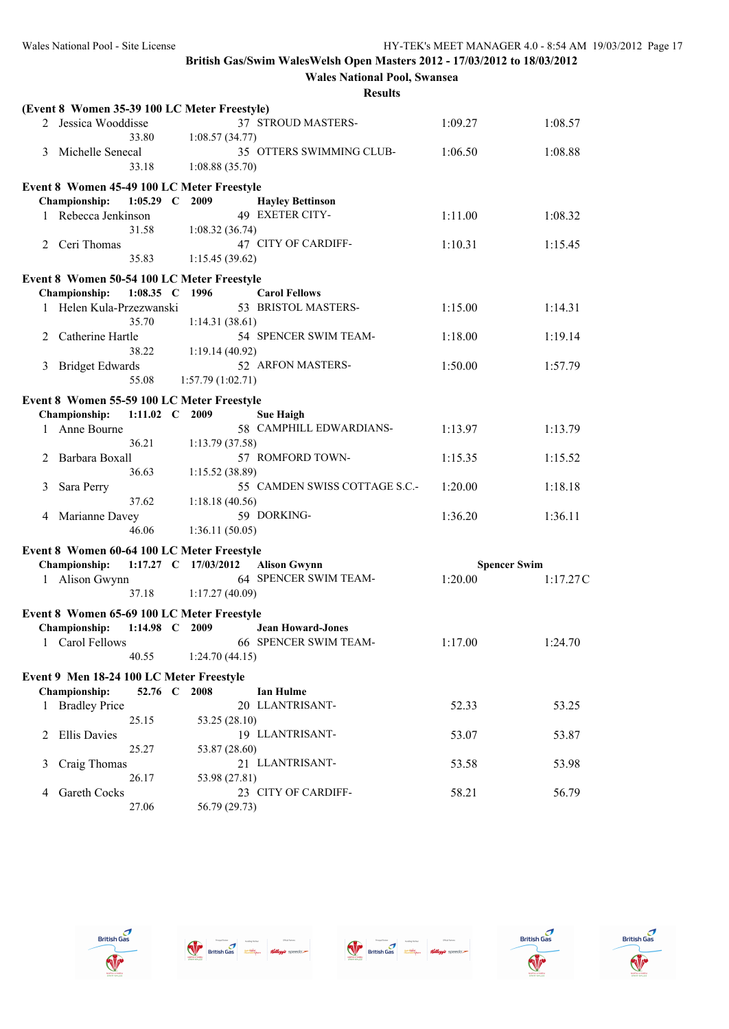**Wales National Pool, Swansea**

|   | (Event 8 Women 35-39 100 LC Meter Freestyle) |                      |                  |                               |         |                     |
|---|----------------------------------------------|----------------------|------------------|-------------------------------|---------|---------------------|
|   | 2 Jessica Wooddisse                          | 33.80                | 1:08.57(34.77)   | 37 STROUD MASTERS-            | 1:09.27 | 1:08.57             |
| 3 | Michelle Senecal                             | 33.18                | 1:08.88(35.70)   | 35 OTTERS SWIMMING CLUB-      | 1:06.50 | 1:08.88             |
|   | Event 8 Women 45-49 100 LC Meter Freestyle   |                      |                  |                               |         |                     |
|   | Championship:                                | $1:05.29$ C          | 2009             | <b>Hayley Bettinson</b>       |         |                     |
|   | Rebecca Jenkinson                            |                      |                  | 49 EXETER CITY-               | 1:11.00 | 1:08.32             |
|   |                                              | 31.58                | 1:08.32(36.74)   |                               |         |                     |
|   | 2 Ceri Thomas                                |                      |                  | 47 CITY OF CARDIFF-           | 1:10.31 | 1:15.45             |
|   |                                              | 35.83                | 1:15.45(39.62)   |                               |         |                     |
|   | Event 8 Women 50-54 100 LC Meter Freestyle   |                      |                  |                               |         |                     |
|   | Championship:                                | 1:08.35 C 1996       |                  | <b>Carol Fellows</b>          |         |                     |
|   | 1 Helen Kula-Przezwanski                     |                      |                  | 53 BRISTOL MASTERS-           | 1:15.00 | 1:14.31             |
|   |                                              | 35.70                | 1:14.31(38.61)   |                               |         |                     |
| 2 | Catherine Hartle                             |                      |                  | 54 SPENCER SWIM TEAM-         | 1:18.00 | 1:19.14             |
|   |                                              | 38.22                | 1:19.14(40.92)   |                               |         |                     |
| 3 | <b>Bridget Edwards</b>                       |                      |                  | 52 ARFON MASTERS-             | 1:50.00 | 1:57.79             |
|   |                                              | 55.08                | 1:57.79(1:02.71) |                               |         |                     |
|   |                                              |                      |                  |                               |         |                     |
|   | Event 8 Women 55-59 100 LC Meter Freestyle   |                      |                  |                               |         |                     |
|   | Championship:                                | 1:11.02 C 2009       |                  | <b>Sue Haigh</b>              |         |                     |
| 1 | Anne Bourne                                  |                      |                  | 58 CAMPHILL EDWARDIANS-       | 1:13.97 | 1:13.79             |
|   |                                              | 36.21                | 1:13.79(37.58)   |                               |         |                     |
| 2 | Barbara Boxall                               |                      |                  | 57 ROMFORD TOWN-              | 1:15.35 | 1:15.52             |
|   |                                              | 36.63                | 1:15.52(38.89)   |                               |         |                     |
| 3 | Sara Perry                                   |                      |                  | 55 CAMDEN SWISS COTTAGE S.C.- | 1:20.00 | 1:18.18             |
|   |                                              | 37.62                | 1:18.18(40.56)   |                               |         |                     |
|   | 4 Marianne Davey                             |                      |                  | 59 DORKING-                   | 1:36.20 | 1:36.11             |
|   |                                              | 46.06                | 1:36.11(50.05)   |                               |         |                     |
|   | Event 8 Women 60-64 100 LC Meter Freestyle   |                      |                  |                               |         |                     |
|   | Championship:                                | 1:17.27 C 17/03/2012 |                  | <b>Alison Gwynn</b>           |         | <b>Spencer Swim</b> |
|   | 1 Alison Gwynn                               |                      |                  | 64 SPENCER SWIM TEAM-         | 1:20.00 | 1:17.27C            |
|   |                                              | 37.18                | 1:17.27(40.09)   |                               |         |                     |
|   | Event 8 Women 65-69 100 LC Meter Freestyle   |                      |                  |                               |         |                     |
|   | Championship:                                | 1:14.98 C 2009       |                  | <b>Jean Howard-Jones</b>      |         |                     |
|   | 1 Carol Fellows                              |                      |                  | 66 SPENCER SWIM TEAM-         | 1:17.00 | 1:24.70             |
|   |                                              | 40.55                | 1:24.70(44.15)   |                               |         |                     |
|   |                                              |                      |                  |                               |         |                     |
|   | Event 9 Men 18-24 100 LC Meter Freestyle     |                      |                  |                               |         |                     |
|   | <b>Championship:</b>                         | 52.76 C              | 2008             | <b>Ian Hulme</b>              |         |                     |
|   | 1 Bradley Price                              |                      |                  | 20 LLANTRISANT-               | 52.33   | 53.25               |
|   |                                              | 25.15                | 53.25 (28.10)    |                               |         |                     |
| 2 | <b>Ellis Davies</b>                          |                      |                  | 19 LLANTRISANT-               | 53.07   | 53.87               |
|   |                                              | 25.27                | 53.87 (28.60)    |                               |         |                     |
| 3 | Craig Thomas                                 |                      |                  | 21 LLANTRISANT-               | 53.58   | 53.98               |
|   |                                              | 26.17                | 53.98 (27.81)    |                               |         |                     |
| 4 | Gareth Cocks                                 |                      |                  | 23 CITY OF CARDIFF-           | 58.21   | 56.79               |
|   |                                              | 27.06                | 56.79 (29.73)    |                               |         |                     |









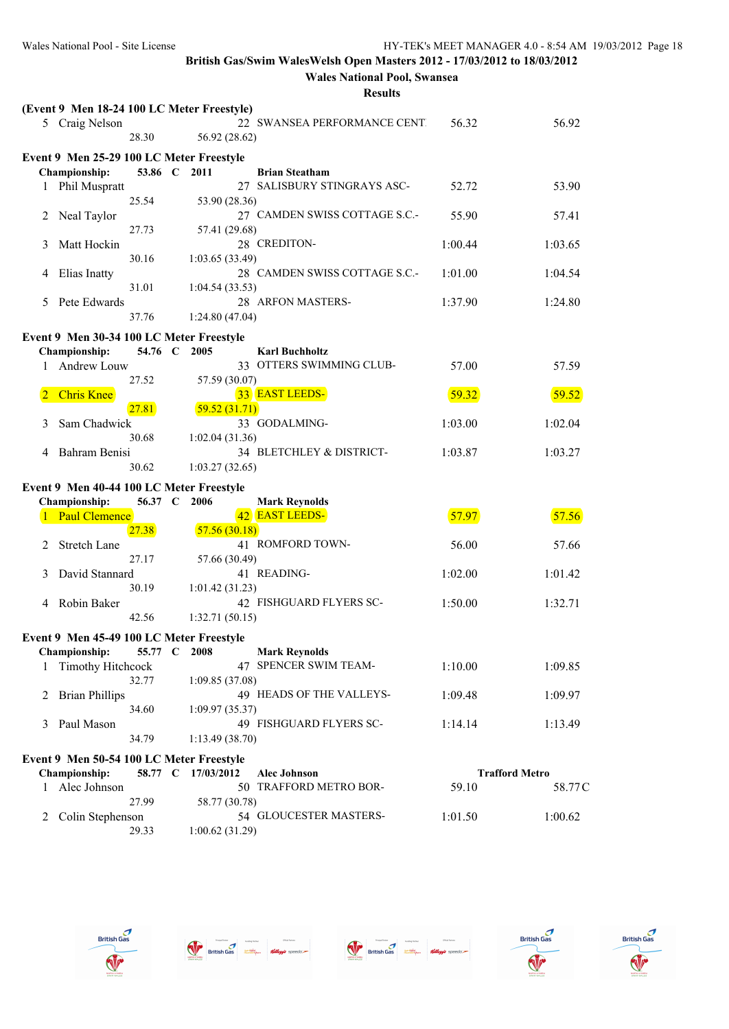|   |                                            |         |                 | 1165 U.I.I.S                                         |         |                       |
|---|--------------------------------------------|---------|-----------------|------------------------------------------------------|---------|-----------------------|
|   | (Event 9 Men 18-24 100 LC Meter Freestyle) |         |                 | 22 SWANSEA PERFORMANCE CENTI                         |         |                       |
|   | 5 Craig Nelson                             | 28.30   | 56.92 (28.62)   |                                                      | 56.32   | 56.92                 |
|   |                                            |         |                 |                                                      |         |                       |
|   | Event 9 Men 25-29 100 LC Meter Freestyle   |         |                 |                                                      |         |                       |
|   | Championship:                              | 53.86 C | 2011            | <b>Brian Steatham</b><br>27 SALISBURY STINGRAYS ASC- |         |                       |
| 1 | Phil Muspratt                              | 25.54   |                 |                                                      | 52.72   | 53.90                 |
|   | Neal Taylor                                |         | 53.90 (28.36)   | 27 CAMDEN SWISS COTTAGE S.C.-                        | 55.90   | 57.41                 |
| 2 |                                            | 27.73   | 57.41 (29.68)   |                                                      |         |                       |
| 3 | Matt Hockin                                |         |                 | 28 CREDITON-                                         | 1:00.44 | 1:03.65               |
|   |                                            | 30.16   | 1:03.65 (33.49) |                                                      |         |                       |
| 4 | Elias Inatty                               |         |                 | 28 CAMDEN SWISS COTTAGE S.C.-                        | 1:01.00 | 1:04.54               |
|   |                                            | 31.01   | 1:04.54(33.53)  |                                                      |         |                       |
| 5 | Pete Edwards                               |         |                 | 28 ARFON MASTERS-                                    | 1:37.90 | 1:24.80               |
|   |                                            | 37.76   | 1:24.80(47.04)  |                                                      |         |                       |
|   | Event 9 Men 30-34 100 LC Meter Freestyle   |         |                 |                                                      |         |                       |
|   | Championship:                              | 54.76 C | 2005            | <b>Karl Buchholtz</b>                                |         |                       |
| 1 | Andrew Louw                                |         |                 | 33 OTTERS SWIMMING CLUB-                             | 57.00   | 57.59                 |
|   |                                            | 27.52   | 57.59 (30.07)   |                                                      |         |                       |
|   | <b>Chris Knee</b>                          |         |                 | 33 EAST LEEDS-                                       | 59.32   | 59.52                 |
|   |                                            | 27.81   | 59.52(31.71)    |                                                      |         |                       |
| 3 | Sam Chadwick                               |         |                 | 33 GODALMING-                                        | 1:03.00 | 1:02.04               |
|   |                                            | 30.68   | 1:02.04(31.36)  |                                                      |         |                       |
| 4 | Bahram Benisi                              |         |                 | 34 BLETCHLEY & DISTRICT-                             | 1:03.87 | 1:03.27               |
|   |                                            | 30.62   | 1:03.27(32.65)  |                                                      |         |                       |
|   | Event 9 Men 40-44 100 LC Meter Freestyle   |         |                 |                                                      |         |                       |
|   | <b>Championship:</b>                       | 56.37 C | 2006            | <b>Mark Reynolds</b>                                 |         |                       |
|   | <b>Paul Clemence</b>                       |         |                 | 42 EAST LEEDS-                                       | 57.97   | 57.56                 |
|   |                                            | 27.38   | 57.56(30.18)    |                                                      |         |                       |
|   | <b>Stretch Lane</b>                        |         |                 | 41 ROMFORD TOWN-                                     | 56.00   | 57.66                 |
|   |                                            | 27.17   | 57.66 (30.49)   |                                                      |         |                       |
| 3 | David Stannard                             |         |                 | 41 READING-                                          | 1:02.00 | 1:01.42               |
|   |                                            | 30.19   | 1:01.42(31.23)  |                                                      |         |                       |
| 4 | Robin Baker                                | 42.56   |                 | 42 FISHGUARD FLYERS SC-                              | 1:50.00 | 1:32.71               |
|   |                                            |         | 1:32.71(50.15)  |                                                      |         |                       |
|   | Event 9 Men 45-49 100 LC Meter Freestyle   |         |                 |                                                      |         |                       |
|   | Championship:                              | 55.77 C | 2008            | <b>Mark Reynolds</b>                                 |         |                       |
|   | <b>Timothy Hitchcock</b>                   |         |                 | 47 SPENCER SWIM TEAM-                                | 1:10.00 | 1:09.85               |
|   |                                            | 32.77   | 1:09.85(37.08)  |                                                      |         |                       |
| 2 | <b>Brian Phillips</b>                      | 34.60   |                 | 49 HEADS OF THE VALLEYS-                             | 1:09.48 | 1:09.97               |
| 3 | Paul Mason                                 |         | 1:09.97(35.37)  | 49 FISHGUARD FLYERS SC-                              | 1:14.14 | 1:13.49               |
|   |                                            | 34.79   | 1:13.49(38.70)  |                                                      |         |                       |
|   |                                            |         |                 |                                                      |         |                       |
|   | Event 9 Men 50-54 100 LC Meter Freestyle   |         |                 |                                                      |         |                       |
|   | Championship:                              | 58.77 C | 17/03/2012      | <b>Alec Johnson</b><br>TRAFFORD METRO BOR-           |         | <b>Trafford Metro</b> |
| 1 | Alec Johnson                               | 27.99   | 58.77 (30.78)   | 50                                                   | 59.10   | 58.77C                |
| 2 | Colin Stephenson                           |         |                 | 54 GLOUCESTER MASTERS-                               | 1:01.50 | 1:00.62               |
|   |                                            | 29.33   | 1:00.62(31.29)  |                                                      |         |                       |
|   |                                            |         |                 |                                                      |         |                       |









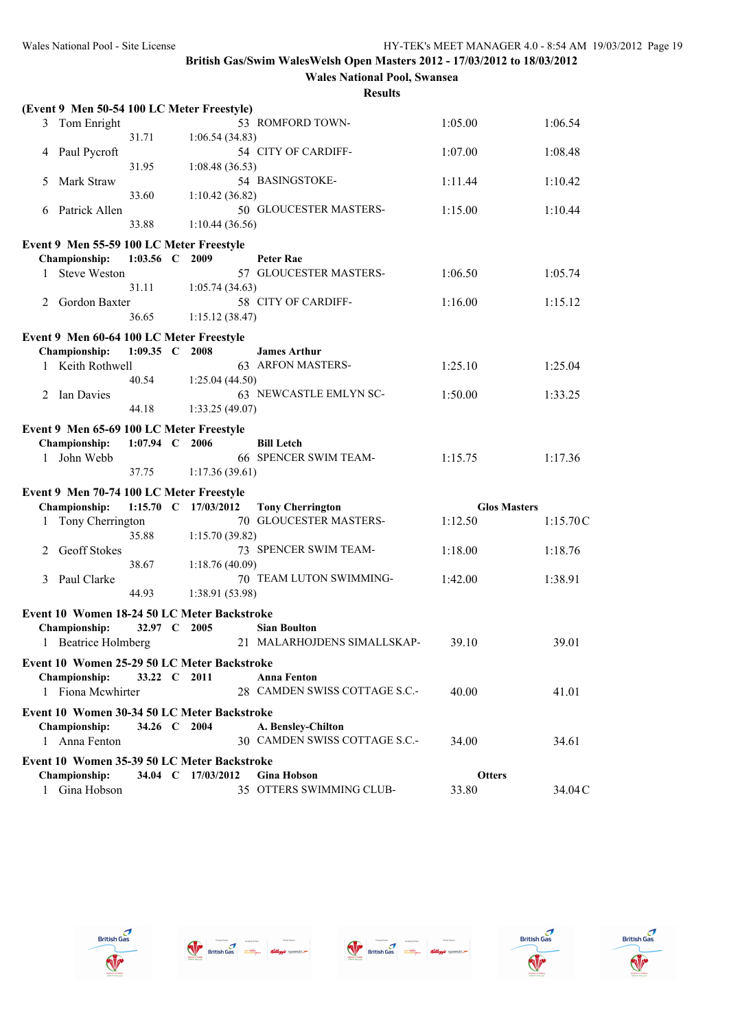| (Event 9 Men 50-54 100 LC Meter Freestyle)  |                      |                    |                                          |                     |          |
|---------------------------------------------|----------------------|--------------------|------------------------------------------|---------------------|----------|
| 3 Tom Enright                               |                      |                    | 53 ROMFORD TOWN-                         | 1:05.00             | 1:06.54  |
|                                             | 31.71                | 1:06.54(34.83)     |                                          |                     |          |
| Paul Pycroft<br>4                           |                      |                    | 54 CITY OF CARDIFF-                      | 1:07.00             | 1:08.48  |
| Mark Straw<br>5                             | 31.95                | 1:08.48(36.53)     | 54 BASINGSTOKE-                          | 1:11.44             | 1:10.42  |
|                                             | 33.60                | 1:10.42(36.82)     |                                          |                     |          |
| Patrick Allen<br>6                          |                      |                    | 50 GLOUCESTER MASTERS-                   | 1:15.00             | 1:10.44  |
|                                             | 33.88                | 1:10.44(36.56)     |                                          |                     |          |
| Event 9 Men 55-59 100 LC Meter Freestyle    |                      |                    |                                          |                     |          |
| Championship:                               | 1:03.56 C 2009       |                    | <b>Peter Rae</b>                         |                     |          |
| <b>Steve Weston</b><br>1                    |                      |                    | 57 GLOUCESTER MASTERS-                   | 1:06.50             | 1:05.74  |
|                                             | 31.11                | 1:05.74(34.63)     |                                          |                     |          |
| Gordon Baxter<br>2                          | 36.65                | 1:15.12(38.47)     | 58 CITY OF CARDIFF-                      | 1:16.00             | 1:15.12  |
|                                             |                      |                    |                                          |                     |          |
| Event 9 Men 60-64 100 LC Meter Freestyle    |                      |                    |                                          |                     |          |
| Championship:<br>1 Keith Rothwell           | 1:09.35 C 2008       |                    | <b>James Arthur</b><br>63 ARFON MASTERS- | 1:25.10             | 1:25.04  |
|                                             | 40.54                | 1:25.04(44.50)     |                                          |                     |          |
| Ian Davies<br>2                             |                      |                    | 63 NEWCASTLE EMLYN SC-                   | 1:50.00             | 1:33.25  |
|                                             | 44.18                | 1:33.25(49.07)     |                                          |                     |          |
| Event 9 Men 65-69 100 LC Meter Freestyle    |                      |                    |                                          |                     |          |
| Championship:                               | 1:07.94 C 2006       |                    | <b>Bill Letch</b>                        |                     |          |
| John Webb<br>$\mathbf{1}$                   |                      |                    | 66 SPENCER SWIM TEAM-                    | 1:15.75             | 1:17.36  |
|                                             | 37.75                | 1:17.36(39.61)     |                                          |                     |          |
| Event 9 Men 70-74 100 LC Meter Freestyle    |                      |                    |                                          |                     |          |
| Championship:                               | 1:15.70 C 17/03/2012 |                    | <b>Tony Cherrington</b>                  | <b>Glos Masters</b> |          |
| Tony Cherrington<br>1                       |                      |                    | 70 GLOUCESTER MASTERS-                   | 1:12.50             | 1:15.70C |
| <b>Geoff Stokes</b><br>2                    | 35.88                | 1:15.70(39.82)     | 73 SPENCER SWIM TEAM-                    | 1:18.00             | 1:18.76  |
|                                             | 38.67                | 1:18.76(40.09)     |                                          |                     |          |
| Paul Clarke<br>3                            |                      |                    | 70 TEAM LUTON SWIMMING-                  | 1:42.00             | 1:38.91  |
|                                             | 44.93                | 1:38.91 (53.98)    |                                          |                     |          |
| Event 10 Women 18-24 50 LC Meter Backstroke |                      |                    |                                          |                     |          |
| <b>Championship:</b>                        | 32.97 C 2005         |                    | <b>Sian Boulton</b>                      |                     |          |
| 1 Beatrice Holmberg                         |                      |                    | 21 MALARHOJDENS SIMALLSKAP-              | 39.10               | 39.01    |
| Event 10 Women 25-29 50 LC Meter Backstroke |                      |                    |                                          |                     |          |
| <b>Championship:</b>                        | 33.22 C 2011         |                    | <b>Anna Fenton</b>                       |                     |          |
| 1 Fiona Mcwhirter                           |                      |                    | 28 CAMDEN SWISS COTTAGE S.C.-            | 40.00               | 41.01    |
| Event 10 Women 30-34 50 LC Meter Backstroke |                      |                    |                                          |                     |          |
| Championship:                               | 34.26 C 2004         |                    | A. Bensley-Chilton                       |                     |          |
| 1 Anna Fenton                               |                      |                    | 30 CAMDEN SWISS COTTAGE S.C.-            | 34.00               | 34.61    |
| Event 10 Women 35-39 50 LC Meter Backstroke |                      |                    |                                          |                     |          |
| <b>Championship:</b>                        |                      | 34.04 C 17/03/2012 | <b>Gina Hobson</b>                       | <b>Otters</b>       |          |
| 1 Gina Hobson                               |                      |                    | 35 OTTERS SWIMMING CLUB-                 | 33.80               | 34.04C   |





 $\begin{picture}(180,10) \put(0,0){\line(1,0){10}} \put(10,0){\line(1,0){10}} \put(10,0){\line(1,0){10}} \put(10,0){\line(1,0){10}} \put(10,0){\line(1,0){10}} \put(10,0){\line(1,0){10}} \put(10,0){\line(1,0){10}} \put(10,0){\line(1,0){10}} \put(10,0){\line(1,0){10}} \put(10,0){\line(1,0){10}} \put(10,0){\line(1,0){10}} \put(10,0){\line($ 



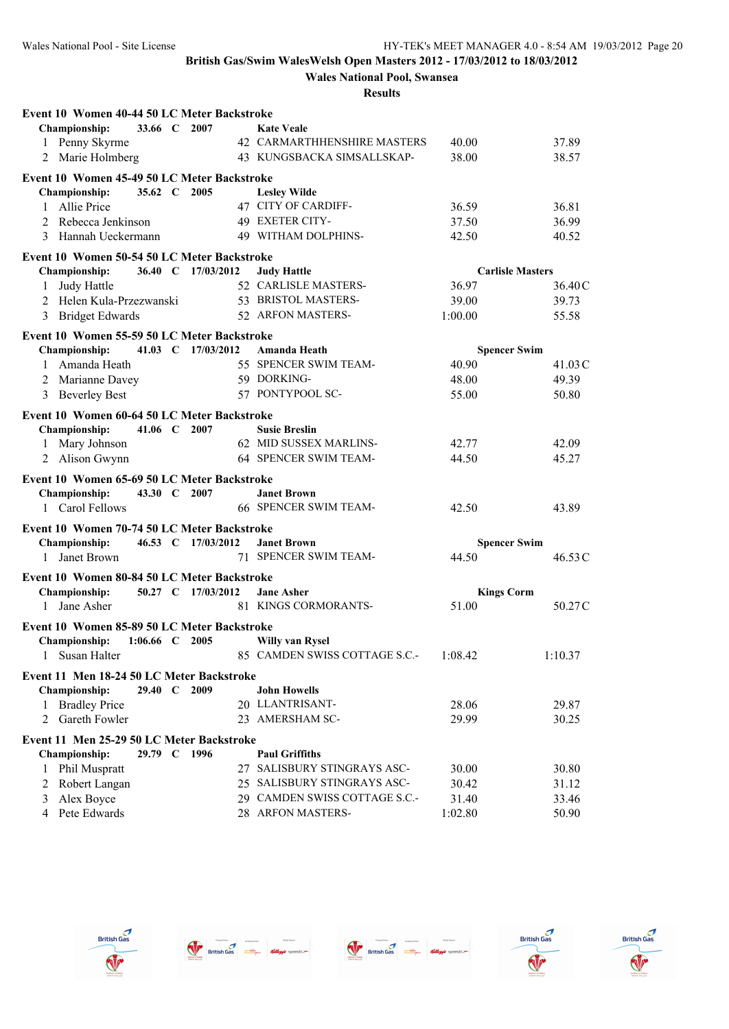**Wales National Pool, Swansea**

| Event 10 Women 40-44 50 LC Meter Backstroke |         |                    |                               |                     |                         |
|---------------------------------------------|---------|--------------------|-------------------------------|---------------------|-------------------------|
| <b>Championship:</b>                        |         | 33.66 C 2007       | <b>Kate Veale</b>             |                     |                         |
| 1 Penny Skyrme                              |         |                    | 42 CARMARTHHENSHIRE MASTERS   | 40.00               | 37.89                   |
| 2 Marie Holmberg                            |         |                    | 43 KUNGSBACKA SIMSALLSKAP-    | 38.00               | 38.57                   |
| Event 10 Women 45-49 50 LC Meter Backstroke |         |                    |                               |                     |                         |
| Championship:                               |         | 35.62 C 2005       | <b>Lesley Wilde</b>           |                     |                         |
| Allie Price<br>$\mathbf{1}$                 |         |                    | 47 CITY OF CARDIFF-           | 36.59               | 36.81                   |
| 2 Rebecca Jenkinson                         |         |                    | <b>49 EXETER CITY-</b>        | 37.50               | 36.99                   |
| Hannah Ueckermann<br>3                      |         |                    | 49 WITHAM DOLPHINS-           | 42.50               | 40.52                   |
| Event 10 Women 50-54 50 LC Meter Backstroke |         |                    |                               |                     |                         |
| Championship:                               |         | 36.40 C 17/03/2012 | <b>Judy Hattle</b>            |                     | <b>Carlisle Masters</b> |
| Judy Hattle<br>1                            |         |                    | 52 CARLISLE MASTERS-          | 36.97               | 36.40C                  |
| 2 Helen Kula-Przezwanski                    |         |                    | 53 BRISTOL MASTERS-           | 39.00               | 39.73                   |
| 3 Bridget Edwards                           |         |                    | 52 ARFON MASTERS-             | 1:00.00             | 55.58                   |
| Event 10 Women 55-59 50 LC Meter Backstroke |         |                    |                               |                     |                         |
| <b>Championship:</b>                        |         | 41.03 C 17/03/2012 | Amanda Heath                  | <b>Spencer Swim</b> |                         |
| Amanda Heath<br>$\mathbf{1}$                |         |                    | 55 SPENCER SWIM TEAM-         | 40.90               | 41.03C                  |
| 2 Marianne Davey                            |         |                    | 59 DORKING-                   | 48.00               | 49.39                   |
| 3 Beverley Best                             |         |                    | 57 PONTYPOOL SC-              | 55.00               | 50.80                   |
| Event 10 Women 60-64 50 LC Meter Backstroke |         |                    |                               |                     |                         |
| Championship:                               |         | 41.06 C 2007       | <b>Susie Breslin</b>          |                     |                         |
| 1 Mary Johnson                              |         |                    | 62 MID SUSSEX MARLINS-        | 42.77               | 42.09                   |
| 2 Alison Gwynn                              |         |                    | 64 SPENCER SWIM TEAM-         | 44.50               | 45.27                   |
| Event 10 Women 65-69 50 LC Meter Backstroke |         |                    |                               |                     |                         |
| Championship:                               |         | 43.30 C 2007       | <b>Janet Brown</b>            |                     |                         |
| 1 Carol Fellows                             |         |                    | <b>66 SPENCER SWIM TEAM-</b>  | 42.50               | 43.89                   |
| Event 10 Women 70-74 50 LC Meter Backstroke |         |                    |                               |                     |                         |
| Championship:                               |         | 46.53 C 17/03/2012 | <b>Janet Brown</b>            | <b>Spencer Swim</b> |                         |
| Janet Brown<br>$\mathbf{1}$                 |         |                    | 71 SPENCER SWIM TEAM-         | 44.50               | 46.53C                  |
| Event 10 Women 80-84 50 LC Meter Backstroke |         |                    |                               |                     |                         |
| <b>Championship:</b>                        |         | 50.27 C 17/03/2012 | <b>Jane Asher</b>             | <b>Kings Corm</b>   |                         |
| 1 Jane Asher                                |         |                    | 81 KINGS CORMORANTS-          | 51.00               | 50.27C                  |
| Event 10 Women 85-89 50 LC Meter Backstroke |         |                    |                               |                     |                         |
| 1:06.66 C 2005<br><b>Championship:</b>      |         |                    | <b>Willy van Rysel</b>        |                     |                         |
| 1 Susan Halter                              |         |                    | 85 CAMDEN SWISS COTTAGE S.C.- | 1:08.42             | 1:10.37                 |
| Event 11 Men 18-24 50 LC Meter Backstroke   |         |                    |                               |                     |                         |
| <b>Championship:</b>                        | 29.40 C | 2009               | <b>John Howells</b>           |                     |                         |
| <b>Bradley Price</b><br>1                   |         |                    | 20 LLANTRISANT-               | 28.06               | 29.87                   |
| Gareth Fowler<br>2                          |         |                    | 23 AMERSHAM SC-               | 29.99               | 30.25                   |
| Event 11 Men 25-29 50 LC Meter Backstroke   |         |                    |                               |                     |                         |
| <b>Championship:</b>                        |         | 29.79 C 1996       | <b>Paul Griffiths</b>         |                     |                         |
| Phil Muspratt<br>1                          |         |                    | 27 SALISBURY STINGRAYS ASC-   | 30.00               | 30.80                   |
| Robert Langan<br>2                          |         |                    | 25 SALISBURY STINGRAYS ASC-   | 30.42               | 31.12                   |
| Alex Boyce<br>3                             |         |                    | 29 CAMDEN SWISS COTTAGE S.C.- | 31.40               | 33.46                   |
| Pete Edwards<br>4                           |         |                    | 28 ARFON MASTERS-             | 1:02.80             | 50.90                   |









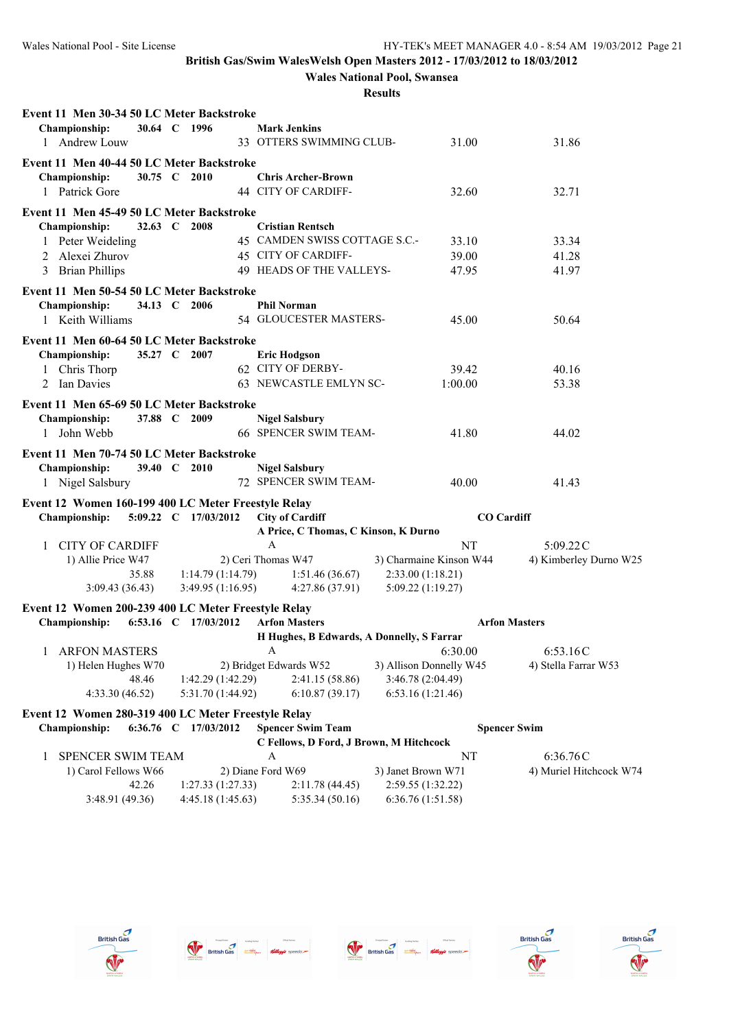# **Wales National Pool, Swansea**

| Event 11 Men 30-34 50 LC Meter Backstroke           |             |                      |                                           |                         |                   |                         |
|-----------------------------------------------------|-------------|----------------------|-------------------------------------------|-------------------------|-------------------|-------------------------|
| Championship:                                       |             | 30.64 C 1996         | <b>Mark Jenkins</b>                       |                         |                   |                         |
| 1 Andrew Louw                                       |             |                      | 33 OTTERS SWIMMING CLUB-                  |                         | 31.00             | 31.86                   |
| Event 11 Men 40-44 50 LC Meter Backstroke           |             |                      |                                           |                         |                   |                         |
| <b>Championship:</b>                                |             | 30.75 C 2010         | <b>Chris Archer-Brown</b>                 |                         |                   |                         |
| 1 Patrick Gore                                      |             |                      | 44 CITY OF CARDIFF-                       |                         | 32.60             | 32.71                   |
| Event 11 Men 45-49 50 LC Meter Backstroke           |             |                      |                                           |                         |                   |                         |
| Championship:                                       | 32.63 $\,C$ | 2008                 | <b>Cristian Rentsch</b>                   |                         |                   |                         |
| 1 Peter Weideling                                   |             |                      | 45 CAMDEN SWISS COTTAGE S.C.-             |                         | 33.10             | 33.34                   |
| 2 Alexei Zhurov                                     |             |                      | 45 CITY OF CARDIFF-                       |                         | 39.00             | 41.28                   |
| 3 Brian Phillips                                    |             |                      | 49 HEADS OF THE VALLEYS-                  |                         | 47.95             | 41.97                   |
| Event 11 Men 50-54 50 LC Meter Backstroke           |             |                      |                                           |                         |                   |                         |
| Championship:                                       |             | 34.13 C 2006         | <b>Phil Norman</b>                        |                         |                   |                         |
| 1 Keith Williams                                    |             |                      | 54 GLOUCESTER MASTERS-                    |                         | 45.00             | 50.64                   |
| Event 11 Men 60-64 50 LC Meter Backstroke           |             |                      |                                           |                         |                   |                         |
| Championship:                                       |             | 35.27 C 2007         | <b>Eric Hodgson</b>                       |                         |                   |                         |
| 1 Chris Thorp                                       |             |                      | 62 CITY OF DERBY-                         |                         | 39.42             | 40.16                   |
| 2 Ian Davies                                        |             |                      | 63 NEWCASTLE EMLYN SC-                    |                         | 1:00.00           | 53.38                   |
| Event 11 Men 65-69 50 LC Meter Backstroke           |             |                      |                                           |                         |                   |                         |
| Championship:                                       |             | 37.88 C 2009         | <b>Nigel Salsbury</b>                     |                         |                   |                         |
| John Webb<br>1                                      |             |                      | 66 SPENCER SWIM TEAM-                     |                         | 41.80             | 44.02                   |
|                                                     |             |                      |                                           |                         |                   |                         |
| Event 11 Men 70-74 50 LC Meter Backstroke           |             |                      |                                           |                         |                   |                         |
| Championship:                                       |             | 39.40 C 2010         | <b>Nigel Salsbury</b>                     |                         |                   |                         |
| 1 Nigel Salsbury                                    |             |                      | 72 SPENCER SWIM TEAM-                     |                         | 40.00             | 41.43                   |
| Event 12 Women 160-199 400 LC Meter Freestyle Relay |             |                      |                                           |                         |                   |                         |
| Championship:                                       |             | 5:09.22 C 17/03/2012 | <b>City of Cardiff</b>                    |                         | <b>CO</b> Cardiff |                         |
|                                                     |             |                      | A Price, C Thomas, C Kinson, K Durno      |                         |                   |                         |
| <b>CITY OF CARDIFF</b>                              |             |                      | A                                         |                         | NT                | 5:09.22C                |
| 1) Allie Price W47                                  |             |                      | 2) Ceri Thomas W47                        | 3) Charmaine Kinson W44 |                   | 4) Kimberley Durno W25  |
| 35.88                                               |             | 1:14.79(1:14.79)     | 1:51.46(36.67)                            | 2:33.00(1:18.21)        |                   |                         |
| 3:09.43(36.43)                                      |             | 3:49.95(1:16.95)     | 4:27.86 (37.91)                           | 5:09.22 (1:19.27)       |                   |                         |
| Event 12 Women 200-239 400 LC Meter Freestyle Relay |             |                      |                                           |                         |                   |                         |
| <b>Championship:</b>                                |             | 6:53.16 C 17/03/2012 | <b>Arfon Masters</b>                      |                         |                   | <b>Arfon Masters</b>    |
|                                                     |             |                      | H Hughes, B Edwards, A Donnelly, S Farrar |                         |                   |                         |
| 1 ARFON MASTERS                                     |             |                      | A                                         |                         | 6:30.00           | 6:53.16C                |
| 1) Helen Hughes W70                                 |             |                      | 2) Bridget Edwards W52                    | 3) Allison Donnelly W45 |                   | 4) Stella Farrar W53    |
| 48.46                                               |             | 1:42.29 (1:42.29)    | 2:41.15 (58.86)                           | 3:46.78 (2:04.49)       |                   |                         |
| 4:33.30(46.52)                                      |             | 5:31.70 (1:44.92)    | 6:10.87(39.17)                            | 6:53.16(1:21.46)        |                   |                         |
| Event 12 Women 280-319 400 LC Meter Freestyle Relay |             |                      |                                           |                         |                   |                         |
| <b>Championship:</b>                                |             | 6:36.76 C 17/03/2012 | <b>Spencer Swim Team</b>                  |                         |                   | <b>Spencer Swim</b>     |
|                                                     |             |                      | C Fellows, D Ford, J Brown, M Hitchcock   |                         |                   |                         |
| SPENCER SWIM TEAM<br>1                              |             |                      | А                                         |                         | NT                | 6:36.76C                |
| 1) Carol Fellows W66                                |             |                      | 2) Diane Ford W69                         | 3) Janet Brown W71      |                   | 4) Muriel Hitchcock W74 |
| 42.26                                               |             | 1:27.33(1:27.33)     | 2:11.78(44.45)                            | 2:59.55 (1:32.22)       |                   |                         |
| 3:48.91(49.36)                                      |             | 4:45.18(1:45.63)     | 5:35.34(50.16)                            | 6:36.76(1:51.58)        |                   |                         |









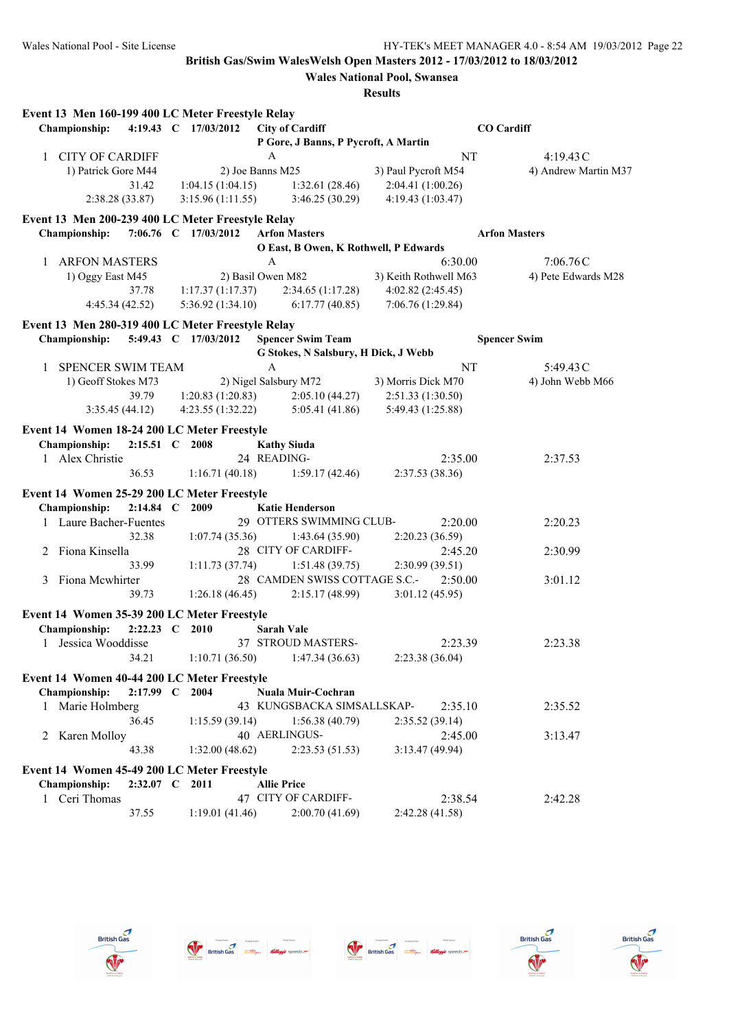**Wales National Pool, Swansea**

|              | Event 13 Men 160-199 400 LC Meter Freestyle Relay |                |                      |                                       |                       |         |                      |
|--------------|---------------------------------------------------|----------------|----------------------|---------------------------------------|-----------------------|---------|----------------------|
|              | <b>Championship:</b>                              |                | 4:19.43 C 17/03/2012 | <b>City of Cardiff</b>                |                       |         | <b>CO</b> Cardiff    |
|              |                                                   |                |                      | P Gore, J Banns, P Pycroft, A Martin  |                       |         |                      |
| $\mathbf{1}$ | <b>CITY OF CARDIFF</b>                            |                |                      | $\mathbf{A}$                          |                       | NT      | 4:19.43C             |
|              | 1) Patrick Gore M44                               |                |                      | 2) Joe Banns M25                      | 3) Paul Pycroft M54   |         | 4) Andrew Martin M37 |
|              |                                                   | 31.42          | 1:04.15(1:04.15)     | 1:32.61(28.46)                        | 2:04.41 (1:00.26)     |         |                      |
|              | 2:38.28(33.87)                                    |                | 3:15.96(1:11.55)     | 3:46.25(30.29)                        | 4:19.43 (1:03.47)     |         |                      |
|              | Event 13 Men 200-239 400 LC Meter Freestyle Relay |                |                      |                                       |                       |         |                      |
|              | <b>Championship:</b>                              |                | 7:06.76 C 17/03/2012 | <b>Arfon Masters</b>                  |                       |         | <b>Arfon Masters</b> |
|              |                                                   |                |                      | O East, B Owen, K Rothwell, P Edwards |                       |         |                      |
|              | 1 ARFON MASTERS                                   |                |                      | A                                     |                       | 6:30.00 | 7:06.76C             |
|              |                                                   |                |                      | 2) Basil Owen M82                     | 3) Keith Rothwell M63 |         | 4) Pete Edwards M28  |
|              | 1) Oggy East M45                                  |                |                      |                                       |                       |         |                      |
|              |                                                   | 37.78          | 1:17.37(1:17.37)     | 2:34.65(1:17.28)                      | 4:02.82 (2:45.45)     |         |                      |
|              | 4:45.34 (42.52)                                   |                | 5:36.92(1:34.10)     | 6:17.77(40.85)                        | 7:06.76 (1:29.84)     |         |                      |
|              | Event 13 Men 280-319 400 LC Meter Freestyle Relay |                |                      |                                       |                       |         |                      |
|              | <b>Championship:</b>                              |                | 5:49.43 C 17/03/2012 | <b>Spencer Swim Team</b>              |                       |         | <b>Spencer Swim</b>  |
|              |                                                   |                |                      | G Stokes, N Salsbury, H Dick, J Webb  |                       |         |                      |
|              | <b>SPENCER SWIM TEAM</b>                          |                |                      | A                                     |                       | NT      | 5:49.43 C            |
|              | 1) Geoff Stokes M73                               |                |                      | 2) Nigel Salsbury M72                 | 3) Morris Dick M70    |         | 4) John Webb M66     |
|              |                                                   | 39.79          | 1:20.83(1:20.83)     | 2:05.10(44.27)                        | 2:51.33 (1:30.50)     |         |                      |
|              | 3:35.45(44.12)                                    |                | 4:23.55(1:32.22)     | 5:05.41(41.86)                        | 5:49.43 (1:25.88)     |         |                      |
|              |                                                   |                |                      |                                       |                       |         |                      |
|              | Event 14 Women 18-24 200 LC Meter Freestyle       |                |                      |                                       |                       |         |                      |
|              | Championship:                                     | 2:15.51 C 2008 |                      | <b>Kathy Siuda</b>                    |                       |         |                      |
|              | 1 Alex Christie                                   |                |                      | 24 READING-                           |                       | 2:35.00 | 2:37.53              |
|              |                                                   | 36.53          |                      | 1:16.71 (40.18) 1:59.17 (42.46)       | 2:37.53 (38.36)       |         |                      |
|              | Event 14 Women 25-29 200 LC Meter Freestyle       |                |                      |                                       |                       |         |                      |
|              | Championship:                                     | $2:14.84$ C    | 2009                 | <b>Katie Henderson</b>                |                       |         |                      |
|              | 1 Laure Bacher-Fuentes                            |                |                      | 29 OTTERS SWIMMING CLUB-              |                       | 2:20.00 | 2:20.23              |
|              |                                                   | 32.38          | 1:07.74(35.36)       | 1:43.64(35.90)                        | 2:20.23(36.59)        |         |                      |
| 2            | Fiona Kinsella                                    |                |                      | 28 CITY OF CARDIFF-                   |                       | 2:45.20 | 2:30.99              |
|              |                                                   | 33.99          | 1:11.73(37.74)       | 1:51.48(39.75)                        | 2:30.99(39.51)        |         |                      |
| 3            | Fiona Mcwhirter                                   |                |                      | 28 CAMDEN SWISS COTTAGE S.C.-         |                       | 2:50.00 | 3:01.12              |
|              |                                                   |                |                      | 2:15.17(48.99)                        | 3:01.12(45.95)        |         |                      |
|              |                                                   | 39.73          | 1:26.18(46.45)       |                                       |                       |         |                      |
|              | Event 14 Women 35-39 200 LC Meter Freestyle       |                |                      |                                       |                       |         |                      |
|              | Championship:                                     | 2:22.23 C 2010 |                      | <b>Sarah Vale</b>                     |                       |         |                      |
|              | 1 Jessica Wooddisse                               |                |                      | 37 STROUD MASTERS-                    |                       | 2:23.39 | 2:23.38              |
|              |                                                   |                |                      | 34.21 1:10.71 (36.50) 1:47.34 (36.63) | 2:23.38(36.04)        |         |                      |
|              |                                                   |                |                      |                                       |                       |         |                      |
|              | Event 14 Women 40-44 200 LC Meter Freestyle       |                |                      |                                       |                       |         |                      |
|              | Championship:                                     | $2:17.99$ C    | 2004                 | Nuala Muir-Cochran                    |                       |         |                      |
| 1            | Marie Holmberg                                    |                |                      | 43 KUNGSBACKA SIMSALLSKAP-            |                       | 2:35.10 | 2:35.52              |
|              |                                                   | 36.45          | 1:15.59(39.14)       | 1:56.38(40.79)                        | 2:35.52(39.14)        |         |                      |
|              | 2 Karen Molloy                                    |                |                      | 40 AERLINGUS-                         |                       | 2:45.00 | 3:13.47              |
|              |                                                   | 43.38          | 1:32.00(48.62)       | 2:23.53(51.53)                        | 3:13.47(49.94)        |         |                      |
|              | Event 14 Women 45-49 200 LC Meter Freestyle       |                |                      |                                       |                       |         |                      |
|              | <b>Championship:</b>                              | 2:32.07 C 2011 |                      | <b>Allie Price</b>                    |                       |         |                      |
|              | 1 Ceri Thomas                                     |                |                      | 47 CITY OF CARDIFF-                   |                       | 2:38.54 | 2:42.28              |
|              |                                                   | 37.55          | 1:19.01(41.46)       | 2:00.70(41.69)                        | 2:42.28 (41.58)       |         |                      |
|              |                                                   |                |                      |                                       |                       |         |                      |









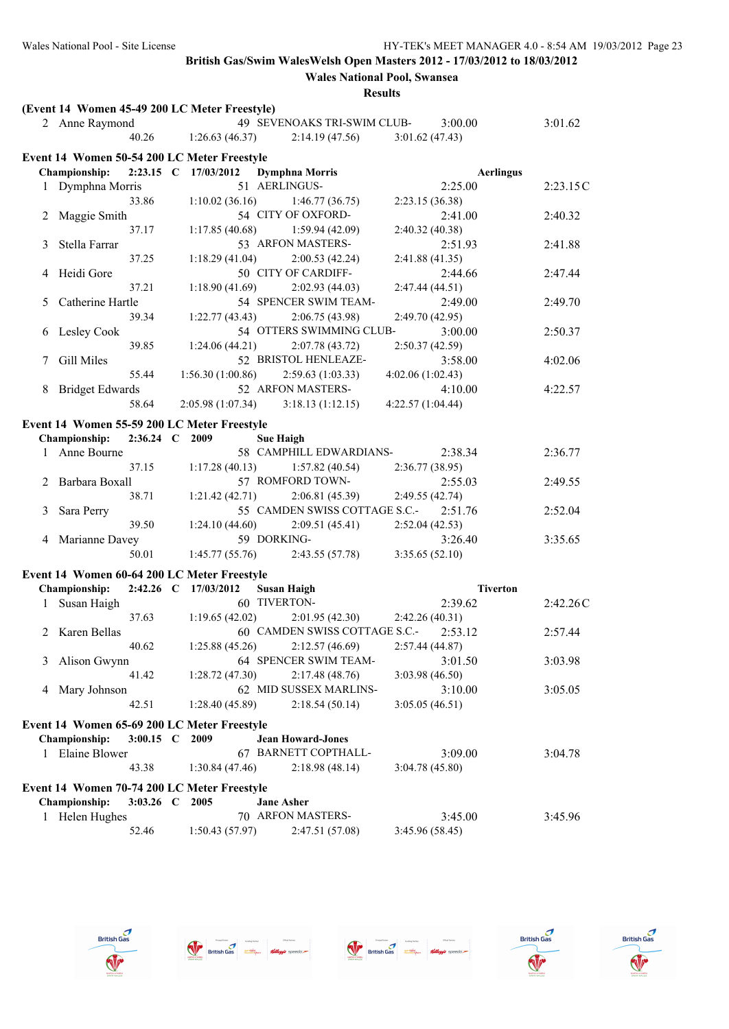|    | (Event 14 Women 45-49 200 LC Meter Freestyle) |                |                      |                    |                                   |                   |         |                  |          |
|----|-----------------------------------------------|----------------|----------------------|--------------------|-----------------------------------|-------------------|---------|------------------|----------|
|    | 2 Anne Raymond                                |                |                      |                    | 49 SEVENOAKS TRI-SWIM CLUB-       |                   | 3:00.00 |                  | 3:01.62  |
|    |                                               | 40.26          | 1:26.63(46.37)       |                    | 2:14.19(47.56)                    | 3:01.62(47.43)    |         |                  |          |
|    | Event 14 Women 50-54 200 LC Meter Freestyle   |                |                      |                    |                                   |                   |         |                  |          |
|    | <b>Championship:</b>                          |                | 2:23.15 C 17/03/2012 |                    | <b>Dymphna Morris</b>             |                   |         | <b>Aerlingus</b> |          |
|    | 1 Dymphna Morris                              |                |                      |                    | 51 AERLINGUS-                     |                   | 2:25.00 |                  | 2:23.15C |
|    |                                               | 33.86          |                      |                    | $1:10.02(36.16)$ $1:46.77(36.75)$ | 2:23.15 (36.38)   |         |                  |          |
|    | Maggie Smith                                  |                |                      |                    | 54 CITY OF OXFORD-                |                   | 2:41.00 |                  | 2:40.32  |
|    |                                               | 37.17          | 1:17.85(40.68)       |                    | 1:59.94(42.09)                    | 2:40.32 (40.38)   |         |                  |          |
| 3  | Stella Farrar                                 |                |                      |                    | 53 ARFON MASTERS-                 |                   | 2:51.93 |                  | 2:41.88  |
|    |                                               | 37.25          | 1:18.29(41.04)       |                    | 2:00.53(42.24)                    | 2:41.88 (41.35)   |         |                  |          |
| 4  | Heidi Gore                                    |                |                      |                    | 50 CITY OF CARDIFF-               |                   | 2:44.66 |                  | 2:47.44  |
|    |                                               | 37.21          | 1:18.90(41.69)       |                    | 2:02.93(44.03)                    | 2:47.44 (44.51)   |         |                  |          |
| 5  | Catherine Hartle                              |                |                      |                    | 54 SPENCER SWIM TEAM-             |                   | 2:49.00 |                  | 2:49.70  |
|    |                                               | 39.34          | 1:22.77(43.43)       |                    | 2:06.75(43.98)                    | 2:49.70 (42.95)   |         |                  |          |
| b  | Lesley Cook                                   |                |                      |                    | 54 OTTERS SWIMMING CLUB-          |                   | 3:00.00 |                  | 2:50.37  |
|    |                                               | 39.85          | 1:24.06(44.21)       |                    | 2:07.78(43.72)                    | 2:50.37 (42.59)   |         |                  |          |
| 7  | Gill Miles                                    |                |                      |                    | 52 BRISTOL HENLEAZE-              |                   | 3:58.00 |                  | 4:02.06  |
|    |                                               | 55.44          | 1:56.30(1:00.86)     |                    | 2:59.63(1:03.33)                  | 4:02.06 (1:02.43) |         |                  |          |
| 8  | <b>Bridget Edwards</b>                        |                |                      |                    | 52 ARFON MASTERS-                 |                   | 4:10.00 |                  | 4:22.57  |
|    |                                               | 58.64          | 2:05.98 (1:07.34)    |                    | 3:18.13(1:12.15)                  | 4:22.57 (1:04.44) |         |                  |          |
|    | Event 14 Women 55-59 200 LC Meter Freestyle   |                |                      |                    |                                   |                   |         |                  |          |
|    | <b>Championship:</b>                          | 2:36.24 C 2009 |                      | <b>Sue Haigh</b>   |                                   |                   |         |                  |          |
|    | 1 Anne Bourne                                 |                |                      |                    | 58 CAMPHILL EDWARDIANS-           |                   | 2:38.34 |                  | 2:36.77  |
|    |                                               | 37.15          | 1:17.28(40.13)       |                    | 1:57.82(40.54)                    | 2:36.77 (38.95)   |         |                  |          |
| 2  | Barbara Boxall                                |                |                      |                    | 57 ROMFORD TOWN-                  |                   | 2:55.03 |                  | 2:49.55  |
|    |                                               | 38.71          | 1:21.42(42.71)       |                    | 2:06.81 (45.39)                   | 2:49.55 (42.74)   |         |                  |          |
| 3  | Sara Perry                                    |                |                      |                    | 55 CAMDEN SWISS COTTAGE S.C.-     |                   | 2:51.76 |                  | 2:52.04  |
|    |                                               | 39.50          | 1:24.10(44.60)       |                    | 2:09.51(45.41)                    | 2:52.04(42.53)    |         |                  |          |
|    | 4 Marianne Davey                              |                |                      | 59 DORKING-        |                                   |                   | 3:26.40 |                  | 3:35.65  |
|    |                                               | 50.01          |                      |                    | $1:45.77(55.76)$ $2:43.55(57.78)$ | 3:35.65(52.10)    |         |                  |          |
|    |                                               |                |                      |                    |                                   |                   |         |                  |          |
|    | Event 14 Women 60-64 200 LC Meter Freestyle   |                |                      |                    |                                   |                   |         |                  |          |
|    | Championship:                                 |                | 2:42.26 C 17/03/2012 | <b>Susan Haigh</b> |                                   |                   |         | <b>Tiverton</b>  |          |
| 1. | Susan Haigh                                   |                |                      | 60 TIVERTON-       |                                   |                   | 2:39.62 |                  | 2:42.26C |
|    |                                               | 37.63          | 1:19.65(42.02)       |                    | 2:01.95(42.30)                    | 2:42.26 (40.31)   |         |                  |          |
|    | 2 Karen Bellas                                |                |                      |                    | 60 CAMDEN SWISS COTTAGE S.C.-     |                   | 2:53.12 |                  | 2:57.44  |
|    |                                               | 40.62          |                      |                    | $1:25.88(45.26)$ $2:12.57(46.69)$ | 2:57.44 (44.87)   |         |                  |          |
| 3  | Alison Gwynn                                  |                |                      |                    | 64 SPENCER SWIM TEAM-             |                   | 3:01.50 |                  | 3:03.98  |
|    |                                               | 41.42          | 1:28.72(47.30)       |                    | 2:17.48(48.76)                    | 3:03.98 (46.50)   |         |                  |          |
| 4  | Mary Johnson                                  |                |                      |                    | 62 MID SUSSEX MARLINS-            |                   | 3:10.00 |                  | 3:05.05  |
|    |                                               | 42.51          | 1:28.40(45.89)       |                    | 2:18.54(50.14)                    | 3:05.05(46.51)    |         |                  |          |
|    | Event 14 Women 65-69 200 LC Meter Freestyle   |                |                      |                    |                                   |                   |         |                  |          |
|    | Championship:                                 | 3:00.15 C 2009 |                      |                    | <b>Jean Howard-Jones</b>          |                   |         |                  |          |
| 1  | Elaine Blower                                 |                |                      |                    | 67 BARNETT COPTHALL-              |                   | 3:09.00 |                  | 3:04.78  |
|    |                                               | 43.38          | 1:30.84(47.46)       |                    | 2:18.98(48.14)                    | 3:04.78(45.80)    |         |                  |          |
|    |                                               |                |                      |                    |                                   |                   |         |                  |          |
|    | Event 14 Women 70-74 200 LC Meter Freestyle   |                |                      |                    |                                   |                   |         |                  |          |
|    | Championship:                                 | $3:03.26$ C    | 2005                 | <b>Jane Asher</b>  |                                   |                   |         |                  |          |
|    | 1 Helen Hughes                                |                |                      |                    | 70 ARFON MASTERS-                 |                   | 3:45.00 |                  | 3:45.96  |
|    |                                               | 52.46          | 1:50.43(57.97)       |                    | 2:47.51 (57.08)                   | 3:45.96 (58.45)   |         |                  |          |









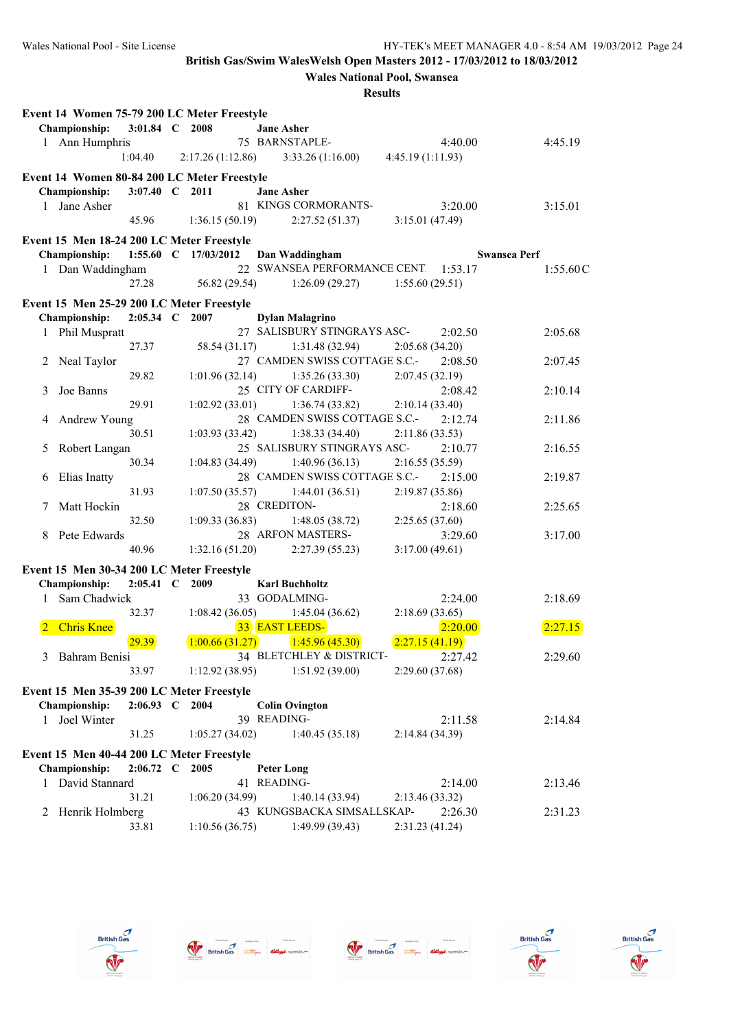**Wales National Pool, Swansea**

| 3:01.84 C 2008<br>Championship:<br><b>Jane Asher</b><br>75 BARNSTAPLE-<br>1 Ann Humphris<br>4:40.00<br>4:45.19<br>1:04.40<br>$2:17.26(1:12.86)$ $3:33.26(1:16.00)$<br>4:45.19(1:11.93)<br>Event 14 Women 80-84 200 LC Meter Freestyle<br><b>Championship:</b><br>3:07.40 C 2011<br><b>Jane Asher</b><br>81 KINGS CORMORANTS-<br>Jane Asher<br>3:20.00<br>3:15.01<br>$\mathbf{1}$<br>45.96<br>1:36.15(50.19)<br>2:27.52(51.37)<br>3:15.01 (47.49)<br>Event 15 Men 18-24 200 LC Meter Freestyle<br>1:55.60 C 17/03/2012<br>Championship:<br>Dan Waddingham<br><b>Swansea Perf</b><br>22 SWANSEA PERFORMANCE CENT 1:53.17<br>1 Dan Waddingham<br>1:55.60C<br>27.28<br>56.82 (29.54)<br>1:26.09(29.27)<br>1:55.60(29.51)<br>Event 15 Men 25-29 200 LC Meter Freestyle<br>2:05.34 C 2007<br>Championship:<br><b>Dylan Malagrino</b><br>27 SALISBURY STINGRAYS ASC-<br>1 Phil Muspratt<br>2:02.50<br>2:05.68<br>27.37<br>1:31.48(32.94)<br>2:05.68 (34.20)<br>58.54 (31.17)<br>27 CAMDEN SWISS COTTAGE S.C.-<br>2:08.50<br>Neal Taylor<br>2<br>2:07.45<br>29.82<br>1:01.96(32.14)<br>1:35.26(33.30)<br>2:07.45(32.19)<br>Joe Banns<br>25 CITY OF CARDIFF-<br>2:08.42<br>2:10.14<br>3<br>29.91<br>1:02.92(33.01)<br>1:36.74(33.82)<br>2:10.14(33.40)<br>28 CAMDEN SWISS COTTAGE S.C.-<br>Andrew Young<br>2:12.74<br>2:11.86<br>4<br>30.51<br>1:03.93(33.42)<br>1:38.33(34.40)<br>2:11.86(33.53)<br>25 SALISBURY STINGRAYS ASC-<br>Robert Langan<br>2:10.77<br>2:16.55<br>5<br>30.34<br>1:04.83(34.49)<br>1:40.96(36.13)<br>2:16.55(35.59)<br>28 CAMDEN SWISS COTTAGE S.C.-<br>Elias Inatty<br>2:15.00<br>2:19.87<br>6<br>31.93<br>1:07.50(35.57)<br>1:44.01(36.51)<br>2:19.87(35.86)<br>28 CREDITON-<br>Matt Hockin<br>2:18.60<br>2:25.65<br>7<br>32.50<br>1:09.33(36.83)<br>2:25.65 (37.60)<br>1:48.05(38.72)<br>Pete Edwards<br>28 ARFON MASTERS-<br>3:29.60<br>3:17.00<br>8<br>40.96<br>1:32.16(51.20)<br>2:27.39(55.23)<br>3:17.00(49.61)<br>Event 15 Men 30-34 200 LC Meter Freestyle<br>Championship:<br>2:05.41 C 2009<br><b>Karl Buchholtz</b><br>33 GODALMING-<br>Sam Chadwick<br>2:24.00<br>2:18.69<br>$\mathbf{1}$<br>32.37<br>1:08.42(36.05)<br>2:18.69(33.65)<br>1:45.04(36.62)<br>33 EAST LEEDS-<br>2:20.00<br><b>Chris Knee</b><br>2:27.15<br>1:45.96(45.30)<br>2:27.15(41.19)<br>29.39<br>1:00.66(31.27)<br>34 BLETCHLEY & DISTRICT-<br>3 Bahram Benisi<br>2:27.42<br>2:29.60<br>1:51.92(39.00)<br>33.97<br>1:12.92(38.95)<br>2:29.60(37.68)<br>Event 15 Men 35-39 200 LC Meter Freestyle<br>Championship:<br>2:06.93 C 2004<br><b>Colin Ovington</b><br>39 READING-<br>Joel Winter<br>2:11.58<br>2:14.84<br>1<br>31.25<br>1:05.27(34.02)<br>1:40.45(35.18)<br>2:14.84 (34.39)<br>Event 15 Men 40-44 200 LC Meter Freestyle<br>Championship:<br>$2:06.72 \text{ C}$<br>2005<br><b>Peter Long</b><br>David Stannard<br>41 READING-<br>2:14.00<br>2:13.46<br>1<br>31.21<br>1:06.20(34.99)<br>1:40.14(33.94)<br>2:13.46 (33.32) | Event 14 Women 75-79 200 LC Meter Freestyle |  |  |  |         |
|---------------------------------------------------------------------------------------------------------------------------------------------------------------------------------------------------------------------------------------------------------------------------------------------------------------------------------------------------------------------------------------------------------------------------------------------------------------------------------------------------------------------------------------------------------------------------------------------------------------------------------------------------------------------------------------------------------------------------------------------------------------------------------------------------------------------------------------------------------------------------------------------------------------------------------------------------------------------------------------------------------------------------------------------------------------------------------------------------------------------------------------------------------------------------------------------------------------------------------------------------------------------------------------------------------------------------------------------------------------------------------------------------------------------------------------------------------------------------------------------------------------------------------------------------------------------------------------------------------------------------------------------------------------------------------------------------------------------------------------------------------------------------------------------------------------------------------------------------------------------------------------------------------------------------------------------------------------------------------------------------------------------------------------------------------------------------------------------------------------------------------------------------------------------------------------------------------------------------------------------------------------------------------------------------------------------------------------------------------------------------------------------------------------------------------------------------------------------------------------------------------------------------------------------------------------------------------------------------------------------------------------------------------------------------------------------------------------------------------------------------------------------------------------------------------------------------------------------------------------------------------------------------------------------------------------|---------------------------------------------|--|--|--|---------|
|                                                                                                                                                                                                                                                                                                                                                                                                                                                                                                                                                                                                                                                                                                                                                                                                                                                                                                                                                                                                                                                                                                                                                                                                                                                                                                                                                                                                                                                                                                                                                                                                                                                                                                                                                                                                                                                                                                                                                                                                                                                                                                                                                                                                                                                                                                                                                                                                                                                                                                                                                                                                                                                                                                                                                                                                                                                                                                                                       |                                             |  |  |  |         |
|                                                                                                                                                                                                                                                                                                                                                                                                                                                                                                                                                                                                                                                                                                                                                                                                                                                                                                                                                                                                                                                                                                                                                                                                                                                                                                                                                                                                                                                                                                                                                                                                                                                                                                                                                                                                                                                                                                                                                                                                                                                                                                                                                                                                                                                                                                                                                                                                                                                                                                                                                                                                                                                                                                                                                                                                                                                                                                                                       |                                             |  |  |  |         |
|                                                                                                                                                                                                                                                                                                                                                                                                                                                                                                                                                                                                                                                                                                                                                                                                                                                                                                                                                                                                                                                                                                                                                                                                                                                                                                                                                                                                                                                                                                                                                                                                                                                                                                                                                                                                                                                                                                                                                                                                                                                                                                                                                                                                                                                                                                                                                                                                                                                                                                                                                                                                                                                                                                                                                                                                                                                                                                                                       |                                             |  |  |  |         |
|                                                                                                                                                                                                                                                                                                                                                                                                                                                                                                                                                                                                                                                                                                                                                                                                                                                                                                                                                                                                                                                                                                                                                                                                                                                                                                                                                                                                                                                                                                                                                                                                                                                                                                                                                                                                                                                                                                                                                                                                                                                                                                                                                                                                                                                                                                                                                                                                                                                                                                                                                                                                                                                                                                                                                                                                                                                                                                                                       |                                             |  |  |  |         |
|                                                                                                                                                                                                                                                                                                                                                                                                                                                                                                                                                                                                                                                                                                                                                                                                                                                                                                                                                                                                                                                                                                                                                                                                                                                                                                                                                                                                                                                                                                                                                                                                                                                                                                                                                                                                                                                                                                                                                                                                                                                                                                                                                                                                                                                                                                                                                                                                                                                                                                                                                                                                                                                                                                                                                                                                                                                                                                                                       |                                             |  |  |  |         |
|                                                                                                                                                                                                                                                                                                                                                                                                                                                                                                                                                                                                                                                                                                                                                                                                                                                                                                                                                                                                                                                                                                                                                                                                                                                                                                                                                                                                                                                                                                                                                                                                                                                                                                                                                                                                                                                                                                                                                                                                                                                                                                                                                                                                                                                                                                                                                                                                                                                                                                                                                                                                                                                                                                                                                                                                                                                                                                                                       |                                             |  |  |  |         |
|                                                                                                                                                                                                                                                                                                                                                                                                                                                                                                                                                                                                                                                                                                                                                                                                                                                                                                                                                                                                                                                                                                                                                                                                                                                                                                                                                                                                                                                                                                                                                                                                                                                                                                                                                                                                                                                                                                                                                                                                                                                                                                                                                                                                                                                                                                                                                                                                                                                                                                                                                                                                                                                                                                                                                                                                                                                                                                                                       |                                             |  |  |  |         |
|                                                                                                                                                                                                                                                                                                                                                                                                                                                                                                                                                                                                                                                                                                                                                                                                                                                                                                                                                                                                                                                                                                                                                                                                                                                                                                                                                                                                                                                                                                                                                                                                                                                                                                                                                                                                                                                                                                                                                                                                                                                                                                                                                                                                                                                                                                                                                                                                                                                                                                                                                                                                                                                                                                                                                                                                                                                                                                                                       |                                             |  |  |  |         |
|                                                                                                                                                                                                                                                                                                                                                                                                                                                                                                                                                                                                                                                                                                                                                                                                                                                                                                                                                                                                                                                                                                                                                                                                                                                                                                                                                                                                                                                                                                                                                                                                                                                                                                                                                                                                                                                                                                                                                                                                                                                                                                                                                                                                                                                                                                                                                                                                                                                                                                                                                                                                                                                                                                                                                                                                                                                                                                                                       |                                             |  |  |  |         |
|                                                                                                                                                                                                                                                                                                                                                                                                                                                                                                                                                                                                                                                                                                                                                                                                                                                                                                                                                                                                                                                                                                                                                                                                                                                                                                                                                                                                                                                                                                                                                                                                                                                                                                                                                                                                                                                                                                                                                                                                                                                                                                                                                                                                                                                                                                                                                                                                                                                                                                                                                                                                                                                                                                                                                                                                                                                                                                                                       |                                             |  |  |  |         |
|                                                                                                                                                                                                                                                                                                                                                                                                                                                                                                                                                                                                                                                                                                                                                                                                                                                                                                                                                                                                                                                                                                                                                                                                                                                                                                                                                                                                                                                                                                                                                                                                                                                                                                                                                                                                                                                                                                                                                                                                                                                                                                                                                                                                                                                                                                                                                                                                                                                                                                                                                                                                                                                                                                                                                                                                                                                                                                                                       |                                             |  |  |  |         |
|                                                                                                                                                                                                                                                                                                                                                                                                                                                                                                                                                                                                                                                                                                                                                                                                                                                                                                                                                                                                                                                                                                                                                                                                                                                                                                                                                                                                                                                                                                                                                                                                                                                                                                                                                                                                                                                                                                                                                                                                                                                                                                                                                                                                                                                                                                                                                                                                                                                                                                                                                                                                                                                                                                                                                                                                                                                                                                                                       |                                             |  |  |  |         |
|                                                                                                                                                                                                                                                                                                                                                                                                                                                                                                                                                                                                                                                                                                                                                                                                                                                                                                                                                                                                                                                                                                                                                                                                                                                                                                                                                                                                                                                                                                                                                                                                                                                                                                                                                                                                                                                                                                                                                                                                                                                                                                                                                                                                                                                                                                                                                                                                                                                                                                                                                                                                                                                                                                                                                                                                                                                                                                                                       |                                             |  |  |  |         |
|                                                                                                                                                                                                                                                                                                                                                                                                                                                                                                                                                                                                                                                                                                                                                                                                                                                                                                                                                                                                                                                                                                                                                                                                                                                                                                                                                                                                                                                                                                                                                                                                                                                                                                                                                                                                                                                                                                                                                                                                                                                                                                                                                                                                                                                                                                                                                                                                                                                                                                                                                                                                                                                                                                                                                                                                                                                                                                                                       |                                             |  |  |  |         |
|                                                                                                                                                                                                                                                                                                                                                                                                                                                                                                                                                                                                                                                                                                                                                                                                                                                                                                                                                                                                                                                                                                                                                                                                                                                                                                                                                                                                                                                                                                                                                                                                                                                                                                                                                                                                                                                                                                                                                                                                                                                                                                                                                                                                                                                                                                                                                                                                                                                                                                                                                                                                                                                                                                                                                                                                                                                                                                                                       |                                             |  |  |  |         |
|                                                                                                                                                                                                                                                                                                                                                                                                                                                                                                                                                                                                                                                                                                                                                                                                                                                                                                                                                                                                                                                                                                                                                                                                                                                                                                                                                                                                                                                                                                                                                                                                                                                                                                                                                                                                                                                                                                                                                                                                                                                                                                                                                                                                                                                                                                                                                                                                                                                                                                                                                                                                                                                                                                                                                                                                                                                                                                                                       |                                             |  |  |  |         |
|                                                                                                                                                                                                                                                                                                                                                                                                                                                                                                                                                                                                                                                                                                                                                                                                                                                                                                                                                                                                                                                                                                                                                                                                                                                                                                                                                                                                                                                                                                                                                                                                                                                                                                                                                                                                                                                                                                                                                                                                                                                                                                                                                                                                                                                                                                                                                                                                                                                                                                                                                                                                                                                                                                                                                                                                                                                                                                                                       |                                             |  |  |  |         |
|                                                                                                                                                                                                                                                                                                                                                                                                                                                                                                                                                                                                                                                                                                                                                                                                                                                                                                                                                                                                                                                                                                                                                                                                                                                                                                                                                                                                                                                                                                                                                                                                                                                                                                                                                                                                                                                                                                                                                                                                                                                                                                                                                                                                                                                                                                                                                                                                                                                                                                                                                                                                                                                                                                                                                                                                                                                                                                                                       |                                             |  |  |  |         |
|                                                                                                                                                                                                                                                                                                                                                                                                                                                                                                                                                                                                                                                                                                                                                                                                                                                                                                                                                                                                                                                                                                                                                                                                                                                                                                                                                                                                                                                                                                                                                                                                                                                                                                                                                                                                                                                                                                                                                                                                                                                                                                                                                                                                                                                                                                                                                                                                                                                                                                                                                                                                                                                                                                                                                                                                                                                                                                                                       |                                             |  |  |  |         |
|                                                                                                                                                                                                                                                                                                                                                                                                                                                                                                                                                                                                                                                                                                                                                                                                                                                                                                                                                                                                                                                                                                                                                                                                                                                                                                                                                                                                                                                                                                                                                                                                                                                                                                                                                                                                                                                                                                                                                                                                                                                                                                                                                                                                                                                                                                                                                                                                                                                                                                                                                                                                                                                                                                                                                                                                                                                                                                                                       |                                             |  |  |  |         |
|                                                                                                                                                                                                                                                                                                                                                                                                                                                                                                                                                                                                                                                                                                                                                                                                                                                                                                                                                                                                                                                                                                                                                                                                                                                                                                                                                                                                                                                                                                                                                                                                                                                                                                                                                                                                                                                                                                                                                                                                                                                                                                                                                                                                                                                                                                                                                                                                                                                                                                                                                                                                                                                                                                                                                                                                                                                                                                                                       |                                             |  |  |  |         |
|                                                                                                                                                                                                                                                                                                                                                                                                                                                                                                                                                                                                                                                                                                                                                                                                                                                                                                                                                                                                                                                                                                                                                                                                                                                                                                                                                                                                                                                                                                                                                                                                                                                                                                                                                                                                                                                                                                                                                                                                                                                                                                                                                                                                                                                                                                                                                                                                                                                                                                                                                                                                                                                                                                                                                                                                                                                                                                                                       |                                             |  |  |  |         |
|                                                                                                                                                                                                                                                                                                                                                                                                                                                                                                                                                                                                                                                                                                                                                                                                                                                                                                                                                                                                                                                                                                                                                                                                                                                                                                                                                                                                                                                                                                                                                                                                                                                                                                                                                                                                                                                                                                                                                                                                                                                                                                                                                                                                                                                                                                                                                                                                                                                                                                                                                                                                                                                                                                                                                                                                                                                                                                                                       |                                             |  |  |  |         |
|                                                                                                                                                                                                                                                                                                                                                                                                                                                                                                                                                                                                                                                                                                                                                                                                                                                                                                                                                                                                                                                                                                                                                                                                                                                                                                                                                                                                                                                                                                                                                                                                                                                                                                                                                                                                                                                                                                                                                                                                                                                                                                                                                                                                                                                                                                                                                                                                                                                                                                                                                                                                                                                                                                                                                                                                                                                                                                                                       |                                             |  |  |  |         |
|                                                                                                                                                                                                                                                                                                                                                                                                                                                                                                                                                                                                                                                                                                                                                                                                                                                                                                                                                                                                                                                                                                                                                                                                                                                                                                                                                                                                                                                                                                                                                                                                                                                                                                                                                                                                                                                                                                                                                                                                                                                                                                                                                                                                                                                                                                                                                                                                                                                                                                                                                                                                                                                                                                                                                                                                                                                                                                                                       |                                             |  |  |  |         |
|                                                                                                                                                                                                                                                                                                                                                                                                                                                                                                                                                                                                                                                                                                                                                                                                                                                                                                                                                                                                                                                                                                                                                                                                                                                                                                                                                                                                                                                                                                                                                                                                                                                                                                                                                                                                                                                                                                                                                                                                                                                                                                                                                                                                                                                                                                                                                                                                                                                                                                                                                                                                                                                                                                                                                                                                                                                                                                                                       |                                             |  |  |  |         |
|                                                                                                                                                                                                                                                                                                                                                                                                                                                                                                                                                                                                                                                                                                                                                                                                                                                                                                                                                                                                                                                                                                                                                                                                                                                                                                                                                                                                                                                                                                                                                                                                                                                                                                                                                                                                                                                                                                                                                                                                                                                                                                                                                                                                                                                                                                                                                                                                                                                                                                                                                                                                                                                                                                                                                                                                                                                                                                                                       |                                             |  |  |  |         |
|                                                                                                                                                                                                                                                                                                                                                                                                                                                                                                                                                                                                                                                                                                                                                                                                                                                                                                                                                                                                                                                                                                                                                                                                                                                                                                                                                                                                                                                                                                                                                                                                                                                                                                                                                                                                                                                                                                                                                                                                                                                                                                                                                                                                                                                                                                                                                                                                                                                                                                                                                                                                                                                                                                                                                                                                                                                                                                                                       |                                             |  |  |  |         |
|                                                                                                                                                                                                                                                                                                                                                                                                                                                                                                                                                                                                                                                                                                                                                                                                                                                                                                                                                                                                                                                                                                                                                                                                                                                                                                                                                                                                                                                                                                                                                                                                                                                                                                                                                                                                                                                                                                                                                                                                                                                                                                                                                                                                                                                                                                                                                                                                                                                                                                                                                                                                                                                                                                                                                                                                                                                                                                                                       |                                             |  |  |  |         |
|                                                                                                                                                                                                                                                                                                                                                                                                                                                                                                                                                                                                                                                                                                                                                                                                                                                                                                                                                                                                                                                                                                                                                                                                                                                                                                                                                                                                                                                                                                                                                                                                                                                                                                                                                                                                                                                                                                                                                                                                                                                                                                                                                                                                                                                                                                                                                                                                                                                                                                                                                                                                                                                                                                                                                                                                                                                                                                                                       |                                             |  |  |  |         |
|                                                                                                                                                                                                                                                                                                                                                                                                                                                                                                                                                                                                                                                                                                                                                                                                                                                                                                                                                                                                                                                                                                                                                                                                                                                                                                                                                                                                                                                                                                                                                                                                                                                                                                                                                                                                                                                                                                                                                                                                                                                                                                                                                                                                                                                                                                                                                                                                                                                                                                                                                                                                                                                                                                                                                                                                                                                                                                                                       |                                             |  |  |  |         |
|                                                                                                                                                                                                                                                                                                                                                                                                                                                                                                                                                                                                                                                                                                                                                                                                                                                                                                                                                                                                                                                                                                                                                                                                                                                                                                                                                                                                                                                                                                                                                                                                                                                                                                                                                                                                                                                                                                                                                                                                                                                                                                                                                                                                                                                                                                                                                                                                                                                                                                                                                                                                                                                                                                                                                                                                                                                                                                                                       |                                             |  |  |  |         |
|                                                                                                                                                                                                                                                                                                                                                                                                                                                                                                                                                                                                                                                                                                                                                                                                                                                                                                                                                                                                                                                                                                                                                                                                                                                                                                                                                                                                                                                                                                                                                                                                                                                                                                                                                                                                                                                                                                                                                                                                                                                                                                                                                                                                                                                                                                                                                                                                                                                                                                                                                                                                                                                                                                                                                                                                                                                                                                                                       |                                             |  |  |  |         |
|                                                                                                                                                                                                                                                                                                                                                                                                                                                                                                                                                                                                                                                                                                                                                                                                                                                                                                                                                                                                                                                                                                                                                                                                                                                                                                                                                                                                                                                                                                                                                                                                                                                                                                                                                                                                                                                                                                                                                                                                                                                                                                                                                                                                                                                                                                                                                                                                                                                                                                                                                                                                                                                                                                                                                                                                                                                                                                                                       |                                             |  |  |  |         |
|                                                                                                                                                                                                                                                                                                                                                                                                                                                                                                                                                                                                                                                                                                                                                                                                                                                                                                                                                                                                                                                                                                                                                                                                                                                                                                                                                                                                                                                                                                                                                                                                                                                                                                                                                                                                                                                                                                                                                                                                                                                                                                                                                                                                                                                                                                                                                                                                                                                                                                                                                                                                                                                                                                                                                                                                                                                                                                                                       |                                             |  |  |  |         |
|                                                                                                                                                                                                                                                                                                                                                                                                                                                                                                                                                                                                                                                                                                                                                                                                                                                                                                                                                                                                                                                                                                                                                                                                                                                                                                                                                                                                                                                                                                                                                                                                                                                                                                                                                                                                                                                                                                                                                                                                                                                                                                                                                                                                                                                                                                                                                                                                                                                                                                                                                                                                                                                                                                                                                                                                                                                                                                                                       |                                             |  |  |  |         |
|                                                                                                                                                                                                                                                                                                                                                                                                                                                                                                                                                                                                                                                                                                                                                                                                                                                                                                                                                                                                                                                                                                                                                                                                                                                                                                                                                                                                                                                                                                                                                                                                                                                                                                                                                                                                                                                                                                                                                                                                                                                                                                                                                                                                                                                                                                                                                                                                                                                                                                                                                                                                                                                                                                                                                                                                                                                                                                                                       |                                             |  |  |  |         |
|                                                                                                                                                                                                                                                                                                                                                                                                                                                                                                                                                                                                                                                                                                                                                                                                                                                                                                                                                                                                                                                                                                                                                                                                                                                                                                                                                                                                                                                                                                                                                                                                                                                                                                                                                                                                                                                                                                                                                                                                                                                                                                                                                                                                                                                                                                                                                                                                                                                                                                                                                                                                                                                                                                                                                                                                                                                                                                                                       |                                             |  |  |  |         |
|                                                                                                                                                                                                                                                                                                                                                                                                                                                                                                                                                                                                                                                                                                                                                                                                                                                                                                                                                                                                                                                                                                                                                                                                                                                                                                                                                                                                                                                                                                                                                                                                                                                                                                                                                                                                                                                                                                                                                                                                                                                                                                                                                                                                                                                                                                                                                                                                                                                                                                                                                                                                                                                                                                                                                                                                                                                                                                                                       |                                             |  |  |  |         |
|                                                                                                                                                                                                                                                                                                                                                                                                                                                                                                                                                                                                                                                                                                                                                                                                                                                                                                                                                                                                                                                                                                                                                                                                                                                                                                                                                                                                                                                                                                                                                                                                                                                                                                                                                                                                                                                                                                                                                                                                                                                                                                                                                                                                                                                                                                                                                                                                                                                                                                                                                                                                                                                                                                                                                                                                                                                                                                                                       |                                             |  |  |  |         |
|                                                                                                                                                                                                                                                                                                                                                                                                                                                                                                                                                                                                                                                                                                                                                                                                                                                                                                                                                                                                                                                                                                                                                                                                                                                                                                                                                                                                                                                                                                                                                                                                                                                                                                                                                                                                                                                                                                                                                                                                                                                                                                                                                                                                                                                                                                                                                                                                                                                                                                                                                                                                                                                                                                                                                                                                                                                                                                                                       |                                             |  |  |  |         |
|                                                                                                                                                                                                                                                                                                                                                                                                                                                                                                                                                                                                                                                                                                                                                                                                                                                                                                                                                                                                                                                                                                                                                                                                                                                                                                                                                                                                                                                                                                                                                                                                                                                                                                                                                                                                                                                                                                                                                                                                                                                                                                                                                                                                                                                                                                                                                                                                                                                                                                                                                                                                                                                                                                                                                                                                                                                                                                                                       |                                             |  |  |  |         |
|                                                                                                                                                                                                                                                                                                                                                                                                                                                                                                                                                                                                                                                                                                                                                                                                                                                                                                                                                                                                                                                                                                                                                                                                                                                                                                                                                                                                                                                                                                                                                                                                                                                                                                                                                                                                                                                                                                                                                                                                                                                                                                                                                                                                                                                                                                                                                                                                                                                                                                                                                                                                                                                                                                                                                                                                                                                                                                                                       |                                             |  |  |  |         |
|                                                                                                                                                                                                                                                                                                                                                                                                                                                                                                                                                                                                                                                                                                                                                                                                                                                                                                                                                                                                                                                                                                                                                                                                                                                                                                                                                                                                                                                                                                                                                                                                                                                                                                                                                                                                                                                                                                                                                                                                                                                                                                                                                                                                                                                                                                                                                                                                                                                                                                                                                                                                                                                                                                                                                                                                                                                                                                                                       |                                             |  |  |  |         |
|                                                                                                                                                                                                                                                                                                                                                                                                                                                                                                                                                                                                                                                                                                                                                                                                                                                                                                                                                                                                                                                                                                                                                                                                                                                                                                                                                                                                                                                                                                                                                                                                                                                                                                                                                                                                                                                                                                                                                                                                                                                                                                                                                                                                                                                                                                                                                                                                                                                                                                                                                                                                                                                                                                                                                                                                                                                                                                                                       |                                             |  |  |  |         |
| Henrik Holmberg<br>43 KUNGSBACKA SIMSALLSKAP-<br>2:26.30<br>2                                                                                                                                                                                                                                                                                                                                                                                                                                                                                                                                                                                                                                                                                                                                                                                                                                                                                                                                                                                                                                                                                                                                                                                                                                                                                                                                                                                                                                                                                                                                                                                                                                                                                                                                                                                                                                                                                                                                                                                                                                                                                                                                                                                                                                                                                                                                                                                                                                                                                                                                                                                                                                                                                                                                                                                                                                                                         |                                             |  |  |  | 2:31.23 |
| 1:49.99(39.43)<br>2:31.23 (41.24)<br>33.81<br>1:10.56(36.75)                                                                                                                                                                                                                                                                                                                                                                                                                                                                                                                                                                                                                                                                                                                                                                                                                                                                                                                                                                                                                                                                                                                                                                                                                                                                                                                                                                                                                                                                                                                                                                                                                                                                                                                                                                                                                                                                                                                                                                                                                                                                                                                                                                                                                                                                                                                                                                                                                                                                                                                                                                                                                                                                                                                                                                                                                                                                          |                                             |  |  |  |         |









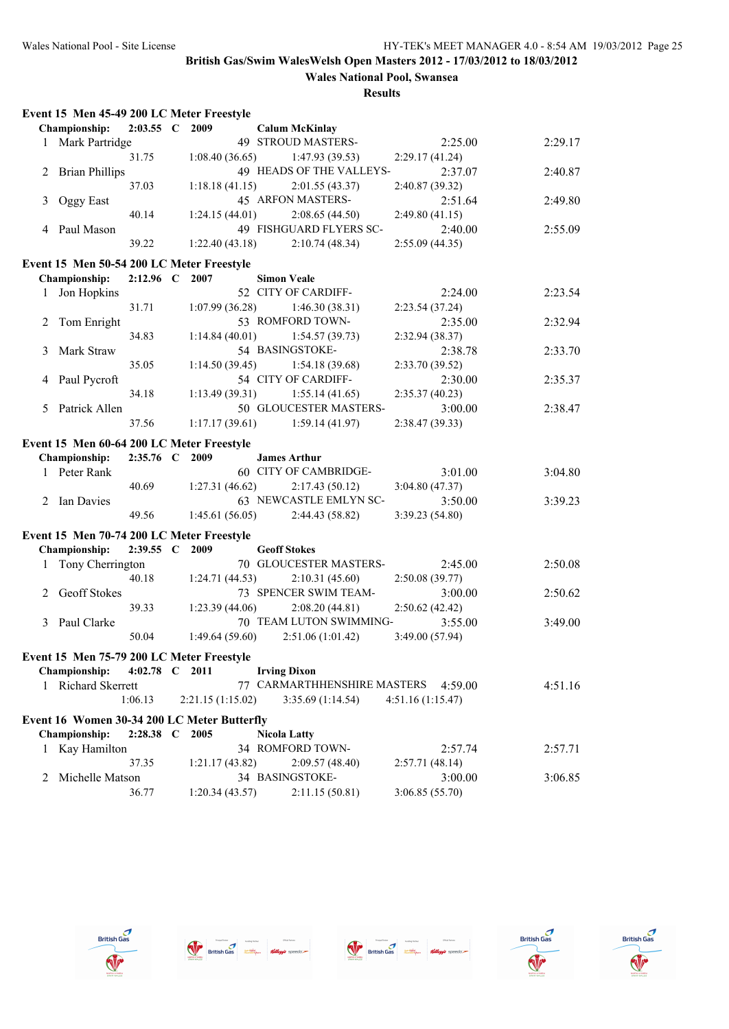|   | Event 15 Men 45-49 200 LC Meter Freestyle   |             |                   |                                   |                  |         |
|---|---------------------------------------------|-------------|-------------------|-----------------------------------|------------------|---------|
|   | <b>Championship:</b>                        | $2:03.55$ C | 2009              | <b>Calum McKinlay</b>             |                  |         |
|   | 1 Mark Partridge                            |             |                   | 49 STROUD MASTERS-                | 2:25.00          | 2:29.17 |
|   |                                             | 31.75       | 1:08.40(36.65)    | 1:47.93(39.53)                    | 2:29.17(41.24)   |         |
| 2 | <b>Brian Phillips</b>                       |             |                   | 49 HEADS OF THE VALLEYS-          | 2:37.07          | 2:40.87 |
|   |                                             | 37.03       | 1:18.18(41.15)    | 2:01.55(43.37)                    | 2:40.87 (39.32)  |         |
| 3 | Oggy East                                   |             |                   | 45 ARFON MASTERS-                 | 2:51.64          | 2:49.80 |
|   |                                             | 40.14       | 1:24.15(44.01)    | 2:08.65(44.50)                    | 2:49.80(41.15)   |         |
|   | 4 Paul Mason                                |             |                   | 49 FISHGUARD FLYERS SC-           | 2:40.00          | 2:55.09 |
|   |                                             | 39.22       | 1:22.40(43.18)    | 2:10.74(48.34)                    | 2:55.09(44.35)   |         |
|   | Event 15 Men 50-54 200 LC Meter Freestyle   |             |                   |                                   |                  |         |
|   | <b>Championship:</b>                        | $2:12.96$ C | 2007              | <b>Simon Veale</b>                |                  |         |
|   | 1 Jon Hopkins                               |             |                   | 52 CITY OF CARDIFF-               | 2:24.00          | 2:23.54 |
|   |                                             | 31.71       | 1:07.99(36.28)    | 1:46.30(38.31)                    | 2:23.54 (37.24)  |         |
| 2 | Tom Enright                                 |             |                   | 53 ROMFORD TOWN-                  | 2:35.00          | 2:32.94 |
|   |                                             | 34.83       | 1:14.84(40.01)    | 1:54.57(39.73)                    | 2:32.94 (38.37)  |         |
| 3 | Mark Straw                                  |             |                   | 54 BASINGSTOKE-                   | 2:38.78          | 2:33.70 |
|   |                                             | 35.05       | 1:14.50(39.45)    | 1:54.18(39.68)                    | 2:33.70 (39.52)  |         |
| 4 | Paul Pycroft                                |             |                   | 54 CITY OF CARDIFF-               | 2:30.00          | 2:35.37 |
|   |                                             | 34.18       | 1:13.49(39.31)    | 1:55.14(41.65)                    | 2:35.37(40.23)   |         |
| 5 | Patrick Allen                               |             |                   | 50 GLOUCESTER MASTERS-            | 3:00.00          | 2:38.47 |
|   |                                             | 37.56       | 1:17.17(39.61)    | 1:59.14(41.97)                    | 2:38.47 (39.33)  |         |
|   | Event 15 Men 60-64 200 LC Meter Freestyle   |             |                   |                                   |                  |         |
|   | Championship:                               | $2:35.76$ C | 2009              | <b>James Arthur</b>               |                  |         |
|   | 1 Peter Rank                                |             |                   | 60 CITY OF CAMBRIDGE-             | 3:01.00          | 3:04.80 |
|   |                                             | 40.69       | 1:27.31(46.62)    | 2:17.43(50.12)                    | 3:04.80 (47.37)  |         |
| 2 | Ian Davies                                  |             |                   | 63 NEWCASTLE EMLYN SC-            | 3:50.00          | 3:39.23 |
|   |                                             | 49.56       | 1:45.61(56.05)    | 2:44.43 (58.82)                   | 3:39.23 (54.80)  |         |
|   | Event 15 Men 70-74 200 LC Meter Freestyle   |             |                   |                                   |                  |         |
|   | Championship:                               | $2:39.55$ C | 2009              | <b>Geoff Stokes</b>               |                  |         |
| 1 | Tony Cherrington                            |             |                   | 70 GLOUCESTER MASTERS-            | 2:45.00          | 2:50.08 |
|   |                                             | 40.18       | 1:24.71(44.53)    | 2:10.31(45.60)                    | 2:50.08 (39.77)  |         |
| 2 | Geoff Stokes                                |             |                   | 73 SPENCER SWIM TEAM-             | 3:00.00          | 2:50.62 |
|   |                                             | 39.33       | 1:23.39(44.06)    | 2:08.20(44.81)                    | 2:50.62(42.42)   |         |
| 3 | Paul Clarke                                 |             |                   | 70 TEAM LUTON SWIMMING-           | 3:55.00          | 3:49.00 |
|   |                                             | 50.04       | 1:49.64(59.60)    | 2:51.06(1:01.42)                  | 3:49.00 (57.94)  |         |
|   | Event 15 Men 75-79 200 LC Meter Freestyle   |             |                   |                                   |                  |         |
|   | Championship:                               | $4:02.78$ C | 2011              | <b>Irving Dixon</b>               |                  |         |
| 1 | <b>Richard Skerrett</b>                     |             |                   | 77 CARMARTHHENSHIRE MASTERS       | 4:59.00          | 4:51.16 |
|   |                                             | 1:06.13     | 2:21.15 (1:15.02) | 3:35.69(1:14.54)                  | 4:51.16(1:15.47) |         |
|   | Event 16 Women 30-34 200 LC Meter Butterfly |             |                   |                                   |                  |         |
|   | Championship:                               | $2:28.38$ C | 2005              | <b>Nicola Latty</b>               |                  |         |
| 1 | Kay Hamilton                                |             |                   | 34 ROMFORD TOWN-                  | 2:57.74          | 2:57.71 |
|   |                                             | 37.35       |                   |                                   |                  |         |
|   | Michelle Matson                             |             | 1:21.17(43.82)    | 2:09.57(48.40)<br>34 BASINGSTOKE- | 2:57.71(48.14)   |         |
| 2 |                                             |             |                   | 2:11.15(50.81)                    | 3:00.00          | 3:06.85 |
|   |                                             | 36.77       | 1:20.34 (43.57)   |                                   | 3:06.85 (55.70)  |         |









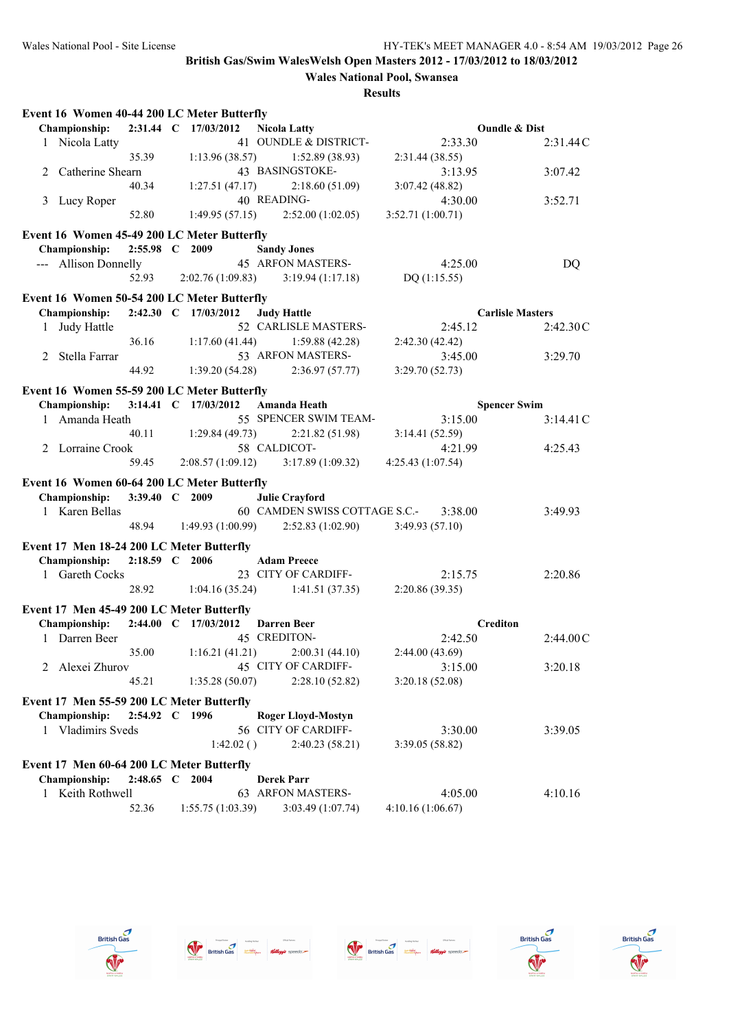| Event 16 Women 40-44 200 LC Meter Butterfly |                |                      |                                   |                          |           |
|---------------------------------------------|----------------|----------------------|-----------------------------------|--------------------------|-----------|
| <b>Championship:</b>                        |                | 2:31.44 C 17/03/2012 | <b>Nicola Latty</b>               | <b>Oundle &amp; Dist</b> |           |
| 1 Nicola Latty                              |                |                      | 41 OUNDLE & DISTRICT-             | 2:33.30                  | 2:31.44C  |
|                                             | 35.39          | 1:13.96(38.57)       | 1:52.89(38.93)                    | 2:31.44(38.55)           |           |
| Catherine Shearn<br>2                       |                |                      | 43 BASINGSTOKE-                   | 3:13.95                  | 3:07.42   |
|                                             | 40.34          | 1:27.51(47.17)       | 2:18.60(51.09)                    | 3:07.42(48.82)           |           |
| Lucy Roper<br>3                             |                |                      | 40 READING-                       | 4:30.00                  | 3:52.71   |
|                                             | 52.80          | 1:49.95(57.15)       | 2:52.00(1:02.05)                  | 3:52.71 (1:00.71)        |           |
| Event 16 Women 45-49 200 LC Meter Butterfly |                |                      |                                   |                          |           |
| <b>Championship:</b>                        | 2:55.98 C 2009 |                      | <b>Sandy Jones</b>                |                          |           |
| --- Allison Donnelly                        |                |                      | <b>45 ARFON MASTERS-</b>          | 4:25.00                  | DQ        |
|                                             | 52.93          | 2:02.76(1:09.83)     | 3:19.94(1:17.18)                  | DQ $(1:15.55)$           |           |
|                                             |                |                      |                                   |                          |           |
| Event 16 Women 50-54 200 LC Meter Butterfly |                |                      |                                   |                          |           |
| Championship:                               |                | 2:42.30 C 17/03/2012 | <b>Judy Hattle</b>                | <b>Carlisle Masters</b>  |           |
| Judy Hattle<br>1                            |                |                      | 52 CARLISLE MASTERS-              | 2:45.12                  | 2:42.30C  |
|                                             | 36.16          | 1:17.60(41.44)       | 1:59.88 (42.28)                   | 2:42.30 (42.42)          |           |
| Stella Farrar<br>2                          |                |                      | 53 ARFON MASTERS-                 | 3:45.00                  | 3:29.70   |
|                                             | 44.92          | 1:39.20(54.28)       | 2:36.97(57.77)                    | 3:29.70(52.73)           |           |
| Event 16 Women 55-59 200 LC Meter Butterfly |                |                      |                                   |                          |           |
| Championship:                               |                | 3:14.41 C 17/03/2012 | Amanda Heath                      | <b>Spencer Swim</b>      |           |
| 1 Amanda Heath                              |                |                      | 55 SPENCER SWIM TEAM-             | 3:15.00                  | 3:14.41C  |
|                                             | 40.11          | 1:29.84(49.73)       | 2:21.82 (51.98)                   | 3:14.41(52.59)           |           |
| 2 Lorraine Crook                            |                |                      | 58 CALDICOT-                      | 4:21.99                  | 4:25.43   |
|                                             | 59.45          | 2:08.57(1:09.12)     | 3:17.89(1:09.32)                  | 4:25.43 (1:07.54)        |           |
|                                             |                |                      |                                   |                          |           |
| Event 16 Women 60-64 200 LC Meter Butterfly |                |                      |                                   |                          |           |
| <b>Championship:</b>                        | 3:39.40 C 2009 |                      | <b>Julie Crayford</b>             |                          |           |
| 1 Karen Bellas                              |                |                      | 60 CAMDEN SWISS COTTAGE S.C.-     | 3:38.00                  | 3:49.93   |
|                                             | 48.94          | 1:49.93(1:00.99)     | 2:52.83(1:02.90)                  | 3:49.93(57.10)           |           |
| Event 17 Men 18-24 200 LC Meter Butterfly   |                |                      |                                   |                          |           |
| Championship:                               | 2:18.59 C 2006 |                      | <b>Adam Preece</b>                |                          |           |
| 1 Gareth Cocks                              |                |                      | 23 CITY OF CARDIFF-               | 2:15.75                  | 2:20.86   |
|                                             | 28.92          | 1:04.16(35.24)       | 1:41.51(37.35)                    | 2:20.86 (39.35)          |           |
| Event 17 Men 45-49 200 LC Meter Butterfly   |                |                      |                                   |                          |           |
| <b>Championship:</b>                        |                | 2:44.00 C 17/03/2012 | <b>Darren Beer</b>                | <b>Crediton</b>          |           |
| 1 Darren Beer                               |                |                      | 45 CREDITON-                      | 2:42.50                  | 2:44.00 C |
|                                             | 35.00          |                      | $1:16.21(41.21)$ $2:00.31(44.10)$ | 2:44.00 (43.69)          |           |
| 2 Alexei Zhurov                             |                |                      | 45 CITY OF CARDIFF-               | 3:15.00                  | 3:20.18   |
|                                             | 45.21          | 1:35.28 (50.07)      | 2:28.10(52.82)                    | 3:20.18(52.08)           |           |
|                                             |                |                      |                                   |                          |           |
| Event 17 Men 55-59 200 LC Meter Butterfly   |                |                      |                                   |                          |           |
| Championship:                               | 2:54.92 C 1996 |                      | <b>Roger Lloyd-Mostyn</b>         |                          |           |
| 1 Vladimirs Sveds                           |                |                      | 56 CITY OF CARDIFF-               | 3:30.00                  | 3:39.05   |
|                                             |                | 1:42.02()            | 2:40.23(58.21)                    | 3:39.05(58.82)           |           |
| Event 17 Men 60-64 200 LC Meter Butterfly   |                |                      |                                   |                          |           |
| Championship:                               | 2:48.65 C 2004 |                      | <b>Derek Parr</b>                 |                          |           |
| Keith Rothwell<br>1                         |                |                      | 63 ARFON MASTERS-                 | 4:05.00                  | 4:10.16   |
|                                             | 52.36          | 1:55.75(1:03.39)     | 3:03.49 (1:07.74)                 | 4:10.16(1:06.67)         |           |









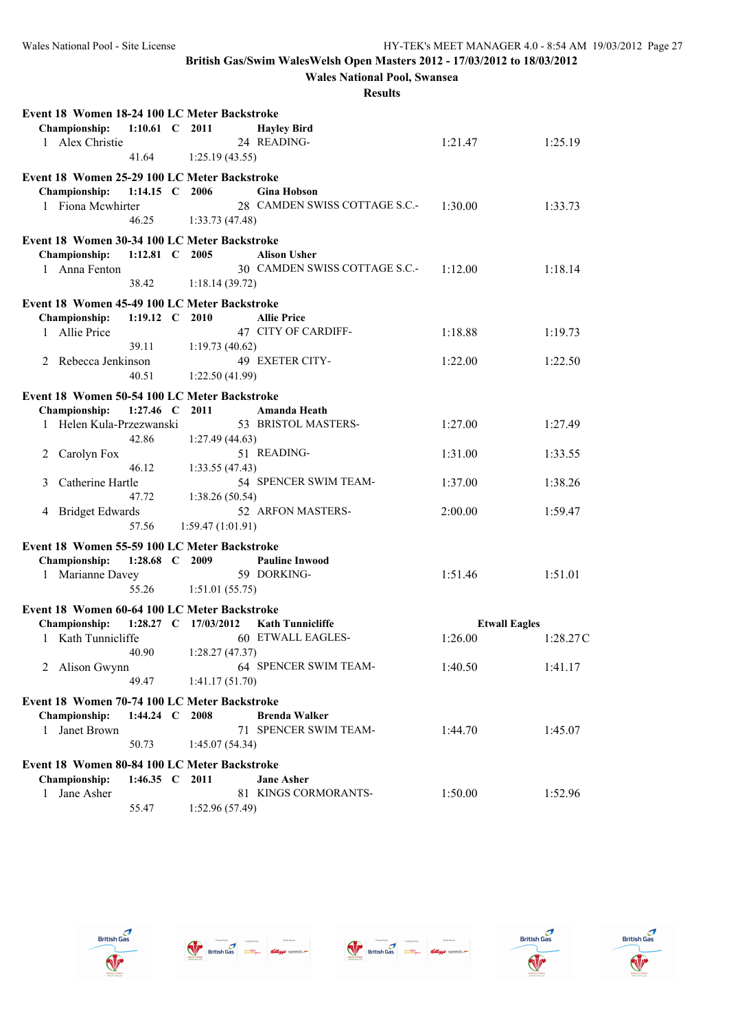**Wales National Pool, Swansea**

| Event 18 Women 18-24 100 LC Meter Backstroke                  |                      |                   |                                                     |                      |          |
|---------------------------------------------------------------|----------------------|-------------------|-----------------------------------------------------|----------------------|----------|
| <b>Championship:</b>                                          | 1:10.61 C 2011       |                   | <b>Hayley Bird</b>                                  |                      |          |
| 1 Alex Christie                                               |                      |                   | 24 READING-                                         | 1:21.47              | 1:25.19  |
|                                                               | 41.64                | 1:25.19(43.55)    |                                                     |                      |          |
| Event 18 Women 25-29 100 LC Meter Backstroke                  |                      |                   |                                                     |                      |          |
| Championship:<br>1 Fiona Mcwhirter                            | 1:14.15 C 2006       |                   | <b>Gina Hobson</b><br>28 CAMDEN SWISS COTTAGE S.C.- | 1:30.00              | 1:33.73  |
|                                                               | 46.25                | 1:33.73(47.48)    |                                                     |                      |          |
|                                                               |                      |                   |                                                     |                      |          |
| Event 18 Women 30-34 100 LC Meter Backstroke<br>Championship: | 1:12.81 C 2005       |                   | <b>Alison Usher</b>                                 |                      |          |
| 1 Anna Fenton                                                 |                      |                   | 30 CAMDEN SWISS COTTAGE S.C.-                       | 1:12.00              | 1:18.14  |
|                                                               | 38.42                | 1:18.14(39.72)    |                                                     |                      |          |
| Event 18 Women 45-49 100 LC Meter Backstroke                  |                      |                   |                                                     |                      |          |
| Championship:                                                 | 1:19.12 C 2010       |                   | <b>Allie Price</b>                                  |                      |          |
| 1 Allie Price                                                 |                      |                   | 47 CITY OF CARDIFF-                                 | 1:18.88              | 1:19.73  |
|                                                               | 39.11                | 1:19.73(40.62)    |                                                     |                      |          |
| 2 Rebecca Jenkinson                                           |                      |                   | 49 EXETER CITY-                                     | 1:22.00              | 1:22.50  |
|                                                               | 40.51                | 1:22.50(41.99)    |                                                     |                      |          |
| Event 18 Women 50-54 100 LC Meter Backstroke                  |                      |                   |                                                     |                      |          |
| Championship:                                                 | 1:27.46 C 2011       |                   | Amanda Heath                                        |                      |          |
| 1 Helen Kula-Przezwanski                                      |                      |                   | 53 BRISTOL MASTERS-                                 | 1:27.00              | 1:27.49  |
|                                                               | 42.86                | 1:27.49 (44.63)   |                                                     |                      |          |
| 2 Carolyn Fox                                                 | 46.12                |                   | 51 READING-                                         | 1:31.00              | 1:33.55  |
| Catherine Hartle<br>3                                         |                      | 1:33.55(47.43)    | 54 SPENCER SWIM TEAM-                               | 1:37.00              | 1:38.26  |
|                                                               | 47.72                | 1:38.26(50.54)    |                                                     |                      |          |
| 4 Bridget Edwards                                             |                      |                   | 52 ARFON MASTERS-                                   | 2:00.00              | 1:59.47  |
|                                                               | 57.56                | 1:59.47 (1:01.91) |                                                     |                      |          |
| Event 18 Women 55-59 100 LC Meter Backstroke                  |                      |                   |                                                     |                      |          |
| Championship:                                                 | 1:28.68 C 2009       |                   | <b>Pauline Inwood</b>                               |                      |          |
| 1 Marianne Davey                                              |                      |                   | 59 DORKING-                                         | 1:51.46              | 1:51.01  |
|                                                               | 55.26                | 1:51.01(55.75)    |                                                     |                      |          |
| Event 18 Women 60-64 100 LC Meter Backstroke                  |                      |                   |                                                     |                      |          |
| Championship:                                                 | 1:28.27 C 17/03/2012 |                   | <b>Kath Tunnicliffe</b>                             | <b>Etwall Eagles</b> |          |
| 1 Kath Tunnicliffe                                            |                      |                   | 60 ETWALL EAGLES-                                   | 1:26.00              | 1:28.27C |
|                                                               | 40.90                | 1:28.27(47.37)    |                                                     |                      |          |
| 2 Alison Gwynn                                                |                      |                   | 64 SPENCER SWIM TEAM-                               | 1:40.50              | 1:41.17  |
|                                                               | 49.47                | 1:41.17(51.70)    |                                                     |                      |          |
| Event 18 Women 70-74 100 LC Meter Backstroke                  |                      |                   |                                                     |                      |          |
| Championship:                                                 | 1:44.24 C 2008       |                   | <b>Brenda Walker</b>                                |                      |          |
| Janet Brown<br>$\mathbf{1}$                                   |                      |                   | 71 SPENCER SWIM TEAM-                               | 1:44.70              | 1:45.07  |
|                                                               | 50.73                | 1:45.07 (54.34)   |                                                     |                      |          |
| Event 18 Women 80-84 100 LC Meter Backstroke                  |                      |                   |                                                     |                      |          |
| <b>Championship:</b>                                          | 1:46.35 C 2011       |                   | <b>Jane Asher</b>                                   |                      |          |
| Jane Asher<br>$\mathbf{1}$                                    | 55.47                | 1:52.96 (57.49)   | 81 KINGS CORMORANTS-                                | 1:50.00              | 1:52.96  |
|                                                               |                      |                   |                                                     |                      |          |









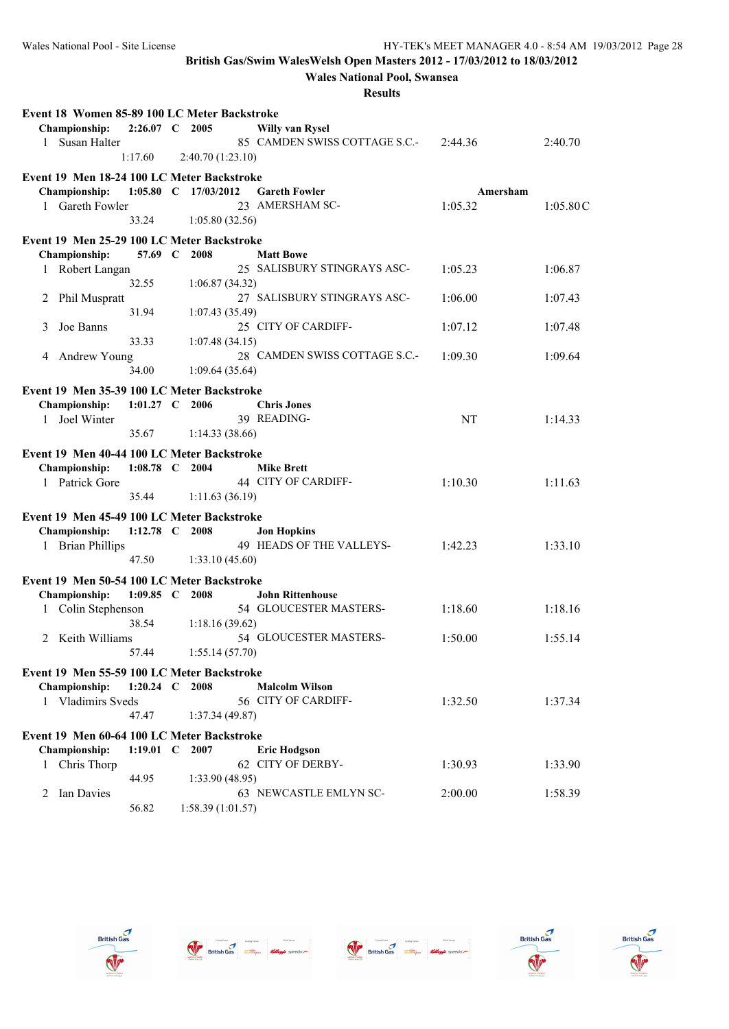**Wales National Pool, Swansea**

| Event 18 Women 85-89 100 LC Meter Backstroke                |                |                      |                               |          |          |
|-------------------------------------------------------------|----------------|----------------------|-------------------------------|----------|----------|
| Championship:                                               | 2:26.07 C 2005 |                      | <b>Willy van Rysel</b>        |          |          |
| Susan Halter<br>$\mathbf{1}$                                |                |                      | 85 CAMDEN SWISS COTTAGE S.C.- | 2:44.36  | 2:40.70  |
|                                                             | 1:17.60        | 2:40.70(1:23.10)     |                               |          |          |
| Event 19 Men 18-24 100 LC Meter Backstroke                  |                |                      |                               |          |          |
| <b>Championship:</b>                                        |                | 1:05.80 C 17/03/2012 | <b>Gareth Fowler</b>          | Amersham |          |
| 1 Gareth Fowler                                             |                |                      | 23 AMERSHAM SC-               | 1:05.32  | 1:05.80C |
|                                                             | 33.24          | 1:05.80(32.56)       |                               |          |          |
|                                                             |                |                      |                               |          |          |
| Event 19 Men 25-29 100 LC Meter Backstroke<br>Championship: | 57.69 C        | 2008                 | <b>Matt Bowe</b>              |          |          |
|                                                             |                |                      | 25 SALISBURY STINGRAYS ASC-   |          | 1:06.87  |
| 1 Robert Langan                                             | 32.55          | 1:06.87(34.32)       |                               | 1:05.23  |          |
| <b>Phil Muspratt</b><br>2                                   |                |                      | 27 SALISBURY STINGRAYS ASC-   | 1:06.00  | 1:07.43  |
|                                                             | 31.94          | 1:07.43(35.49)       |                               |          |          |
| Joe Banns<br>3                                              |                |                      | 25 CITY OF CARDIFF-           | 1:07.12  | 1:07.48  |
|                                                             | 33.33          | 1:07.48(34.15)       |                               |          |          |
| Andrew Young<br>4                                           |                |                      | 28 CAMDEN SWISS COTTAGE S.C.- | 1:09.30  | 1:09.64  |
|                                                             | 34.00          | 1:09.64(35.64)       |                               |          |          |
|                                                             |                |                      |                               |          |          |
| Event 19 Men 35-39 100 LC Meter Backstroke                  |                |                      |                               |          |          |
| Championship:                                               | 1:01.27 C 2006 |                      | <b>Chris Jones</b>            |          |          |
| 1 Joel Winter                                               |                |                      | 39 READING-                   | NT       | 1:14.33  |
|                                                             | 35.67          | 1:14.33(38.66)       |                               |          |          |
| Event 19 Men 40-44 100 LC Meter Backstroke                  |                |                      |                               |          |          |
| Championship:                                               | 1:08.78 C 2004 |                      | <b>Mike Brett</b>             |          |          |
| 1 Patrick Gore                                              |                |                      | 44 CITY OF CARDIFF-           | 1:10.30  | 1:11.63  |
|                                                             | 35.44          | 1:11.63(36.19)       |                               |          |          |
| Event 19 Men 45-49 100 LC Meter Backstroke                  |                |                      |                               |          |          |
| Championship:                                               | 1:12.78 C 2008 |                      | <b>Jon Hopkins</b>            |          |          |
| <b>Brian Phillips</b><br>$\mathbf{1}$                       |                |                      | 49 HEADS OF THE VALLEYS-      | 1:42.23  | 1:33.10  |
|                                                             | 47.50          | 1:33.10(45.60)       |                               |          |          |
|                                                             |                |                      |                               |          |          |
| Event 19 Men 50-54 100 LC Meter Backstroke                  | $1:09.85$ C    | 2008                 | <b>John Rittenhouse</b>       |          |          |
| Championship:                                               |                |                      | 54 GLOUCESTER MASTERS-        | 1:18.60  |          |
| Colin Stephenson<br>1                                       | 38.54          |                      |                               |          | 1:18.16  |
| Keith Williams<br>2                                         |                | 1:18.16(39.62)       | 54 GLOUCESTER MASTERS-        | 1:50.00  | 1:55.14  |
|                                                             | 57.44          | 1:55.14(57.70)       |                               |          |          |
|                                                             |                |                      |                               |          |          |
| Event 19 Men 55-59 100 LC Meter Backstroke                  |                |                      |                               |          |          |
| Championship:                                               | 1:20.24 C 2008 |                      | <b>Malcolm Wilson</b>         |          |          |
| 1 Vladimirs Sveds                                           |                |                      | 56 CITY OF CARDIFF-           | 1:32.50  | 1:37.34  |
|                                                             | 47.47          | 1:37.34 (49.87)      |                               |          |          |
| Event 19 Men 60-64 100 LC Meter Backstroke                  |                |                      |                               |          |          |
| Championship:                                               | 1:19.01 $C$    | 2007                 | <b>Eric Hodgson</b>           |          |          |
| Chris Thorp<br>1                                            |                |                      | 62 CITY OF DERBY-             | 1:30.93  | 1:33.90  |
|                                                             | 44.95          | 1:33.90(48.95)       |                               |          |          |
| Ian Davies<br>2                                             |                |                      | 63 NEWCASTLE EMLYN SC-        | 2:00.00  | 1:58.39  |
|                                                             | 56.82          | 1:58.39(1:01.57)     |                               |          |          |









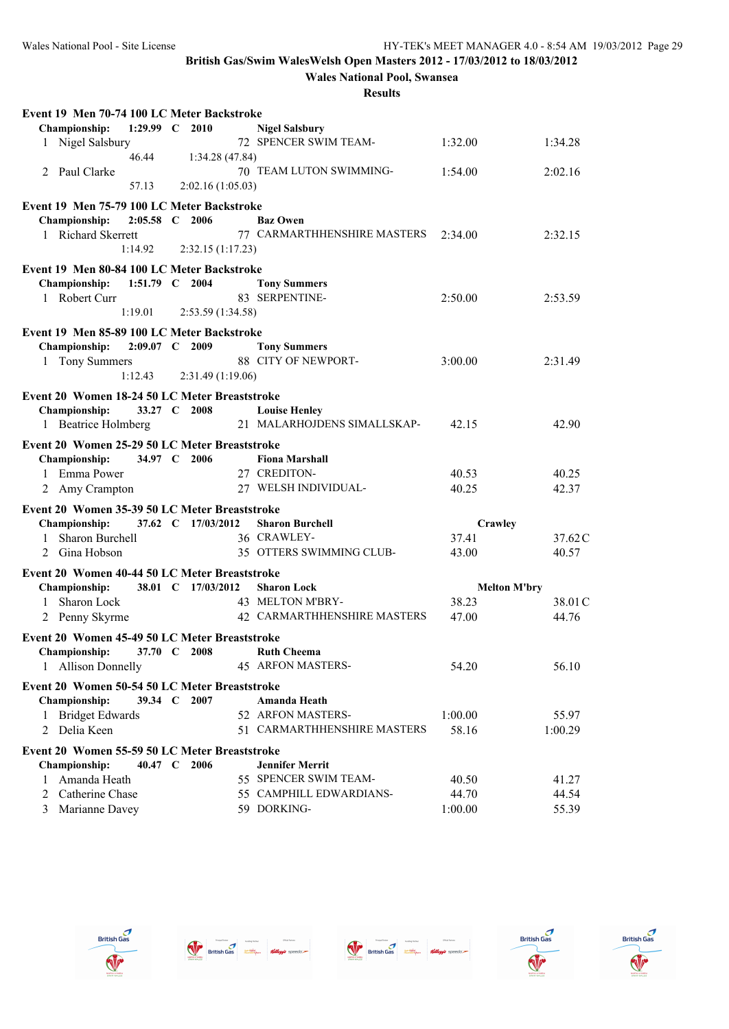**Wales National Pool, Swansea**

| Event 19 Men 70-74 100 LC Meter Backstroke    |                |                    |                                       |                  |                     |
|-----------------------------------------------|----------------|--------------------|---------------------------------------|------------------|---------------------|
| Championship:                                 | 1:29.99 $C$    | 2010               | <b>Nigel Salsbury</b>                 |                  |                     |
| 1 Nigel Salsbury                              |                |                    | 72 SPENCER SWIM TEAM-                 | 1:32.00          | 1:34.28             |
|                                               | 46.44          | 1:34.28 (47.84)    |                                       |                  |                     |
| Paul Clarke<br>2                              |                |                    | 70 TEAM LUTON SWIMMING-               | 1:54.00          | 2:02.16             |
|                                               | 57.13          | 2:02.16(1:05.03)   |                                       |                  |                     |
| Event 19 Men 75-79 100 LC Meter Backstroke    |                |                    |                                       |                  |                     |
| Championship:                                 | 2:05.58 C 2006 |                    | <b>Baz Owen</b>                       |                  |                     |
| 1 Richard Skerrett                            |                |                    | 77 CARMARTHHENSHIRE MASTERS           | 2:34.00          | 2:32.15             |
|                                               | 1:14.92        | 2:32.15(1:17.23)   |                                       |                  |                     |
| Event 19 Men 80-84 100 LC Meter Backstroke    |                |                    |                                       |                  |                     |
| Championship:                                 | 1:51.79 C 2004 |                    | <b>Tony Summers</b>                   |                  |                     |
| 1 Robert Curr                                 |                |                    | 83 SERPENTINE-                        | 2:50.00          | 2:53.59             |
|                                               | 1:19.01        | 2:53.59 (1:34.58)  |                                       |                  |                     |
| Event 19 Men 85-89 100 LC Meter Backstroke    |                |                    |                                       |                  |                     |
| Championship:                                 | 2:09.07 C 2009 |                    | <b>Tony Summers</b>                   |                  |                     |
| 1 Tony Summers                                |                |                    | 88 CITY OF NEWPORT-                   | 3:00.00          | 2:31.49             |
|                                               | 1:12.43        | 2:31.49(1:19.06)   |                                       |                  |                     |
| Event 20 Women 18-24 50 LC Meter Breaststroke |                |                    |                                       |                  |                     |
| Championship:                                 | 33.27 C 2008   |                    | <b>Louise Henley</b>                  |                  |                     |
| 1 Beatrice Holmberg                           |                |                    | 21 MALARHOJDENS SIMALLSKAP-           | 42.15            | 42.90               |
| Event 20 Women 25-29 50 LC Meter Breaststroke |                |                    |                                       |                  |                     |
| Championship:                                 | 34.97 C 2006   |                    | <b>Fiona Marshall</b>                 |                  |                     |
| 1 Emma Power                                  |                |                    | 27 CREDITON-                          | 40.53            | 40.25               |
| 2 Amy Crampton                                |                |                    | 27 WELSH INDIVIDUAL-                  | 40.25            | 42.37               |
|                                               |                |                    |                                       |                  |                     |
| Event 20 Women 35-39 50 LC Meter Breaststroke |                |                    |                                       |                  |                     |
| <b>Championship:</b><br>Sharon Burchell       |                | 37.62 C 17/03/2012 | <b>Sharon Burchell</b><br>36 CRAWLEY- | Crawley<br>37.41 |                     |
| 1<br>2 Gina Hobson                            |                |                    | 35 OTTERS SWIMMING CLUB-              |                  | 37.62C              |
|                                               |                |                    |                                       | 43.00            | 40.57               |
| Event 20 Women 40-44 50 LC Meter Breaststroke |                |                    |                                       |                  |                     |
| Championship:                                 |                | 38.01 C 17/03/2012 | <b>Sharon Lock</b>                    |                  | <b>Melton M'bry</b> |
| Sharon Lock<br>$\mathbf{1}$                   |                |                    | 43 MELTON M'BRY-                      | 38.23            | 38.01 C             |
| 2 Penny Skyrme                                |                |                    | 42 CARMARTHHENSHIRE MASTERS           | 47.00            | 44.76               |
| Event 20 Women 45-49 50 LC Meter Breaststroke |                |                    |                                       |                  |                     |
| Championship:                                 | 37.70 C 2008   |                    | <b>Ruth Cheema</b>                    |                  |                     |
| <b>Allison Donnelly</b><br>1                  |                |                    | <b>45 ARFON MASTERS-</b>              | 54.20            | 56.10               |
| Event 20 Women 50-54 50 LC Meter Breaststroke |                |                    |                                       |                  |                     |
| Championship:                                 | 39.34 C        | 2007               | Amanda Heath                          |                  |                     |
| <b>Bridget Edwards</b><br>1                   |                |                    | 52 ARFON MASTERS-                     | 1:00.00          | 55.97               |
| Delia Keen<br>2                               |                |                    | 51 CARMARTHHENSHIRE MASTERS           | 58.16            | 1:00.29             |
| Event 20 Women 55-59 50 LC Meter Breaststroke |                |                    |                                       |                  |                     |
| Championship:                                 | 40.47 C 2006   |                    | <b>Jennifer Merrit</b>                |                  |                     |
| Amanda Heath<br>1                             |                |                    | 55 SPENCER SWIM TEAM-                 | 40.50            | 41.27               |
| Catherine Chase<br>2                          |                |                    | 55 CAMPHILL EDWARDIANS-               | 44.70            | 44.54               |
| Marianne Davey<br>3                           |                |                    | 59 DORKING-                           | 1:00.00          | 55.39               |









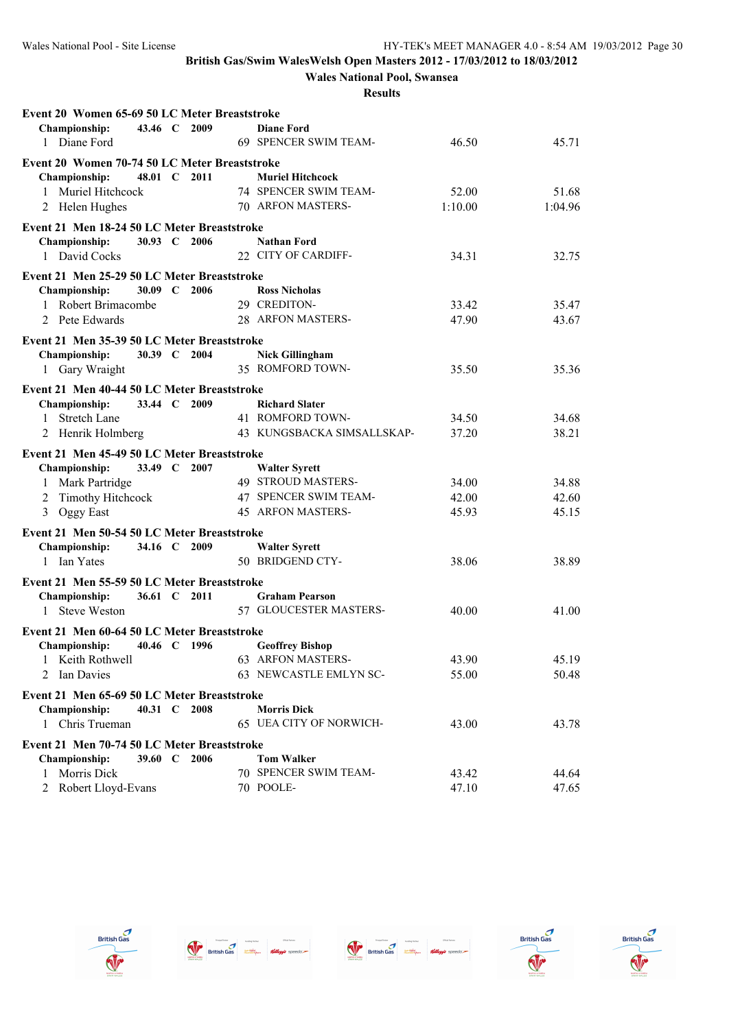**Wales National Pool, Swansea**

| Event 20 Women 65-69 50 LC Meter Breaststroke |              |      |                                            |         |                |
|-----------------------------------------------|--------------|------|--------------------------------------------|---------|----------------|
| Championship:                                 | 43.46 C 2009 |      | <b>Diane Ford</b>                          |         |                |
| 1 Diane Ford                                  |              |      | 69 SPENCER SWIM TEAM-                      | 46.50   | 45.71          |
| Event 20 Women 70-74 50 LC Meter Breaststroke |              |      |                                            |         |                |
| <b>Championship:</b>                          | 48.01 C 2011 |      | <b>Muriel Hitchcock</b>                    |         |                |
| 1 Muriel Hitchcock                            |              |      | 74 SPENCER SWIM TEAM-                      | 52.00   | 51.68          |
| 2 Helen Hughes                                |              |      | 70 ARFON MASTERS-                          | 1:10.00 | 1:04.96        |
| Event 21 Men 18-24 50 LC Meter Breaststroke   |              |      |                                            |         |                |
| Championship:                                 | 30.93 C 2006 |      | <b>Nathan Ford</b>                         |         |                |
| 1 David Cocks                                 |              |      | 22 CITY OF CARDIFF-                        | 34.31   | 32.75          |
|                                               |              |      |                                            |         |                |
| Event 21 Men 25-29 50 LC Meter Breaststroke   |              |      |                                            |         |                |
| <b>Championship:</b>                          | 30.09 C      | 2006 | <b>Ross Nicholas</b>                       |         |                |
| 1 Robert Brimacombe                           |              |      | 29 CREDITON-                               | 33.42   | 35.47          |
| 2 Pete Edwards                                |              |      | 28 ARFON MASTERS-                          | 47.90   | 43.67          |
| Event 21 Men 35-39 50 LC Meter Breaststroke   |              |      |                                            |         |                |
| Championship:                                 | 30.39 C 2004 |      | <b>Nick Gillingham</b>                     |         |                |
| 1 Gary Wraight                                |              |      | 35 ROMFORD TOWN-                           | 35.50   | 35.36          |
| Event 21 Men 40-44 50 LC Meter Breaststroke   |              |      |                                            |         |                |
| Championship:                                 | 33.44 C 2009 |      | <b>Richard Slater</b>                      |         |                |
| <b>Stretch Lane</b><br>$\mathbf{1}$           |              |      | 41 ROMFORD TOWN-                           | 34.50   | 34.68          |
| 2 Henrik Holmberg                             |              |      | 43 KUNGSBACKA SIMSALLSKAP-                 | 37.20   | 38.21          |
|                                               |              |      |                                            |         |                |
| Event 21 Men 45-49 50 LC Meter Breaststroke   | 33.49 C 2007 |      |                                            |         |                |
| Championship:                                 |              |      | <b>Walter Syrett</b><br>49 STROUD MASTERS- | 34.00   |                |
| 1 Mark Partridge                              |              |      | 47 SPENCER SWIM TEAM-                      | 42.00   | 34.88<br>42.60 |
| 2 Timothy Hitchcock<br>3 Oggy East            |              |      | <b>45 ARFON MASTERS-</b>                   |         | 45.15          |
|                                               |              |      |                                            | 45.93   |                |
| Event 21 Men 50-54 50 LC Meter Breaststroke   |              |      |                                            |         |                |
| Championship:                                 | 34.16 C 2009 |      | <b>Walter Syrett</b>                       |         |                |
| 1 Ian Yates                                   |              |      | 50 BRIDGEND CTY-                           | 38.06   | 38.89          |
| Event 21 Men 55-59 50 LC Meter Breaststroke   |              |      |                                            |         |                |
| Championship:                                 | 36.61 C 2011 |      | <b>Graham Pearson</b>                      |         |                |
| 1 Steve Weston                                |              |      | 57 GLOUCESTER MASTERS-                     | 40.00   | 41.00          |
| Event 21 Men 60-64 50 LC Meter Breaststroke   |              |      |                                            |         |                |
| <b>Championship:</b>                          | 40.46 C 1996 |      | <b>Geoffrey Bishop</b>                     |         |                |
| 1 Keith Rothwell                              |              |      | 63 ARFON MASTERS-                          | 43.90   | 45.19          |
| Ian Davies<br>2                               |              |      | 63 NEWCASTLE EMLYN SC-                     | 55.00   | 50.48          |
|                                               |              |      |                                            |         |                |
| Event 21 Men 65-69 50 LC Meter Breaststroke   |              |      |                                            |         |                |
| Championship:                                 | 40.31 $\,$ C | 2008 | <b>Morris Dick</b>                         |         |                |
| 1 Chris Trueman                               |              |      | 65 UEA CITY OF NORWICH-                    | 43.00   | 43.78          |
| Event 21 Men 70-74 50 LC Meter Breaststroke   |              |      |                                            |         |                |
| <b>Championship:</b>                          | 39.60 C 2006 |      | <b>Tom Walker</b>                          |         |                |
| 1 Morris Dick                                 |              |      | 70 SPENCER SWIM TEAM-                      | 43.42   | 44.64          |
| Robert Lloyd-Evans<br>2                       |              |      | 70 POOLE-                                  | 47.10   | 47.65          |









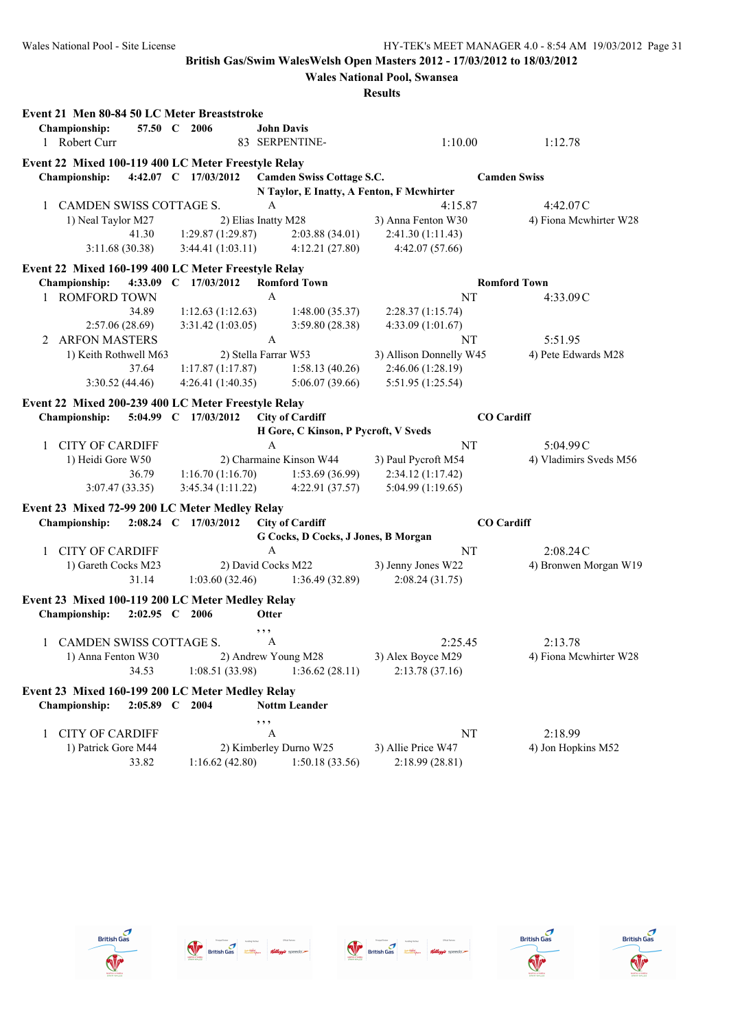**Wales National Pool, Swansea**

|   | Event 21 Men 80-84 50 LC Meter Breaststroke<br><b>Championship:</b>                                 | 57.50 C 2006         |                      | <b>John Davis</b>    |                                                               |                                           |                     |                        |
|---|-----------------------------------------------------------------------------------------------------|----------------------|----------------------|----------------------|---------------------------------------------------------------|-------------------------------------------|---------------------|------------------------|
|   | 1 Robert Curr                                                                                       |                      |                      |                      | 83 SERPENTINE-                                                | 1:10.00                                   |                     | 1:12.78                |
|   | Event 22 Mixed 100-119 400 LC Meter Freestyle Relay<br>4:42.07 C 17/03/2012<br><b>Championship:</b> |                      |                      |                      | Camden Swiss Cottage S.C.                                     |                                           | <b>Camden Swiss</b> |                        |
|   |                                                                                                     |                      |                      |                      |                                                               | N Taylor, E Inatty, A Fenton, F Mcwhirter |                     |                        |
| 1 | CAMDEN SWISS COTTAGE S.                                                                             |                      |                      | A                    |                                                               | 4:15.87                                   |                     | 4:42.07C               |
|   | 1) Neal Taylor M27                                                                                  |                      |                      | 2) Elias Inatty M28  |                                                               | 3) Anna Fenton W30                        |                     | 4) Fiona Mcwhirter W28 |
|   | 41.30                                                                                               |                      | 1:29.87(1:29.87)     |                      | 2:03.88(34.01)                                                | 2:41.30 (1:11.43)                         |                     |                        |
|   | 3:11.68(30.38)                                                                                      |                      | 3:44.41(1:03.11)     |                      | 4:12.21(27.80)                                                | 4:42.07(57.66)                            |                     |                        |
|   | Event 22 Mixed 160-199 400 LC Meter Freestyle Relay                                                 |                      |                      |                      |                                                               |                                           |                     |                        |
|   | Championship:                                                                                       |                      | 4:33.09 C 17/03/2012 |                      | <b>Romford Town</b>                                           |                                           | <b>Romford Town</b> |                        |
| 1 | <b>ROMFORD TOWN</b>                                                                                 |                      |                      | A                    |                                                               |                                           | NT                  | 4:33.09C               |
|   | 34.89                                                                                               |                      | 1:12.63(1:12.63)     |                      | 1:48.00(35.37)                                                | 2:28.37(1:15.74)                          |                     |                        |
|   | 2:57.06(28.69)                                                                                      |                      | 3:31.42 (1:03.05)    |                      | 3:59.80(28.38)                                                | 4:33.09 (1:01.67)                         |                     |                        |
| 2 | <b>ARFON MASTERS</b>                                                                                |                      |                      | $\mathbf{A}$         |                                                               |                                           | NT                  | 5:51.95                |
|   | 1) Keith Rothwell M63                                                                               |                      |                      | 2) Stella Farrar W53 |                                                               | 3) Allison Donnelly W45                   |                     | 4) Pete Edwards M28    |
|   | 37.64                                                                                               |                      | 1:17.87(1:17.87)     |                      | 1:58.13(40.26)                                                | 2:46.06 (1:28.19)                         |                     |                        |
|   | 3:30.52(44.46)                                                                                      |                      | 4:26.41(1:40.35)     |                      | 5:06.07(39.66)                                                | 5:51.95 (1:25.54)                         |                     |                        |
|   | Event 22 Mixed 200-239 400 LC Meter Freestyle Relay                                                 |                      |                      |                      |                                                               |                                           |                     |                        |
|   | <b>Championship:</b>                                                                                | 5:04.99 C 17/03/2012 |                      |                      | <b>City of Cardiff</b>                                        |                                           | <b>CO</b> Cardiff   |                        |
|   |                                                                                                     |                      |                      |                      | H Gore, C Kinson, P Pycroft, V Sveds                          |                                           |                     |                        |
| 1 | <b>CITY OF CARDIFF</b>                                                                              |                      |                      | $\mathbf{A}$         |                                                               |                                           | NT                  | 5:04.99C               |
|   | 1) Heidi Gore W50                                                                                   |                      |                      |                      | 2) Charmaine Kinson W44                                       | 3) Paul Pycroft M54                       |                     | 4) Vladimirs Sveds M56 |
|   | 36.79                                                                                               |                      | 1:16.70(1:16.70)     |                      | 1:53.69(36.99)                                                | 2:34.12 (1:17.42)                         |                     |                        |
|   | 3:07.47(33.35)                                                                                      |                      | 3:45.34(1:11.22)     |                      | 4:22.91(37.57)                                                | 5:04.99 (1:19.65)                         |                     |                        |
|   |                                                                                                     |                      |                      |                      |                                                               |                                           |                     |                        |
|   | Event 23 Mixed 72-99 200 LC Meter Medley Relay<br>2:08.24 C 17/03/2012                              |                      |                      |                      |                                                               |                                           | <b>CO</b> Cardiff   |                        |
|   | <b>Championship:</b>                                                                                |                      |                      |                      | <b>City of Cardiff</b><br>G Cocks, D Cocks, J Jones, B Morgan |                                           |                     |                        |
| 1 | <b>CITY OF CARDIFF</b>                                                                              |                      |                      | A                    |                                                               |                                           | NT                  | 2:08.24C               |
|   | 1) Gareth Cocks M23                                                                                 |                      |                      | 2) David Cocks M22   |                                                               | 3) Jenny Jones W22                        |                     | 4) Bronwen Morgan W19  |
|   | 31.14                                                                                               |                      | 1:03.60(32.46)       |                      | 1:36.49(32.89)                                                | 2:08.24(31.75)                            |                     |                        |
|   |                                                                                                     |                      |                      |                      |                                                               |                                           |                     |                        |
|   | Event 23 Mixed 100-119 200 LC Meter Medley Relay<br>2:02.95 C 2006<br><b>Championship:</b>          |                      |                      | <b>Otter</b>         |                                                               |                                           |                     |                        |
|   |                                                                                                     |                      |                      | , ,                  |                                                               |                                           |                     |                        |
|   | 1 CAMDEN SWISS COTTAGE S.                                                                           |                      |                      | A                    |                                                               | 2:25.45                                   |                     | 2:13.78                |
|   | 1) Anna Fenton W30                                                                                  |                      |                      |                      | 2) Andrew Young M28                                           | 3) Alex Boyce M29                         |                     | 4) Fiona Mcwhirter W28 |
|   | 34.53                                                                                               |                      | 1:08.51 (33.98)      |                      | 1:36.62(28.11)                                                | 2:13.78(37.16)                            |                     |                        |
|   | Event 23 Mixed 160-199 200 LC Meter Medley Relay<br><b>Championship:</b><br>$2:05.89$ C             | 2004                 |                      |                      | <b>Nottm Leander</b>                                          |                                           |                     |                        |
|   |                                                                                                     |                      |                      | , , ,                |                                                               |                                           |                     |                        |
| 1 | <b>CITY OF CARDIFF</b>                                                                              |                      |                      | A                    |                                                               |                                           | NT                  | 2:18.99                |
|   | 1) Patrick Gore M44                                                                                 |                      |                      |                      | 2) Kimberley Durno W25                                        | 3) Allie Price W47                        |                     | 4) Jon Hopkins M52     |
|   | 33.82                                                                                               |                      | 1:16.62(42.80)       |                      | 1:50.18 (33.56)                                               | 2:18.99 (28.81)                           |                     |                        |
|   |                                                                                                     |                      |                      |                      |                                                               |                                           |                     |                        |









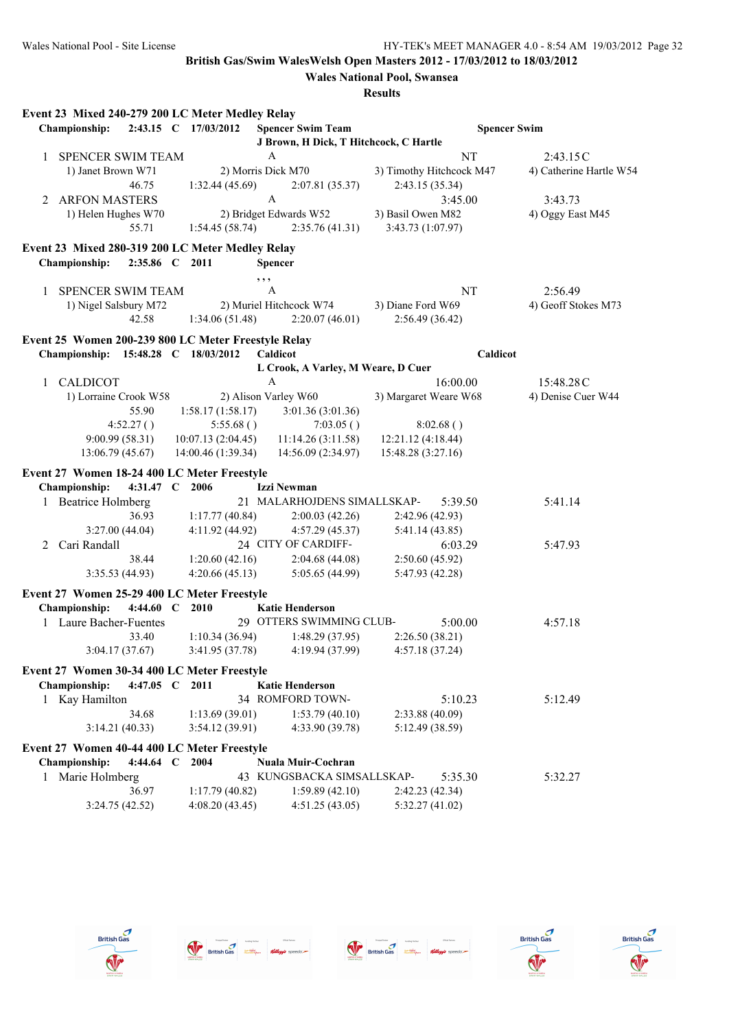|   | Event 23 Mixed 240-279 200 LC Meter Medley Relay                                    |                    |                                           |                                             |                     |                         |
|---|-------------------------------------------------------------------------------------|--------------------|-------------------------------------------|---------------------------------------------|---------------------|-------------------------|
|   | Championship:<br>$2:43.15$ C                                                        | 17/03/2012         | <b>Spencer Swim Team</b>                  |                                             | <b>Spencer Swim</b> |                         |
|   |                                                                                     |                    | J Brown, H Dick, T Hitchcock, C Hartle    |                                             |                     |                         |
| 1 | SPENCER SWIM TEAM                                                                   |                    | $\mathbf{A}$                              |                                             | NT                  | 2:43.15C                |
|   | 1) Janet Brown W71<br>46.75                                                         | 1:32.44(45.69)     | 2) Morris Dick M70<br>2:07.81(35.37)      | 3) Timothy Hitchcock M47<br>2:43.15 (35.34) |                     | 4) Catherine Hartle W54 |
| 2 | <b>ARFON MASTERS</b>                                                                |                    | $\mathbf{A}$                              |                                             | 3:45.00             | 3:43.73                 |
|   | 1) Helen Hughes W70<br>55.71                                                        | 1:54.45(58.74)     | 2) Bridget Edwards W52<br>2:35.76(41.31)  | 3) Basil Owen M82<br>3:43.73 (1:07.97)      |                     | 4) Oggy East M45        |
|   |                                                                                     |                    |                                           |                                             |                     |                         |
|   | Event 23 Mixed 280-319 200 LC Meter Medley Relay<br>Championship:<br>2:35.86 C 2011 |                    | <b>Spencer</b>                            |                                             |                     |                         |
|   |                                                                                     |                    | , , ,                                     |                                             |                     |                         |
| 1 | <b>SPENCER SWIM TEAM</b>                                                            |                    | A                                         |                                             | NT                  | 2:56.49                 |
|   | 1) Nigel Salsbury M72<br>42.58                                                      | 1:34.06(51.48)     | 2) Muriel Hitchcock W74<br>2:20.07(46.01) | 3) Diane Ford W69<br>2:56.49(36.42)         |                     | 4) Geoff Stokes M73     |
|   | Event 25 Women 200-239 800 LC Meter Freestyle Relay                                 |                    |                                           |                                             |                     |                         |
|   | Championship: 15:48.28 C 18/03/2012                                                 |                    | Caldicot                                  |                                             | Caldicot            |                         |
| 1 | <b>CALDICOT</b>                                                                     |                    | L Crook, A Varley, M Weare, D Cuer<br>A   |                                             | 16:00.00            | 15:48.28 C              |
|   | 1) Lorraine Crook W58                                                               |                    | 2) Alison Varley W60                      | 3) Margaret Weare W68                       |                     | 4) Denise Cuer W44      |
|   | 55.90                                                                               | 1:58.17(1:58.17)   | 3:01.36(3:01.36)                          |                                             |                     |                         |
|   | 4:52.27()                                                                           | 5:55.68()          | 7:03.05()                                 | 8:02.68()                                   |                     |                         |
|   | 9:00.99(58.31)                                                                      | 10:07.13(2:04.45)  | 11:14.26(3:11.58)                         | 12:21.12 (4:18.44)                          |                     |                         |
|   | 13:06.79 (45.67)                                                                    | 14:00.46 (1:39.34) | 14:56.09 (2:34.97)                        | 15:48.28 (3:27.16)                          |                     |                         |
|   | Event 27 Women 18-24 400 LC Meter Freestyle                                         |                    |                                           |                                             |                     |                         |
|   | Championship:<br>4:31.47 $C$                                                        | 2006               | Izzi Newman                               |                                             |                     |                         |
|   | 1 Beatrice Holmberg                                                                 |                    | 21 MALARHOJDENS SIMALLSKAP-               |                                             | 5:39.50             | 5:41.14                 |
|   | 36.93                                                                               | 1:17.77(40.84)     | 2:00.03(42.26)                            | 2:42.96(42.93)                              |                     |                         |
|   | 3:27.00(44.04)                                                                      | 4:11.92 (44.92)    | 4:57.29(45.37)                            | 5:41.14(43.85)                              |                     |                         |
| 2 | Cari Randall                                                                        |                    | 24 CITY OF CARDIFF-                       |                                             | 6:03.29             | 5:47.93                 |
|   | 38.44                                                                               | 1:20.60(42.16)     | 2:04.68(44.08)                            | 2:50.60(45.92)                              |                     |                         |
|   | 3:35.53 (44.93)                                                                     | 4:20.66(45.13)     | 5:05.65 (44.99)                           | 5:47.93 (42.28)                             |                     |                         |
|   | Event 27 Women 25-29 400 LC Meter Freestyle                                         |                    |                                           |                                             |                     |                         |
|   | Championship:<br>4:44.60 $C$                                                        | 2010               | <b>Katie Henderson</b>                    |                                             |                     |                         |
|   | 1 Laure Bacher-Fuentes                                                              |                    | 29 OTTERS SWIMMING CLUB-                  |                                             | 5:00.00             | 4:57.18                 |
|   | 33.40                                                                               | 1:10.34(36.94)     | 1:48.29 (37.95)                           | 2:26.50 (38.21)                             |                     |                         |
|   | 3:04.17(37.67)                                                                      | 3:41.95 (37.78)    | 4:19.94 (37.99)                           | 4:57.18(37.24)                              |                     |                         |
|   | Event 27 Women 30-34 400 LC Meter Freestyle                                         |                    |                                           |                                             |                     |                         |
|   | Championship:<br>4:47.05 $C$                                                        | 2011               | <b>Katie Henderson</b>                    |                                             |                     |                         |
|   | 1 Kay Hamilton                                                                      |                    | 34 ROMFORD TOWN-                          |                                             | 5:10.23             | 5:12.49                 |
|   | 34.68                                                                               | 1:13.69(39.01)     | 1:53.79(40.10)                            | 2:33.88 (40.09)                             |                     |                         |
|   | 3:14.21(40.33)                                                                      | 3:54.12 (39.91)    | 4:33.90 (39.78)                           | 5:12.49 (38.59)                             |                     |                         |
|   | Event 27 Women 40-44 400 LC Meter Freestyle                                         |                    |                                           |                                             |                     |                         |
|   | Championship:<br>4:44.64 $C$                                                        | 2004               | Nuala Muir-Cochran                        |                                             |                     |                         |
|   | Marie Holmberg                                                                      |                    | 43 KUNGSBACKA SIMSALLSKAP-                |                                             | 5:35.30             | 5:32.27                 |
|   | 36.97                                                                               | 1:17.79(40.82)     | 1:59.89(42.10)                            | 2:42.23(42.34)                              |                     |                         |
|   | 3:24.75(42.52)                                                                      | 4:08.20(43.45)     | 4:51.25(43.05)                            | 5:32.27(41.02)                              |                     |                         |









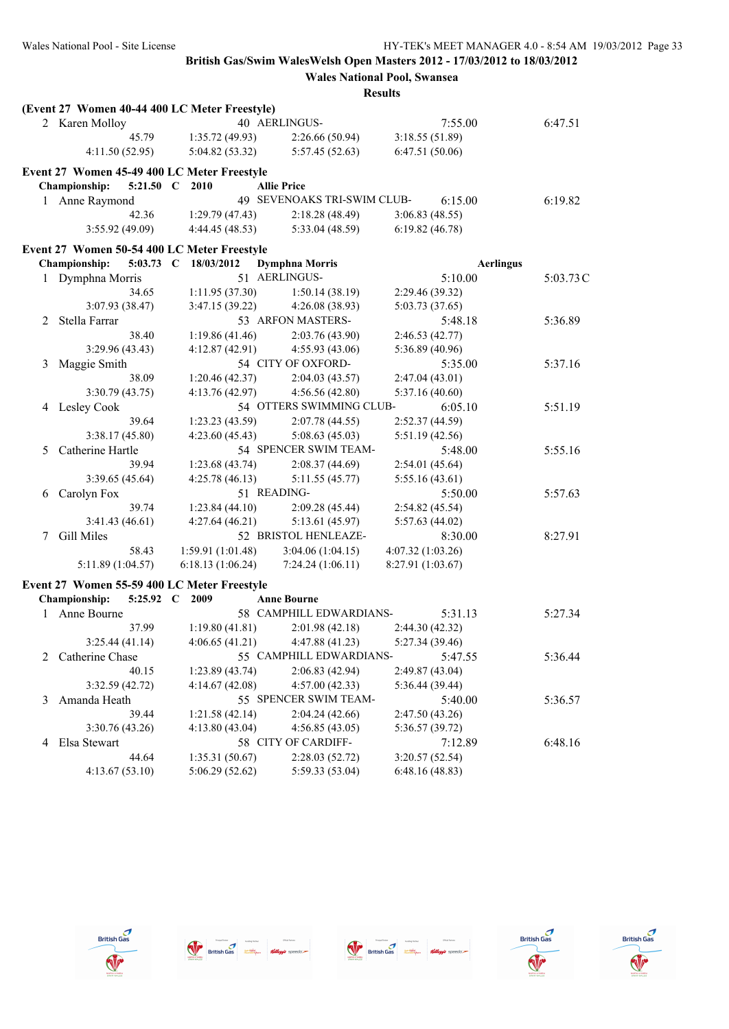|   | (Event 27 Women 40-44 400 LC Meter Freestyle) |                   |                             |                   |          |
|---|-----------------------------------------------|-------------------|-----------------------------|-------------------|----------|
|   | 2 Karen Molloy                                |                   | 40 AERLINGUS-               | 7:55.00           | 6:47.51  |
|   | 45.79                                         | 1:35.72 (49.93)   | 2:26.66 (50.94)             | 3:18.55(51.89)    |          |
|   | 4:11.50 (52.95)                               | 5:04.82 (53.32)   | 5:57.45(52.63)              | 6:47.51 (50.06)   |          |
|   | Event 27 Women 45-49 400 LC Meter Freestyle   |                   |                             |                   |          |
|   | Championship:<br>5:21.50 C                    | 2010              | <b>Allie Price</b>          |                   |          |
|   | 1 Anne Raymond                                |                   | 49 SEVENOAKS TRI-SWIM CLUB- | 6:15.00           | 6:19.82  |
|   | 42.36                                         | 1:29.79(47.43)    | 2:18.28(48.49)              | 3:06.83(48.55)    |          |
|   | 3:55.92(49.09)                                | 4:44.45 (48.53)   | 5:33.04 (48.59)             | 6:19.82(46.78)    |          |
|   | Event 27 Women 50-54 400 LC Meter Freestyle   |                   |                             |                   |          |
|   | Championship:<br>$5:03.73$ C                  | 18/03/2012        | <b>Dymphna Morris</b>       | <b>Aerlingus</b>  |          |
| 1 | Dymphna Morris                                |                   | 51 AERLINGUS-               | 5:10.00           | 5:03.73C |
|   | 34.65                                         | 1:11.95(37.30)    | 1:50.14(38.19)              | 2:29.46 (39.32)   |          |
|   | 3:07.93 (38.47)                               | 3:47.15 (39.22)   | 4:26.08 (38.93)             | 5:03.73 (37.65)   |          |
| 2 | Stella Farrar                                 |                   | 53 ARFON MASTERS-           | 5:48.18           | 5:36.89  |
|   | 38.40                                         | 1:19.86(41.46)    | 2:03.76 (43.90)             | 2:46.53 (42.77)   |          |
|   | 3:29.96 (43.43)                               | 4:12.87(42.91)    | 4:55.93(43.06)              | 5:36.89 (40.96)   |          |
| 3 | Maggie Smith                                  |                   | 54 CITY OF OXFORD-          | 5:35.00           | 5:37.16  |
|   | 38.09                                         | 1:20.46(42.37)    | 2:04.03(43.57)              | 2:47.04 (43.01)   |          |
|   | 3:30.79(43.75)                                | 4:13.76(42.97)    | 4:56.56(42.80)              | 5:37.16 (40.60)   |          |
| 4 | Lesley Cook                                   |                   | 54 OTTERS SWIMMING CLUB-    | 6:05.10           | 5:51.19  |
|   | 39.64                                         | 1:23.23(43.59)    | 2:07.78(44.55)              | 2:52.37 (44.59)   |          |
|   | 3:38.17(45.80)                                | 4:23.60(45.43)    | 5:08.63(45.03)              | 5:51.19(42.56)    |          |
| 5 | Catherine Hartle                              |                   | 54 SPENCER SWIM TEAM-       | 5:48.00           | 5:55.16  |
|   | 39.94                                         | 1:23.68 (43.74)   | 2:08.37(44.69)              | 2:54.01 (45.64)   |          |
|   | 3:39.65 (45.64)                               | 4:25.78(46.13)    | 5:11.55(45.77)              | 5:55.16(43.61)    |          |
| 6 | Carolyn Fox                                   |                   | 51 READING-                 | 5:50.00           | 5:57.63  |
|   | 39.74                                         | 1:23.84(44.10)    | 2:09.28 (45.44)             | 2:54.82(45.54)    |          |
|   | 3:41.43(46.61)                                | 4:27.64(46.21)    | 5:13.61 (45.97)             | 5:57.63(44.02)    |          |
| 7 | Gill Miles                                    |                   | 52 BRISTOL HENLEAZE-        | 8:30.00           | 8:27.91  |
|   | 58.43                                         | 1:59.91 (1:01.48) | 3:04.06(1:04.15)            | 4:07.32 (1:03.26) |          |
|   | 5:11.89(1:04.57)                              | 6:18.13(1:06.24)  | 7:24.24(1:06.11)            | 8:27.91 (1:03.67) |          |
|   | Event 27 Women 55-59 400 LC Meter Freestyle   |                   |                             |                   |          |
|   | Championship:<br>5:25.92 C                    | 2009              | <b>Anne Bourne</b>          |                   |          |
| 1 | Anne Bourne                                   |                   | 58 CAMPHILL EDWARDIANS-     | 5:31.13           | 5:27.34  |
|   | 37.99                                         | 1:19.80(41.81)    | 2:01.98(42.18)              | 2:44.30 (42.32)   |          |
|   | 3:25.44(41.14)                                | 4:06.65(41.21)    | 4:47.88 (41.23)             | 5:27.34 (39.46)   |          |
| 2 | Catherine Chase                               |                   | 55 CAMPHILL EDWARDIANS-     | 5:47.55           | 5:36.44  |
|   | 40.15                                         | 1:23.89 (43.74)   | 2:06.83(42.94)              | 2:49.87 (43.04)   |          |
|   | 3:32.59(42.72)                                | 4:14.67 (42.08)   | 4:57.00(42.33)              | 5:36.44 (39.44)   |          |
| 3 | Amanda Heath                                  |                   | 55 SPENCER SWIM TEAM-       | 5:40.00           | 5:36.57  |
|   | 39.44                                         | 1:21.58(42.14)    | 2:04.24(42.66)              | 2:47.50 (43.26)   |          |
|   | 3:30.76 (43.26)                               | 4:13.80(43.04)    | 4:56.85(43.05)              | 5:36.57 (39.72)   |          |
| 4 | Elsa Stewart                                  |                   | 58 CITY OF CARDIFF-         | 7:12.89           | 6:48.16  |
|   | 44.64                                         | 1:35.31(50.67)    | 2:28.03(52.72)              | 3:20.57(52.54)    |          |
|   | 4:13.67(53.10)                                | 5:06.29(52.62)    | 5:59.33 (53.04)             | 6:48.16(48.83)    |          |
|   |                                               |                   |                             |                   |          |









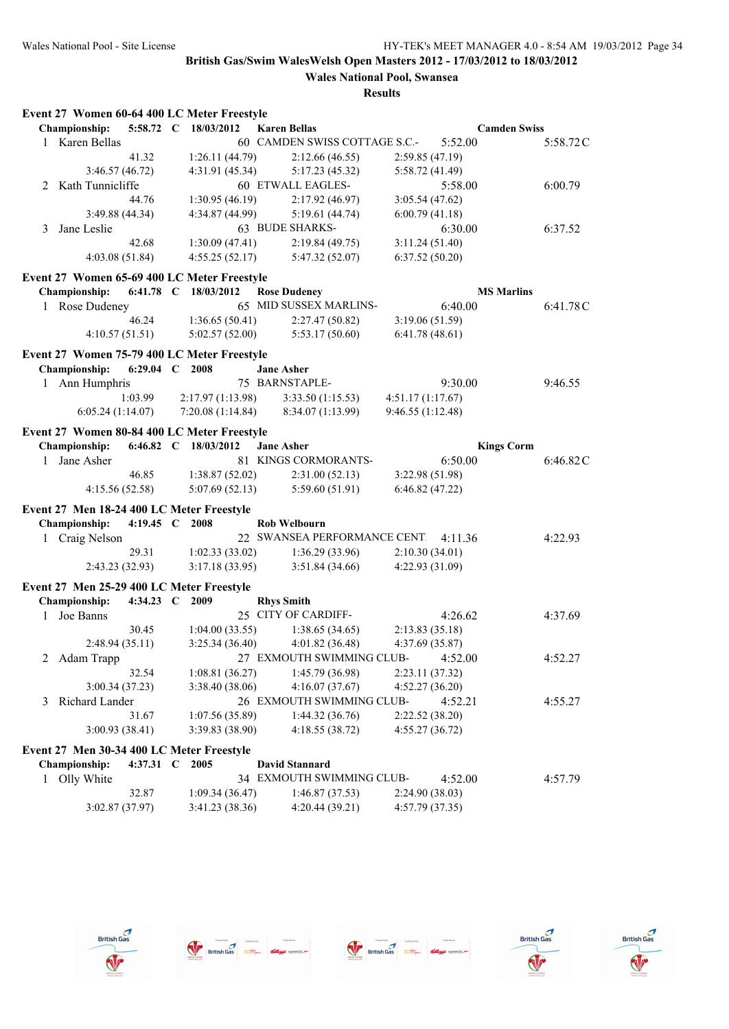|   | Event 27 Women 60-64 400 LC Meter Freestyle |                   |                  |                               |                   |                     |          |
|---|---------------------------------------------|-------------------|------------------|-------------------------------|-------------------|---------------------|----------|
|   | Championship:                               | 5:58.72 C         | 18/03/2012       | <b>Karen Bellas</b>           |                   | <b>Camden Swiss</b> |          |
|   | 1 Karen Bellas                              |                   |                  | 60 CAMDEN SWISS COTTAGE S.C.- |                   | 5:52.00             | 5:58.72C |
|   |                                             | 41.32             | 1:26.11(44.79)   | 2:12.66(46.55)                | 2:59.85 (47.19)   |                     |          |
|   | 3:46.57(46.72)                              |                   | 4:31.91 (45.34)  | 5:17.23(45.32)                | 5:58.72 (41.49)   |                     |          |
|   | 2 Kath Tunnicliffe                          |                   |                  | 60 ETWALL EAGLES-             |                   | 5:58.00             | 6:00.79  |
|   |                                             | 44.76             | 1:30.95(46.19)   | 2:17.92(46.97)                | 3:05.54(47.62)    |                     |          |
|   | 3:49.88 (44.34)                             |                   | 4:34.87 (44.99)  | 5:19.61(44.74)                | 6:00.79(41.18)    |                     |          |
| 3 | Jane Leslie                                 |                   |                  | 63 BUDE SHARKS-               |                   | 6:30.00             | 6:37.52  |
|   |                                             | 42.68             | 1:30.09(47.41)   | 2:19.84(49.75)                | 3:11.24(51.40)    |                     |          |
|   | 4:03.08(51.84)                              |                   | 4:55.25(52.17)   | 5:47.32 (52.07)               | 6:37.52(50.20)    |                     |          |
|   | Event 27 Women 65-69 400 LC Meter Freestyle |                   |                  |                               |                   |                     |          |
|   | Championship:                               | 6:41.78 C         | 18/03/2012       | <b>Rose Dudeney</b>           |                   | <b>MS Marlins</b>   |          |
|   | 1 Rose Dudeney                              |                   |                  | 65 MID SUSSEX MARLINS-        |                   | 6:40.00             | 6:41.78C |
|   |                                             | 46.24             | 1:36.65(50.41)   | 2:27.47 (50.82)               | 3:19.06 (51.59)   |                     |          |
|   | 4:10.57(51.51)                              |                   | 5:02.57(52.00)   | 5:53.17(50.60)                | 6:41.78(48.61)    |                     |          |
|   |                                             |                   |                  |                               |                   |                     |          |
|   | Event 27 Women 75-79 400 LC Meter Freestyle |                   |                  |                               |                   |                     |          |
|   | Championship:                               | 6:29.04 $C$       | 2008             | <b>Jane Asher</b>             |                   |                     |          |
| 1 | Ann Humphris                                |                   |                  | 75 BARNSTAPLE-                |                   | 9:30.00             | 9:46.55  |
|   |                                             | 1:03.99           | 2:17.97(1:13.98) | 3:33.50(1:15.53)              | 4:51.17(1:17.67)  |                     |          |
|   | 6:05.24(1:14.07)                            |                   | 7:20.08(1:14.84) | 8:34.07 (1:13.99)             | 9:46.55 (1:12.48) |                     |          |
|   | Event 27 Women 80-84 400 LC Meter Freestyle |                   |                  |                               |                   |                     |          |
|   | Championship:                               | $6:46.82 \quad C$ | 18/03/2012       | <b>Jane Asher</b>             |                   | <b>Kings Corm</b>   |          |
| 1 | Jane Asher                                  |                   |                  | 81 KINGS CORMORANTS-          |                   | 6:50.00             | 6:46.82C |
|   |                                             | 46.85             | 1:38.87(52.02)   | 2:31.00(52.13)                | 3:22.98 (51.98)   |                     |          |
|   | 4:15.56(52.58)                              |                   | 5:07.69(52.13)   | 5:59.60(51.91)                | 6:46.82(47.22)    |                     |          |
|   | Event 27 Men 18-24 400 LC Meter Freestyle   |                   |                  |                               |                   |                     |          |
|   | Championship:                               | 4:19.45 $C$       | 2008             | <b>Rob Welbourn</b>           |                   |                     |          |
| 1 | Craig Nelson                                |                   |                  | 22 SWANSEA PERFORMANCE CENTI  |                   | 4:11.36             | 4:22.93  |
|   |                                             | 29.31             | 1:02.33(33.02)   | 1:36.29(33.96)                | 2:10.30(34.01)    |                     |          |
|   | 2:43.23 (32.93)                             |                   | 3:17.18 (33.95)  | 3:51.84(34.66)                | 4:22.93 (31.09)   |                     |          |
|   |                                             |                   |                  |                               |                   |                     |          |
|   | Event 27 Men 25-29 400 LC Meter Freestyle   |                   |                  |                               |                   |                     |          |
|   | Championship:                               | 4:34.23 C         | 2009             | <b>Rhys Smith</b>             |                   |                     |          |
| 1 | Joe Banns                                   |                   |                  | 25 CITY OF CARDIFF-           |                   | 4:26.62             | 4:37.69  |
|   |                                             | 30.45             | 1:04.00(33.55)   | 1:38.65(34.65)                | 2:13.83(35.18)    |                     |          |
|   | 2:48.94(35.11)                              |                   | 3:25.34(36.40)   | 4:01.82 (36.48)               | 4:37.69(35.87)    |                     |          |
| 2 | Adam Trapp                                  |                   |                  | 27 EXMOUTH SWIMMING CLUB-     |                   | 4:52.00             | 4:52.27  |
|   |                                             | 32.54             | 1:08.81(36.27)   | 1:45.79 (36.98)               | 2:23.11 (37.32)   |                     |          |
|   | 3:00.34(37.23)                              |                   | 3:38.40 (38.06)  | 4:16.07(37.67)                | 4:52.27 (36.20)   |                     |          |
| 3 | Richard Lander                              |                   |                  | 26 EXMOUTH SWIMMING CLUB-     |                   | 4:52.21             | 4:55.27  |
|   |                                             | 31.67             | 1:07.56 (35.89)  | 1:44.32(36.76)                | 2:22.52 (38.20)   |                     |          |
|   | 3:00.93(38.41)                              |                   | 3:39.83 (38.90)  | 4:18.55(38.72)                | 4:55.27(36.72)    |                     |          |
|   | Event 27 Men 30-34 400 LC Meter Freestyle   |                   |                  |                               |                   |                     |          |
|   | Championship:                               | 4:37.31 C         | 2005             | <b>David Stannard</b>         |                   |                     |          |
|   | 1 Olly White                                |                   |                  | 34 EXMOUTH SWIMMING CLUB-     |                   | 4:52.00             | 4:57.79  |
|   |                                             | 32.87             | 1:09.34(36.47)   | 1:46.87(37.53)                | 2:24.90 (38.03)   |                     |          |
|   | 3:02.87 (37.97)                             |                   | 3:41.23 (38.36)  | 4:20.44 (39.21)               | 4:57.79 (37.35)   |                     |          |
|   |                                             |                   |                  |                               |                   |                     |          |









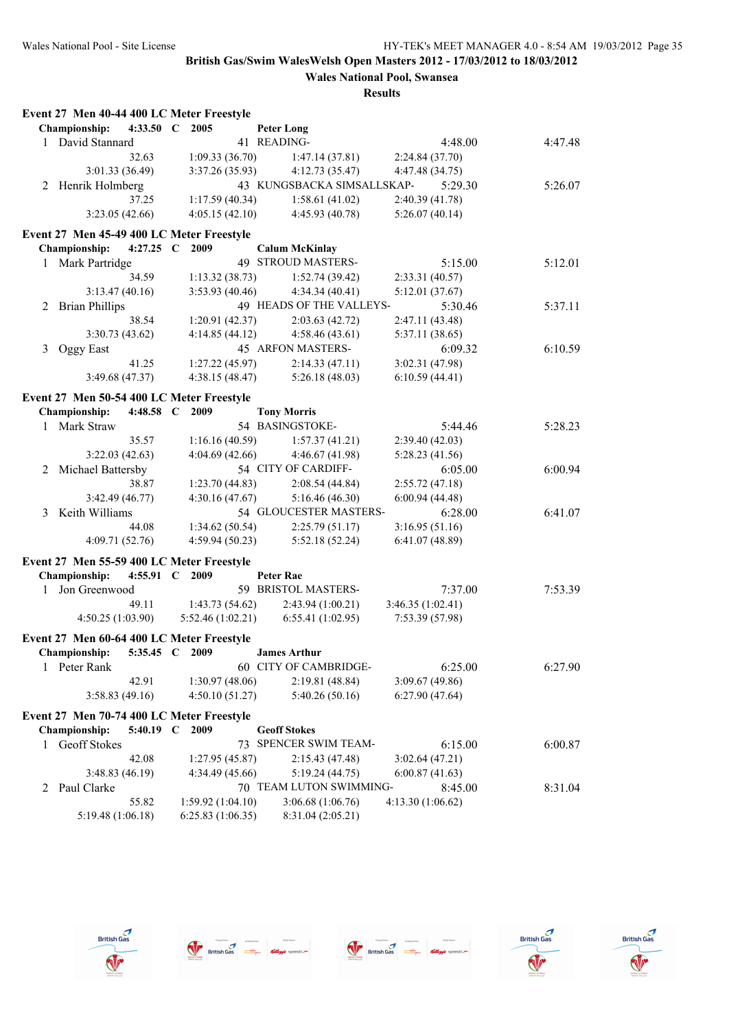# **Wales National Pool, Swansea**

|              | Event 27 Men 40-44 400 LC Meter Freestyle |                |                  |                            |                            |         |
|--------------|-------------------------------------------|----------------|------------------|----------------------------|----------------------------|---------|
|              | Championship:                             | 4:33.50 $\,$ C | 2005             | <b>Peter Long</b>          |                            |         |
| $\mathbf{1}$ | David Stannard                            |                |                  | 41 READING-                | 4:48.00                    | 4:47.48 |
|              |                                           | 32.63          | 1:09.33(36.70)   | 1:47.14(37.81)             | 2:24.84(37.70)             |         |
|              | 3:01.33 (36.49)                           |                | 3:37.26(35.93)   | 4:12.73(35.47)             | 4:47.48 (34.75)            |         |
| 2            | Henrik Holmberg                           |                |                  | 43 KUNGSBACKA SIMSALLSKAP- | 5:29.30                    | 5:26.07 |
|              |                                           | 37.25          | 1:17.59(40.34)   | 1:58.61(41.02)             | 2:40.39 (41.78)            |         |
|              | 3:23.05(42.66)                            |                | 4:05.15(42.10)   | 4:45.93 (40.78)            | 5:26.07(40.14)             |         |
|              | Event 27 Men 45-49 400 LC Meter Freestyle |                |                  |                            |                            |         |
|              | Championship:                             | 4:27.25 $\,$ C | 2009             | <b>Calum McKinlay</b>      |                            |         |
|              | 1 Mark Partridge                          |                |                  | 49 STROUD MASTERS-         | 5:15.00                    | 5:12.01 |
|              |                                           | 34.59          | 1:13.32(38.73)   | 1:52.74(39.42)             | 2:33.31 (40.57)            |         |
|              | 3:13.47(40.16)                            |                | 3:53.93(40.46)   | 4:34.34(40.41)             | 5:12.01(37.67)             |         |
|              | <b>Brian Phillips</b>                     |                |                  | 49 HEADS OF THE VALLEYS-   | 5:30.46                    | 5:37.11 |
| 2            |                                           | 38.54          | 1:20.91(42.37)   | 2:03.63(42.72)             | 2:47.11 (43.48)            |         |
|              | 3:30.73(43.62)                            |                | 4:14.85(44.12)   | 4:58.46(43.61)             |                            |         |
|              |                                           |                |                  | 45 ARFON MASTERS-          | 5:37.11 (38.65)<br>6:09.32 | 6:10.59 |
| 3            | Oggy East                                 |                |                  |                            |                            |         |
|              |                                           | 41.25          | 1:27.22 (45.97)  | 2:14.33(47.11)             | 3:02.31 (47.98)            |         |
|              | 3:49.68 (47.37)                           |                | 4:38.15 (48.47)  | 5:26.18(48.03)             | 6:10.59(44.41)             |         |
|              | Event 27 Men 50-54 400 LC Meter Freestyle |                |                  |                            |                            |         |
|              | Championship:                             | 4:48.58 C      | 2009             | <b>Tony Morris</b>         |                            |         |
| $\mathbf{1}$ | Mark Straw                                |                |                  | 54 BASINGSTOKE-            | 5:44.46                    | 5:28.23 |
|              |                                           | 35.57          | 1:16.16(40.59)   | 1:57.37(41.21)             | 2:39.40(42.03)             |         |
|              | 3:22.03(42.63)                            |                | 4:04.69(42.66)   | 4:46.67 (41.98)            | 5:28.23 (41.56)            |         |
| 2            | Michael Battersby                         |                |                  | 54 CITY OF CARDIFF-        | 6:05.00                    | 6:00.94 |
|              |                                           | 38.87          | 1:23.70(44.83)   | 2:08.54(44.84)             | 2:55.72(47.18)             |         |
|              | 3:42.49(46.77)                            |                | 4:30.16(47.67)   | 5:16.46(46.30)             | 6:00.94(44.48)             |         |
| 3            | Keith Williams                            |                |                  | 54 GLOUCESTER MASTERS-     | 6:28.00                    | 6:41.07 |
|              |                                           | 44.08          | 1:34.62(50.54)   | 2:25.79(51.17)             | 3:16.95(51.16)             |         |
|              | 4:09.71 (52.76)                           |                | 4:59.94 (50.23)  | 5:52.18(52.24)             | 6:41.07(48.89)             |         |
|              | Event 27 Men 55-59 400 LC Meter Freestyle |                |                  |                            |                            |         |
|              | Championship:                             | 4:55.91 C 2009 |                  | <b>Peter Rae</b>           |                            |         |
| $\mathbf{1}$ | Jon Greenwood                             |                |                  | 59 BRISTOL MASTERS-        | 7:37.00                    | 7:53.39 |
|              |                                           | 49.11          | 1:43.73(54.62)   | 2:43.94 (1:00.21)          | 3:46.35(1:02.41)           |         |
|              | 4:50.25(1:03.90)                          |                | 5:52.46(1:02.21) | 6:55.41(1:02.95)           | 7:53.39 (57.98)            |         |
|              |                                           |                |                  |                            |                            |         |
|              | Event 27 Men 60-64 400 LC Meter Freestyle |                |                  |                            |                            |         |
|              | Championship:                             | 5:35.45 C      | 2009             | <b>James Arthur</b>        |                            |         |
| 1            | Peter Rank                                |                |                  | 60 CITY OF CAMBRIDGE-      | 6:25.00                    | 6:27.90 |
|              |                                           | 42.91          | 1:30.97(48.06)   | 2:19.81 (48.84)            | 3:09.67 (49.86)            |         |
|              | 3:58.83(49.16)                            |                | 4:50.10(51.27)   | 5:40.26(50.16)             | 6:27.90(47.64)             |         |
|              | Event 27 Men 70-74 400 LC Meter Freestyle |                |                  |                            |                            |         |
|              | Championship:                             | 5:40.19 $\,C$  | 2009             | <b>Geoff Stokes</b>        |                            |         |
| 1            | Geoff Stokes                              |                |                  | 73 SPENCER SWIM TEAM-      | 6:15.00                    | 6:00.87 |
|              |                                           | 42.08          | 1:27.95(45.87)   | 2:15.43 (47.48)            | 3:02.64(47.21)             |         |
|              | 3:48.83(46.19)                            |                | 4:34.49 (45.66)  | 5:19.24 (44.75)            | 6:00.87(41.63)             |         |
| 2            | Paul Clarke                               |                |                  | 70 TEAM LUTON SWIMMING-    | 8:45.00                    | 8:31.04 |
|              |                                           | 55.82          | 1:59.92(1:04.10) | 3:06.68 (1:06.76)          | 4:13.30 (1:06.62)          |         |
|              | 5:19.48 (1:06.18)                         |                | 6:25.83(1:06.35) | 8:31.04 (2:05.21)          |                            |         |
|              |                                           |                |                  |                            |                            |         |









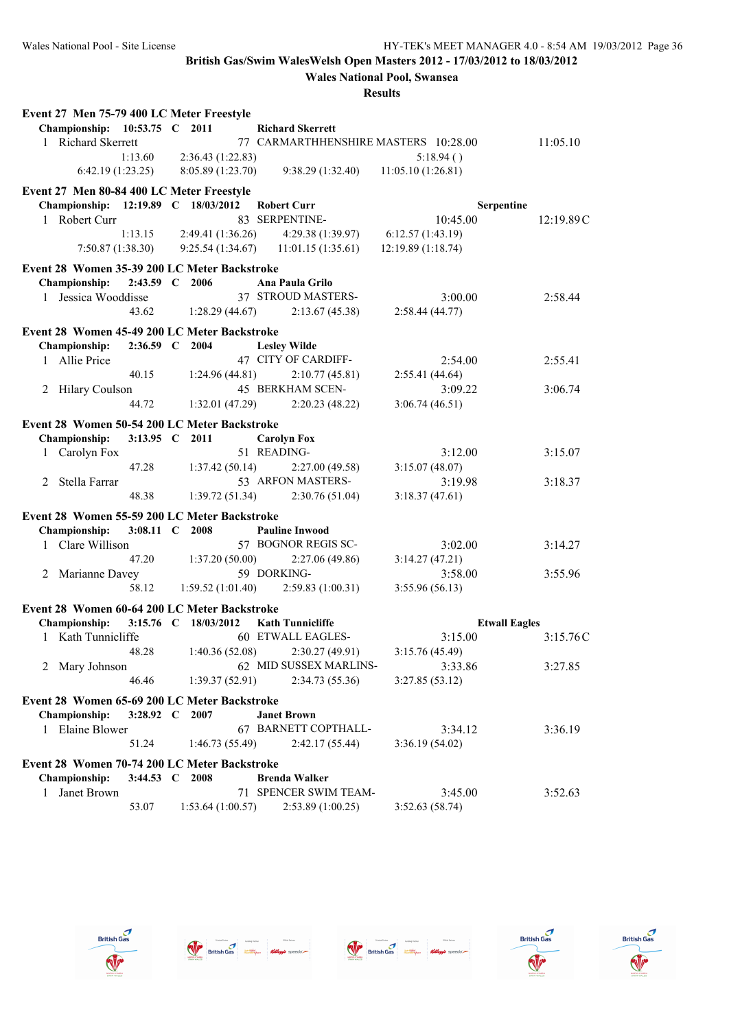**Wales National Pool, Swansea**

| I<br>н<br>п<br>۰,<br>ı |
|------------------------|
|------------------------|

| Event 27 Men 75-79 400 LC Meter Freestyle    |                |                      |                                          |                    |                      |           |
|----------------------------------------------|----------------|----------------------|------------------------------------------|--------------------|----------------------|-----------|
| Championship: 10:53.75 C 2011                |                |                      | <b>Richard Skerrett</b>                  |                    |                      |           |
| 1 Richard Skerrett                           |                |                      | 77 CARMARTHHENSHIRE MASTERS 10:28.00     |                    |                      | 11:05.10  |
|                                              | 1:13.60        | 2:36.43 (1:22.83)    |                                          | 5:18.94()          |                      |           |
| 6:42.19(1:23.25)                             |                | 8:05.89 (1:23.70)    | 9:38.29(1:32.40)                         | 11:05.10 (1:26.81) |                      |           |
| Event 27 Men 80-84 400 LC Meter Freestyle    |                |                      |                                          |                    |                      |           |
| Championship: 12:19.89 C 18/03/2012          |                |                      | <b>Robert Curr</b>                       |                    | Serpentine           |           |
| 1 Robert Curr                                |                |                      | 83 SERPENTINE-                           | 10:45.00           |                      | 12:19.89C |
|                                              | 1:13.15        | 2:49.41 (1:36.26)    | 4:29.38 (1:39.97)                        | 6:12.57(1:43.19)   |                      |           |
| 7:50.87(1:38.30)                             |                |                      | 9:25.54 $(1:34.67)$ 11:01.15 $(1:35.61)$ | 12:19.89 (1:18.74) |                      |           |
| Event 28 Women 35-39 200 LC Meter Backstroke |                |                      |                                          |                    |                      |           |
| Championship:                                | $2:43.59$ C    | 2006                 | Ana Paula Grilo                          |                    |                      |           |
| 1 Jessica Wooddisse                          |                |                      | 37 STROUD MASTERS-                       | 3:00.00            |                      | 2:58.44   |
|                                              | 43.62          | 1:28.29(44.67)       | 2:13.67(45.38)                           | 2:58.44(44.77)     |                      |           |
| Event 28 Women 45-49 200 LC Meter Backstroke |                |                      |                                          |                    |                      |           |
| Championship:                                | 2:36.59 C 2004 |                      | <b>Lesley Wilde</b>                      |                    |                      |           |
| 1 Allie Price                                |                |                      | 47 CITY OF CARDIFF-                      | 2:54.00            |                      | 2:55.41   |
|                                              | 40.15          | 1:24.96(44.81)       | 2:10.77(45.81)                           | 2:55.41(44.64)     |                      |           |
| 2 Hilary Coulson                             |                |                      | 45 BERKHAM SCEN-                         | 3:09.22            |                      | 3:06.74   |
|                                              | 44.72          | 1:32.01(47.29)       | 2:20.23(48.22)                           | 3:06.74(46.51)     |                      |           |
| Event 28 Women 50-54 200 LC Meter Backstroke |                |                      |                                          |                    |                      |           |
| Championship:                                | 3:13.95 C 2011 |                      | <b>Carolyn Fox</b>                       |                    |                      |           |
| 1 Carolyn Fox                                |                |                      | 51 READING-                              | 3:12.00            |                      | 3:15.07   |
|                                              | 47.28          | 1:37.42(50.14)       | 2:27.00(49.58)                           | 3:15.07(48.07)     |                      |           |
| 2 Stella Farrar                              |                |                      | 53 ARFON MASTERS-                        | 3:19.98            |                      | 3:18.37   |
|                                              | 48.38          | 1:39.72(51.34)       | 2:30.76(51.04)                           | 3:18.37(47.61)     |                      |           |
| Event 28 Women 55-59 200 LC Meter Backstroke |                |                      |                                          |                    |                      |           |
| Championship:                                | 3:08.11 C 2008 |                      | <b>Pauline Inwood</b>                    |                    |                      |           |
| Clare Willison<br>$\mathbf{1}$               |                |                      | 57 BOGNOR REGIS SC-                      | 3:02.00            |                      | 3:14.27   |
|                                              | 47.20          | 1:37.20(50.00)       | 2:27.06(49.86)                           | 3:14.27(47.21)     |                      |           |
| 2 Marianne Davey                             |                |                      | 59 DORKING-                              | 3:58.00            |                      | 3:55.96   |
|                                              | 58.12          | 1:59.52(1:01.40)     | 2:59.83(1:00.31)                         | 3:55.96(56.13)     |                      |           |
| Event 28 Women 60-64 200 LC Meter Backstroke |                |                      |                                          |                    |                      |           |
| <b>Championship:</b>                         |                | 3:15.76 C 18/03/2012 | <b>Kath Tunnicliffe</b>                  |                    | <b>Etwall Eagles</b> |           |
| 1 Kath Tunnicliffe                           |                |                      | 60 ETWALL EAGLES-                        | 3:15.00            |                      | 3:15.76C  |
|                                              | 48.28          |                      | $1:40.36(52.08)$ $2:30.27(49.91)$        | 3:15.76 (45.49)    |                      |           |
| 2 Mary Johnson                               |                |                      | 62 MID SUSSEX MARLINS-                   | 3:33.86            |                      | 3:27.85   |
|                                              | 46.46          | 1:39.37(52.91)       | 2:34.73(55.36)                           | 3:27.85(53.12)     |                      |           |
| Event 28 Women 65-69 200 LC Meter Backstroke |                |                      |                                          |                    |                      |           |
| Championship:                                | 3:28.92 C 2007 |                      | <b>Janet Brown</b>                       |                    |                      |           |
| 1 Elaine Blower                              |                |                      | 67 BARNETT COPTHALL-                     | 3:34.12            |                      | 3:36.19   |
|                                              | 51.24          | 1:46.73(55.49)       | 2:42.17(55.44)                           | 3:36.19(54.02)     |                      |           |
| Event 28 Women 70-74 200 LC Meter Backstroke |                |                      |                                          |                    |                      |           |
| <b>Championship:</b>                         | 3:44.53 C 2008 |                      | <b>Brenda Walker</b>                     |                    |                      |           |
| Janet Brown<br>1                             |                |                      | 71 SPENCER SWIM TEAM-                    | 3:45.00            |                      | 3:52.63   |
|                                              | 53.07          | 1:53.64(1:00.57)     | 2:53.89(1:00.25)                         | 3:52.63(58.74)     |                      |           |
|                                              |                |                      |                                          |                    |                      |           |









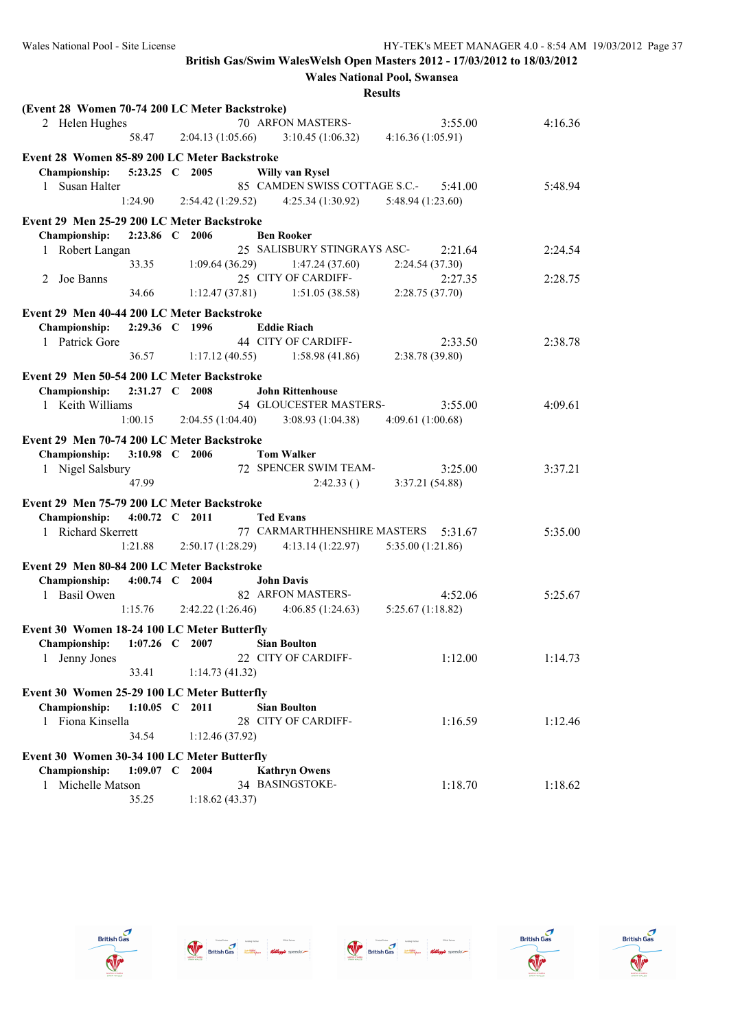**Wales National Pool, Swansea**

| (Event 28 Women 70-74 200 LC Meter Backstroke) |                                 |                  |                                                   |                   |         |
|------------------------------------------------|---------------------------------|------------------|---------------------------------------------------|-------------------|---------|
| 2 Helen Hughes                                 |                                 |                  | 70 ARFON MASTERS-                                 | 3:55.00           | 4:16.36 |
|                                                | 58.47                           |                  | $2:04.13(1:05.66)$ $3:10.45(1:06.32)$             | 4:16.36(1:05.91)  |         |
| Event 28 Women 85-89 200 LC Meter Backstroke   |                                 |                  |                                                   |                   |         |
| Championship:                                  | 5:23.25 C 2005                  |                  | <b>Willy van Rysel</b>                            |                   |         |
| 1 Susan Halter                                 |                                 |                  | 85 CAMDEN SWISS COTTAGE S.C.-                     | 5:41.00           | 5:48.94 |
|                                                | 1:24.90                         | 2:54.42(1:29.52) | 4:25.34 (1:30.92)                                 | 5:48.94(1:23.60)  |         |
|                                                |                                 |                  |                                                   |                   |         |
| Event 29 Men 25-29 200 LC Meter Backstroke     |                                 |                  |                                                   |                   |         |
| Championship:                                  | 2:23.86 C 2006                  |                  | <b>Ben Rooker</b>                                 |                   |         |
| 1 Robert Langan                                |                                 |                  | 25 SALISBURY STINGRAYS ASC-                       | 2:21.64           | 2:24.54 |
|                                                | 33.35                           | 1:09.64(36.29)   | 1:47.24(37.60)                                    | 2:24.54(37.30)    |         |
| Joe Banns<br>2                                 |                                 |                  | 25 CITY OF CARDIFF-                               | 2:27.35           | 2:28.75 |
|                                                | 34.66                           | 1:12.47(37.81)   | 1:51.05(38.58)                                    | 2:28.75 (37.70)   |         |
| Event 29 Men 40-44 200 LC Meter Backstroke     |                                 |                  |                                                   |                   |         |
| Championship:                                  | 2:29.36 C 1996                  |                  | <b>Eddie Riach</b>                                |                   |         |
| 1 Patrick Gore                                 |                                 |                  | 44 CITY OF CARDIFF-                               | 2:33.50           | 2:38.78 |
|                                                | 36.57                           | 1:17.12(40.55)   | 1:58.98(41.86)                                    | 2:38.78(39.80)    |         |
|                                                |                                 |                  |                                                   |                   |         |
| Event 29 Men 50-54 200 LC Meter Backstroke     |                                 |                  |                                                   |                   |         |
| Championship:                                  | 2:31.27 C 2008                  |                  | <b>John Rittenhouse</b><br>54 GLOUCESTER MASTERS- |                   |         |
| 1 Keith Williams                               |                                 |                  |                                                   | 3:55.00           | 4:09.61 |
|                                                | 1:00.15                         | 2:04.55(1:04.40) | 3:08.93(1:04.38)                                  | 4:09.61(1:00.68)  |         |
| Event 29 Men 70-74 200 LC Meter Backstroke     |                                 |                  |                                                   |                   |         |
| Championship:                                  | 3:10.98 C 2006                  |                  | <b>Tom Walker</b>                                 |                   |         |
| 1 Nigel Salsbury                               |                                 |                  | 72 SPENCER SWIM TEAM-                             | 3:25.00           | 3:37.21 |
|                                                | 47.99                           |                  | 2:42.33()                                         | 3:37.21 (54.88)   |         |
| Event 29 Men 75-79 200 LC Meter Backstroke     |                                 |                  |                                                   |                   |         |
| Championship:                                  | 4:00.72 C 2011                  |                  | <b>Ted Evans</b>                                  |                   |         |
| 1 Richard Skerrett                             |                                 |                  | 77 CARMARTHHENSHIRE MASTERS                       | 5:31.67           | 5:35.00 |
|                                                | $1:21.88$ $2:50.17(1:28.29)$    |                  | 4:13.14 (1:22.97)                                 | 5:35.00 (1:21.86) |         |
|                                                |                                 |                  |                                                   |                   |         |
| Event 29 Men 80-84 200 LC Meter Backstroke     |                                 |                  |                                                   |                   |         |
| <b>Championship:</b>                           | 4:00.74 C 2004                  |                  | <b>John Davis</b>                                 |                   |         |
| 1 Basil Owen                                   |                                 |                  | 82 ARFON MASTERS-                                 | 4:52.06           | 5:25.67 |
|                                                | $1:15.76$ $2:42.22$ $(1:26.46)$ |                  | 4:06.85(1:24.63)                                  | 5:25.67(1:18.82)  |         |
| Event 30 Women 18-24 100 LC Meter Butterfly    |                                 |                  |                                                   |                   |         |
| Championship:                                  | $1:07.26$ C 2007                |                  | <b>Sian Boulton</b>                               |                   |         |
| Jenny Jones<br>1                               |                                 |                  | 22 CITY OF CARDIFF-                               | 1:12.00           | 1:14.73 |
|                                                | 33.41                           | 1:14.73(41.32)   |                                                   |                   |         |
| Event 30 Women 25-29 100 LC Meter Butterfly    |                                 |                  |                                                   |                   |         |
| <b>Championship:</b>                           | 1:10.05 C 2011                  |                  | <b>Sian Boulton</b>                               |                   |         |
| 1 Fiona Kinsella                               |                                 |                  | 28 CITY OF CARDIFF-                               | 1:16.59           | 1:12.46 |
|                                                | 34.54                           | 1:12.46(37.92)   |                                                   |                   |         |
|                                                |                                 |                  |                                                   |                   |         |
| Event 30 Women 30-34 100 LC Meter Butterfly    |                                 |                  |                                                   |                   |         |
| Championship:                                  | $1:09.07$ C 2004                |                  | <b>Kathryn Owens</b>                              |                   |         |
| 1 Michelle Matson                              |                                 |                  | 34 BASINGSTOKE-                                   | 1:18.70           | 1:18.62 |
|                                                | 35.25                           | 1:18.62(43.37)   |                                                   |                   |         |









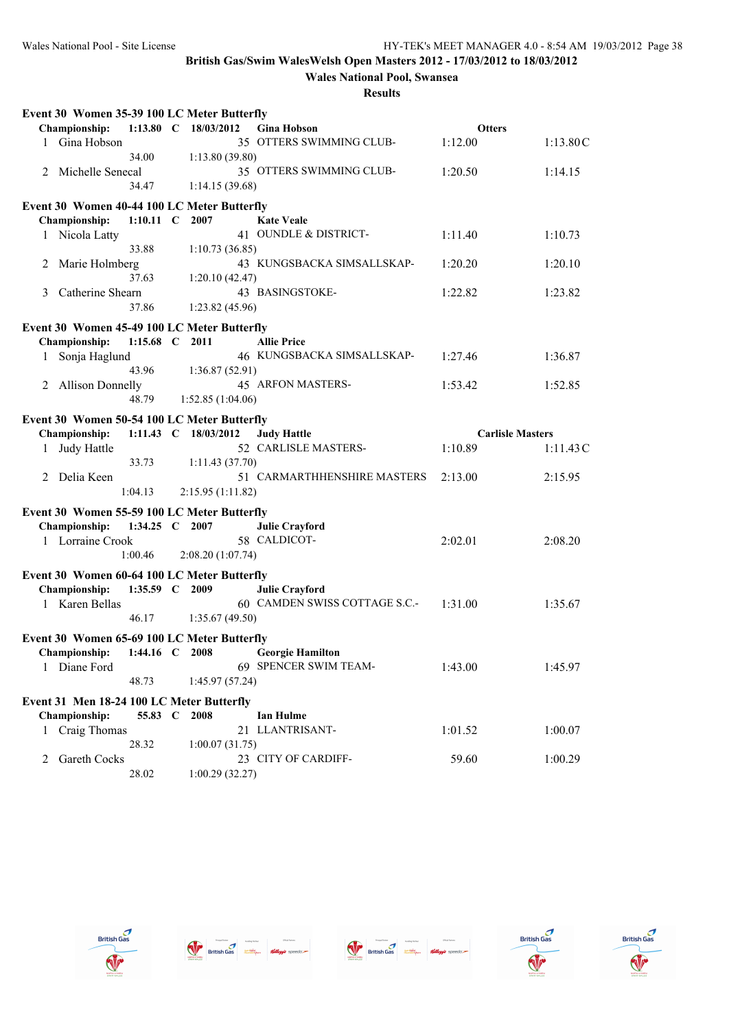**Wales National Pool, Swansea**

| Event 30 Women 35-39 100 LC Meter Butterfly                         |                |                      |                               |                         |          |
|---------------------------------------------------------------------|----------------|----------------------|-------------------------------|-------------------------|----------|
| <b>Championship:</b>                                                | $1:13.80$ C    | 18/03/2012           | <b>Gina Hobson</b>            | <b>Otters</b>           |          |
| 1 Gina Hobson                                                       |                |                      | 35 OTTERS SWIMMING CLUB-      | 1:12.00                 | 1:13.80C |
|                                                                     | 34.00          | 1:13.80(39.80)       |                               |                         |          |
| Michelle Senecal<br>2                                               |                |                      | 35 OTTERS SWIMMING CLUB-      | 1:20.50                 | 1:14.15  |
|                                                                     | 34.47          | 1:14.15(39.68)       |                               |                         |          |
| Event 30 Women 40-44 100 LC Meter Butterfly                         |                |                      |                               |                         |          |
| <b>Championship:</b>                                                | 1:10.11 C 2007 |                      | <b>Kate Veale</b>             |                         |          |
| Nicola Latty<br>1                                                   |                |                      | 41 OUNDLE & DISTRICT-         | 1:11.40                 | 1:10.73  |
|                                                                     | 33.88          | 1:10.73(36.85)       |                               |                         |          |
| Marie Holmberg<br>2                                                 |                |                      | 43 KUNGSBACKA SIMSALLSKAP-    | 1:20.20                 | 1:20.10  |
|                                                                     | 37.63          | 1:20.10(42.47)       |                               |                         |          |
| Catherine Shearn<br>3                                               |                |                      | 43 BASINGSTOKE-               | 1:22.82                 | 1:23.82  |
|                                                                     | 37.86          | 1:23.82(45.96)       |                               |                         |          |
| Event 30 Women 45-49 100 LC Meter Butterfly                         |                |                      |                               |                         |          |
| Championship:                                                       | 1:15.68 $C$    | 2011                 | <b>Allie Price</b>            |                         |          |
| Sonja Haglund<br>1                                                  |                |                      | 46 KUNGSBACKA SIMSALLSKAP-    | 1:27.46                 | 1:36.87  |
|                                                                     | 43.96          | 1:36.87(52.91)       |                               |                         |          |
| 2 Allison Donnelly                                                  |                |                      | 45 ARFON MASTERS-             | 1:53.42                 | 1:52.85  |
|                                                                     | 48.79          | 1:52.85(1:04.06)     |                               |                         |          |
| Event 30 Women 50-54 100 LC Meter Butterfly                         |                |                      |                               |                         |          |
| Championship:                                                       |                | 1:11.43 C 18/03/2012 | <b>Judy Hattle</b>            | <b>Carlisle Masters</b> |          |
| Judy Hattle<br>1                                                    |                |                      | 52 CARLISLE MASTERS-          | 1:10.89                 | 1:11.43C |
|                                                                     | 33.73          | 1:11.43(37.70)       |                               |                         |          |
| 2 Delia Keen                                                        |                |                      | 51 CARMARTHHENSHIRE MASTERS   | 2:13.00                 | 2:15.95  |
|                                                                     | 1:04.13        | 2:15.95(1:11.82)     |                               |                         |          |
|                                                                     |                |                      |                               |                         |          |
| Event 30 Women 55-59 100 LC Meter Butterfly<br><b>Championship:</b> | 1:34.25 C 2007 |                      | <b>Julie Crayford</b>         |                         |          |
| 1 Lorraine Crook                                                    |                |                      | 58 CALDICOT-                  | 2:02.01                 | 2:08.20  |
|                                                                     | 1:00.46        | 2:08.20 (1:07.74)    |                               |                         |          |
|                                                                     |                |                      |                               |                         |          |
| Event 30 Women 60-64 100 LC Meter Butterfly                         |                |                      |                               |                         |          |
| Championship:                                                       | $1:35.59$ C    | 2009                 | <b>Julie Crayford</b>         |                         |          |
| 1 Karen Bellas                                                      |                |                      | 60 CAMDEN SWISS COTTAGE S.C.- | 1:31.00                 | 1:35.67  |
|                                                                     | 46.17          | 1:35.67(49.50)       |                               |                         |          |
| Event 30 Women 65-69 100 LC Meter Butterfly                         |                |                      |                               |                         |          |
| Championship: 1:44.16 C 2008                                        |                |                      | <b>Georgie Hamilton</b>       |                         |          |
| 1 Diane Ford                                                        |                |                      | 69 SPENCER SWIM TEAM-         | 1:43.00                 | 1:45.97  |
|                                                                     | 48.73          | 1:45.97(57.24)       |                               |                         |          |
| Event 31 Men 18-24 100 LC Meter Butterfly                           |                |                      |                               |                         |          |
| Championship:                                                       | 55.83 C 2008   |                      | <b>Ian Hulme</b>              |                         |          |
| 1 Craig Thomas                                                      |                |                      | 21 LLANTRISANT-               | 1:01.52                 | 1:00.07  |
|                                                                     | 28.32          | 1:00.07(31.75)       |                               |                         |          |
| <b>Gareth Cocks</b><br>2                                            |                |                      | 23 CITY OF CARDIFF-           | 59.60                   | 1:00.29  |
|                                                                     | 28.02          | 1:00.29(32.27)       |                               |                         |          |









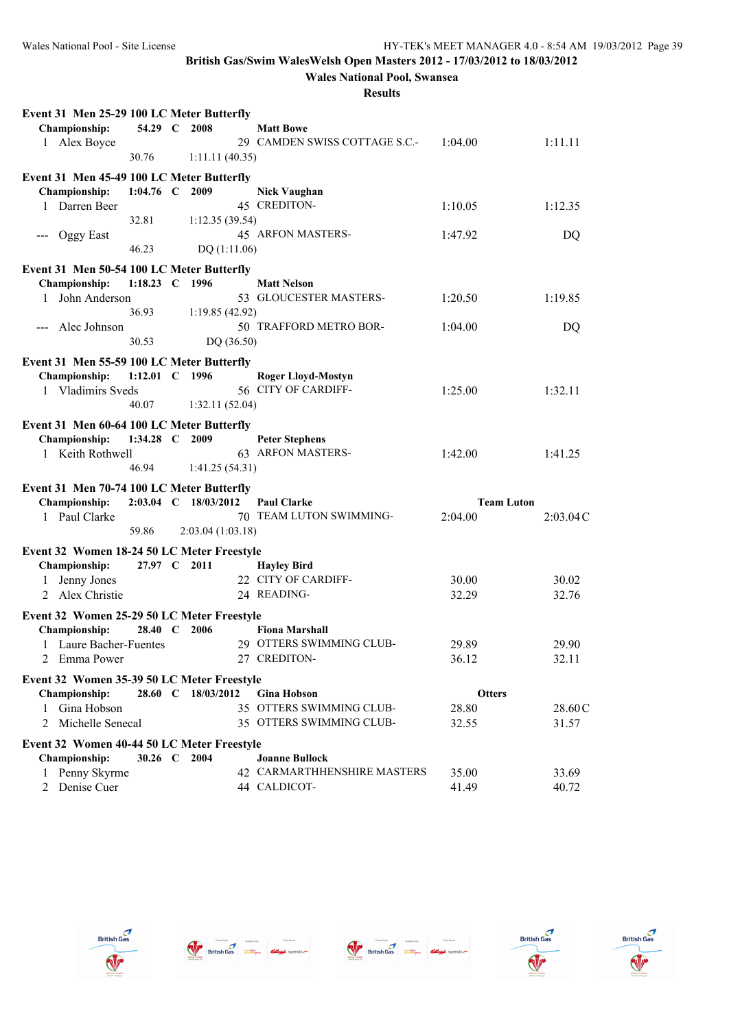**Wales National Pool, Swansea**

| 54.29 C<br>2008<br><b>Championship:</b><br><b>Matt Bowe</b><br>29 CAMDEN SWISS COTTAGE S.C.-<br>1 Alex Boyce<br>1:04.00<br>1:11.11<br>30.76<br>1:11.11(40.35)<br>Event 31 Men 45-49 100 LC Meter Butterfly<br>Championship:<br>1:04.76 C 2009<br><b>Nick Vaughan</b><br>45 CREDITON-<br>1 Darren Beer<br>1:10.05<br>1:12.35<br>32.81<br>1:12.35(39.54)<br>45 ARFON MASTERS-<br>Oggy East<br>1:47.92<br>DQ<br>46.23<br>DQ(1:11.06)<br>Event 31 Men 50-54 100 LC Meter Butterfly<br>Championship:<br>1:18.23 C 1996<br><b>Matt Nelson</b><br>53 GLOUCESTER MASTERS-<br>John Anderson<br>1:20.50<br>1:19.85<br>1<br>36.93<br>1:19.85(42.92)<br>Alec Johnson<br>50 TRAFFORD METRO BOR-<br>1:04.00<br>DQ<br>30.53<br>DQ (36.50)<br>Event 31 Men 55-59 100 LC Meter Butterfly<br>1:12.01 C 1996<br>Championship:<br><b>Roger Lloyd-Mostyn</b><br>56 CITY OF CARDIFF-<br>1 Vladimirs Sveds<br>1:25.00<br>1:32.11<br>1:32.11(52.04)<br>40.07<br>Event 31 Men 60-64 100 LC Meter Butterfly<br>Championship:<br>1:34.28 C 2009<br><b>Peter Stephens</b><br>63 ARFON MASTERS-<br>1 Keith Rothwell<br>1:42.00<br>1:41.25<br>46.94<br>1:41.25(54.31)<br>Event 31 Men 70-74 100 LC Meter Butterfly<br>Championship:<br>2:03.04 C 18/03/2012<br><b>Paul Clarke</b><br><b>Team Luton</b><br>70 TEAM LUTON SWIMMING-<br>1 Paul Clarke<br>2:04.00<br>2:03.04C<br>59.86<br>2:03.04(1:03.18)<br>Event 32 Women 18-24 50 LC Meter Freestyle<br>Championship:<br>27.97 C 2011<br><b>Hayley Bird</b><br>22 CITY OF CARDIFF-<br>Jenny Jones<br>30.00<br>30.02<br>1<br>2 Alex Christie<br>24 READING-<br>32.29<br>32.76<br>Event 32 Women 25-29 50 LC Meter Freestyle<br>Championship:<br><b>Fiona Marshall</b><br>28.40 C<br>2006<br>29 OTTERS SWIMMING CLUB-<br>1 Laure Bacher-Fuentes<br>29.89<br>29.90<br>27 CREDITON-<br>36.12<br>2<br>Emma Power<br>32.11<br>Event 32 Women 35-39 50 LC Meter Freestyle<br>28.60 C 18/03/2012<br><b>Championship:</b><br><b>Gina Hobson</b><br><b>Otters</b><br>35 OTTERS SWIMMING CLUB-<br>Gina Hobson<br>28.80<br>28.60C<br>Michelle Senecal<br>35 OTTERS SWIMMING CLUB-<br>32.55<br>2<br>31.57<br>Event 32 Women 40-44 50 LC Meter Freestyle<br>30.26 C 2004<br>Championship:<br><b>Joanne Bullock</b><br>42 CARMARTHHENSHIRE MASTERS<br>1 Penny Skyrme<br>35.00<br>33.69<br>44 CALDICOT- | Event 31 Men 25-29 100 LC Meter Butterfly |  |  |       |       |
|-----------------------------------------------------------------------------------------------------------------------------------------------------------------------------------------------------------------------------------------------------------------------------------------------------------------------------------------------------------------------------------------------------------------------------------------------------------------------------------------------------------------------------------------------------------------------------------------------------------------------------------------------------------------------------------------------------------------------------------------------------------------------------------------------------------------------------------------------------------------------------------------------------------------------------------------------------------------------------------------------------------------------------------------------------------------------------------------------------------------------------------------------------------------------------------------------------------------------------------------------------------------------------------------------------------------------------------------------------------------------------------------------------------------------------------------------------------------------------------------------------------------------------------------------------------------------------------------------------------------------------------------------------------------------------------------------------------------------------------------------------------------------------------------------------------------------------------------------------------------------------------------------------------------------------------------------------------------------------------------------------------------------------------------------------------------------------------------------------------------------------------------------------------------------------------------------------------------------------------------------------------------------------------------------------------|-------------------------------------------|--|--|-------|-------|
|                                                                                                                                                                                                                                                                                                                                                                                                                                                                                                                                                                                                                                                                                                                                                                                                                                                                                                                                                                                                                                                                                                                                                                                                                                                                                                                                                                                                                                                                                                                                                                                                                                                                                                                                                                                                                                                                                                                                                                                                                                                                                                                                                                                                                                                                                                           |                                           |  |  |       |       |
|                                                                                                                                                                                                                                                                                                                                                                                                                                                                                                                                                                                                                                                                                                                                                                                                                                                                                                                                                                                                                                                                                                                                                                                                                                                                                                                                                                                                                                                                                                                                                                                                                                                                                                                                                                                                                                                                                                                                                                                                                                                                                                                                                                                                                                                                                                           |                                           |  |  |       |       |
|                                                                                                                                                                                                                                                                                                                                                                                                                                                                                                                                                                                                                                                                                                                                                                                                                                                                                                                                                                                                                                                                                                                                                                                                                                                                                                                                                                                                                                                                                                                                                                                                                                                                                                                                                                                                                                                                                                                                                                                                                                                                                                                                                                                                                                                                                                           |                                           |  |  |       |       |
|                                                                                                                                                                                                                                                                                                                                                                                                                                                                                                                                                                                                                                                                                                                                                                                                                                                                                                                                                                                                                                                                                                                                                                                                                                                                                                                                                                                                                                                                                                                                                                                                                                                                                                                                                                                                                                                                                                                                                                                                                                                                                                                                                                                                                                                                                                           |                                           |  |  |       |       |
|                                                                                                                                                                                                                                                                                                                                                                                                                                                                                                                                                                                                                                                                                                                                                                                                                                                                                                                                                                                                                                                                                                                                                                                                                                                                                                                                                                                                                                                                                                                                                                                                                                                                                                                                                                                                                                                                                                                                                                                                                                                                                                                                                                                                                                                                                                           |                                           |  |  |       |       |
|                                                                                                                                                                                                                                                                                                                                                                                                                                                                                                                                                                                                                                                                                                                                                                                                                                                                                                                                                                                                                                                                                                                                                                                                                                                                                                                                                                                                                                                                                                                                                                                                                                                                                                                                                                                                                                                                                                                                                                                                                                                                                                                                                                                                                                                                                                           |                                           |  |  |       |       |
|                                                                                                                                                                                                                                                                                                                                                                                                                                                                                                                                                                                                                                                                                                                                                                                                                                                                                                                                                                                                                                                                                                                                                                                                                                                                                                                                                                                                                                                                                                                                                                                                                                                                                                                                                                                                                                                                                                                                                                                                                                                                                                                                                                                                                                                                                                           |                                           |  |  |       |       |
|                                                                                                                                                                                                                                                                                                                                                                                                                                                                                                                                                                                                                                                                                                                                                                                                                                                                                                                                                                                                                                                                                                                                                                                                                                                                                                                                                                                                                                                                                                                                                                                                                                                                                                                                                                                                                                                                                                                                                                                                                                                                                                                                                                                                                                                                                                           |                                           |  |  |       |       |
|                                                                                                                                                                                                                                                                                                                                                                                                                                                                                                                                                                                                                                                                                                                                                                                                                                                                                                                                                                                                                                                                                                                                                                                                                                                                                                                                                                                                                                                                                                                                                                                                                                                                                                                                                                                                                                                                                                                                                                                                                                                                                                                                                                                                                                                                                                           |                                           |  |  |       |       |
|                                                                                                                                                                                                                                                                                                                                                                                                                                                                                                                                                                                                                                                                                                                                                                                                                                                                                                                                                                                                                                                                                                                                                                                                                                                                                                                                                                                                                                                                                                                                                                                                                                                                                                                                                                                                                                                                                                                                                                                                                                                                                                                                                                                                                                                                                                           |                                           |  |  |       |       |
|                                                                                                                                                                                                                                                                                                                                                                                                                                                                                                                                                                                                                                                                                                                                                                                                                                                                                                                                                                                                                                                                                                                                                                                                                                                                                                                                                                                                                                                                                                                                                                                                                                                                                                                                                                                                                                                                                                                                                                                                                                                                                                                                                                                                                                                                                                           |                                           |  |  |       |       |
|                                                                                                                                                                                                                                                                                                                                                                                                                                                                                                                                                                                                                                                                                                                                                                                                                                                                                                                                                                                                                                                                                                                                                                                                                                                                                                                                                                                                                                                                                                                                                                                                                                                                                                                                                                                                                                                                                                                                                                                                                                                                                                                                                                                                                                                                                                           |                                           |  |  |       |       |
|                                                                                                                                                                                                                                                                                                                                                                                                                                                                                                                                                                                                                                                                                                                                                                                                                                                                                                                                                                                                                                                                                                                                                                                                                                                                                                                                                                                                                                                                                                                                                                                                                                                                                                                                                                                                                                                                                                                                                                                                                                                                                                                                                                                                                                                                                                           |                                           |  |  |       |       |
|                                                                                                                                                                                                                                                                                                                                                                                                                                                                                                                                                                                                                                                                                                                                                                                                                                                                                                                                                                                                                                                                                                                                                                                                                                                                                                                                                                                                                                                                                                                                                                                                                                                                                                                                                                                                                                                                                                                                                                                                                                                                                                                                                                                                                                                                                                           |                                           |  |  |       |       |
|                                                                                                                                                                                                                                                                                                                                                                                                                                                                                                                                                                                                                                                                                                                                                                                                                                                                                                                                                                                                                                                                                                                                                                                                                                                                                                                                                                                                                                                                                                                                                                                                                                                                                                                                                                                                                                                                                                                                                                                                                                                                                                                                                                                                                                                                                                           |                                           |  |  |       |       |
|                                                                                                                                                                                                                                                                                                                                                                                                                                                                                                                                                                                                                                                                                                                                                                                                                                                                                                                                                                                                                                                                                                                                                                                                                                                                                                                                                                                                                                                                                                                                                                                                                                                                                                                                                                                                                                                                                                                                                                                                                                                                                                                                                                                                                                                                                                           |                                           |  |  |       |       |
|                                                                                                                                                                                                                                                                                                                                                                                                                                                                                                                                                                                                                                                                                                                                                                                                                                                                                                                                                                                                                                                                                                                                                                                                                                                                                                                                                                                                                                                                                                                                                                                                                                                                                                                                                                                                                                                                                                                                                                                                                                                                                                                                                                                                                                                                                                           |                                           |  |  |       |       |
|                                                                                                                                                                                                                                                                                                                                                                                                                                                                                                                                                                                                                                                                                                                                                                                                                                                                                                                                                                                                                                                                                                                                                                                                                                                                                                                                                                                                                                                                                                                                                                                                                                                                                                                                                                                                                                                                                                                                                                                                                                                                                                                                                                                                                                                                                                           |                                           |  |  |       |       |
|                                                                                                                                                                                                                                                                                                                                                                                                                                                                                                                                                                                                                                                                                                                                                                                                                                                                                                                                                                                                                                                                                                                                                                                                                                                                                                                                                                                                                                                                                                                                                                                                                                                                                                                                                                                                                                                                                                                                                                                                                                                                                                                                                                                                                                                                                                           |                                           |  |  |       |       |
|                                                                                                                                                                                                                                                                                                                                                                                                                                                                                                                                                                                                                                                                                                                                                                                                                                                                                                                                                                                                                                                                                                                                                                                                                                                                                                                                                                                                                                                                                                                                                                                                                                                                                                                                                                                                                                                                                                                                                                                                                                                                                                                                                                                                                                                                                                           |                                           |  |  |       |       |
|                                                                                                                                                                                                                                                                                                                                                                                                                                                                                                                                                                                                                                                                                                                                                                                                                                                                                                                                                                                                                                                                                                                                                                                                                                                                                                                                                                                                                                                                                                                                                                                                                                                                                                                                                                                                                                                                                                                                                                                                                                                                                                                                                                                                                                                                                                           |                                           |  |  |       |       |
|                                                                                                                                                                                                                                                                                                                                                                                                                                                                                                                                                                                                                                                                                                                                                                                                                                                                                                                                                                                                                                                                                                                                                                                                                                                                                                                                                                                                                                                                                                                                                                                                                                                                                                                                                                                                                                                                                                                                                                                                                                                                                                                                                                                                                                                                                                           |                                           |  |  |       |       |
|                                                                                                                                                                                                                                                                                                                                                                                                                                                                                                                                                                                                                                                                                                                                                                                                                                                                                                                                                                                                                                                                                                                                                                                                                                                                                                                                                                                                                                                                                                                                                                                                                                                                                                                                                                                                                                                                                                                                                                                                                                                                                                                                                                                                                                                                                                           |                                           |  |  |       |       |
|                                                                                                                                                                                                                                                                                                                                                                                                                                                                                                                                                                                                                                                                                                                                                                                                                                                                                                                                                                                                                                                                                                                                                                                                                                                                                                                                                                                                                                                                                                                                                                                                                                                                                                                                                                                                                                                                                                                                                                                                                                                                                                                                                                                                                                                                                                           |                                           |  |  |       |       |
|                                                                                                                                                                                                                                                                                                                                                                                                                                                                                                                                                                                                                                                                                                                                                                                                                                                                                                                                                                                                                                                                                                                                                                                                                                                                                                                                                                                                                                                                                                                                                                                                                                                                                                                                                                                                                                                                                                                                                                                                                                                                                                                                                                                                                                                                                                           |                                           |  |  |       |       |
|                                                                                                                                                                                                                                                                                                                                                                                                                                                                                                                                                                                                                                                                                                                                                                                                                                                                                                                                                                                                                                                                                                                                                                                                                                                                                                                                                                                                                                                                                                                                                                                                                                                                                                                                                                                                                                                                                                                                                                                                                                                                                                                                                                                                                                                                                                           |                                           |  |  |       |       |
|                                                                                                                                                                                                                                                                                                                                                                                                                                                                                                                                                                                                                                                                                                                                                                                                                                                                                                                                                                                                                                                                                                                                                                                                                                                                                                                                                                                                                                                                                                                                                                                                                                                                                                                                                                                                                                                                                                                                                                                                                                                                                                                                                                                                                                                                                                           |                                           |  |  |       |       |
|                                                                                                                                                                                                                                                                                                                                                                                                                                                                                                                                                                                                                                                                                                                                                                                                                                                                                                                                                                                                                                                                                                                                                                                                                                                                                                                                                                                                                                                                                                                                                                                                                                                                                                                                                                                                                                                                                                                                                                                                                                                                                                                                                                                                                                                                                                           |                                           |  |  |       |       |
|                                                                                                                                                                                                                                                                                                                                                                                                                                                                                                                                                                                                                                                                                                                                                                                                                                                                                                                                                                                                                                                                                                                                                                                                                                                                                                                                                                                                                                                                                                                                                                                                                                                                                                                                                                                                                                                                                                                                                                                                                                                                                                                                                                                                                                                                                                           |                                           |  |  |       |       |
|                                                                                                                                                                                                                                                                                                                                                                                                                                                                                                                                                                                                                                                                                                                                                                                                                                                                                                                                                                                                                                                                                                                                                                                                                                                                                                                                                                                                                                                                                                                                                                                                                                                                                                                                                                                                                                                                                                                                                                                                                                                                                                                                                                                                                                                                                                           |                                           |  |  |       |       |
|                                                                                                                                                                                                                                                                                                                                                                                                                                                                                                                                                                                                                                                                                                                                                                                                                                                                                                                                                                                                                                                                                                                                                                                                                                                                                                                                                                                                                                                                                                                                                                                                                                                                                                                                                                                                                                                                                                                                                                                                                                                                                                                                                                                                                                                                                                           |                                           |  |  |       |       |
|                                                                                                                                                                                                                                                                                                                                                                                                                                                                                                                                                                                                                                                                                                                                                                                                                                                                                                                                                                                                                                                                                                                                                                                                                                                                                                                                                                                                                                                                                                                                                                                                                                                                                                                                                                                                                                                                                                                                                                                                                                                                                                                                                                                                                                                                                                           |                                           |  |  |       |       |
|                                                                                                                                                                                                                                                                                                                                                                                                                                                                                                                                                                                                                                                                                                                                                                                                                                                                                                                                                                                                                                                                                                                                                                                                                                                                                                                                                                                                                                                                                                                                                                                                                                                                                                                                                                                                                                                                                                                                                                                                                                                                                                                                                                                                                                                                                                           |                                           |  |  |       |       |
|                                                                                                                                                                                                                                                                                                                                                                                                                                                                                                                                                                                                                                                                                                                                                                                                                                                                                                                                                                                                                                                                                                                                                                                                                                                                                                                                                                                                                                                                                                                                                                                                                                                                                                                                                                                                                                                                                                                                                                                                                                                                                                                                                                                                                                                                                                           |                                           |  |  |       |       |
|                                                                                                                                                                                                                                                                                                                                                                                                                                                                                                                                                                                                                                                                                                                                                                                                                                                                                                                                                                                                                                                                                                                                                                                                                                                                                                                                                                                                                                                                                                                                                                                                                                                                                                                                                                                                                                                                                                                                                                                                                                                                                                                                                                                                                                                                                                           |                                           |  |  |       |       |
|                                                                                                                                                                                                                                                                                                                                                                                                                                                                                                                                                                                                                                                                                                                                                                                                                                                                                                                                                                                                                                                                                                                                                                                                                                                                                                                                                                                                                                                                                                                                                                                                                                                                                                                                                                                                                                                                                                                                                                                                                                                                                                                                                                                                                                                                                                           |                                           |  |  |       |       |
|                                                                                                                                                                                                                                                                                                                                                                                                                                                                                                                                                                                                                                                                                                                                                                                                                                                                                                                                                                                                                                                                                                                                                                                                                                                                                                                                                                                                                                                                                                                                                                                                                                                                                                                                                                                                                                                                                                                                                                                                                                                                                                                                                                                                                                                                                                           |                                           |  |  |       |       |
|                                                                                                                                                                                                                                                                                                                                                                                                                                                                                                                                                                                                                                                                                                                                                                                                                                                                                                                                                                                                                                                                                                                                                                                                                                                                                                                                                                                                                                                                                                                                                                                                                                                                                                                                                                                                                                                                                                                                                                                                                                                                                                                                                                                                                                                                                                           |                                           |  |  |       |       |
|                                                                                                                                                                                                                                                                                                                                                                                                                                                                                                                                                                                                                                                                                                                                                                                                                                                                                                                                                                                                                                                                                                                                                                                                                                                                                                                                                                                                                                                                                                                                                                                                                                                                                                                                                                                                                                                                                                                                                                                                                                                                                                                                                                                                                                                                                                           |                                           |  |  |       |       |
|                                                                                                                                                                                                                                                                                                                                                                                                                                                                                                                                                                                                                                                                                                                                                                                                                                                                                                                                                                                                                                                                                                                                                                                                                                                                                                                                                                                                                                                                                                                                                                                                                                                                                                                                                                                                                                                                                                                                                                                                                                                                                                                                                                                                                                                                                                           |                                           |  |  |       |       |
|                                                                                                                                                                                                                                                                                                                                                                                                                                                                                                                                                                                                                                                                                                                                                                                                                                                                                                                                                                                                                                                                                                                                                                                                                                                                                                                                                                                                                                                                                                                                                                                                                                                                                                                                                                                                                                                                                                                                                                                                                                                                                                                                                                                                                                                                                                           |                                           |  |  |       |       |
|                                                                                                                                                                                                                                                                                                                                                                                                                                                                                                                                                                                                                                                                                                                                                                                                                                                                                                                                                                                                                                                                                                                                                                                                                                                                                                                                                                                                                                                                                                                                                                                                                                                                                                                                                                                                                                                                                                                                                                                                                                                                                                                                                                                                                                                                                                           |                                           |  |  |       |       |
|                                                                                                                                                                                                                                                                                                                                                                                                                                                                                                                                                                                                                                                                                                                                                                                                                                                                                                                                                                                                                                                                                                                                                                                                                                                                                                                                                                                                                                                                                                                                                                                                                                                                                                                                                                                                                                                                                                                                                                                                                                                                                                                                                                                                                                                                                                           | 2 Denise Cuer                             |  |  | 41.49 | 40.72 |









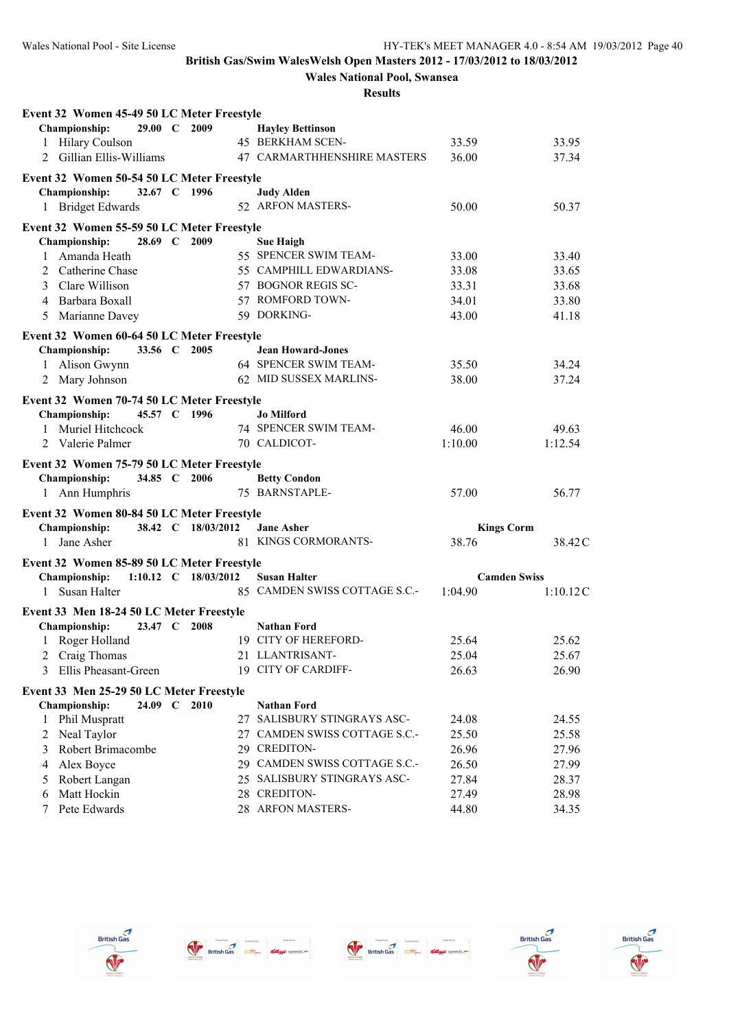**Wales National Pool, Swansea**

| Event 32 Women 45-49 50 LC Meter Freestyle |                 |                      |                                       |                   |                     |
|--------------------------------------------|-----------------|----------------------|---------------------------------------|-------------------|---------------------|
| Championship:                              | $29.00 \quad C$ | 2009                 | <b>Hayley Bettinson</b>               |                   |                     |
| 1 Hilary Coulson                           |                 |                      | 45 BERKHAM SCEN-                      | 33.59             | 33.95               |
| 2 Gillian Ellis-Williams                   |                 |                      | 47 CARMARTHHENSHIRE MASTERS           | 36.00             | 37.34               |
| Event 32 Women 50-54 50 LC Meter Freestyle |                 |                      |                                       |                   |                     |
| <b>Championship:</b>                       | 32.67 C 1996    |                      | <b>Judy Alden</b>                     |                   |                     |
| 1 Bridget Edwards                          |                 |                      | 52 ARFON MASTERS-                     | 50.00             | 50.37               |
| Event 32 Women 55-59 50 LC Meter Freestyle |                 |                      |                                       |                   |                     |
| <b>Championship:</b>                       | 28.69 C 2009    |                      | <b>Sue Haigh</b>                      |                   |                     |
| Amanda Heath<br>1                          |                 |                      | 55 SPENCER SWIM TEAM-                 | 33.00             | 33.40               |
| Catherine Chase<br>2                       |                 |                      | 55 CAMPHILL EDWARDIANS-               | 33.08             | 33.65               |
| Clare Willison<br>3                        |                 |                      | 57 BOGNOR REGIS SC-                   | 33.31             | 33.68               |
| Barbara Boxall<br>4                        |                 |                      | 57 ROMFORD TOWN-                      | 34.01             | 33.80               |
| Marianne Davey<br>5                        |                 |                      | 59 DORKING-                           | 43.00             | 41.18               |
| Event 32 Women 60-64 50 LC Meter Freestyle |                 |                      |                                       |                   |                     |
| Championship:                              | 33.56 C 2005    |                      | <b>Jean Howard-Jones</b>              |                   |                     |
| 1 Alison Gwynn                             |                 |                      | 64 SPENCER SWIM TEAM-                 | 35.50             | 34.24               |
| 2 Mary Johnson                             |                 |                      | 62 MID SUSSEX MARLINS-                | 38.00             | 37.24               |
| Event 32 Women 70-74 50 LC Meter Freestyle |                 |                      |                                       |                   |                     |
| Championship:                              | 45.57 C 1996    |                      | <b>Jo Milford</b>                     |                   |                     |
| 1 Muriel Hitchcock                         |                 |                      | 74 SPENCER SWIM TEAM-                 | 46.00             | 49.63               |
| 2 Valerie Palmer                           |                 |                      | 70 CALDICOT-                          | 1:10.00           | 1:12.54             |
|                                            |                 |                      |                                       |                   |                     |
| Event 32 Women 75-79 50 LC Meter Freestyle |                 |                      |                                       |                   |                     |
| Championship:                              | 34.85 C 2006    |                      | <b>Betty Condon</b><br>75 BARNSTAPLE- | 57.00             | 56.77               |
| 1 Ann Humphris                             |                 |                      |                                       |                   |                     |
| Event 32 Women 80-84 50 LC Meter Freestyle |                 |                      |                                       |                   |                     |
| Championship:                              |                 | 38.42 C 18/03/2012   | <b>Jane Asher</b>                     | <b>Kings Corm</b> |                     |
| 1 Jane Asher                               |                 |                      | 81 KINGS CORMORANTS-                  | 38.76             | 38.42 C             |
| Event 32 Women 85-89 50 LC Meter Freestyle |                 |                      |                                       |                   |                     |
| <b>Championship:</b>                       |                 | 1:10.12 C 18/03/2012 | <b>Susan Halter</b>                   |                   | <b>Camden Swiss</b> |
| Susan Halter<br>1                          |                 |                      | 85 CAMDEN SWISS COTTAGE S.C.-         | 1:04.90           | 1:10.12C            |
| Event 33 Men 18-24 50 LC Meter Freestyle   |                 |                      |                                       |                   |                     |
| Championship:                              | 23.47 C 2008    |                      | <b>Nathan Ford</b>                    |                   |                     |
| 1 Roger Holland                            |                 |                      | 19 CITY OF HEREFORD-                  | 25.64             | 25.62               |
| 2 Craig Thomas                             |                 |                      | 21 LLANTRISANT-                       | 25.04             | 25.67               |
| Ellis Pheasant-Green<br>3                  |                 |                      | 19 CITY OF CARDIFF-                   | 26.63             | 26.90               |
| Event 33 Men 25-29 50 LC Meter Freestyle   |                 |                      |                                       |                   |                     |
| <b>Championship:</b>                       | 24.09 C 2010    |                      | <b>Nathan Ford</b>                    |                   |                     |
| Phil Muspratt<br>1                         |                 |                      | 27 SALISBURY STINGRAYS ASC-           | 24.08             | 24.55               |
| Neal Taylor<br>2                           |                 |                      | 27 CAMDEN SWISS COTTAGE S.C.-         | 25.50             | 25.58               |
| Robert Brimacombe<br>3                     |                 |                      | 29 CREDITON-                          | 26.96             | 27.96               |
| Alex Boyce<br>4                            |                 |                      | 29 CAMDEN SWISS COTTAGE S.C.-         | 26.50             | 27.99               |
| Robert Langan<br>5                         |                 |                      | 25 SALISBURY STINGRAYS ASC-           | 27.84             | 28.37               |
| Matt Hockin<br>6                           |                 |                      | 28 CREDITON-                          | 27.49             | 28.98               |
| Pete Edwards<br>7                          |                 |                      | 28 ARFON MASTERS-                     | 44.80             | 34.35               |









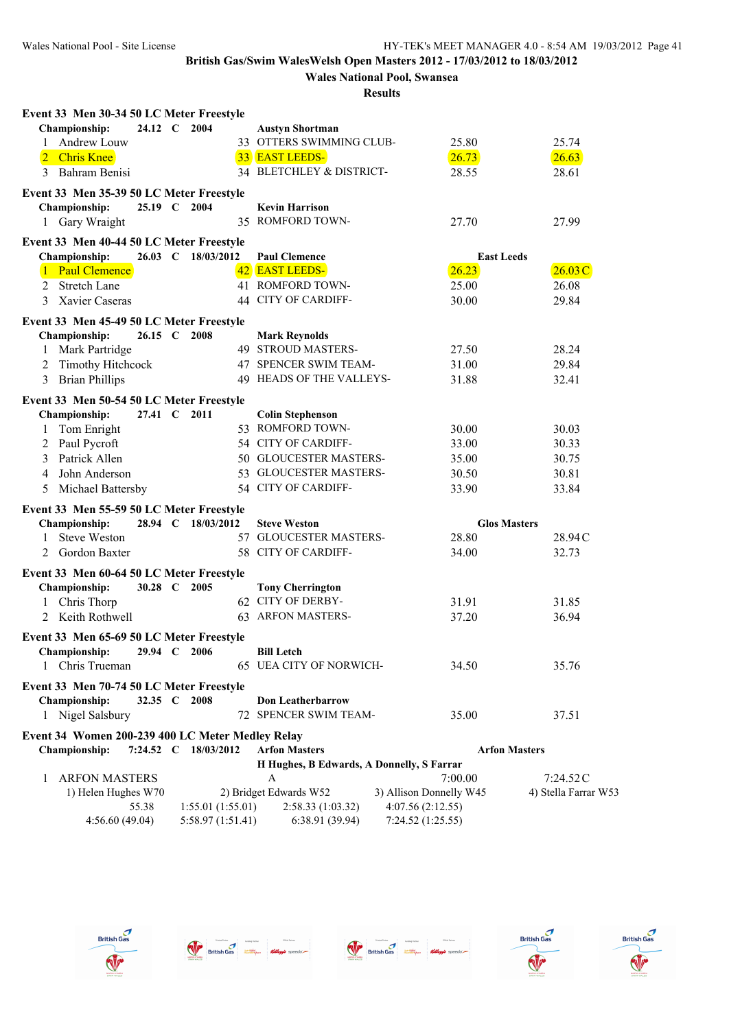# **Wales National Pool, Swansea**

| Event 33 Men 30-34 50 LC Meter Freestyle         |              |                      |                                           |                         |                      |                      |
|--------------------------------------------------|--------------|----------------------|-------------------------------------------|-------------------------|----------------------|----------------------|
| Championship:                                    | 24.12 C 2004 |                      | <b>Austyn Shortman</b>                    |                         |                      |                      |
| Andrew Louw<br>1                                 |              |                      | 33 OTTERS SWIMMING CLUB-                  | 25.80                   | 25.74                |                      |
| 2 Chris Knee                                     |              |                      | 33 EAST LEEDS-                            | 26.73                   | 26.63                |                      |
| Bahram Benisi<br>3                               |              |                      | 34 BLETCHLEY & DISTRICT-                  | 28.55                   | 28.61                |                      |
| Event 33 Men 35-39 50 LC Meter Freestyle         |              |                      |                                           |                         |                      |                      |
| Championship:                                    | 25.19 C 2004 |                      | <b>Kevin Harrison</b>                     |                         |                      |                      |
| 1 Gary Wraight                                   |              |                      | 35 ROMFORD TOWN-                          | 27.70                   | 27.99                |                      |
| Event 33 Men 40-44 50 LC Meter Freestyle         |              |                      |                                           |                         |                      |                      |
| Championship:                                    |              | 26.03 C 18/03/2012   | <b>Paul Clemence</b>                      |                         | <b>East Leeds</b>    |                      |
| Paul Clemence                                    |              |                      | 42 EAST LEEDS-                            | 26.23                   |                      | 26.03C               |
| <b>Stretch Lane</b><br>2                         |              |                      | 41 ROMFORD TOWN-                          | 25.00                   | 26.08                |                      |
| Xavier Caseras<br>3                              |              |                      | 44 CITY OF CARDIFF-                       | 30.00                   | 29.84                |                      |
| Event 33 Men 45-49 50 LC Meter Freestyle         |              |                      |                                           |                         |                      |                      |
| Championship:                                    | 26.15 C 2008 |                      | <b>Mark Reynolds</b>                      |                         |                      |                      |
| Mark Partridge                                   |              |                      | 49 STROUD MASTERS-                        | 27.50                   | 28.24                |                      |
| <b>Timothy Hitchcock</b><br>2                    |              |                      | 47 SPENCER SWIM TEAM-                     | 31.00                   | 29.84                |                      |
| <b>Brian Phillips</b><br>3                       |              |                      | 49 HEADS OF THE VALLEYS-                  | 31.88                   | 32.41                |                      |
| Event 33 Men 50-54 50 LC Meter Freestyle         |              |                      |                                           |                         |                      |                      |
| Championship:                                    | 27.41 C 2011 |                      | <b>Colin Stephenson</b>                   |                         |                      |                      |
| Tom Enright<br>1                                 |              |                      | 53 ROMFORD TOWN-                          | 30.00                   | 30.03                |                      |
| Paul Pycroft<br>2                                |              |                      | 54 CITY OF CARDIFF-                       | 33.00                   | 30.33                |                      |
| Patrick Allen<br>3                               |              |                      | 50 GLOUCESTER MASTERS-                    | 35.00                   | 30.75                |                      |
| John Anderson<br>4                               |              |                      | 53 GLOUCESTER MASTERS-                    | 30.50                   | 30.81                |                      |
| Michael Battersby<br>5                           |              |                      | 54 CITY OF CARDIFF-                       | 33.90                   | 33.84                |                      |
| Event 33 Men 55-59 50 LC Meter Freestyle         |              |                      |                                           |                         |                      |                      |
| Championship:                                    |              | 28.94 C 18/03/2012   | <b>Steve Weston</b>                       |                         | <b>Glos Masters</b>  |                      |
| <b>Steve Weston</b><br>1                         |              |                      | 57 GLOUCESTER MASTERS-                    | 28.80                   |                      | 28.94C               |
| Gordon Baxter<br>2                               |              |                      | 58 CITY OF CARDIFF-                       | 34.00                   | 32.73                |                      |
| Event 33 Men 60-64 50 LC Meter Freestyle         |              |                      |                                           |                         |                      |                      |
| Championship:                                    | 30.28 C 2005 |                      | <b>Tony Cherrington</b>                   |                         |                      |                      |
| 1 Chris Thorp                                    |              |                      | 62 CITY OF DERBY-                         | 31.91                   | 31.85                |                      |
| 2 Keith Rothwell                                 |              |                      | 63 ARFON MASTERS-                         | 37.20                   | 36.94                |                      |
| Event 33 Men 65-69 50 LC Meter Freestyle         |              |                      |                                           |                         |                      |                      |
| <b>Championship:</b>                             | 29.94 C      | 2006                 | <b>Bill Letch</b>                         |                         |                      |                      |
| Chris Trueman                                    |              |                      | 65 UEA CITY OF NORWICH-                   | 34.50                   | 35.76                |                      |
| Event 33 Men 70-74 50 LC Meter Freestyle         |              |                      |                                           |                         |                      |                      |
| Championship:                                    | 32.35 C 2008 |                      | <b>Don Leatherbarrow</b>                  |                         |                      |                      |
| 1 Nigel Salsbury                                 |              |                      | 72 SPENCER SWIM TEAM-                     | 35.00                   | 37.51                |                      |
| Event 34 Women 200-239 400 LC Meter Medley Relay |              |                      |                                           |                         |                      |                      |
| <b>Championship:</b>                             |              | 7:24.52 C 18/03/2012 | <b>Arfon Masters</b>                      |                         | <b>Arfon Masters</b> |                      |
|                                                  |              |                      | H Hughes, B Edwards, A Donnelly, S Farrar |                         |                      |                      |
| <b>ARFON MASTERS</b><br>1                        |              |                      | A                                         | 7:00.00                 | 7:24.52C             |                      |
| 1) Helen Hughes W70                              |              |                      | 2) Bridget Edwards W52                    | 3) Allison Donnelly W45 |                      | 4) Stella Farrar W53 |
|                                                  | 55.38        | 1:55.01(1:55.01)     | 2:58.33(1:03.32)                          | 4:07.56 (2:12.55)       |                      |                      |
| 4:56.60(49.04)                                   |              | 5:58.97 (1:51.41)    | 6:38.91(39.94)                            | 7:24.52(1:25.55)        |                      |                      |









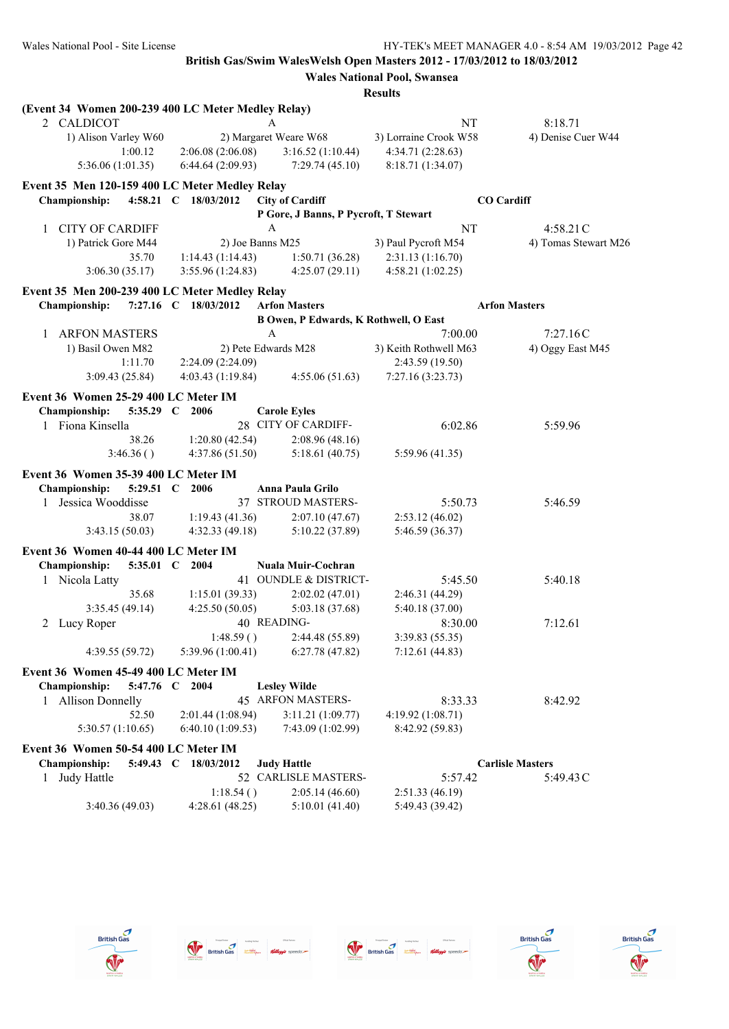|                                                    |                |                      |                                       | <b>Results</b>                               |                         |
|----------------------------------------------------|----------------|----------------------|---------------------------------------|----------------------------------------------|-------------------------|
| (Event 34 Women 200-239 400 LC Meter Medley Relay) |                |                      |                                       |                                              |                         |
| 2 CALDICOT                                         |                |                      | A                                     | NT                                           | 8:18.71                 |
| 1) Alison Varley W60                               |                |                      | 2) Margaret Weare W68                 | 3) Lorraine Crook W58                        | 4) Denise Cuer W44      |
|                                                    | 1:00.12        | 2:06.08(2:06.08)     | 3:16.52(1:10.44)                      | 4:34.71 (2:28.63)                            |                         |
| 5:36.06 (1:01.35)                                  |                | 6:44.64(2:09.93)     | 7:29.74(45.10)                        | 8:18.71 (1:34.07)                            |                         |
| Event 35 Men 120-159 400 LC Meter Medley Relay     |                |                      |                                       |                                              |                         |
| <b>Championship:</b>                               |                | 4:58.21 C 18/03/2012 | <b>City of Cardiff</b>                |                                              | <b>CO</b> Cardiff       |
|                                                    |                |                      | P Gore, J Banns, P Pycroft, T Stewart |                                              |                         |
| <b>CITY OF CARDIFF</b><br>1                        |                |                      | A                                     | NT                                           | 4:58.21C                |
| 1) Patrick Gore M44                                |                |                      | 2) Joe Banns M25                      | 3) Paul Pycroft M54                          | 4) Tomas Stewart M26    |
|                                                    | 35.70          | 1:14.43(1:14.43)     | 1:50.71(36.28)                        | 2:31.13 (1:16.70)                            |                         |
| 3:06.30(35.17)                                     |                | 3:55.96(1:24.83)     | 4:25.07(29.11)                        | 4:58.21 (1:02.25)                            |                         |
| Event 35 Men 200-239 400 LC Meter Medley Relay     |                |                      |                                       |                                              |                         |
| <b>Championship:</b>                               |                | 7:27.16 C 18/03/2012 | <b>Arfon Masters</b>                  |                                              | <b>Arfon Masters</b>    |
|                                                    |                |                      |                                       | <b>B Owen, P Edwards, K Rothwell, O East</b> |                         |
| <b>ARFON MASTERS</b><br>$\mathbf{1}$               |                |                      | $\mathbf{A}$                          | 7:00.00                                      | 7:27.16C                |
| 1) Basil Owen M82                                  |                |                      | 2) Pete Edwards M28                   | 3) Keith Rothwell M63                        | 4) Oggy East M45        |
|                                                    | 1:11.70        | 2:24.09 (2:24.09)    |                                       | 2:43.59 (19.50)                              |                         |
| 3:09.43(25.84)                                     |                | 4:03.43(1:19.84)     | 4:55.06(51.63)                        | 7:27.16(3:23.73)                             |                         |
| Event 36 Women 25-29 400 LC Meter IM               |                |                      |                                       |                                              |                         |
| <b>Championship:</b>                               | 5:35.29 C 2006 |                      | <b>Carole Eyles</b>                   |                                              |                         |
| 1 Fiona Kinsella                                   |                |                      | 28 CITY OF CARDIFF-                   | 6:02.86                                      | 5:59.96                 |
|                                                    | 38.26          | 1:20.80(42.54)       | 2:08.96(48.16)                        |                                              |                         |
|                                                    | 3:46.36()      | 4:37.86(51.50)       | 5:18.61(40.75)                        | 5:59.96(41.35)                               |                         |
|                                                    |                |                      |                                       |                                              |                         |
| Event 36 Women 35-39 400 LC Meter IM               |                |                      |                                       |                                              |                         |
| <b>Championship:</b>                               | 5:29.51 C      | 2006                 | Anna Paula Grilo                      |                                              |                         |
| 1 Jessica Wooddisse                                |                |                      | 37 STROUD MASTERS-                    | 5:50.73                                      | 5:46.59                 |
|                                                    | 38.07          | 1:19.43(41.36)       | 2:07.10(47.67)                        | 2:53.12(46.02)                               |                         |
| 3:43.15(50.03)                                     |                | 4:32.33(49.18)       | 5:10.22 (37.89)                       | 5:46.59 (36.37)                              |                         |
| Event 36 Women 40-44 400 LC Meter IM               |                |                      |                                       |                                              |                         |
| Championship:                                      | 5:35.01 C      | 2004                 | Nuala Muir-Cochran                    |                                              |                         |
| 1 Nicola Latty                                     |                |                      | 41 OUNDLE & DISTRICT-                 | 5:45.50                                      | 5:40.18                 |
|                                                    | 35.68          | 1:15.01(39.33)       | 2:02.02(47.01)                        | 2:46.31(44.29)                               |                         |
| 3:35.45(49.14)                                     |                | 4:25.50(50.05)       | 5:03.18 (37.68)                       | 5:40.18 (37.00)                              |                         |
| 2 Lucy Roper                                       |                |                      | 40 READING-                           | 8:30.00                                      | 7:12.61                 |
|                                                    |                | 1:48.59()            | 2:44.48 (55.89)                       | 3:39.83 (55.35)                              |                         |
| 4:39.55(59.72)                                     |                | 5:39.96 (1:00.41)    | 6:27.78(47.82)                        | 7:12.61(44.83)                               |                         |
| Event 36 Women 45-49 400 LC Meter IM               |                |                      |                                       |                                              |                         |
| Championship:                                      | 5:47.76 C 2004 |                      | <b>Lesley Wilde</b>                   |                                              |                         |
| 1 Allison Donnelly                                 |                |                      | 45 ARFON MASTERS-                     | 8:33.33                                      | 8:42.92                 |
|                                                    | 52.50          | 2:01.44 (1:08.94)    | 3:11.21 (1:09.77)                     | 4:19.92 (1:08.71)                            |                         |
| 5:30.57 (1:10.65)                                  |                | 6:40.10(1:09.53)     | 7:43.09 (1:02.99)                     | 8:42.92 (59.83)                              |                         |
| Event 36 Women 50-54 400 LC Meter IM               |                |                      |                                       |                                              |                         |
| <b>Championship:</b>                               |                | 5:49.43 C 18/03/2012 | <b>Judy Hattle</b>                    |                                              | <b>Carlisle Masters</b> |
| Judy Hattle<br>1                                   |                |                      | 52 CARLISLE MASTERS-                  | 5:57.42                                      | 5:49.43C                |
|                                                    |                | 1:18.54()            | 2:05.14(46.60)                        | 2:51.33(46.19)                               |                         |
| 3:40.36(49.03)                                     |                | 4:28.61(48.25)       | 5:10.01(41.40)                        | 5:49.43 (39.42)                              |                         |
|                                                    |                |                      |                                       |                                              |                         |









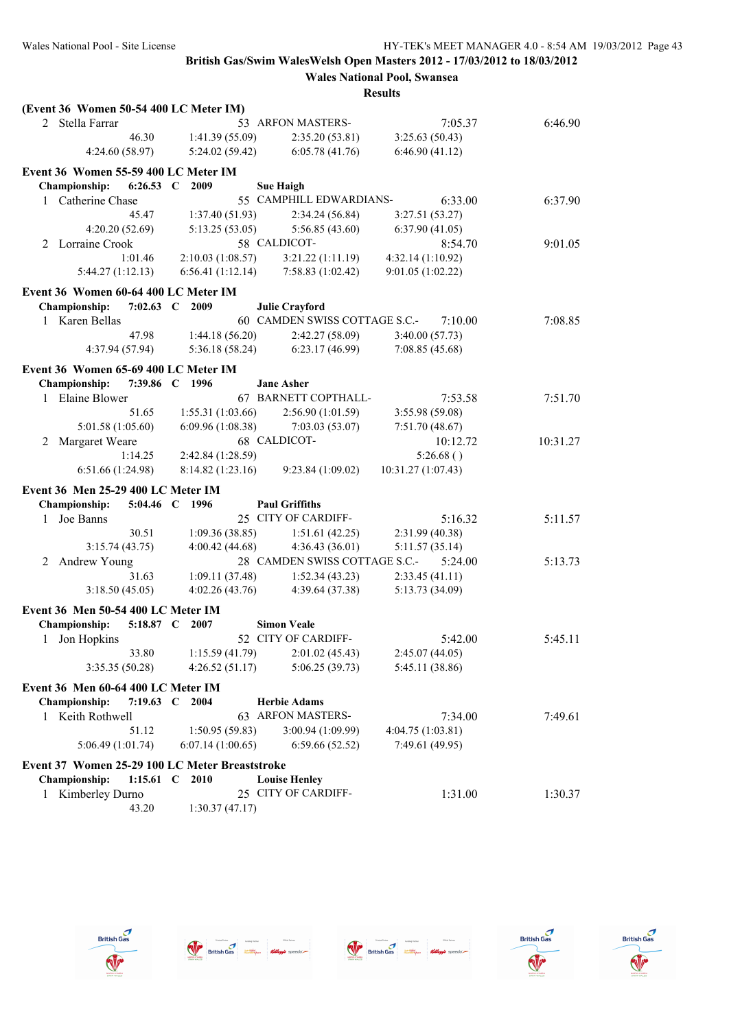| (Event 36 Women 50-54 400 LC Meter IM)                          |                   |                               |                    |          |
|-----------------------------------------------------------------|-------------------|-------------------------------|--------------------|----------|
| 2 Stella Farrar                                                 |                   | 53 ARFON MASTERS-             | 7:05.37            | 6:46.90  |
| 46.30                                                           | 1:41.39 (55.09)   | 2:35.20(53.81)                | 3:25.63(50.43)     |          |
| 4:24.60 (58.97)                                                 | 5:24.02(59.42)    | 6:05.78(41.76)                | 6:46.90(41.12)     |          |
| Event 36 Women 55-59 400 LC Meter IM                            |                   |                               |                    |          |
| <b>Championship:</b><br>$6:26.53$ C                             | 2009              | <b>Sue Haigh</b>              |                    |          |
| 1 Catherine Chase                                               |                   | 55 CAMPHILL EDWARDIANS-       | 6:33.00            | 6:37.90  |
| 45.47                                                           | 1:37.40(51.93)    | 2:34.24 (56.84)               | 3:27.51(53.27)     |          |
| 4:20.20 (52.69)                                                 | 5:13.25(53.05)    | 5:56.85(43.60)                | 6:37.90(41.05)     |          |
| 2 Lorraine Crook                                                |                   | 58 CALDICOT-                  | 8:54.70            | 9:01.05  |
| 1:01.46                                                         | 2:10.03(1:08.57)  | 3:21.22(1:11.19)              | 4:32.14 (1:10.92)  |          |
| 5:44.27(1:12.13)                                                | 6:56.41(1:12.14)  | 7:58.83(1:02.42)              | 9:01.05(1:02.22)   |          |
| Event 36 Women 60-64 400 LC Meter IM                            |                   |                               |                    |          |
| Championship:<br>7:02.63 $\,C$                                  | 2009              | <b>Julie Crayford</b>         |                    |          |
| 1 Karen Bellas                                                  |                   | 60 CAMDEN SWISS COTTAGE S.C.- | 7:10.00            | 7:08.85  |
| 47.98                                                           | 1:44.18(56.20)    | 2:42.27(58.09)                | 3:40.00(57.73)     |          |
| 4:37.94 (57.94)                                                 | 5:36.18(58.24)    | 6:23.17(46.99)                | 7:08.85 (45.68)    |          |
| Event 36 Women 65-69 400 LC Meter IM                            |                   |                               |                    |          |
| Championship:                                                   | 7:39.86 C 1996    | <b>Jane Asher</b>             |                    |          |
| 1 Elaine Blower                                                 |                   | 67 BARNETT COPTHALL-          | 7:53.58            | 7:51.70  |
| 51.65                                                           | 1:55.31(1:03.66)  | 2:56.90 (1:01.59)             | 3:55.98 (59.08)    |          |
| 5:01.58 (1:05.60)                                               | 6:09.96 (1:08.38) | 7:03.03(53.07)                | 7:51.70(48.67)     |          |
| Margaret Weare<br>2                                             |                   | 68 CALDICOT-                  | 10:12.72           | 10:31.27 |
| 1:14.25                                                         | 2:42.84 (1:28.59) |                               | 5:26.68()          |          |
| 6:51.66 (1:24.98)                                               | 8:14.82(1:23.16)  | 9:23.84 (1:09.02)             | 10:31.27 (1:07.43) |          |
| Event 36 Men 25-29 400 LC Meter IM                              |                   |                               |                    |          |
| Championship:                                                   | 5:04.46 C 1996    | <b>Paul Griffiths</b>         |                    |          |
| Joe Banns<br>$\mathbf{1}$                                       |                   | 25 CITY OF CARDIFF-           | 5:16.32            | 5:11.57  |
| 30.51                                                           | 1:09.36(38.85)    | 1:51.61(42.25)                | 2:31.99(40.38)     |          |
| 3:15.74(43.75)                                                  | 4:00.42(44.68)    | 4:36.43(36.01)                | 5:11.57(35.14)     |          |
| Andrew Young<br>2                                               |                   | 28 CAMDEN SWISS COTTAGE S.C.- | 5:24.00            | 5:13.73  |
| 31.63                                                           | 1:09.11(37.48)    | 1:52.34(43.23)                | 2:33.45(41.11)     |          |
| 3:18.50(45.05)                                                  | 4:02.26(43.76)    | 4:39.64 (37.38)               | 5:13.73 (34.09)    |          |
| Event 36 Men 50-54 400 LC Meter IM                              |                   |                               |                    |          |
| Championship:<br>5:18.87 C                                      | 2007              | <b>Simon Veale</b>            |                    |          |
| 1 Jon Hopkins                                                   |                   | 52 CITY OF CARDIFF-           | 5:42.00            | 5:45.11  |
| 33.80                                                           | 1:15.59(41.79)    | 2:01.02(45.43)                | 2:45.07(44.05)     |          |
| 3:35.35 (50.28)                                                 | 4:26.52(51.17)    | 5:06.25 (39.73)               | 5:45.11 (38.86)    |          |
| Event 36 Men 60-64 400 LC Meter IM                              |                   |                               |                    |          |
| <b>Championship:</b><br>7:19.63 $C$                             | 2004              | <b>Herbie Adams</b>           |                    |          |
| 1 Keith Rothwell                                                |                   | 63 ARFON MASTERS-             | 7:34.00            | 7:49.61  |
| 51.12                                                           | 1:50.95(59.83)    | 3:00.94 (1:09.99)             | 4:04.75 (1:03.81)  |          |
| 5:06.49(1:01.74)                                                | 6:07.14(1:00.65)  | 6:59.66(52.52)                | 7:49.61 (49.95)    |          |
|                                                                 |                   |                               |                    |          |
| Event 37 Women 25-29 100 LC Meter Breaststroke<br>Championship: | 1:15.61 C 2010    | <b>Louise Henley</b>          |                    |          |
| Kimberley Durno<br>1                                            |                   | 25 CITY OF CARDIFF-           | 1:31.00            | 1:30.37  |
| 43.20                                                           | 1:30.37(47.17)    |                               |                    |          |
|                                                                 |                   |                               |                    |          |









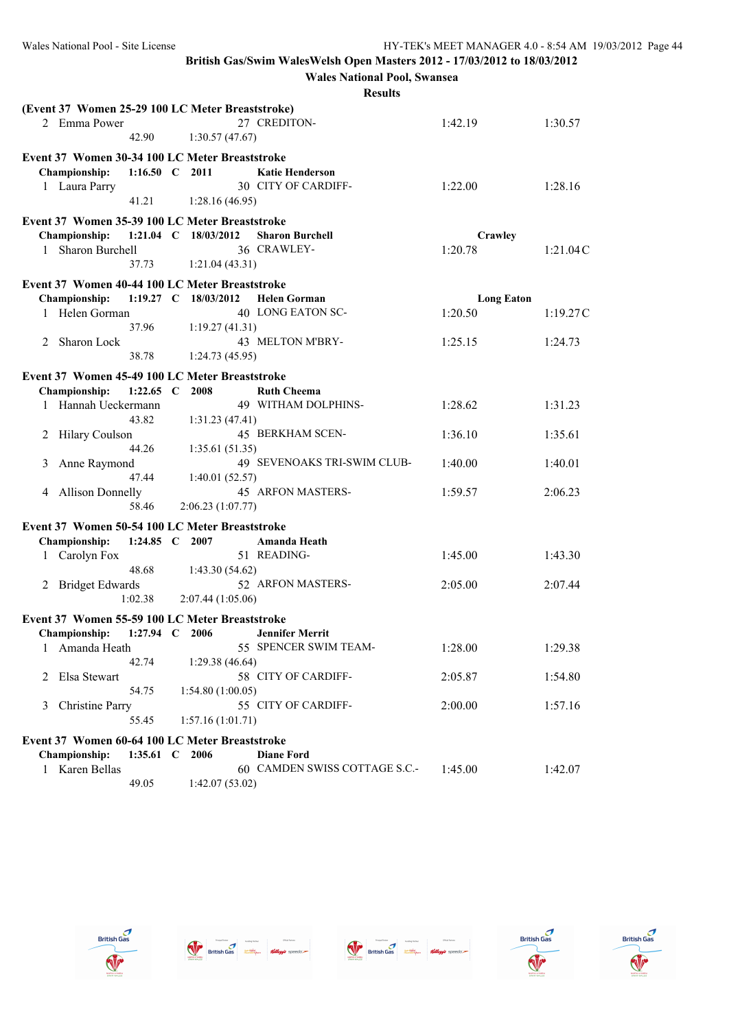|                                                  |                |                      | <b>Wales National Pool, Swansea</b> |                   |          |
|--------------------------------------------------|----------------|----------------------|-------------------------------------|-------------------|----------|
|                                                  |                |                      | <b>Results</b>                      |                   |          |
| (Event 37 Women 25-29 100 LC Meter Breaststroke) |                |                      |                                     |                   |          |
| 2 Emma Power                                     |                |                      | 27 CREDITON-                        | 1:42.19           | 1:30.57  |
|                                                  | 42.90          | 1:30.57(47.67)       |                                     |                   |          |
| Event 37 Women 30-34 100 LC Meter Breaststroke   |                |                      |                                     |                   |          |
| Championship:                                    | 1:16.50 C 2011 |                      | <b>Katie Henderson</b>              |                   |          |
| 1 Laura Parry                                    |                |                      | 30 CITY OF CARDIFF-                 | 1:22.00           | 1:28.16  |
|                                                  | 41.21          | 1:28.16(46.95)       |                                     |                   |          |
|                                                  |                |                      |                                     |                   |          |
| Event 37 Women 35-39 100 LC Meter Breaststroke   |                |                      |                                     |                   |          |
| Championship:                                    |                | 1:21.04 C 18/03/2012 | <b>Sharon Burchell</b>              | Crawley           |          |
| Sharon Burchell<br>$\mathbf{1}$                  |                |                      | 36 CRAWLEY-                         | 1:20.78           | 1:21.04C |
|                                                  | 37.73          | 1:21.04(43.31)       |                                     |                   |          |
| Event 37 Women 40-44 100 LC Meter Breaststroke   |                |                      |                                     |                   |          |
| Championship:                                    |                | 1:19.27 C 18/03/2012 | <b>Helen Gorman</b>                 | <b>Long Eaton</b> |          |
| 1 Helen Gorman                                   |                |                      | 40 LONG EATON SC-                   | 1:20.50           | 1:19.27C |
|                                                  | 37.96          | 1:19.27(41.31)       |                                     |                   |          |
| 2 Sharon Lock                                    |                |                      | 43 MELTON M'BRY-                    | 1:25.15           | 1:24.73  |
|                                                  | 38.78          | 1:24.73(45.95)       |                                     |                   |          |
| Event 37 Women 45-49 100 LC Meter Breaststroke   |                |                      |                                     |                   |          |
| Championship:                                    | 1:22.65 $\,$ C | 2008                 | <b>Ruth Cheema</b>                  |                   |          |
| 1 Hannah Ueckermann                              |                |                      | 49 WITHAM DOLPHINS-                 | 1:28.62           | 1:31.23  |
|                                                  | 43.82          |                      |                                     |                   |          |
|                                                  |                | 1:31.23(47.41)       | 45 BERKHAM SCEN-                    |                   |          |
| Hilary Coulson<br>2                              | 44.26          |                      |                                     | 1:36.10           | 1:35.61  |
|                                                  |                | 1:35.61(51.35)       | 49 SEVENOAKS TRI-SWIM CLUB-         | 1:40.00           |          |
| 3<br>Anne Raymond                                | 47.44          |                      |                                     |                   | 1:40.01  |
|                                                  |                | 1:40.01(52.57)       | 45 ARFON MASTERS-                   | 1:59.57           | 2:06.23  |
| 4 Allison Donnelly                               | 58.46          | 2:06.23 (1:07.77)    |                                     |                   |          |
|                                                  |                |                      |                                     |                   |          |
| Event 37 Women 50-54 100 LC Meter Breaststroke   |                |                      |                                     |                   |          |
| Championship:                                    | 1:24.85 $\,$ C | 2007                 | Amanda Heath                        |                   |          |
| 1 Carolyn Fox                                    |                |                      | 51 READING-                         | 1:45.00           | 1:43.30  |
|                                                  | 48.68          | 1:43.30(54.62)       |                                     |                   |          |
| 2 Bridget Edwards                                |                |                      | 52 ARFON MASTERS-                   | 2:05.00           | 2:07.44  |
|                                                  | 1:02.38        | 2:07.44(1:05.06)     |                                     |                   |          |
| Event 37 Women 55-59 100 LC Meter Breaststroke   |                |                      |                                     |                   |          |
| <b>Championship:</b>                             | 1:27.94 C 2006 |                      | <b>Jennifer Merrit</b>              |                   |          |
| 1 Amanda Heath                                   |                |                      | 55 SPENCER SWIM TEAM-               | 1:28.00           | 1:29.38  |
|                                                  | 42.74          | 1:29.38(46.64)       |                                     |                   |          |
| Elsa Stewart<br>2                                |                |                      | 58 CITY OF CARDIFF-                 | 2:05.87           | 1:54.80  |
|                                                  | 54.75          | 1:54.80 (1:00.05)    |                                     |                   |          |
| <b>Christine Parry</b><br>3                      |                |                      | 55 CITY OF CARDIFF-                 | 2:00.00           | 1:57.16  |
|                                                  | 55.45          | 1:57.16(1:01.71)     |                                     |                   |          |
|                                                  |                |                      |                                     |                   |          |
| Event 37 Women 60-64 100 LC Meter Breaststroke   |                |                      |                                     |                   |          |
| Championship:                                    | 1:35.61 C 2006 |                      | <b>Diane Ford</b>                   |                   |          |
| Karen Bellas<br>$\mathbf{1}$                     |                |                      | 60 CAMDEN SWISS COTTAGE S.C.-       | 1:45.00           | 1:42.07  |
|                                                  | 49.05          | 1:42.07 (53.02)      |                                     |                   |          |









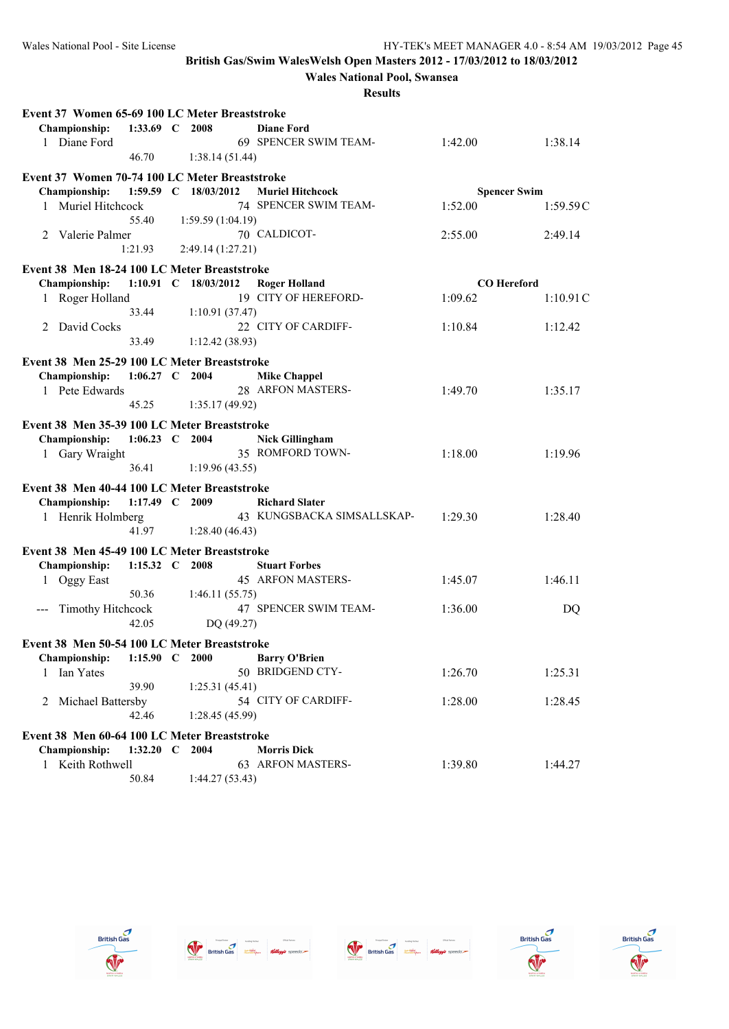**Wales National Pool, Swansea**

| Event 37 Women 65-69 100 LC Meter Breaststroke |                  |                      |                            |                     |          |
|------------------------------------------------|------------------|----------------------|----------------------------|---------------------|----------|
| <b>Championship:</b>                           | 1:33.69 C 2008   |                      | <b>Diane Ford</b>          |                     |          |
| 1 Diane Ford                                   |                  |                      | 69 SPENCER SWIM TEAM-      | 1:42.00             | 1:38.14  |
|                                                | 46.70            | 1:38.14(51.44)       |                            |                     |          |
| Event 37 Women 70-74 100 LC Meter Breaststroke |                  |                      |                            |                     |          |
| <b>Championship:</b>                           |                  | 1:59.59 C 18/03/2012 | <b>Muriel Hitchcock</b>    | <b>Spencer Swim</b> |          |
| 1 Muriel Hitchcock                             |                  |                      | 74 SPENCER SWIM TEAM-      | 1:52.00             | 1:59.59C |
|                                                | 55.40            | 1:59.59(1:04.19)     |                            |                     |          |
| 2 Valerie Palmer                               |                  |                      | 70 CALDICOT-               | 2:55.00             | 2:49.14  |
|                                                | 1:21.93          | 2:49.14 (1:27.21)    |                            |                     |          |
| Event 38 Men 18-24 100 LC Meter Breaststroke   |                  |                      |                            |                     |          |
| Championship:                                  |                  | 1:10.91 C 18/03/2012 | <b>Roger Holland</b>       | <b>CO</b> Hereford  |          |
| 1 Roger Holland                                |                  |                      | 19 CITY OF HEREFORD-       | 1:09.62             | 1:10.91C |
|                                                | 33.44            | 1:10.91(37.47)       |                            |                     |          |
| 2 David Cocks                                  |                  |                      | 22 CITY OF CARDIFF-        | 1:10.84             | 1:12.42  |
|                                                | 33.49            | 1:12.42(38.93)       |                            |                     |          |
| Event 38 Men 25-29 100 LC Meter Breaststroke   |                  |                      |                            |                     |          |
| Championship:                                  | 1:06.27 C 2004   |                      | <b>Mike Chappel</b>        |                     |          |
| 1 Pete Edwards                                 |                  |                      | 28 ARFON MASTERS-          | 1:49.70             | 1:35.17  |
|                                                | 45.25            | 1:35.17(49.92)       |                            |                     |          |
| Event 38 Men 35-39 100 LC Meter Breaststroke   |                  |                      |                            |                     |          |
| Championship:                                  | $1:06.23$ C 2004 |                      | <b>Nick Gillingham</b>     |                     |          |
| 1 Gary Wraight                                 |                  |                      | 35 ROMFORD TOWN-           | 1:18.00             | 1:19.96  |
|                                                | 36.41            | 1:19.96(43.55)       |                            |                     |          |
| Event 38 Men 40-44 100 LC Meter Breaststroke   |                  |                      |                            |                     |          |
| Championship:                                  | 1:17.49 C 2009   |                      | <b>Richard Slater</b>      |                     |          |
| 1 Henrik Holmberg                              |                  |                      | 43 KUNGSBACKA SIMSALLSKAP- | 1:29.30             | 1:28.40  |
|                                                | 41.97            | 1:28.40(46.43)       |                            |                     |          |
| Event 38 Men 45-49 100 LC Meter Breaststroke   |                  |                      |                            |                     |          |
| <b>Championship:</b>                           | 1:15.32 $\,$ C   | 2008                 | <b>Stuart Forbes</b>       |                     |          |
| 1 Oggy East                                    |                  |                      | 45 ARFON MASTERS-          | 1:45.07             | 1:46.11  |
|                                                | 50.36            | 1:46.11(55.75)       |                            |                     |          |
| --- Timothy Hitchcock                          |                  |                      | 47 SPENCER SWIM TEAM-      | 1:36.00             | DQ       |
|                                                | 42.05            | DQ (49.27)           |                            |                     |          |
| Event 38 Men 50-54 100 LC Meter Breaststroke   |                  |                      |                            |                     |          |
| Championship: 1:15.90 C 2000 Barry O'Brien     |                  |                      |                            |                     |          |
| 1 Ian Yates                                    |                  |                      | 50 BRIDGEND CTY-           | 1:26.70             | 1:25.31  |
|                                                | 39.90            | 1:25.31(45.41)       |                            |                     |          |
| 2 Michael Battersby                            |                  |                      | 54 CITY OF CARDIFF-        | 1:28.00             | 1:28.45  |
|                                                | 42.46            | 1:28.45 (45.99)      |                            |                     |          |
| Event 38 Men 60-64 100 LC Meter Breaststroke   |                  |                      |                            |                     |          |
| <b>Championship:</b>                           | 1:32.20 $\,$ C   | 2004                 | <b>Morris Dick</b>         |                     |          |
| 1 Keith Rothwell                               |                  |                      | 63 ARFON MASTERS-          | 1:39.80             | 1:44.27  |
|                                                | 50.84            | 1:44.27(53.43)       |                            |                     |          |









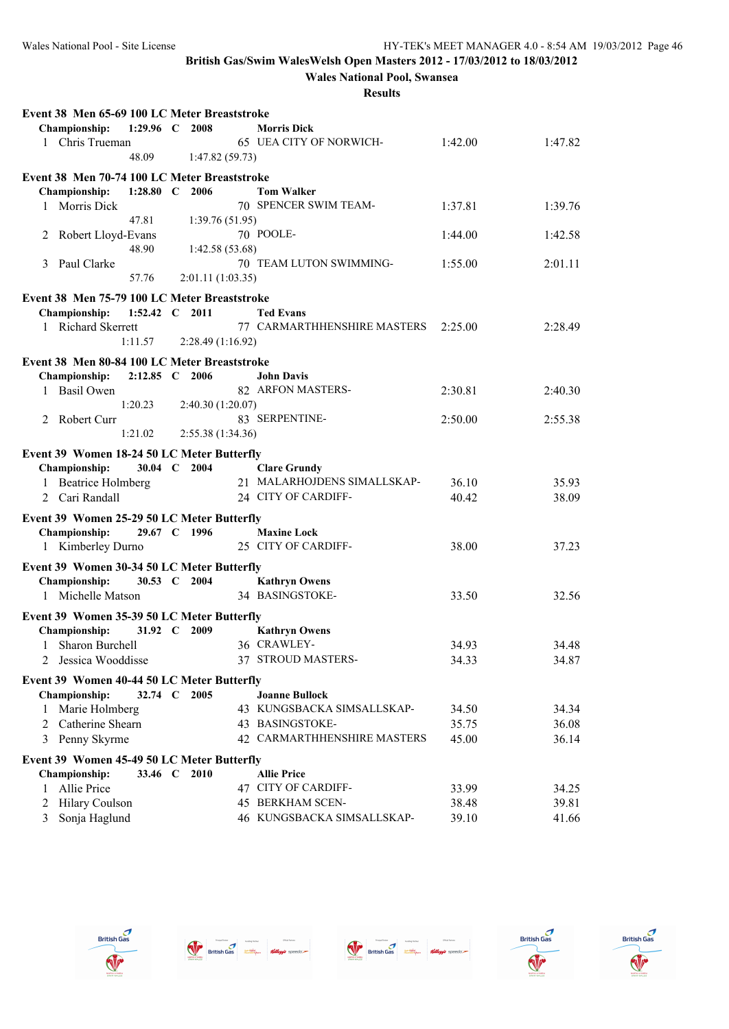**Wales National Pool, Swansea**

| Event 38 Men 65-69 100 LC Meter Breaststroke                       |                |                   |                                                    |                |         |
|--------------------------------------------------------------------|----------------|-------------------|----------------------------------------------------|----------------|---------|
| Championship:                                                      | 1:29.96 $C$    | 2008              | <b>Morris Dick</b>                                 |                |         |
| 1 Chris Trueman                                                    |                |                   | 65 UEA CITY OF NORWICH-                            | 1:42.00        | 1:47.82 |
|                                                                    | 48.09          | 1:47.82(59.73)    |                                                    |                |         |
| Event 38 Men 70-74 100 LC Meter Breaststroke                       |                |                   |                                                    |                |         |
| Championship:                                                      | 1:28.80 $C$    | 2006              | <b>Tom Walker</b>                                  |                |         |
| 1 Morris Dick                                                      |                |                   | 70 SPENCER SWIM TEAM-                              | 1:37.81        | 1:39.76 |
|                                                                    | 47.81          | 1:39.76(51.95)    |                                                    |                |         |
| Robert Lloyd-Evans<br>2                                            |                |                   | 70 POOLE-                                          | 1:44.00        | 1:42.58 |
|                                                                    | 48.90          | 1:42.58(53.68)    |                                                    |                |         |
| Paul Clarke<br>3                                                   |                |                   | 70 TEAM LUTON SWIMMING-                            | 1:55.00        | 2:01.11 |
|                                                                    | 57.76          | 2:01.11(1:03.35)  |                                                    |                |         |
| Event 38 Men 75-79 100 LC Meter Breaststroke                       |                |                   |                                                    |                |         |
| Championship:                                                      | 1:52.42 C 2011 |                   | <b>Ted Evans</b>                                   |                |         |
| 1 Richard Skerrett                                                 |                |                   | 77 CARMARTHHENSHIRE MASTERS                        | 2:25.00        | 2:28.49 |
|                                                                    | 1:11.57        | 2:28.49 (1:16.92) |                                                    |                |         |
| Event 38 Men 80-84 100 LC Meter Breaststroke                       |                |                   |                                                    |                |         |
| Championship:                                                      | 2:12.85 C 2006 |                   | <b>John Davis</b>                                  |                |         |
| <b>Basil Owen</b><br>1                                             |                |                   | 82 ARFON MASTERS-                                  | 2:30.81        | 2:40.30 |
|                                                                    | 1:20.23        | 2:40.30 (1:20.07) |                                                    |                |         |
| 2 Robert Curr                                                      |                |                   | 83 SERPENTINE-                                     | 2:50.00        | 2:55.38 |
|                                                                    | 1:21.02        | 2:55.38 (1:34.36) |                                                    |                |         |
|                                                                    |                |                   |                                                    |                |         |
| Event 39 Women 18-24 50 LC Meter Butterfly<br>Championship:        | 30.04 C 2004   |                   |                                                    |                |         |
| 1 Beatrice Holmberg                                                |                |                   | <b>Clare Grundy</b><br>21 MALARHOJDENS SIMALLSKAP- | 36.10          | 35.93   |
| 2 Cari Randall                                                     |                |                   | 24 CITY OF CARDIFF-                                | 40.42          | 38.09   |
|                                                                    |                |                   |                                                    |                |         |
| Event 39 Women 25-29 50 LC Meter Butterfly                         |                |                   |                                                    |                |         |
| Championship:                                                      | 29.67 C 1996   |                   | <b>Maxine Lock</b>                                 |                |         |
| 1 Kimberley Durno                                                  |                |                   | 25 CITY OF CARDIFF-                                | 38.00          | 37.23   |
| Event 39 Women 30-34 50 LC Meter Butterfly                         |                |                   |                                                    |                |         |
| <b>Championship:</b>                                               | 30.53 C 2004   |                   | <b>Kathryn Owens</b>                               |                |         |
| 1 Michelle Matson                                                  |                |                   | 34 BASINGSTOKE-                                    | 33.50          | 32.56   |
| Event 39 Women 35-39 50 LC Meter Butterfly                         |                |                   |                                                    |                |         |
| Championship:                                                      | 31.92 C 2009   |                   | <b>Kathryn Owens</b>                               |                |         |
| 1 Sharon Burchell                                                  |                |                   | 36 CRAWLEY-                                        | 34.93          | 34.48   |
| Jessica Wooddisse                                                  |                |                   | 37 STROUD MASTERS-                                 | 34.33          | 34.87   |
|                                                                    |                |                   |                                                    |                |         |
| Event 39 Women 40-44 50 LC Meter Butterfly<br><b>Championship:</b> | 32.74 C        | 2005              | <b>Joanne Bullock</b>                              |                |         |
|                                                                    |                |                   | 43 KUNGSBACKA SIMSALLSKAP-                         |                | 34.34   |
| Marie Holmberg<br>1<br>2 Catherine Shearn                          |                |                   | 43 BASINGSTOKE-                                    | 34.50<br>35.75 | 36.08   |
| 3 Penny Skyrme                                                     |                |                   | 42 CARMARTHHENSHIRE MASTERS                        | 45.00          | 36.14   |
|                                                                    |                |                   |                                                    |                |         |
| Event 39 Women 45-49 50 LC Meter Butterfly                         |                |                   |                                                    |                |         |
| <b>Championship:</b>                                               | 33.46 C 2010   |                   | <b>Allie Price</b>                                 |                |         |
| Allie Price<br>1                                                   |                |                   | 47 CITY OF CARDIFF-                                | 33.99          | 34.25   |
| <b>Hilary Coulson</b><br>2                                         |                |                   | 45 BERKHAM SCEN-                                   | 38.48          | 39.81   |
| 3 Sonja Haglund                                                    |                |                   | 46 KUNGSBACKA SIMSALLSKAP-                         | 39.10          | 41.66   |









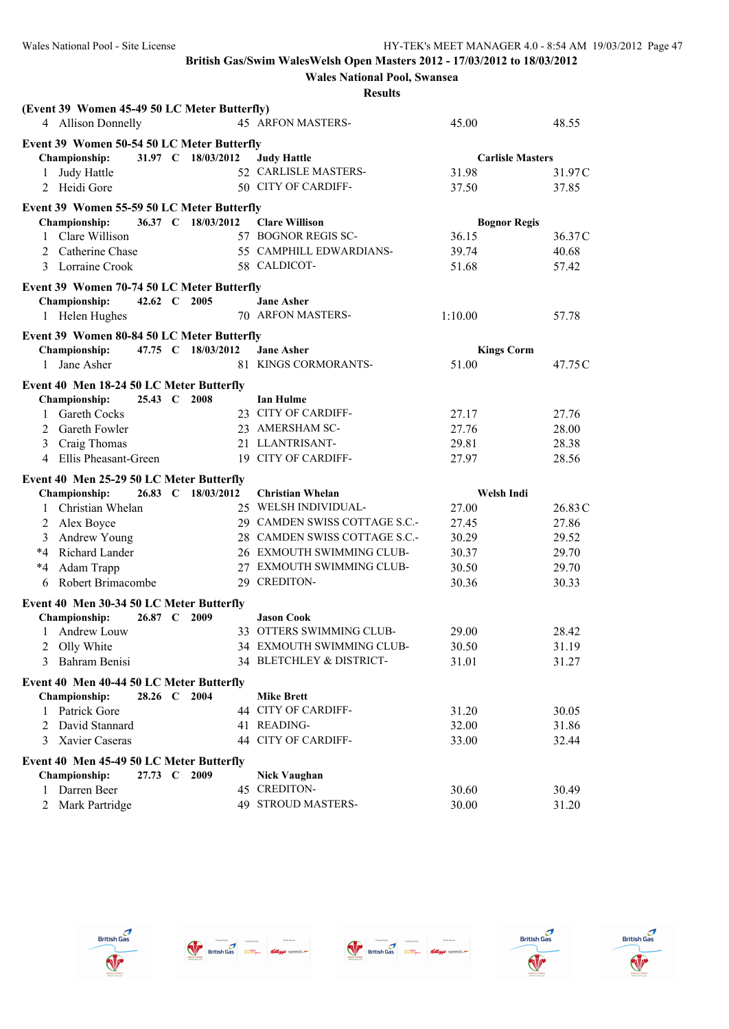**Wales National Pool, Swansea**

|                                                                  |              |                    | <b>Results</b>                |                         |         |
|------------------------------------------------------------------|--------------|--------------------|-------------------------------|-------------------------|---------|
| (Event 39 Women 45-49 50 LC Meter Butterfly)                     |              |                    |                               |                         |         |
| 4 Allison Donnelly                                               |              |                    | 45 ARFON MASTERS-             | 45.00                   | 48.55   |
| Event 39 Women 50-54 50 LC Meter Butterfly                       |              |                    |                               |                         |         |
| <b>Championship:</b>                                             |              | 31.97 C 18/03/2012 | <b>Judy Hattle</b>            | <b>Carlisle Masters</b> |         |
| Judy Hattle<br>1                                                 |              |                    | 52 CARLISLE MASTERS-          | 31.98                   | 31.97 C |
| 2 Heidi Gore                                                     |              |                    | 50 CITY OF CARDIFF-           | 37.50                   | 37.85   |
| Event 39 Women 55-59 50 LC Meter Butterfly                       |              |                    |                               |                         |         |
| <b>Championship:</b>                                             |              | 36.37 C 18/03/2012 | <b>Clare Willison</b>         | <b>Bognor Regis</b>     |         |
| Clare Willison<br>1                                              |              |                    | 57 BOGNOR REGIS SC-           | 36.15                   | 36.37C  |
| Catherine Chase<br>2                                             |              |                    | 55 CAMPHILL EDWARDIANS-       | 39.74                   | 40.68   |
| Lorraine Crook<br>3                                              |              |                    | 58 CALDICOT-                  | 51.68                   | 57.42   |
| Event 39 Women 70-74 50 LC Meter Butterfly                       |              |                    |                               |                         |         |
| <b>Championship:</b>                                             | 42.62 C 2005 |                    | <b>Jane Asher</b>             |                         |         |
| 1 Helen Hughes                                                   |              |                    | 70 ARFON MASTERS-             | 1:10.00                 | 57.78   |
| Event 39 Women 80-84 50 LC Meter Butterfly                       |              |                    |                               |                         |         |
| Championship:                                                    |              | 47.75 C 18/03/2012 | <b>Jane Asher</b>             | <b>Kings Corm</b>       |         |
| 1 Jane Asher                                                     |              |                    | 81 KINGS CORMORANTS-          | 51.00                   | 47.75 C |
| Event 40 Men 18-24 50 LC Meter Butterfly                         |              |                    |                               |                         |         |
| <b>Championship:</b>                                             | 25.43 C 2008 |                    | <b>Ian Hulme</b>              |                         |         |
| Gareth Cocks<br>1                                                |              |                    | 23 CITY OF CARDIFF-           | 27.17                   | 27.76   |
| Gareth Fowler<br>2                                               |              |                    | 23 AMERSHAM SC-               | 27.76                   | 28.00   |
| Craig Thomas<br>3                                                |              |                    | 21 LLANTRISANT-               | 29.81                   | 28.38   |
| 4 Ellis Pheasant-Green                                           |              |                    | 19 CITY OF CARDIFF-           | 27.97                   | 28.56   |
| Event 40 Men 25-29 50 LC Meter Butterfly                         |              |                    |                               |                         |         |
| <b>Championship:</b>                                             | 26.83 C      | 18/03/2012         | Christian Whelan              | Welsh Indi              |         |
| Christian Whelan<br>1                                            |              |                    | 25 WELSH INDIVIDUAL-          | 27.00                   | 26.83C  |
| Alex Boyce<br>2                                                  |              |                    | 29 CAMDEN SWISS COTTAGE S.C.- | 27.45                   | 27.86   |
| Andrew Young<br>3                                                |              |                    | 28 CAMDEN SWISS COTTAGE S.C.- | 30.29                   | 29.52   |
| Richard Lander<br>*4                                             |              |                    | 26 EXMOUTH SWIMMING CLUB-     | 30.37                   | 29.70   |
| Adam Trapp<br>*4                                                 |              |                    | 27 EXMOUTH SWIMMING CLUB-     | 30.50                   | 29.70   |
| Robert Brimacombe<br>6                                           |              |                    | 29 CREDITON-                  | 30.36                   | 30.33   |
| Event 40 Men 30-34 50 LC Meter Butterfly                         |              |                    |                               |                         |         |
| <b>Championship:</b>                                             | 26.87 C      | 2009               | <b>Jason Cook</b>             |                         |         |
| Andrew Louw<br>1                                                 |              |                    | 33 OTTERS SWIMMING CLUB-      | 29.00                   | 28.42   |
| Olly White<br>2                                                  |              |                    | 34 EXMOUTH SWIMMING CLUB-     | 30.50                   | 31.19   |
| Bahram Benisi<br>3                                               |              |                    | 34 BLETCHLEY & DISTRICT-      | 31.01                   | 31.27   |
| Event 40 Men 40-44 50 LC Meter Butterfly                         |              |                    |                               |                         |         |
| <b>Championship:</b>                                             | 28.26 C 2004 |                    | <b>Mike Brett</b>             |                         |         |
| Patrick Gore<br>$\mathbf{1}$                                     |              |                    | 44 CITY OF CARDIFF-           | 31.20                   | 30.05   |
| David Stannard<br>2                                              |              |                    | 41 READING-                   | 32.00                   | 31.86   |
| Xavier Caseras<br>3                                              |              |                    | 44 CITY OF CARDIFF-           | 33.00                   | 32.44   |
|                                                                  |              |                    |                               |                         |         |
| Event 40 Men 45-49 50 LC Meter Butterfly<br><b>Championship:</b> | 27.73 C      | 2009               | <b>Nick Vaughan</b>           |                         |         |
| Darren Beer<br>1                                                 |              |                    | 45 CREDITON-                  | 30.60                   | 30.49   |
| 2 Mark Partridge                                                 |              |                    | 49 STROUD MASTERS-            | 30.00                   | 31.20   |
|                                                                  |              |                    |                               |                         |         |









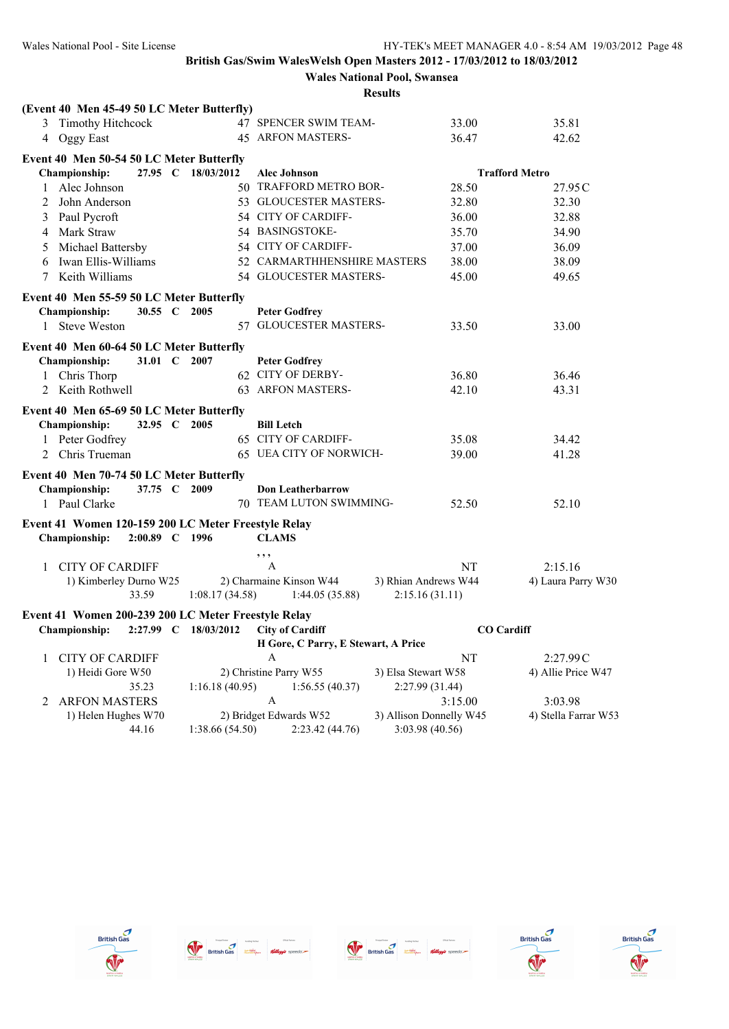# **Wales National Pool, Swansea**

|                                                     | <b>Results</b>                            |                         |                       |
|-----------------------------------------------------|-------------------------------------------|-------------------------|-----------------------|
| (Event 40 Men 45-49 50 LC Meter Butterfly)          |                                           |                         |                       |
| Timothy Hitchcock<br>3                              | 47 SPENCER SWIM TEAM-                     | 33.00                   | 35.81                 |
| 4 Oggy East                                         | <b>45 ARFON MASTERS-</b>                  | 36.47                   | 42.62                 |
| Event 40 Men 50-54 50 LC Meter Butterfly            |                                           |                         |                       |
| Championship:<br>27.95 C 18/03/2012                 | <b>Alec Johnson</b>                       |                         | <b>Trafford Metro</b> |
| 1 Alec Johnson                                      | 50 TRAFFORD METRO BOR-                    | 28.50                   | 27.95 C               |
| John Anderson<br>2                                  | 53 GLOUCESTER MASTERS-                    | 32.80                   | 32.30                 |
| Paul Pycroft<br>3                                   | 54 CITY OF CARDIFF-                       | 36.00                   | 32.88                 |
| 4 Mark Straw                                        | 54 BASINGSTOKE-                           | 35.70                   | 34.90                 |
| 5 Michael Battersby                                 | 54 CITY OF CARDIFF-                       | 37.00                   | 36.09                 |
| Iwan Ellis-Williams<br>6                            | 52 CARMARTHHENSHIRE MASTERS               | 38.00                   | 38.09                 |
| Keith Williams<br>7                                 | 54 GLOUCESTER MASTERS-                    | 45.00                   | 49.65                 |
| Event 40 Men 55-59 50 LC Meter Butterfly            |                                           |                         |                       |
| Championship:<br>30.55 C 2005                       | <b>Peter Godfrey</b>                      |                         |                       |
| <b>Steve Weston</b><br>$\mathbf{1}$                 | 57 GLOUCESTER MASTERS-                    | 33.50                   | 33.00                 |
|                                                     |                                           |                         |                       |
| Event 40 Men 60-64 50 LC Meter Butterfly            |                                           |                         |                       |
| Championship:<br>31.01 C 2007                       | <b>Peter Godfrey</b><br>62 CITY OF DERBY- | 36.80                   | 36.46                 |
| 1 Chris Thorp<br>2 Keith Rothwell                   | 63 ARFON MASTERS-                         | 42.10                   | 43.31                 |
|                                                     |                                           |                         |                       |
| Event 40 Men 65-69 50 LC Meter Butterfly            |                                           |                         |                       |
| Championship:<br>32.95 C 2005                       | <b>Bill Letch</b>                         |                         |                       |
| 1 Peter Godfrey                                     | <b>65 CITY OF CARDIFF-</b>                | 35.08                   | 34.42                 |
| 2 Chris Trueman                                     | 65 UEA CITY OF NORWICH-                   | 39.00                   | 41.28                 |
| Event 40 Men 70-74 50 LC Meter Butterfly            |                                           |                         |                       |
| Championship:<br>37.75 C 2009                       | <b>Don Leatherbarrow</b>                  |                         |                       |
| 1 Paul Clarke                                       | 70 TEAM LUTON SWIMMING-                   | 52.50                   | 52.10                 |
| Event 41 Women 120-159 200 LC Meter Freestyle Relay |                                           |                         |                       |
| Championship:<br>2:00.89 C 1996                     | <b>CLAMS</b>                              |                         |                       |
|                                                     | , , ,                                     |                         |                       |
| <b>CITY OF CARDIFF</b><br>1                         | $\mathbf{A}$                              | NT                      | 2:15.16               |
| 1) Kimberley Durno W25                              | 2) Charmaine Kinson W44                   | 3) Rhian Andrews W44    | 4) Laura Parry W30    |
| 33.59<br>1:08.17(34.58)                             | 1:44.05(35.88)                            | 2:15.16(31.11)          |                       |
| Event 41 Women 200-239 200 LC Meter Freestyle Relay |                                           |                         |                       |
| 2:27.99 C 18/03/2012<br><b>Championship:</b>        | <b>City of Cardiff</b>                    | <b>CO</b> Cardiff       |                       |
|                                                     | H Gore, C Parry, E Stewart, A Price       |                         |                       |
| <b>CITY OF CARDIFF</b><br>1                         | A                                         | NT                      | 2:27.99C              |
| 1) Heidi Gore W50                                   | 2) Christine Parry W55                    | 3) Elsa Stewart W58     | 4) Allie Price W47    |
| 35.23<br>1:16.18(40.95)                             | 1:56.55(40.37)                            | 2:27.99 (31.44)         |                       |
| 2 ARFON MASTERS                                     | $\mathsf{A}$                              | 3:15.00                 | 3:03.98               |
| 1) Helen Hughes W70                                 | 2) Bridget Edwards W52                    | 3) Allison Donnelly W45 | 4) Stella Farrar W53  |

44.16 1:38.66 (54.50) 2:23.42 (44.76) 3:03.98 (40.56)









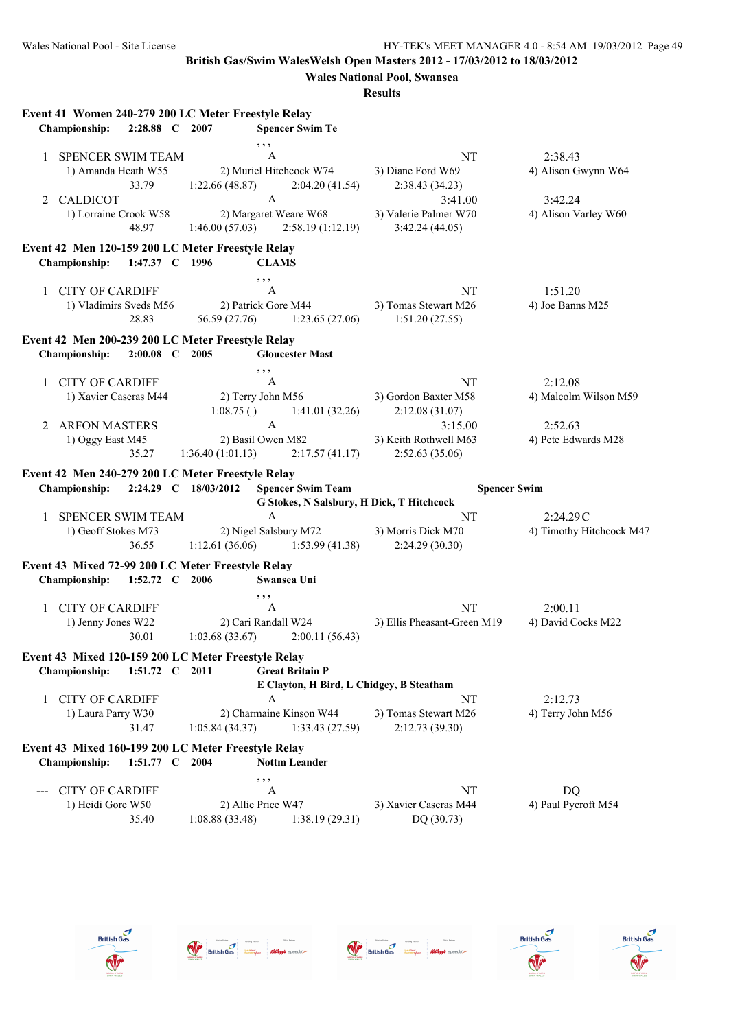|              | Event 41 Women 240-279 200 LC Meter Freestyle Relay<br>Championship:<br>2:28.88 C 2007                   |                                   | <b>Spencer Swim Te</b>                                                                                                |                                                                                                   |                                                                   |
|--------------|----------------------------------------------------------------------------------------------------------|-----------------------------------|-----------------------------------------------------------------------------------------------------------------------|---------------------------------------------------------------------------------------------------|-------------------------------------------------------------------|
| $\mathbf{1}$ | <b>SPENCER SWIM TEAM</b><br>1) Amanda Heath W55<br>33.79<br>2 CALDICOT<br>1) Lorraine Crook W58<br>48.97 | 1:22.66 (48.87)<br>1:46.00(57.03) | , , ,<br>A<br>2) Muriel Hitchcock W74<br>2:04.20 (41.54)<br>$\mathbf{A}$<br>2) Margaret Weare W68<br>2:58.19(1:12.19) | NT<br>3) Diane Ford W69<br>2:38.43 (34.23)<br>3:41.00<br>3) Valerie Palmer W70<br>3:42.24 (44.05) | 2:38.43<br>4) Alison Gwynn W64<br>3:42.24<br>4) Alison Varley W60 |
|              | Event 42 Men 120-159 200 LC Meter Freestyle Relay<br>1:47.37 C 1996<br><b>Championship:</b>              |                                   | <b>CLAMS</b>                                                                                                          |                                                                                                   |                                                                   |
|              | 1 CITY OF CARDIFF<br>1) Vladimirs Sveds M56<br>28.83                                                     | 56.59 (27.76)                     | , , ,<br>A<br>2) Patrick Gore M44<br>1:23.65(27.06)                                                                   | NT<br>3) Tomas Stewart M26<br>1:51.20(27.55)                                                      | 1:51.20<br>4) Joe Banns M25                                       |
|              | Event 42 Men 200-239 200 LC Meter Freestyle Relay<br>2:00.08 C 2005<br>Championship:                     |                                   | <b>Gloucester Mast</b>                                                                                                |                                                                                                   |                                                                   |
| $2^{\circ}$  | 1 CITY OF CARDIFF<br>1) Xavier Caseras M44<br><b>ARFON MASTERS</b>                                       | 1:08.75()                         | , ,<br>A<br>2) Terry John M56<br>1:41.01(32.26)<br>$\mathbf{A}$                                                       | NT<br>3) Gordon Baxter M58<br>2:12.08(31.07)<br>3:15.00                                           | 2:12.08<br>4) Malcolm Wilson M59<br>2:52.63                       |
|              | 1) Oggy East M45<br>35.27                                                                                | 1:36.40(1:01.13)                  | 2) Basil Owen M82<br>2:17.57(41.17)                                                                                   | 3) Keith Rothwell M63<br>2:52.63(35.06)                                                           | 4) Pete Edwards M28                                               |
|              | Event 42 Men 240-279 200 LC Meter Freestyle Relay<br><b>Championship:</b>                                | 2:24.29 C 18/03/2012              | <b>Spencer Swim Team</b><br>G Stokes, N Salsbury, H Dick, T Hitchcock                                                 |                                                                                                   | <b>Spencer Swim</b>                                               |
| $\mathbf{1}$ | <b>SPENCER SWIM TEAM</b><br>1) Geoff Stokes M73<br>36.55                                                 |                                   | $\mathbf{A}$<br>2) Nigel Salsbury M72<br>$1:12.61(36.06)$ $1:53.99(41.38)$                                            | NT<br>3) Morris Dick M70<br>2:24.29(30.30)                                                        | 2:24.29C<br>4) Timothy Hitchcock M47                              |
|              | Event 43 Mixed 72-99 200 LC Meter Freestyle Relay<br>Championship:<br>1:52.72 C 2006                     |                                   | Swansea Uni                                                                                                           |                                                                                                   |                                                                   |
|              | 1 CITY OF CARDIFF<br>1) Jenny Jones W22<br>30.01                                                         | 1:03.68(33.67)                    | , ,<br>A<br>2) Cari Randall W24<br>2:00.11(56.43)                                                                     | NT<br>3) Ellis Pheasant-Green M19                                                                 | 2:00.11<br>4) David Cocks M22                                     |
|              | Event 43 Mixed 120-159 200 LC Meter Freestyle Relay<br><b>Championship:</b><br>1:51.72 C 2011            |                                   | <b>Great Britain P</b><br>E Clayton, H Bird, L Chidgey, B Steatham                                                    |                                                                                                   |                                                                   |
| 1            | <b>CITY OF CARDIFF</b><br>1) Laura Parry W30<br>31.47                                                    | 1:05.84(34.37)                    | A<br>2) Charmaine Kinson W44<br>1:33.43(27.59)                                                                        | NT<br>3) Tomas Stewart M26<br>2:12.73 (39.30)                                                     | 2:12.73<br>4) Terry John M56                                      |
|              | Event 43 Mixed 160-199 200 LC Meter Freestyle Relay<br><b>Championship:</b><br>1:51.77 C 2004            |                                   | <b>Nottm Leander</b>                                                                                                  |                                                                                                   |                                                                   |
|              | <b>CITY OF CARDIFF</b><br>1) Heidi Gore W50<br>35.40                                                     | 1:08.88(33.48)                    | , , ,<br>A<br>2) Allie Price W47<br>1:38.19(29.31)                                                                    | NT<br>3) Xavier Caseras M44<br>DQ (30.73)                                                         | <b>DQ</b><br>4) Paul Pycroft M54                                  |









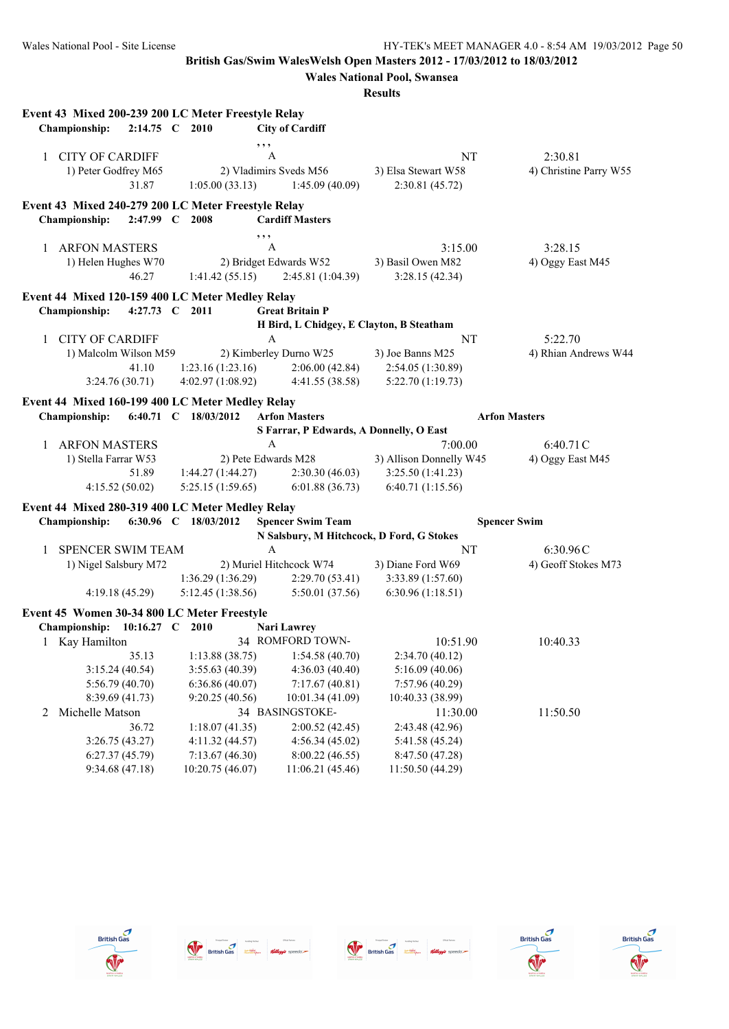|                                                     |                        |                                          | <b>Results</b>                            |                        |
|-----------------------------------------------------|------------------------|------------------------------------------|-------------------------------------------|------------------------|
| Event 43 Mixed 200-239 200 LC Meter Freestyle Relay |                        |                                          |                                           |                        |
| Championship:                                       | 2:14.75 C 2010         | <b>City of Cardiff</b>                   |                                           |                        |
|                                                     | , , ,                  |                                          |                                           |                        |
| <b>CITY OF CARDIFF</b>                              | A                      |                                          | NT                                        | 2:30.81                |
| 1) Peter Godfrey M65                                | 2) Vladimirs Sveds M56 |                                          | 3) Elsa Stewart W58                       | 4) Christine Parry W55 |
| 31.87                                               | 1:05.00(33.13)         | 1:45.09(40.09)                           | 2:30.81 (45.72)                           |                        |
|                                                     |                        |                                          |                                           |                        |
| Event 43 Mixed 240-279 200 LC Meter Freestyle Relay |                        |                                          |                                           |                        |
| Championship:<br>$2:47.99$ C                        | 2008                   | <b>Cardiff Masters</b>                   |                                           |                        |
|                                                     | , ,                    |                                          |                                           |                        |
| 1 ARFON MASTERS                                     | A                      |                                          | 3:15.00                                   | 3:28.15                |
| 1) Helen Hughes W70                                 |                        | 2) Bridget Edwards W52                   | 3) Basil Owen M82                         | 4) Oggy East M45       |
| 46.27                                               | 1:41.42(55.15)         | 2:45.81(1:04.39)                         | 3:28.15(42.34)                            |                        |
| Event 44 Mixed 120-159 400 LC Meter Medley Relay    |                        |                                          |                                           |                        |
| <b>Championship:</b><br>4:27.73 $C$                 | 2011                   | <b>Great Britain P</b>                   |                                           |                        |
|                                                     |                        | H Bird, L Chidgey, E Clayton, B Steatham |                                           |                        |
| <b>CITY OF CARDIFF</b><br>1                         | A                      |                                          | NT                                        | 5:22.70                |
| 1) Malcolm Wilson M59                               |                        | 2) Kimberley Durno W25                   | 3) Joe Banns M25                          | 4) Rhian Andrews W44   |
| 41.10                                               | 1:23.16(1:23.16)       | 2:06.00(42.84)                           | 2:54.05 (1:30.89)                         |                        |
| 3:24.76(30.71)                                      | 4:02.97(1:08.92)       | 4:41.55(38.58)                           | 5:22.70(1:19.73)                          |                        |
| Event 44 Mixed 160-199 400 LC Meter Medley Relay    |                        |                                          |                                           |                        |
| <b>Championship:</b>                                | 6:40.71 C 18/03/2012   | <b>Arfon Masters</b>                     |                                           | <b>Arfon Masters</b>   |
|                                                     |                        | S Farrar, P Edwards, A Donnelly, O East  |                                           |                        |
| <b>ARFON MASTERS</b><br>$\mathbf{1}$                | $\mathbf{A}$           |                                          | 7:00.00                                   | 6:40.71C               |
| 1) Stella Farrar W53                                | 2) Pete Edwards M28    |                                          | 3) Allison Donnelly W45                   | 4) Oggy East M45       |
| 51.89                                               | 1:44.27(1:44.27)       | 2:30.30(46.03)                           | 3:25.50 (1:41.23)                         |                        |
| 4:15.52(50.02)                                      | 5:25.15(1:59.65)       | 6:01.88(36.73)                           | 6:40.71(1:15.56)                          |                        |
|                                                     |                        |                                          |                                           |                        |
| Event 44 Mixed 280-319 400 LC Meter Medley Relay    |                        |                                          |                                           |                        |
| <b>Championship:</b>                                | 6:30.96 C 18/03/2012   | <b>Spencer Swim Team</b>                 |                                           | <b>Spencer Swim</b>    |
|                                                     |                        |                                          | N Salsbury, M Hitchcock, D Ford, G Stokes |                        |
| <b>SPENCER SWIM TEAM</b><br>1.                      | A                      |                                          | NT                                        | 6:30.96C               |
| 1) Nigel Salsbury M72                               |                        | 2) Muriel Hitchcock W74                  | 3) Diane Ford W69                         | 4) Geoff Stokes M73    |
|                                                     | 1:36.29 (1:36.29)      | 2:29.70(53.41)                           | 3:33.89 (1:57.60)                         |                        |
| 4:19.18 (45.29)                                     | 5:12.45 (1:38.56)      | 5:50.01 (37.56)                          | 6:30.96(1:18.51)                          |                        |
| Event 45 Women 30-34 800 LC Meter Freestyle         |                        |                                          |                                           |                        |
| Championship: 10:16.27 C 2010                       |                        | Nari Lawrey                              |                                           |                        |
| Kay Hamilton<br>1                                   |                        | 34 ROMFORD TOWN-                         | 10:51.90                                  | 10:40.33               |
| 35.13                                               | 1:13.88(38.75)         | 1:54.58(40.70)                           | 2:34.70(40.12)                            |                        |
| 3:15.24(40.54)                                      | 3:55.63 (40.39)        | 4:36.03 (40.40)                          | 5:16.09(40.06)                            |                        |
| 5:56.79 (40.70)                                     | 6:36.86(40.07)         | 7:17.67(40.81)                           | 7:57.96 (40.29)                           |                        |
| 8:39.69 (41.73)                                     | 9:20.25(40.56)         | 10:01.34 (41.09)                         | 10:40.33 (38.99)                          |                        |
| Michelle Matson<br>2                                |                        | 34 BASINGSTOKE-                          | 11:30.00                                  | 11:50.50               |
| 36.72                                               | 1:18.07(41.35)         | 2:00.52(42.45)                           | 2:43.48 (42.96)                           |                        |
| 3:26.75(43.27)                                      | 4:11.32 (44.57)        | 4:56.34(45.02)                           | 5:41.58 (45.24)                           |                        |
| 6:27.37(45.79)                                      | 7:13.67(46.30)         | 8:00.22(46.55)                           | 8:47.50 (47.28)                           |                        |
| 9:34.68(47.18)                                      | 10:20.75 (46.07)       | 11:06.21 (45.46)                         | 11:50.50 (44.29)                          |                        |
|                                                     |                        |                                          |                                           |                        |









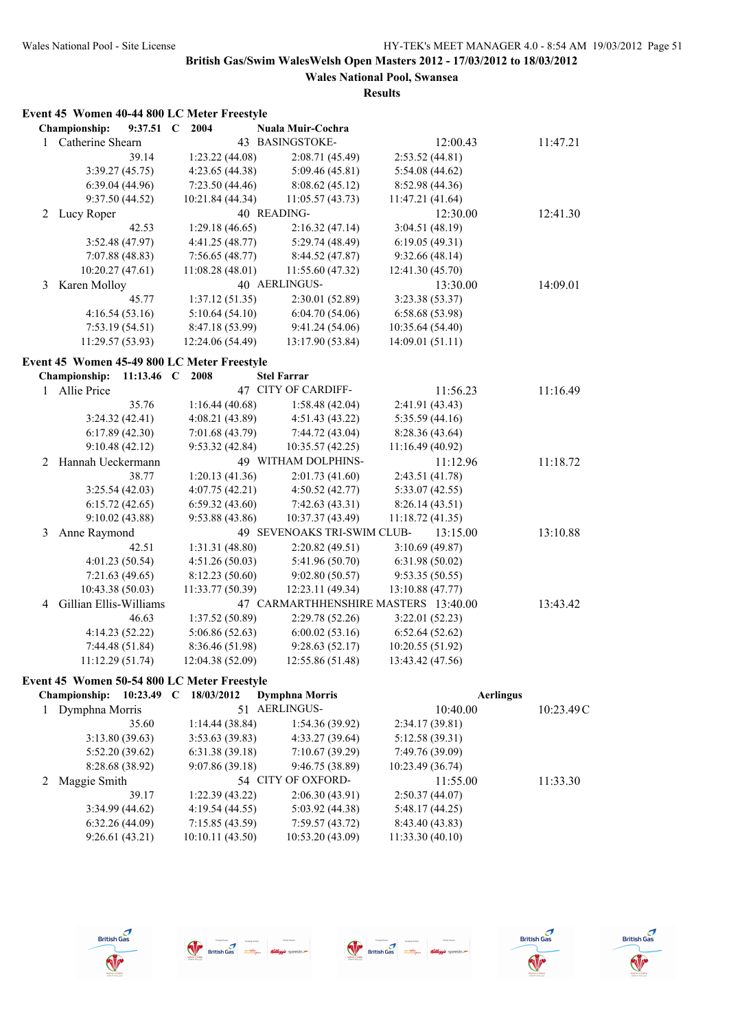# **Results**

|  |  |  |  |  | Event 45 Women 40-44 800 LC Meter Freestyle |  |
|--|--|--|--|--|---------------------------------------------|--|
|--|--|--|--|--|---------------------------------------------|--|

|              | Championship:                               | 9:37.51      | 2004<br>- C      | Nuala Muir-Cochra                    |                  |          |          |
|--------------|---------------------------------------------|--------------|------------------|--------------------------------------|------------------|----------|----------|
| 1            | Catherine Shearn                            |              |                  | 43 BASINGSTOKE-                      |                  | 12:00.43 | 11:47.21 |
|              |                                             | 39.14        | 1:23.22 (44.08)  | 2:08.71 (45.49)                      | 2:53.52(44.81)   |          |          |
|              | 3:39.27(45.75)                              |              | 4:23.65 (44.38)  | 5:09.46(45.81)                       | 5:54.08(44.62)   |          |          |
|              | 6:39.04(44.96)                              |              | 7:23.50 (44.46)  | 8:08.62(45.12)                       | 8:52.98 (44.36)  |          |          |
|              | 9:37.50(44.52)                              |              | 10:21.84 (44.34) | 11:05.57(43.73)                      | 11:47.21 (41.64) |          |          |
| 2            | Lucy Roper                                  |              |                  | 40 READING-                          |                  | 12:30.00 | 12:41.30 |
|              |                                             | 42.53        | 1:29.18(46.65)   | 2:16.32(47.14)                       | 3:04.51 (48.19)  |          |          |
|              | 3:52.48(47.97)                              |              | 4:41.25 (48.77)  | 5:29.74 (48.49)                      | 6:19.05(49.31)   |          |          |
|              | 7:07.88(48.83)                              |              | 7:56.65(48.77)   | 8:44.52 (47.87)                      | 9:32.66(48.14)   |          |          |
|              | 10:20.27(47.61)                             |              | 11:08.28 (48.01) | 11:55.60 (47.32)                     | 12:41.30 (45.70) |          |          |
| 3            | Karen Molloy                                |              |                  | 40 AERLINGUS-                        |                  | 13:30.00 | 14:09.01 |
|              |                                             | 45.77        | 1:37.12(51.35)   | 2:30.01 (52.89)                      | 3:23.38 (53.37)  |          |          |
|              | 4:16.54(53.16)                              |              | 5:10.64(54.10)   | 6:04.70(54.06)                       | 6:58.68(53.98)   |          |          |
|              | 7:53.19(54.51)                              |              | 8:47.18 (53.99)  | 9:41.24 (54.06)                      | 10:35.64 (54.40) |          |          |
|              | 11:29.57 (53.93)                            |              | 12:24.06 (54.49) | 13:17.90 (53.84)                     | 14:09.01 (51.11) |          |          |
|              | Event 45 Women 45-49 800 LC Meter Freestyle |              |                  |                                      |                  |          |          |
|              | Championship:                               | 11:13.46 $C$ | 2008             | <b>Stel Farrar</b>                   |                  |          |          |
| $\mathbf{1}$ | Allie Price                                 |              |                  | 47 CITY OF CARDIFF-                  |                  | 11:56.23 | 11:16.49 |
|              |                                             | 35.76        | 1:16.44(40.68)   | 1:58.48(42.04)                       | 2:41.91 (43.43)  |          |          |
|              | 3:24.32(42.41)                              |              | 4:08.21 (43.89)  | 4:51.43 (43.22)                      | 5:35.59(44.16)   |          |          |
|              | 6:17.89(42.30)                              |              | 7:01.68 (43.79)  | 7:44.72 (43.04)                      | 8:28.36(43.64)   |          |          |
|              | 9:10.48(42.12)                              |              | 9:53.32(42.84)   | 10:35.57 (42.25)                     | 11:16.49 (40.92) |          |          |
| 2            | Hannah Ueckermann                           |              |                  | 49 WITHAM DOLPHINS-                  |                  | 11:12.96 | 11:18.72 |
|              |                                             | 38.77        | 1:20.13(41.36)   | 2:01.73(41.60)                       | 2:43.51 (41.78)  |          |          |
|              | 3:25.54(42.03)                              |              | 4:07.75 (42.21)  | 4:50.52(42.77)                       | 5:33.07(42.55)   |          |          |
|              | 6:15.72(42.65)                              |              | 6:59.32(43.60)   | 7:42.63(43.31)                       | 8:26.14(43.51)   |          |          |
|              | 9:10.02(43.88)                              |              | 9:53.88 (43.86)  | 10:37.37 (43.49)                     | 11:18.72 (41.35) |          |          |
| 3            | Anne Raymond                                |              |                  | 49 SEVENOAKS TRI-SWIM CLUB-          |                  | 13:15.00 | 13:10.88 |
|              |                                             | 42.51        | 1:31.31 (48.80)  | 2:20.82(49.51)                       | 3:10.69(49.87)   |          |          |
|              | 4:01.23 (50.54)                             |              | 4:51.26(50.03)   | 5:41.96 (50.70)                      | 6:31.98(50.02)   |          |          |
|              | 7:21.63(49.65)                              |              | 8:12.23 (50.60)  | 9:02.80(50.57)                       | 9:53.35(50.55)   |          |          |
|              | 10:43.38 (50.03)                            |              | 11:33.77 (50.39) | 12:23.11 (49.34)                     | 13:10.88 (47.77) |          |          |
| 4            | Gillian Ellis-Williams                      |              |                  | 47 CARMARTHHENSHIRE MASTERS 13:40.00 |                  |          | 13:43.42 |
|              |                                             | 46.63        | 1:37.52 (50.89)  | 2:29.78 (52.26)                      | 3:22.01 (52.23)  |          |          |
|              | 4:14.23 (52.22)                             |              | 5:06.86(52.63)   | 6:00.02(53.16)                       | 6:52.64(52.62)   |          |          |
|              | 7:44.48 (51.84)                             |              | 8:36.46 (51.98)  | 9:28.63(52.17)                       | 10:20.55 (51.92) |          |          |
|              | 11:12.29 (51.74)                            |              | 12:04.38 (52.09) | 12:55.86 (51.48)                     | 13:43.42 (47.56) |          |          |

## **Event 45 Women 50-54 800 LC Meter Freestyle**

| 10:23.49<br><b>Championship:</b> | 18/03/2012<br>C | <b>Dymphna Morris</b> | <b>Aerlingus</b> |           |
|----------------------------------|-----------------|-----------------------|------------------|-----------|
| Dymphna Morris                   | 51              | <b>AERLINGUS-</b>     | 10:40.00         | 10:23.49C |
| 35.60                            | 1:14.44(38.84)  | 1:54.36(39.92)        | 2:34.17(39.81)   |           |
| 3:13.80(39.63)                   | 3:53.63(39.83)  | 4:33.27(39.64)        | 5:12.58(39.31)   |           |
| 5:52.20(39.62)                   | 6:31.38(39.18)  | 7:10.67(39.29)        | 7:49.76 (39.09)  |           |
| 8:28.68 (38.92)                  | 9:07.86(39.18)  | 9:46.75 (38.89)       | 10:23.49(36.74)  |           |
| Maggie Smith                     |                 | 54 CITY OF OXFORD-    | 11:55.00         | 11:33.30  |
| 39.17                            | 1:22.39(43.22)  | 2:06.30(43.91)        | 2:50.37(44.07)   |           |
| 3:34.99(44.62)                   | 4:19.54(44.55)  | 5:03.92(44.38)        | 5:48.17(44.25)   |           |
| 6:32.26(44.09)                   | 7:15.85(43.59)  | 7:59.57(43.72)        | 8:43.40(43.83)   |           |
| 9:26.61(43.21)                   | 10:10.11(43.50) | 10:53.20(43.09)       | 11:33.30(40.10)  |           |
|                                  |                 |                       |                  |           |









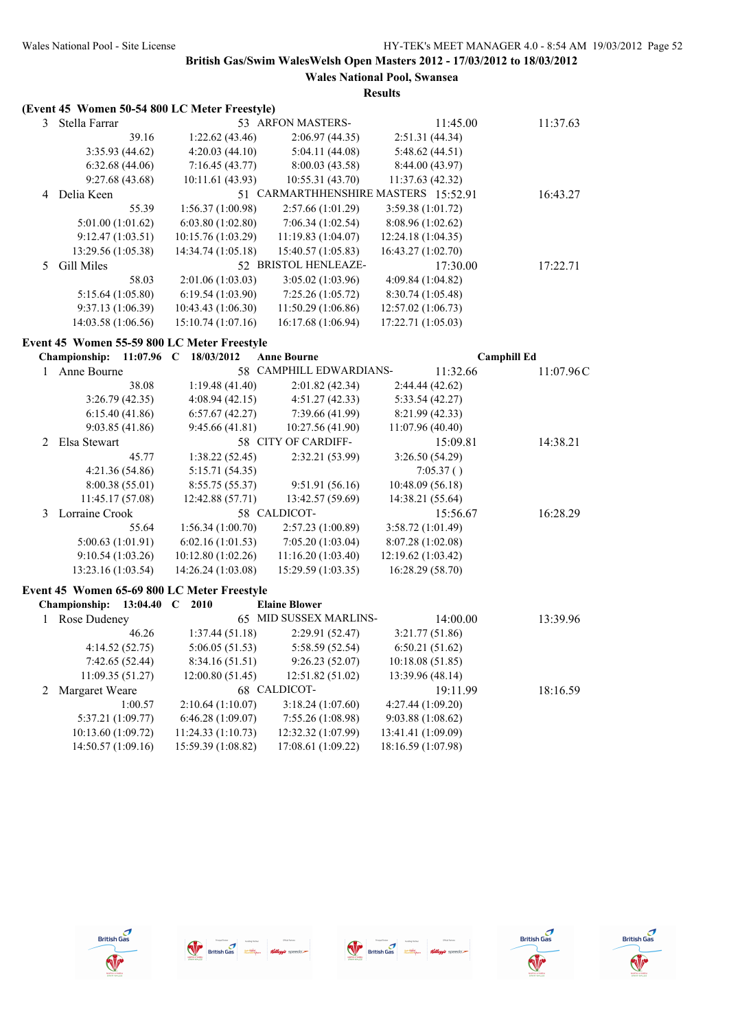|              | (Event 45 Women 50-54 800 LC Meter Freestyle) |                    |                                      |                    |                    |
|--------------|-----------------------------------------------|--------------------|--------------------------------------|--------------------|--------------------|
| 3            | Stella Farrar                                 |                    | 53 ARFON MASTERS-                    | 11:45.00           | 11:37.63           |
|              | 39.16                                         | 1:22.62(43.46)     | 2:06.97(44.35)                       | 2:51.31(44.34)     |                    |
|              | 3:35.93(44.62)                                | 4:20.03(44.10)     | 5:04.11(44.08)                       | 5:48.62 (44.51)    |                    |
|              | 6:32.68(44.06)                                | 7:16.45(43.77)     | 8:00.03 (43.58)                      | 8:44.00 (43.97)    |                    |
|              | 9:27.68(43.68)                                | 10:11.61 (43.93)   | 10:55.31 (43.70)                     | 11:37.63 (42.32)   |                    |
|              | 4 Delia Keen                                  |                    | 51 CARMARTHHENSHIRE MASTERS 15:52.91 |                    | 16:43.27           |
|              | 55.39                                         | 1:56.37 (1:00.98)  | 2:57.66 (1:01.29)                    | 3:59.38(1:01.72)   |                    |
|              | 5:01.00 (1:01.62)                             | 6:03.80 (1:02.80)  | 7:06.34 (1:02.54)                    | 8:08.96 (1:02.62)  |                    |
|              | 9:12.47(1:03.51)                              | 10:15.76 (1:03.29) | 11:19.83 (1:04.07)                   | 12:24.18 (1:04.35) |                    |
|              | 13:29.56 (1:05.38)                            | 14:34.74 (1:05.18) | 15:40.57 (1:05.83)                   | 16:43.27 (1:02.70) |                    |
| 5            | Gill Miles                                    |                    | 52 BRISTOL HENLEAZE-                 | 17:30.00           | 17:22.71           |
|              | 58.03                                         | 2:01.06 (1:03.03)  | 3:05.02 (1:03.96)                    | 4:09.84 (1:04.82)  |                    |
|              | 5:15.64 (1:05.80)                             | 6:19.54 (1:03.90)  | 7:25.26(1:05.72)                     | 8:30.74 (1:05.48)  |                    |
|              | 9:37.13 (1:06.39)                             | 10:43.43 (1:06.30) | 11:50.29 (1:06.86)                   | 12:57.02 (1:06.73) |                    |
|              | 14:03.58 (1:06.56)                            | 15:10.74 (1:07.16) | 16:17.68 (1:06.94)                   | 17:22.71 (1:05.03) |                    |
|              | Event 45 Women 55-59 800 LC Meter Freestyle   |                    |                                      |                    |                    |
|              | <b>Championship:</b><br>11:07.96 $C$          | 18/03/2012         | <b>Anne Bourne</b>                   |                    | <b>Camphill Ed</b> |
| 1            | Anne Bourne                                   |                    | 58 CAMPHILL EDWARDIANS-              | 11:32.66           | 11:07.96C          |
|              | 38.08                                         | 1:19.48(41.40)     | 2:01.82 (42.34)                      | 2:44.44 (42.62)    |                    |
|              | 3:26.79(42.35)                                | 4:08.94(42.15)     | 4:51.27(42.33)                       | 5:33.54 (42.27)    |                    |
|              | 6:15.40(41.86)                                | 6:57.67(42.27)     | 7:39.66 (41.99)                      | 8:21.99 (42.33)    |                    |
|              | 9:03.85(41.86)                                | 9:45.66(41.81)     | 10:27.56 (41.90)                     | 11:07.96 (40.40)   |                    |
| 2            | Elsa Stewart                                  |                    | 58 CITY OF CARDIFF-                  | 15:09.81           | 14:38.21           |
|              | 45.77                                         | 1:38.22 (52.45)    | 2:32.21 (53.99)                      | 3:26.50 (54.29)    |                    |
|              | 4:21.36 (54.86)                               | 5:15.71 (54.35)    |                                      | 7:05.37()          |                    |
|              | 8:00.38 (55.01)                               | 8:55.75 (55.37)    | 9:51.91 (56.16)                      | 10:48.09 (56.18)   |                    |
|              | 11:45.17 (57.08)                              | 12:42.88 (57.71)   | 13:42.57 (59.69)                     | 14:38.21 (55.64)   |                    |
| 3            | Lorraine Crook                                |                    | 58 CALDICOT-                         | 15:56.67           | 16:28.29           |
|              | 55.64                                         | 1:56.34 (1:00.70)  | 2:57.23 (1:00.89)                    | 3:58.72 (1:01.49)  |                    |
|              | 5:00.63 (1:01.91)                             | 6:02.16(1:01.53)   | 7:05.20(1:03.04)                     | 8:07.28 (1:02.08)  |                    |
|              | 9:10.54(1:03.26)                              | 10:12.80 (1:02.26) | 11:16.20 (1:03.40)                   | 12:19.62 (1:03.42) |                    |
|              | 13:23.16 (1:03.54)                            | 14:26.24 (1:03.08) | 15:29.59 (1:03.35)                   | 16:28.29 (58.70)   |                    |
|              | Event 45 Women 65-69 800 LC Meter Freestyle   |                    |                                      |                    |                    |
|              | Championship:                                 | 13:04.40 C 2010    | <b>Elaine Blower</b>                 |                    |                    |
| $\mathbf{1}$ | Rose Dudeney                                  |                    | 65 MID SUSSEX MARLINS-               | 14:00.00           | 13:39.96           |
|              | 46.26                                         | 1:37.44(51.18)     | 2:29.91 (52.47)                      | 3:21.77 (51.86)    |                    |
|              | 4:14.52 (52.75)                               | 5:06.05(51.53)     | 5:58.59 (52.54)                      | 6:50.21(51.62)     |                    |
|              | 7:42.65 (52.44)                               | 8:34.16 (51.51)    | 9:26.23(52.07)                       | 10:18.08 (51.85)   |                    |
|              | 11:09.35 (51.27)                              | 12:00.80 (51.45)   | 12:51.82 (51.02)                     | 13:39.96 (48.14)   |                    |
| 2            | Margaret Weare                                |                    | 68 CALDICOT-                         | 19:11.99           | 18:16.59           |
|              | 1:00.57                                       | 2:10.64 (1:10.07)  | 3:18.24(1:07.60)                     | 4:27.44 (1:09.20)  |                    |
|              | 5:37.21 (1:09.77)                             | 6:46.28(1:09.07)   | 7:55.26 (1:08.98)                    | 9:03.88 (1:08.62)  |                    |
|              | 10:13.60 (1:09.72)                            | 11:24.33(1:10.73)  | 12:32.32 (1:07.99)                   | 13:41.41 (1:09.09) |                    |
|              | 14:50.57 (1:09.16)                            | 15:59.39 (1:08.82) | 17:08.61 (1:09.22)                   | 18:16.59 (1:07.98) |                    |









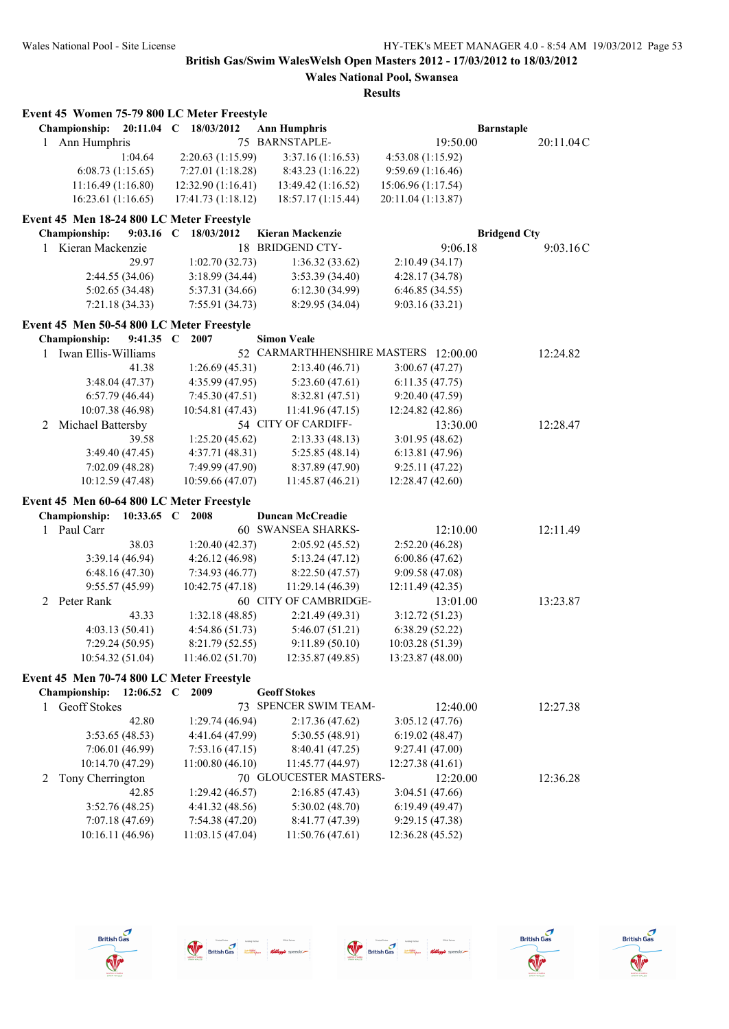# **Wales National Pool, Swansea**

|   | Event 45 Women 75-79 800 LC Meter Freestyle |             |                       |    |                                            |                    |                     |           |
|---|---------------------------------------------|-------------|-----------------------|----|--------------------------------------------|--------------------|---------------------|-----------|
|   | <b>Championship:</b>                        |             | 20:11.04 C 18/03/2012 |    | <b>Ann Humphris</b>                        |                    | <b>Barnstaple</b>   |           |
| 1 | Ann Humphris                                |             |                       |    | 75 BARNSTAPLE-                             | 19:50.00           |                     | 20:11.04C |
|   |                                             | 1:04.64     | 2:20.63 (1:15.99)     |    | 3:37.16(1:16.53)                           | 4:53.08 (1:15.92)  |                     |           |
|   | 6:08.73(1:15.65)                            |             | 7:27.01(1:18.28)      |    | 8:43.23(1:16.22)                           | 9:59.69(1:16.46)   |                     |           |
|   | 11:16.49 (1:16.80)                          |             | 12:32.90 (1:16.41)    |    | 13:49.42 (1:16.52)                         | 15:06.96 (1:17.54) |                     |           |
|   | 16:23.61(1:16.65)                           |             | 17:41.73 (1:18.12)    |    | 18:57.17 (1:15.44)                         | 20:11.04 (1:13.87) |                     |           |
|   | Event 45 Men 18-24 800 LC Meter Freestyle   |             |                       |    |                                            |                    |                     |           |
|   | Championship:                               | $9:03.16$ C | 18/03/2012            |    | Kieran Mackenzie                           |                    | <b>Bridgend Cty</b> |           |
|   | 1 Kieran Mackenzie                          |             |                       | 18 | <b>BRIDGEND CTY-</b>                       | 9:06.18            |                     | 9:03.16C  |
|   |                                             | 29.97       | 1:02.70(32.73)        |    | 1:36.32(33.62)                             | 2:10.49 (34.17)    |                     |           |
|   | 2:44.55(34.06)                              |             | 3:18.99 (34.44)       |    | 3:53.39 (34.40)                            | 4:28.17(34.78)     |                     |           |
|   | 5:02.65 (34.48)                             |             | 5:37.31 (34.66)       |    | 6:12.30(34.99)                             | 6:46.85(34.55)     |                     |           |
|   | 7:21.18(34.33)                              |             | 7:55.91 (34.73)       |    | 8:29.95 (34.04)                            | 9:03.16(33.21)     |                     |           |
|   | Event 45 Men 50-54 800 LC Meter Freestyle   |             |                       |    |                                            |                    |                     |           |
|   | <b>Championship:</b>                        | 9:41.35 C   | 2007                  |    | <b>Simon Veale</b>                         |                    |                     |           |
|   | 1 Iwan Ellis-Williams                       |             |                       |    | 52 CARMARTHHENSHIRE MASTERS 12:00.00       |                    |                     |           |
|   |                                             |             |                       |    |                                            |                    |                     | 12:24.82  |
|   |                                             | 41.38       | 1:26.69(45.31)        |    | 2:13.40(46.71)                             | 3:00.67(47.27)     |                     |           |
|   | 3:48.04 (47.37)                             |             | 4:35.99 (47.95)       |    | 5:23.60(47.61)                             | 6:11.35(47.75)     |                     |           |
|   | 6:57.79(46.44)                              |             | 7:45.30 (47.51)       |    | 8:32.81 (47.51)                            | 9:20.40 (47.59)    |                     |           |
|   | 10:07.38 (46.98)                            |             | 10:54.81 (47.43)      |    | 11:41.96 (47.15)                           | 12:24.82 (42.86)   |                     |           |
| 2 | Michael Battersby                           |             |                       |    | 54 CITY OF CARDIFF-                        | 13:30.00           |                     | 12:28.47  |
|   |                                             | 39.58       | 1:25.20(45.62)        |    | 2:13.33(48.13)                             | 3:01.95(48.62)     |                     |           |
|   | 3:49.40 (47.45)                             |             | 4:37.71(48.31)        |    | 5:25.85(48.14)                             | 6:13.81(47.96)     |                     |           |
|   | 7:02.09(48.28)                              |             | 7:49.99 (47.90)       |    | 8:37.89 (47.90)                            | 9:25.11(47.22)     |                     |           |
|   | 10:12.59 (47.48)                            |             | 10:59.66 (47.07)      |    | 11:45.87(46.21)                            | 12:28.47 (42.60)   |                     |           |
|   | Event 45 Men 60-64 800 LC Meter Freestyle   |             |                       |    |                                            |                    |                     |           |
|   | <b>Championship:</b>                        | 10:33.65 C  | 2008                  |    | <b>Duncan McCreadie</b>                    |                    |                     |           |
|   | 1 Paul Carr                                 |             |                       |    | <b>60 SWANSEA SHARKS-</b>                  | 12:10.00           |                     | 12:11.49  |
|   |                                             | 38.03       | 1:20.40(42.37)        |    | 2:05.92 (45.52)                            | 2:52.20 (46.28)    |                     |           |
|   | 3:39.14(46.94)                              |             | 4:26.12(46.98)        |    | 5:13.24(47.12)                             | 6:00.86(47.62)     |                     |           |
|   | 6:48.16(47.30)                              |             | 7:34.93 (46.77)       |    | 8:22.50 (47.57)                            | 9:09.58 (47.08)    |                     |           |
|   | 9:55.57(45.99)                              |             | 10:42.75 (47.18)      |    | 11:29.14 (46.39)                           | 12:11.49 (42.35)   |                     |           |
| 2 | Peter Rank                                  |             |                       |    | 60 CITY OF CAMBRIDGE-                      | 13:01.00           |                     | 13:23.87  |
|   |                                             | 43.33       | 1:32.18 (48.85)       |    | 2:21.49 (49.31)                            | 3:12.72(51.23)     |                     |           |
|   | 4:03.13(50.41)                              |             | 4:54.86 (51.73)       |    | 5:46.07(51.21)                             | 6:38.29(52.22)     |                     |           |
|   | 7:29.24 (50.95)                             |             | 8:21.79 (52.55)       |    | 9:11.89(50.10)                             | 10:03.28 (51.39)   |                     |           |
|   | 10:54.32 (51.04)                            |             | 11:46.02(51.70)       |    | 12:35.87 (49.85)                           | 13:23.87 (48.00)   |                     |           |
|   | Event 45 Men 70-74 800 LC Meter Freestyle   |             |                       |    |                                            |                    |                     |           |
|   | Championship:                               | 12:06.52 C  | 2009                  |    | <b>Geoff Stokes</b>                        |                    |                     |           |
| 1 | <b>Geoff Stokes</b>                         |             |                       |    | 73 SPENCER SWIM TEAM-                      | 12:40.00           |                     | 12:27.38  |
|   |                                             | 42.80       | 1:29.74 (46.94)       |    | 2:17.36(47.62)                             | 3:05.12(47.76)     |                     |           |
|   | 3:53.65(48.53)                              |             | 4:41.64 (47.99)       |    | 5:30.55(48.91)                             |                    |                     |           |
|   |                                             |             | 7:53.16(47.15)        |    |                                            | 6:19.02(48.47)     |                     |           |
|   | 7:06.01(46.99)                              |             |                       |    | 8:40.41 (47.25)                            | 9:27.41(47.00)     |                     |           |
|   | 10:14.70 (47.29)                            |             | 11:00.80 (46.10)      |    | 11:45.77 (44.97)<br>70 GLOUCESTER MASTERS- | 12:27.38 (41.61)   |                     |           |
| 2 | Tony Cherrington                            |             |                       |    |                                            | 12:20.00           |                     | 12:36.28  |
|   |                                             | 42.85       | 1:29.42 (46.57)       |    | 2:16.85(47.43)                             | 3:04.51 (47.66)    |                     |           |
|   | 3:52.76(48.25)                              |             | 4:41.32 (48.56)       |    | 5:30.02(48.70)                             | 6:19.49(49.47)     |                     |           |
|   | 7:07.18 (47.69)                             |             | 7:54.38 (47.20)       |    | 8:41.77 (47.39)                            | 9:29.15(47.38)     |                     |           |
|   | 10:16.11 (46.96)                            |             | 11:03.15 (47.04)      |    | 11:50.76 (47.61)                           | 12:36.28 (45.52)   |                     |           |